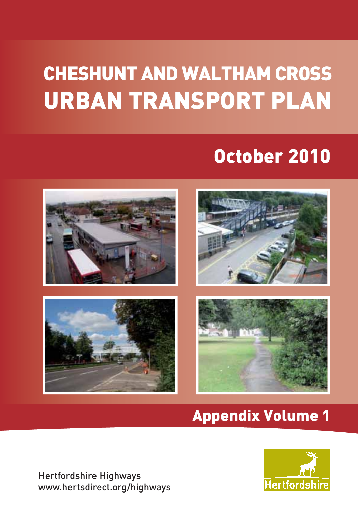# CHESHUNT AND WALTHAM CROSS URBAN TRANSPORT PLAN

## October 2010



## Appendix Volume 1

Hertfordshire Highways www.hertsdirect.org/highways

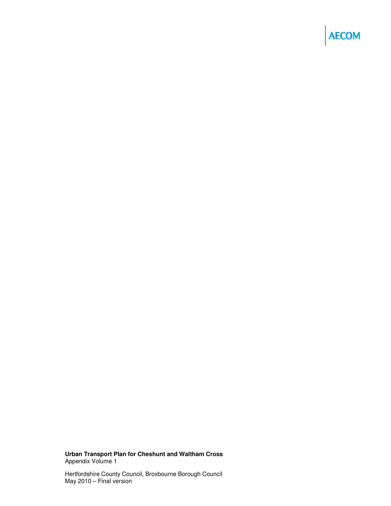## **AECOM**

**Urban Transport Plan for Cheshunt and Waltham Cross**  Appendix Volume 1

Hertfordshire County Council, Broxbourne Borough Council May 2010 – Final version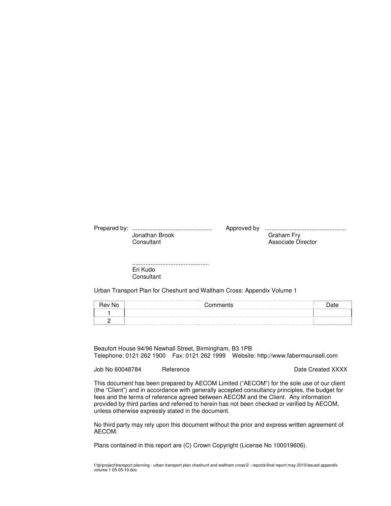| Jonathan Brook | Graham Fry         |  |
|----------------|--------------------|--|
| Consultant     | Associate Director |  |
|                |                    |  |

.............................................. Eri Kudo **Consultant** 

Urban Transport Plan for Cheshunt and Waltham Cross: Appendix Volume 1

| <b>Hev No</b> | ി∩ന<br>. |   |
|---------------|----------|---|
|               |          | . |
|               |          |   |

Beaufort House 94/96 Newhall Street, Birmingham, B3 1PB Telephone: 0121 262 1900 Fax: 0121 262 1999 Website: http://www.fabermaunsell.com

Job No 60048784 Reference **Reference Reference Date Created XXXX** 

This document has been prepared by AECOM Limited ("AECOM") for the sole use of our client (the "Client") and in accordance with generally accepted consultancy principles, the budget for fees and the terms of reference agreed between AECOM and the Client. Any information provided by third parties and referred to herein has not been checked or verified by AECOM, unless otherwise expressly stated in the document.

No third party may rely upon this document without the prior and express written agreement of AECOM.

Plans contained in this report are (C) Crown Copyright (License No 100019606).

f:\tp\project\transport planning - urban transport plan cheshunt and waltham cross\2 - reports\final report may 2010\issued appendix volume 1 05-05-10.doc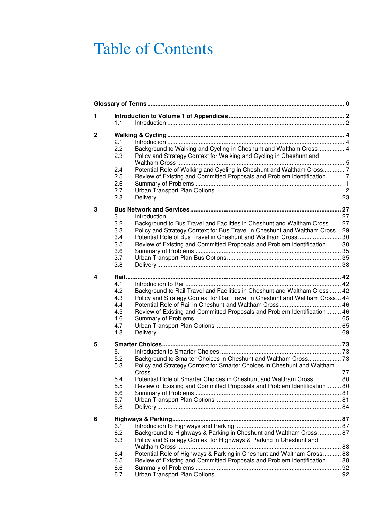## Table of Contents

| 1 | 1.1 |                                                                              |  |
|---|-----|------------------------------------------------------------------------------|--|
|   |     |                                                                              |  |
| 2 |     |                                                                              |  |
|   | 2.1 |                                                                              |  |
|   | 2.2 | Background to Walking and Cycling in Cheshunt and Waltham Cross 4            |  |
|   | 2.3 | Policy and Strategy Context for Walking and Cycling in Cheshunt and          |  |
|   |     |                                                                              |  |
|   | 2.4 | Potential Role of Walking and Cycling in Cheshunt and Waltham Cross 7        |  |
|   | 2.5 | Review of Existing and Committed Proposals and Problem Identification  7     |  |
|   | 2.6 |                                                                              |  |
|   | 2.7 |                                                                              |  |
|   | 2.8 |                                                                              |  |
| 3 |     |                                                                              |  |
|   | 3.1 |                                                                              |  |
|   | 3.2 | Background to Bus Travel and Facilities in Cheshunt and Waltham Cross 27     |  |
|   | 3.3 | Policy and Strategy Context for Bus Travel in Cheshunt and Waltham Cross 29  |  |
|   | 3.4 | Potential Role of Bus Travel in Cheshunt and Waltham Cross 30                |  |
|   | 3.5 | Review of Existing and Committed Proposals and Problem Identification 30     |  |
|   | 3.6 |                                                                              |  |
|   | 3.7 |                                                                              |  |
|   | 3.8 |                                                                              |  |
| 4 |     |                                                                              |  |
|   | 4.1 |                                                                              |  |
|   | 4.2 | Background to Rail Travel and Facilities in Cheshunt and Waltham Cross  42   |  |
|   | 4.3 | Policy and Strategy Context for Rail Travel in Cheshunt and Waltham Cross 44 |  |
|   | 4.4 |                                                                              |  |
|   | 4.5 | Review of Existing and Committed Proposals and Problem Identification 46     |  |
|   | 4.6 |                                                                              |  |
|   | 4.7 |                                                                              |  |
|   | 4.8 |                                                                              |  |
| 5 |     |                                                                              |  |
|   | 5.1 |                                                                              |  |
|   | 5.2 | Background to Smarter Choices in Cheshunt and Waltham Cross 73               |  |
|   | 5.3 | Policy and Strategy Context for Smarter Choices in Cheshunt and Waltham      |  |
|   |     |                                                                              |  |
|   | 5.4 | Potential Role of Smarter Choices in Cheshunt and Waltham Cross  80          |  |
|   | 5.5 | Review of Existing and Committed Proposals and Problem Identification  80    |  |
|   | 5.6 |                                                                              |  |
|   | 5.7 |                                                                              |  |
|   | 5.8 |                                                                              |  |
| 6 |     |                                                                              |  |
|   | 6.1 |                                                                              |  |
|   | 6.2 | Background to Highways & Parking in Cheshunt and Waltham Cross 87            |  |
|   | 6.3 | Policy and Strategy Context for Highways & Parking in Cheshunt and           |  |
|   |     |                                                                              |  |
|   | 6.4 | Potential Role of Highways & Parking in Cheshunt and Waltham Cross 88        |  |
|   | 6.5 | Review of Existing and Committed Proposals and Problem Identification 88     |  |
|   | 6.6 |                                                                              |  |
|   | 6.7 |                                                                              |  |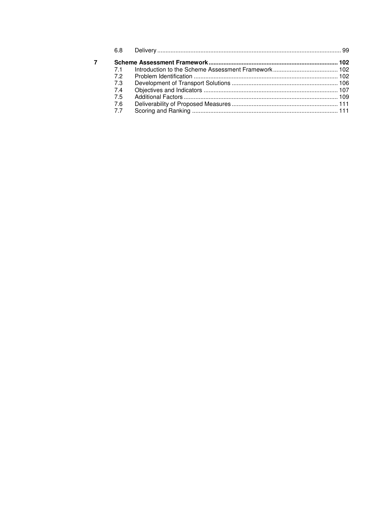| 7.1 |  |
|-----|--|
| 72  |  |
| 7.3 |  |
| 7.4 |  |
| 7.5 |  |
| 7.6 |  |
| 7.7 |  |
|     |  |

 $\overline{7}$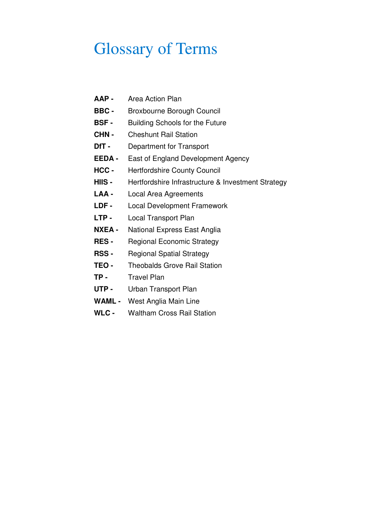## Glossary of Terms

- **AAP** Area Action Plan
- **BBC -** Broxbourne Borough Council
- **BSF** Building Schools for the Future
- **CHN -** Cheshunt Rail Station
- **DfT** Department for Transport
- **EEDA -** East of England Development Agency
- **HCC** Hertfordshire County Council
- **HIIS -** Hertfordshire Infrastructure & Investment Strategy
- **LAA** Local Area Agreements
- **LDF** Local Development Framework
- **LTP** Local Transport Plan
- **NXEA -** National Express East Anglia
- **RES** Regional Economic Strategy
- **RSS -** Regional Spatial Strategy
- **TEO -** Theobalds Grove Rail Station
- **TP** Travel Plan
- **UTP -** Urban Transport Plan
- **WAML -** West Anglia Main Line
- **WLC -** Waltham Cross Rail Station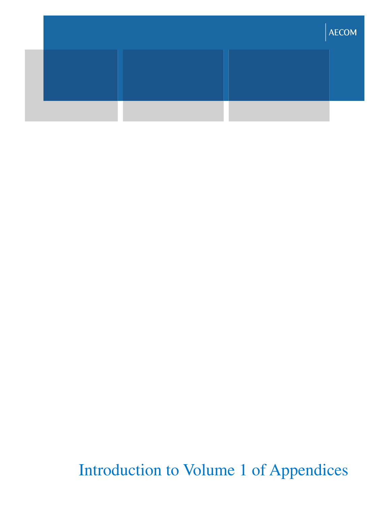|  | <b>AECOM</b> |
|--|--------------|
|  |              |
|  |              |

Introduction to Volume 1 of Appendices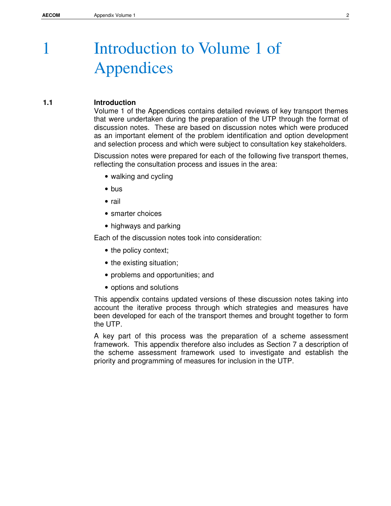## 1 Introduction to Volume 1 of Appendices

## **1.1 Introduction**

Volume 1 of the Appendices contains detailed reviews of key transport themes that were undertaken during the preparation of the UTP through the format of discussion notes. These are based on discussion notes which were produced as an important element of the problem identification and option development and selection process and which were subject to consultation key stakeholders.

Discussion notes were prepared for each of the following five transport themes, reflecting the consultation process and issues in the area:

- walking and cycling
- bus
- rail
- smarter choices
- highways and parking

Each of the discussion notes took into consideration:

- the policy context;
- the existing situation;
- problems and opportunities; and
- options and solutions

This appendix contains updated versions of these discussion notes taking into account the iterative process through which strategies and measures have been developed for each of the transport themes and brought together to form the UTP.

A key part of this process was the preparation of a scheme assessment framework. This appendix therefore also includes as Section 7 a description of the scheme assessment framework used to investigate and establish the priority and programming of measures for inclusion in the UTP.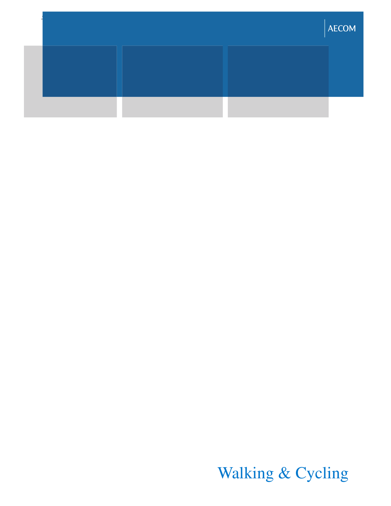|  | <b>AECOM</b> |
|--|--------------|
|  |              |
|  |              |

Walking & Cycling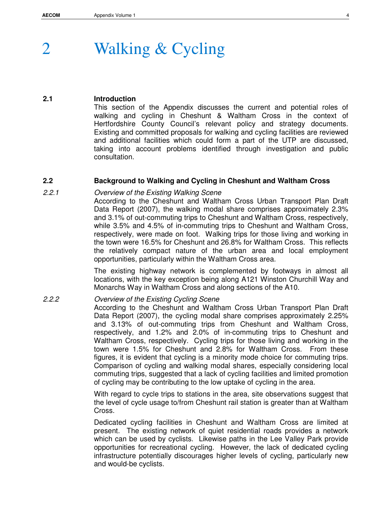## 2 Walking & Cycling

## **2.1 Introduction**

This section of the Appendix discusses the current and potential roles of walking and cycling in Cheshunt & Waltham Cross in the context of Hertfordshire County Council's relevant policy and strategy documents. Existing and committed proposals for walking and cycling facilities are reviewed and additional facilities which could form a part of the UTP are discussed, taking into account problems identified through investigation and public consultation.

## **2.2 Background to Walking and Cycling in Cheshunt and Waltham Cross**

## 2.2.1 Overview of the Existing Walking Scene

According to the Cheshunt and Waltham Cross Urban Transport Plan Draft Data Report (2007), the walking modal share comprises approximately 2.3% and 3.1% of out-commuting trips to Cheshunt and Waltham Cross, respectively, while 3.5% and 4.5% of in-commuting trips to Cheshunt and Waltham Cross, respectively, were made on foot. Walking trips for those living and working in the town were 16.5% for Cheshunt and 26.8% for Waltham Cross. This reflects the relatively compact nature of the urban area and local employment opportunities, particularly within the Waltham Cross area.

The existing highway network is complemented by footways in almost all locations, with the key exception being along A121 Winston Churchill Way and Monarchs Way in Waltham Cross and along sections of the A10.

## 2.2.2 Overview of the Existing Cycling Scene

According to the Cheshunt and Waltham Cross Urban Transport Plan Draft Data Report (2007), the cycling modal share comprises approximately 2.25% and 3.13% of out-commuting trips from Cheshunt and Waltham Cross, respectively, and 1.2% and 2.0% of in-commuting trips to Cheshunt and Waltham Cross, respectively. Cycling trips for those living and working in the town were 1.5% for Cheshunt and 2.8% for Waltham Cross. From these figures, it is evident that cycling is a minority mode choice for commuting trips. Comparison of cycling and walking modal shares, especially considering local commuting trips, suggested that a lack of cycling facilities and limited promotion of cycling may be contributing to the low uptake of cycling in the area.

With regard to cycle trips to stations in the area, site observations suggest that the level of cycle usage to/from Cheshunt rail station is greater than at Waltham Cross.

Dedicated cycling facilities in Cheshunt and Waltham Cross are limited at present. The existing network of quiet residential roads provides a network which can be used by cyclists. Likewise paths in the Lee Valley Park provide opportunities for recreational cycling. However, the lack of dedicated cycling infrastructure potentially discourages higher levels of cycling, particularly new and would-be cyclists.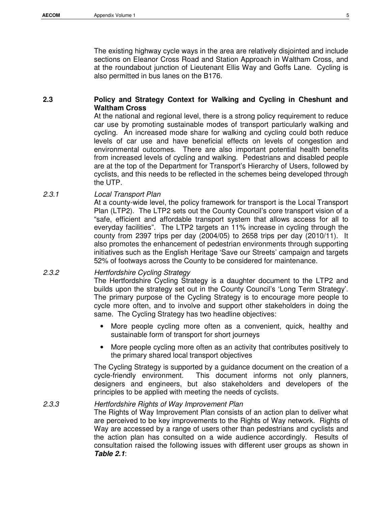The existing highway cycle ways in the area are relatively disjointed and include sections on Eleanor Cross Road and Station Approach in Waltham Cross, and at the roundabout junction of Lieutenant Ellis Way and Goffs Lane. Cycling is also permitted in bus lanes on the B176.

## **2.3 Policy and Strategy Context for Walking and Cycling in Cheshunt and Waltham Cross**

At the national and regional level, there is a strong policy requirement to reduce car use by promoting sustainable modes of transport particularly walking and cycling. An increased mode share for walking and cycling could both reduce levels of car use and have beneficial effects on levels of congestion and environmental outcomes. There are also important potential health benefits from increased levels of cycling and walking. Pedestrians and disabled people are at the top of the Department for Transport's Hierarchy of Users, followed by cyclists, and this needs to be reflected in the schemes being developed through the UTP.

## 2.3.1 Local Transport Plan

At a county-wide level, the policy framework for transport is the Local Transport Plan (LTP2). The LTP2 sets out the County Council's core transport vision of a "safe, efficient and affordable transport system that allows access for all to everyday facilities". The LTP2 targets an 11% increase in cycling through the county from 2397 trips per day (2004/05) to 2658 trips per day (2010/11). It also promotes the enhancement of pedestrian environments through supporting initiatives such as the English Heritage 'Save our Streets' campaign and targets 52% of footways across the County to be considered for maintenance.

## 2.3.2 Hertfordshire Cycling Strategy

The Hertfordshire Cycling Strategy is a daughter document to the LTP2 and builds upon the strategy set out in the County Council's 'Long Term Strategy'. The primary purpose of the Cycling Strategy is to encourage more people to cycle more often, and to involve and support other stakeholders in doing the same. The Cycling Strategy has two headline objectives:

- More people cycling more often as a convenient, quick, healthy and sustainable form of transport for short journeys
- More people cycling more often as an activity that contributes positively to the primary shared local transport objectives

The Cycling Strategy is supported by a guidance document on the creation of a cycle-friendly environment. This document informs not only planners, designers and engineers, but also stakeholders and developers of the principles to be applied with meeting the needs of cyclists.

## 2.3.3 Hertfordshire Rights of Way Improvement Plan

The Rights of Way Improvement Plan consists of an action plan to deliver what are perceived to be key improvements to the Rights of Way network. Rights of Way are accessed by a range of users other than pedestrians and cyclists and the action plan has consulted on a wide audience accordingly. Results of consultation raised the following issues with different user groups as shown in **Table 2.1**: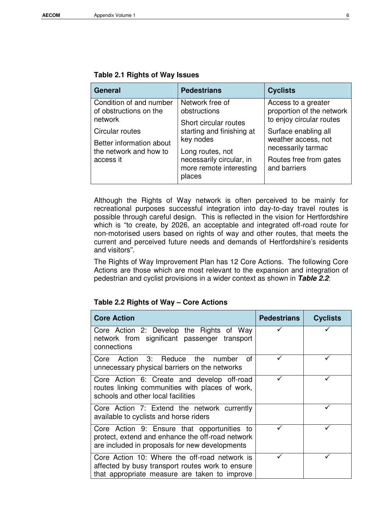| <b>General</b>                                                                     | <b>Pedestrians</b>                                                                                                          | <b>Cyclists</b>                                                                                             |  |
|------------------------------------------------------------------------------------|-----------------------------------------------------------------------------------------------------------------------------|-------------------------------------------------------------------------------------------------------------|--|
| Condition of and number<br>of obstructions on the<br>network                       | Network free of<br>obstructions<br>Short circular routes                                                                    | Access to a greater<br>proportion of the network<br>to enjoy circular routes                                |  |
| Circular routes<br>Better information about<br>the network and how to<br>access it | starting and finishing at<br>key nodes<br>Long routes, not<br>necessarily circular, in<br>more remote interesting<br>places | Surface enabling all<br>weather access, not<br>necessarily tarmac<br>Routes free from gates<br>and barriers |  |

Although the Rights of Way network is often perceived to be mainly for recreational purposes successful integration into day-to-day travel routes is possible through careful design. This is reflected in the vision for Hertfordshire which is "to create, by 2026, an acceptable and integrated off-road route for non-motorised users based on rights of way and other routes, that meets the current and perceived future needs and demands of Hertfordshire's residents and visitors".

The Rights of Way Improvement Plan has 12 Core Actions. The following Core Actions are those which are most relevant to the expansion and integration of pedestrian and cyclist provisions in a wider context as shown in **Table 2.2**:

## **Table 2.2 Rights of Way – Core Actions**

| <b>Core Action</b>                                                                                                                                 | <b>Pedestrians</b> | Cyclists |
|----------------------------------------------------------------------------------------------------------------------------------------------------|--------------------|----------|
| Core Action 2: Develop the Rights of Way<br>network from significant passenger transport<br>connections                                            |                    |          |
| Core Action 3: Reduce the number<br>Ωf<br>unnecessary physical barriers on the networks                                                            |                    |          |
| Core Action 6: Create and develop off-road<br>routes linking communities with places of work,<br>schools and other local facilities                |                    |          |
| Core Action 7: Extend the network currently<br>available to cyclists and horse riders                                                              |                    |          |
| Core Action 9: Ensure that opportunities to<br>protect, extend and enhance the off-road network<br>are included in proposals for new developments  |                    |          |
| Core Action 10: Where the off-road network is<br>affected by busy transport routes work to ensure<br>that appropriate measure are taken to improve |                    |          |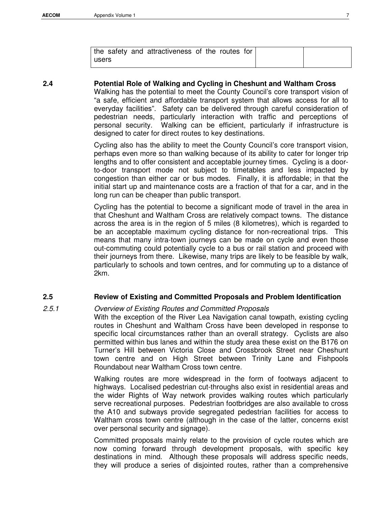| the safety and attractiveness of the routes for |  |
|-------------------------------------------------|--|
| users                                           |  |

## **2.4 Potential Role of Walking and Cycling in Cheshunt and Waltham Cross**

Walking has the potential to meet the County Council's core transport vision of "a safe, efficient and affordable transport system that allows access for all to everyday facilities". Safety can be delivered through careful consideration of pedestrian needs, particularly interaction with traffic and perceptions of personal security. Walking can be efficient, particularly if infrastructure is designed to cater for direct routes to key destinations.

Cycling also has the ability to meet the County Council's core transport vision, perhaps even more so than walking because of its ability to cater for longer trip lengths and to offer consistent and acceptable journey times. Cycling is a doorto-door transport mode not subject to timetables and less impacted by congestion than either car or bus modes. Finally, it is affordable; in that the initial start up and maintenance costs are a fraction of that for a car, and in the long run can be cheaper than public transport.

Cycling has the potential to become a significant mode of travel in the area in that Cheshunt and Waltham Cross are relatively compact towns. The distance across the area is in the region of 5 miles (8 kilometres), which is regarded to be an acceptable maximum cycling distance for non-recreational trips. This means that many intra-town journeys can be made on cycle and even those out-commuting could potentially cycle to a bus or rail station and proceed with their journeys from there. Likewise, many trips are likely to be feasible by walk, particularly to schools and town centres, and for commuting up to a distance of 2km.

## **2.5 Review of Existing and Committed Proposals and Problem Identification**

2.5.1 Overview of Existing Routes and Committed Proposals

With the exception of the River Lea Navigation canal towpath, existing cycling routes in Cheshunt and Waltham Cross have been developed in response to specific local circumstances rather than an overall strategy. Cyclists are also permitted within bus lanes and within the study area these exist on the B176 on Turner's Hill between Victoria Close and Crossbrook Street near Cheshunt town centre and on High Street between Trinity Lane and Fishpools Roundabout near Waltham Cross town centre.

Walking routes are more widespread in the form of footways adjacent to highways. Localised pedestrian cut-throughs also exist in residential areas and the wider Rights of Way network provides walking routes which particularly serve recreational purposes. Pedestrian footbridges are also available to cross the A10 and subways provide segregated pedestrian facilities for access to Waltham cross town centre (although in the case of the latter, concerns exist over personal security and signage).

Committed proposals mainly relate to the provision of cycle routes which are now coming forward through development proposals, with specific key destinations in mind. Although these proposals will address specific needs, they will produce a series of disjointed routes, rather than a comprehensive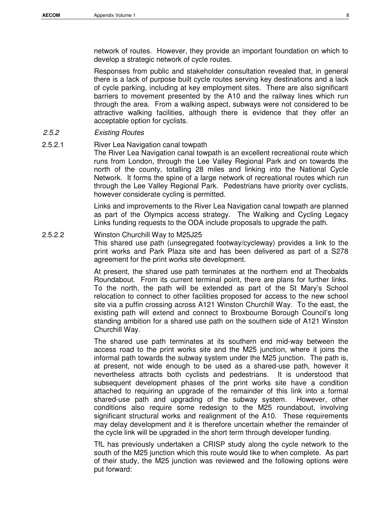network of routes. However, they provide an important foundation on which to develop a strategic network of cycle routes.

Responses from public and stakeholder consultation revealed that, in general there is a lack of purpose built cycle routes serving key destinations and a lack of cycle parking, including at key employment sites. There are also significant barriers to movement presented by the A10 and the railway lines which run through the area. From a walking aspect, subways were not considered to be attractive walking facilities, although there is evidence that they offer an acceptable option for cyclists.

### 2.5.2 Existing Routes

#### 2.5.2.1 River Lea Navigation canal towpath

The River Lea Navigation canal towpath is an excellent recreational route which runs from London, through the Lee Valley Regional Park and on towards the north of the county, totalling 28 miles and linking into the National Cycle Network. It forms the spine of a large network of recreational routes which run through the Lee Valley Regional Park. Pedestrians have priority over cyclists, however considerate cycling is permitted.

Links and improvements to the River Lea Navigation canal towpath are planned as part of the Olympics access strategy. The Walking and Cycling Legacy Links funding requests to the ODA include proposals to upgrade the path.

#### 2.5.2.2 Winston Churchill Way to M25J25

This shared use path (unsegregated footway/cycleway) provides a link to the print works and Park Plaza site and has been delivered as part of a S278 agreement for the print works site development.

At present, the shared use path terminates at the northern end at Theobalds Roundabout. From its current terminal point, there are plans for further links. To the north, the path will be extended as part of the St Mary's School relocation to connect to other facilities proposed for access to the new school site via a puffin crossing across A121 Winston Churchill Way. To the east, the existing path will extend and connect to Broxbourne Borough Council's long standing ambition for a shared use path on the southern side of A121 Winston Churchill Way.

The shared use path terminates at its southern end mid-way between the access road to the print works site and the M25 junction, where it joins the informal path towards the subway system under the M25 junction. The path is, at present, not wide enough to be used as a shared-use path, however it nevertheless attracts both cyclists and pedestrians. It is understood that subsequent development phases of the print works site have a condition attached to requiring an upgrade of the remainder of this link into a formal shared-use path and upgrading of the subway system. However, other conditions also require some redesign to the M25 roundabout, involving significant structural works and realignment of the A10. These requirements may delay development and it is therefore uncertain whether the remainder of the cycle link will be upgraded in the short term through developer funding.

TfL has previously undertaken a CRISP study along the cycle network to the south of the M25 junction which this route would like to when complete. As part of their study, the M25 junction was reviewed and the following options were put forward: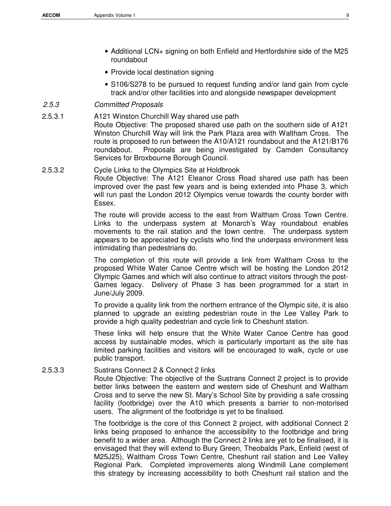- Additional LCN+ signing on both Enfield and Hertfordshire side of the M25 roundabout
- Provide local destination signing
- S106/S278 to be pursued to request funding and/or land gain from cycle track and/or other facilities into and alongside newspaper development

### 2.5.3 Committed Proposals

- 2.5.3.1 A121 Winston Churchill Way shared use path Route Objective: The proposed shared use path on the southern side of A121 Winston Churchill Way will link the Park Plaza area with Waltham Cross. The route is proposed to run between the A10/A121 roundabout and the A121/B176 roundabout. Proposals are being investigated by Camden Consultancy Services for Broxbourne Borough Council.
- 2.5.3.2 Cycle Links to the Olympics Site at Holdbrook Route Objective: The A121 Eleanor Cross Road shared use path has been improved over the past few years and is being extended into Phase 3, which will run past the London 2012 Olympics venue towards the county border with Essex.

The route will provide access to the east from Waltham Cross Town Centre. Links to the underpass system at Monarch's Way roundabout enables movements to the rail station and the town centre. The underpass system appears to be appreciated by cyclists who find the underpass environment less intimidating than pedestrians do.

The completion of this route will provide a link from Waltham Cross to the proposed White Water Canoe Centre which will be hosting the London 2012 Olympic Games and which will also continue to attract visitors through the post-Games legacy. Delivery of Phase 3 has been programmed for a start in June/July 2009.

To provide a quality link from the northern entrance of the Olympic site, it is also planned to upgrade an existing pedestrian route in the Lee Valley Park to provide a high quality pedestrian and cycle link to Cheshunt station.

These links will help ensure that the White Water Canoe Centre has good access by sustainable modes, which is particularly important as the site has limited parking facilities and visitors will be encouraged to walk, cycle or use public transport.

2.5.3.3 Sustrans Connect 2 & Connect 2 links

Route Objective: The objective of the Sustrans Connect 2 project is to provide better links between the eastern and western side of Cheshunt and Waltham Cross and to serve the new St. Mary's School Site by providing a safe crossing facility (footbridge) over the A10 which presents a barrier to non-motorised users. The alignment of the footbridge is yet to be finalised.

The footbridge is the core of this Connect 2 project, with additional Connect 2 links being proposed to enhance the accessibility to the footbridge and bring benefit to a wider area. Although the Connect 2 links are yet to be finalised, it is envisaged that they will extend to Bury Green, Theobalds Park, Enfield (west of M25J25), Waltham Cross Town Centre, Cheshunt rail station and Lee Valley Regional Park. Completed improvements along Windmill Lane complement this strategy by increasing accessibility to both Cheshunt rail station and the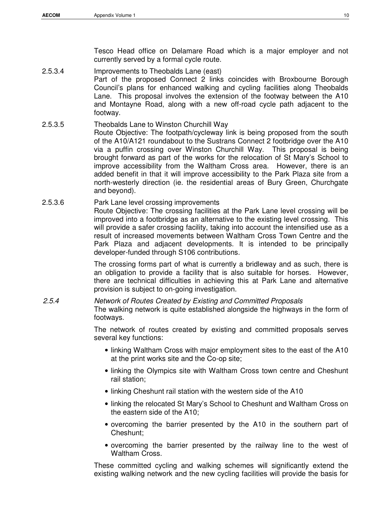Tesco Head office on Delamare Road which is a major employer and not currently served by a formal cycle route.

- 2.5.3.4 Improvements to Theobalds Lane (east) Part of the proposed Connect 2 links coincides with Broxbourne Borough Council's plans for enhanced walking and cycling facilities along Theobalds Lane. This proposal involves the extension of the footway between the A10 and Montayne Road, along with a new off-road cycle path adjacent to the footway.
- 2.5.3.5 Theobalds Lane to Winston Churchill Way Route Objective: The footpath/cycleway link is being proposed from the south of the A10/A121 roundabout to the Sustrans Connect 2 footbridge over the A10 via a puffin crossing over Winston Churchill Way. This proposal is being brought forward as part of the works for the relocation of St Mary's School to improve accessibility from the Waltham Cross area. However, there is an added benefit in that it will improve accessibility to the Park Plaza site from a north-westerly direction (ie. the residential areas of Bury Green, Churchgate and beyond).
- 2.5.3.6 Park Lane level crossing improvements Route Objective: The crossing facilities at the Park Lane level crossing will be improved into a footbridge as an alternative to the existing level crossing. This will provide a safer crossing facility, taking into account the intensified use as a result of increased movements between Waltham Cross Town Centre and the Park Plaza and adjacent developments. It is intended to be principally developer-funded through S106 contributions.

The crossing forms part of what is currently a bridleway and as such, there is an obligation to provide a facility that is also suitable for horses. However, there are technical difficulties in achieving this at Park Lane and alternative provision is subject to on-going investigation.

## 2.5.4 Network of Routes Created by Existing and Committed Proposals The walking network is quite established alongside the highways in the form of footways.

The network of routes created by existing and committed proposals serves several key functions:

- linking Waltham Cross with major employment sites to the east of the A10 at the print works site and the Co-op site;
- linking the Olympics site with Waltham Cross town centre and Cheshunt rail station;
- linking Cheshunt rail station with the western side of the A10
- linking the relocated St Mary's School to Cheshunt and Waltham Cross on the eastern side of the A10;
- overcoming the barrier presented by the A10 in the southern part of Cheshunt;
- overcoming the barrier presented by the railway line to the west of Waltham Cross.

These committed cycling and walking schemes will significantly extend the existing walking network and the new cycling facilities will provide the basis for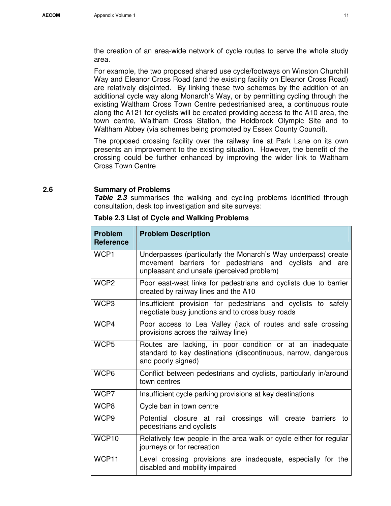the creation of an area-wide network of cycle routes to serve the whole study area.

For example, the two proposed shared use cycle/footways on Winston Churchill Way and Eleanor Cross Road (and the existing facility on Eleanor Cross Road) are relatively disjointed. By linking these two schemes by the addition of an additional cycle way along Monarch's Way, or by permitting cycling through the existing Waltham Cross Town Centre pedestrianised area, a continuous route along the A121 for cyclists will be created providing access to the A10 area, the town centre, Waltham Cross Station, the Holdbrook Olympic Site and to Waltham Abbey (via schemes being promoted by Essex County Council).

The proposed crossing facility over the railway line at Park Lane on its own presents an improvement to the existing situation. However, the benefit of the crossing could be further enhanced by improving the wider link to Waltham Cross Town Centre

### **2.6 Summary of Problems**

Table 2.3 summarises the walking and cycling problems identified through consultation, desk top investigation and site surveys:

| <b>Problem</b><br><b>Reference</b> | <b>Problem Description</b>                                                                                                                                           |
|------------------------------------|----------------------------------------------------------------------------------------------------------------------------------------------------------------------|
| WCP1                               | Underpasses (particularly the Monarch's Way underpass) create<br>movement barriers for pedestrians and cyclists and are<br>unpleasant and unsafe (perceived problem) |
| WCP <sub>2</sub>                   | Poor east-west links for pedestrians and cyclists due to barrier<br>created by railway lines and the A10                                                             |
| WCP3                               | Insufficient provision for pedestrians and cyclists to safely<br>negotiate busy junctions and to cross busy roads                                                    |
| WCP4                               | Poor access to Lea Valley (lack of routes and safe crossing<br>provisions across the railway line)                                                                   |
| WCP <sub>5</sub>                   | Routes are lacking, in poor condition or at an inadequate<br>standard to key destinations (discontinuous, narrow, dangerous<br>and poorly signed)                    |
| WCP <sub>6</sub>                   | Conflict between pedestrians and cyclists, particularly in/around<br>town centres                                                                                    |
| WCP7                               | Insufficient cycle parking provisions at key destinations                                                                                                            |
| WCP8                               | Cycle ban in town centre                                                                                                                                             |
| WCP9                               | Potential closure at rail crossings will create<br>barriers<br>to<br>pedestrians and cyclists                                                                        |
| WCP10                              | Relatively few people in the area walk or cycle either for regular<br>journeys or for recreation                                                                     |
| WCP11                              | Level crossing provisions are inadequate, especially for the<br>disabled and mobility impaired                                                                       |

**Table 2.3 List of Cycle and Walking Problems**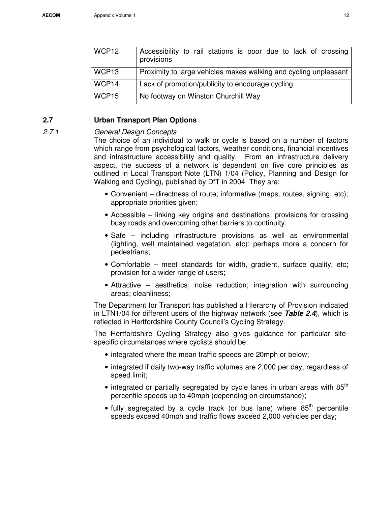| WCP12             | Accessibility to rail stations is poor due to lack of crossing<br>provisions |
|-------------------|------------------------------------------------------------------------------|
| WCP <sub>13</sub> | Proximity to large vehicles makes walking and cycling unpleasant             |
| WCP14             | Lack of promotion/publicity to encourage cycling                             |
| WCP15             | No footway on Winston Churchill Way                                          |

## **2.7 Urban Transport Plan Options**

### 2.7.1 General Design Concepts

The choice of an individual to walk or cycle is based on a number of factors which range from psychological factors, weather conditions, financial incentives and infrastructure accessibility and quality. From an infrastructure delivery aspect, the success of a network is dependent on five core principles as outlined in Local Transport Note (LTN) 1/04 (Policy, Planning and Design for Walking and Cycling), published by DfT in 2004 They are:

- Convenient directness of route; informative (maps, routes, signing, etc); appropriate priorities given;
- Accessible linking key origins and destinations; provisions for crossing busy roads and overcoming other barriers to continuity;
- Safe including infrastructure provisions as well as environmental (lighting, well maintained vegetation, etc); perhaps more a concern for pedestrians;
- Comfortable meet standards for width, gradient, surface quality, etc; provision for a wider range of users;
- Attractive aesthetics; noise reduction; integration with surrounding areas; cleanliness;

The Department for Transport has published a Hierarchy of Provision indicated in LTN1/04 for different users of the highway network (see **Table 2.4**), which is reflected in Hertfordshire County Council's Cycling Strategy.

The Hertfordshire Cycling Strategy also gives guidance for particular sitespecific circumstances where cyclists should be:

- integrated where the mean traffic speeds are 20mph or below;
- integrated if daily two-way traffic volumes are 2,000 per day, regardless of speed limit;
- integrated or partially segregated by cycle lanes in urban areas with  $85<sup>th</sup>$ percentile speeds up to 40mph (depending on circumstance);
- $\bullet$  fully segregated by a cycle track (or bus lane) where  $85^{th}$  percentile speeds exceed 40mph and traffic flows exceed 2,000 vehicles per day;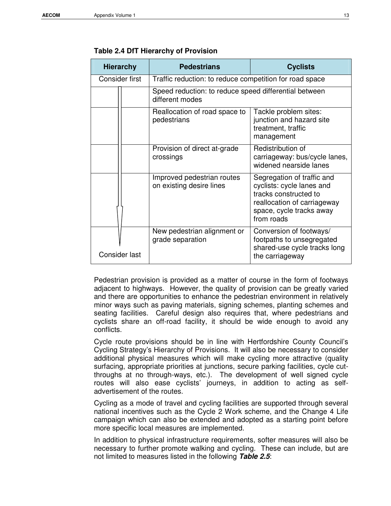| <b>Hierarchy</b> |  | <b>Pedestrians</b>                                                       | <b>Cyclists</b>                                                                                                                                           |  |
|------------------|--|--------------------------------------------------------------------------|-----------------------------------------------------------------------------------------------------------------------------------------------------------|--|
| Consider first   |  | Traffic reduction: to reduce competition for road space                  |                                                                                                                                                           |  |
|                  |  | Speed reduction: to reduce speed differential between<br>different modes |                                                                                                                                                           |  |
|                  |  | Reallocation of road space to<br>pedestrians                             | Tackle problem sites:<br>junction and hazard site<br>treatment, traffic<br>management                                                                     |  |
|                  |  | Provision of direct at-grade<br>crossings                                | Redistribution of<br>carriageway: bus/cycle lanes,<br>widened nearside lanes                                                                              |  |
|                  |  | Improved pedestrian routes<br>on existing desire lines                   | Segregation of traffic and<br>cyclists: cycle lanes and<br>tracks constructed to<br>reallocation of carriageway<br>space, cycle tracks away<br>from roads |  |
| Consider last    |  | New pedestrian alignment or<br>grade separation                          | Conversion of footways/<br>footpaths to unsegregated<br>shared-use cycle tracks long<br>the carriageway                                                   |  |

### **Table 2.4 DfT Hierarchy of Provision**

Pedestrian provision is provided as a matter of course in the form of footways adjacent to highways. However, the quality of provision can be greatly varied and there are opportunities to enhance the pedestrian environment in relatively minor ways such as paving materials, signing schemes, planting schemes and seating facilities. Careful design also requires that, where pedestrians and cyclists share an off-road facility, it should be wide enough to avoid any conflicts.

Cycle route provisions should be in line with Hertfordshire County Council's Cycling Strategy's Hierarchy of Provisions. It will also be necessary to consider additional physical measures which will make cycling more attractive (quality surfacing, appropriate priorities at junctions, secure parking facilities, cycle cutthroughs at no through-ways, etc.). The development of well signed cycle routes will also ease cyclists' journeys, in addition to acting as selfadvertisement of the routes.

Cycling as a mode of travel and cycling facilities are supported through several national incentives such as the Cycle 2 Work scheme, and the Change 4 Life campaign which can also be extended and adopted as a starting point before more specific local measures are implemented.

In addition to physical infrastructure requirements, softer measures will also be necessary to further promote walking and cycling. These can include, but are not limited to measures listed in the following **Table 2.5**: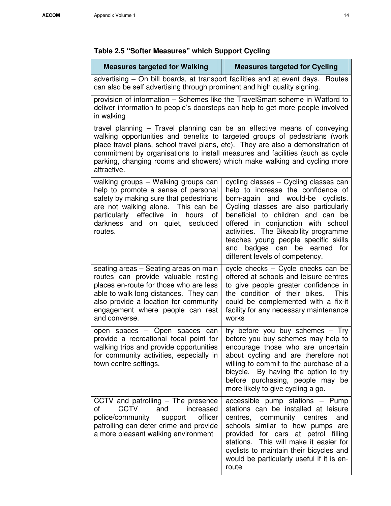## **Table 2.5 "Softer Measures" which Support Cycling**

| <b>Measures targeted for Walking</b>                                                                                                                                                                                                                                                                                                                                                                                  | <b>Measures targeted for Cycling</b>                                                                                                                                                                                                                                                                                                                                                              |  |  |  |
|-----------------------------------------------------------------------------------------------------------------------------------------------------------------------------------------------------------------------------------------------------------------------------------------------------------------------------------------------------------------------------------------------------------------------|---------------------------------------------------------------------------------------------------------------------------------------------------------------------------------------------------------------------------------------------------------------------------------------------------------------------------------------------------------------------------------------------------|--|--|--|
| advertising – On bill boards, at transport facilities and at event days.<br>Routes<br>can also be self advertising through prominent and high quality signing.                                                                                                                                                                                                                                                        |                                                                                                                                                                                                                                                                                                                                                                                                   |  |  |  |
| provision of information - Schemes like the TravelSmart scheme in Watford to<br>deliver information to people's doorsteps can help to get more people involved<br>in walking                                                                                                                                                                                                                                          |                                                                                                                                                                                                                                                                                                                                                                                                   |  |  |  |
| travel planning - Travel planning can be an effective means of conveying<br>walking opportunities and benefits to targeted groups of pedestrians (work<br>place travel plans, school travel plans, etc). They are also a demonstration of<br>commitment by organisations to install measures and facilities (such as cycle<br>parking, changing rooms and showers) which make walking and cycling more<br>attractive. |                                                                                                                                                                                                                                                                                                                                                                                                   |  |  |  |
| walking groups - Walking groups can<br>help to promote a sense of personal<br>safety by making sure that pedestrians<br>are not walking alone. This can be<br>particularly effective<br>in<br>hours<br>of<br>darkness and on quiet, secluded<br>routes.                                                                                                                                                               | cycling classes - Cycling classes can<br>help to increase the confidence of<br>would-be<br>born-again and<br>cyclists.<br>Cycling classes are also particularly<br>beneficial to children and can be<br>offered in conjunction with school<br>activities. The Bikeability programme<br>teaches young people specific skills<br>badges can be earned for<br>and<br>different levels of competency. |  |  |  |
| seating areas - Seating areas on main<br>routes can provide valuable resting<br>places en-route for those who are less<br>able to walk long distances. They can<br>also provide a location for community<br>engagement where people can rest<br>and converse.                                                                                                                                                         | cycle checks - Cycle checks can be<br>offered at schools and leisure centres<br>to give people greater confidence in<br>the condition of their bikes.<br>This<br>could be complemented with a fix-it<br>facility for any necessary maintenance<br>works                                                                                                                                           |  |  |  |
| open spaces - Open spaces can<br>provide a recreational focal point for<br>walking trips and provide opportunities<br>for community activities, especially in<br>town centre settings.                                                                                                                                                                                                                                | try before you buy schemes - Try<br>before you buy schemes may help to<br>encourage those who are uncertain<br>about cycling and are therefore not<br>willing to commit to the purchase of a<br>bicycle. By having the option to try<br>before purchasing, people may be<br>more likely to give cycling a go.                                                                                     |  |  |  |
| CCTV and patrolling $-$ The presence<br><b>CCTV</b><br>increased<br>and<br>οf<br>officer<br>police/community<br>support<br>patrolling can deter crime and provide<br>a more pleasant walking environment                                                                                                                                                                                                              | accessible pump stations - Pump<br>stations can be installed at leisure<br>community centres<br>centres,<br>and<br>schools similar to how pumps are<br>provided for cars at petrol filling<br>stations. This will make it easier for<br>cyclists to maintain their bicycles and<br>would be particularly useful if it is en-<br>route                                                             |  |  |  |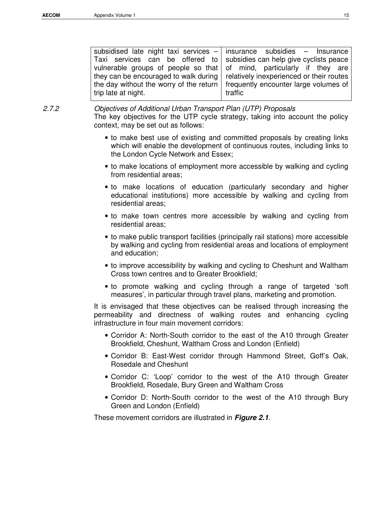| subsidised late night taxi services $-$ insurance subsidies $-$ Insurance       |         |  |
|---------------------------------------------------------------------------------|---------|--|
| Taxi services can be offered to subsidies can help give cyclists peace          |         |  |
| vulnerable groups of people so that of mind, particularly if they are           |         |  |
| they can be encouraged to walk during relatively inexperienced or their routes  |         |  |
| the day without the worry of the return   frequently encounter large volumes of |         |  |
| trip late at night.                                                             | traffic |  |
|                                                                                 |         |  |

2.7.2 Objectives of Additional Urban Transport Plan (UTP) Proposals The key objectives for the UTP cycle strategy, taking into account the policy context, may be set out as follows:

- to make best use of existing and committed proposals by creating links which will enable the development of continuous routes, including links to the London Cycle Network and Essex;
- to make locations of employment more accessible by walking and cycling from residential areas;
- to make locations of education (particularly secondary and higher educational institutions) more accessible by walking and cycling from residential areas;
- to make town centres more accessible by walking and cycling from residential areas;
- to make public transport facilities (principally rail stations) more accessible by walking and cycling from residential areas and locations of employment and education;
- to improve accessibility by walking and cycling to Cheshunt and Waltham Cross town centres and to Greater Brookfield;
- to promote walking and cycling through a range of targeted 'soft measures', in particular through travel plans, marketing and promotion.

It is envisaged that these objectives can be realised through increasing the permeability and directness of walking routes and enhancing cycling infrastructure in four main movement corridors:

- Corridor A: North-South corridor to the east of the A10 through Greater Brookfield, Cheshunt, Waltham Cross and London (Enfield)
- Corridor B: East-West corridor through Hammond Street, Goff's Oak, Rosedale and Cheshunt
- Corridor C: 'Loop' corridor to the west of the A10 through Greater Brookfield, Rosedale, Bury Green and Waltham Cross
- Corridor D: North-South corridor to the west of the A10 through Bury Green and London (Enfield)

These movement corridors are illustrated in **Figure 2.1**.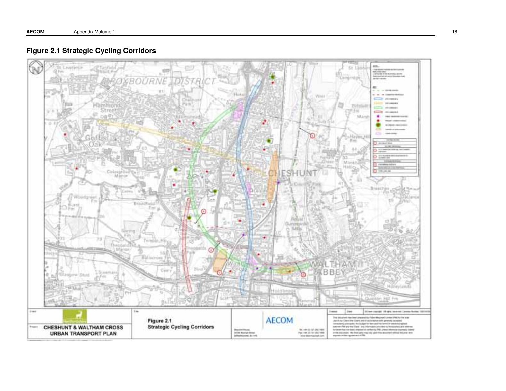

## **Figure 2.1 Strategic Cycling Corridors**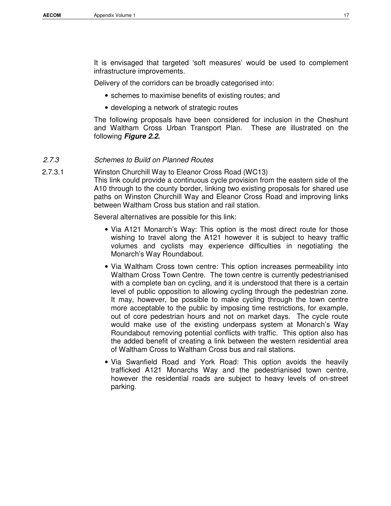It is envisaged that targeted 'soft measures' would be used to complement infrastructure improvements.

Delivery of the corridors can be broadly categorised into:

- schemes to maximise benefits of existing routes; and
- developing a network of strategic routes

The following proposals have been considered for inclusion in the Cheshunt and Waltham Cross Urban Transport Plan. These are illustrated on the following **Figure 2.2.**

### 2.7.3 Schemes to Build on Planned Routes

2.7.3.1 Winston Churchill Way to Eleanor Cross Road (WC13)

This link could provide a continuous cycle provision from the eastern side of the A10 through to the county border, linking two existing proposals for shared use paths on Winston Churchill Way and Eleanor Cross Road and improving links between Waltham Cross bus station and rail station.

Several alternatives are possible for this link:

- Via A121 Monarch's Way: This option is the most direct route for those wishing to travel along the A121 however it is subject to heavy traffic volumes and cyclists may experience difficulties in negotiating the Monarch's Way Roundabout.
- Via Waltham Cross town centre: This option increases permeability into Waltham Cross Town Centre. The town centre is currently pedestrianised with a complete ban on cycling, and it is understood that there is a certain level of public opposition to allowing cycling through the pedestrian zone. It may, however, be possible to make cycling through the town centre more acceptable to the public by imposing time restrictions, for example, out of core pedestrian hours and not on market days. The cycle route would make use of the existing underpass system at Monarch's Way Roundabout removing potential conflicts with traffic. This option also has the added benefit of creating a link between the western residential area of Waltham Cross to Waltham Cross bus and rail stations.
- Via Swanfield Road and York Road: This option avoids the heavily trafficked A121 Monarchs Way and the pedestrianised town centre, however the residential roads are subject to heavy levels of on-street parking.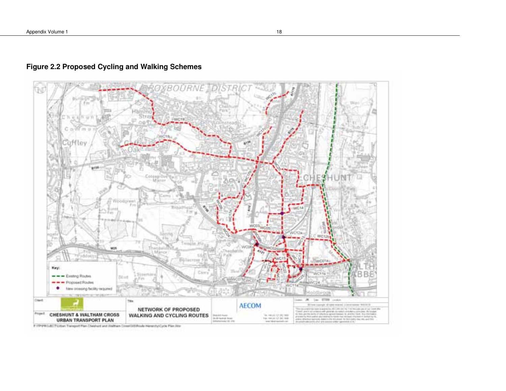

## **Figure 2.2 Proposed Cycling and Walking Schemes**

# 1731/PROLISE TV Lisban Transport Plan Cheshurd and Waltham CimerOUS Ploude Hierarchy/Cycle Plan War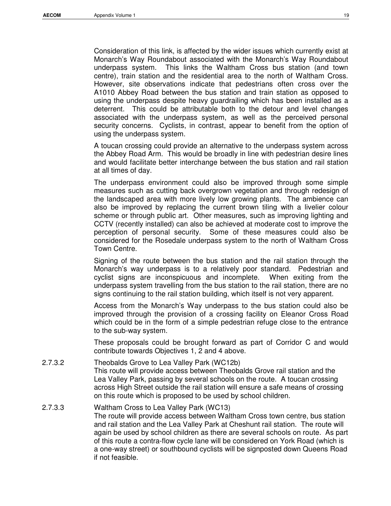Consideration of this link, is affected by the wider issues which currently exist at Monarch's Way Roundabout associated with the Monarch's Way Roundabout underpass system. This links the Waltham Cross bus station (and town centre), train station and the residential area to the north of Waltham Cross. However, site observations indicate that pedestrians often cross over the A1010 Abbey Road between the bus station and train station as opposed to using the underpass despite heavy guardrailing which has been installed as a deterrent. This could be attributable both to the detour and level changes associated with the underpass system, as well as the perceived personal security concerns. Cyclists, in contrast, appear to benefit from the option of using the underpass system.

A toucan crossing could provide an alternative to the underpass system across the Abbey Road Arm. This would be broadly in line with pedestrian desire lines and would facilitate better interchange between the bus station and rail station at all times of day.

The underpass environment could also be improved through some simple measures such as cutting back overgrown vegetation and through redesign of the landscaped area with more lively low growing plants. The ambience can also be improved by replacing the current brown tiling with a livelier colour scheme or through public art. Other measures, such as improving lighting and CCTV (recently installed) can also be achieved at moderate cost to improve the perception of personal security. Some of these measures could also be considered for the Rosedale underpass system to the north of Waltham Cross Town Centre.

Signing of the route between the bus station and the rail station through the Monarch's way underpass is to a relatively poor standard. Pedestrian and cyclist signs are inconspicuous and incomplete. When exiting from the underpass system travelling from the bus station to the rail station, there are no signs continuing to the rail station building, which itself is not very apparent.

Access from the Monarch's Way underpass to the bus station could also be improved through the provision of a crossing facility on Eleanor Cross Road which could be in the form of a simple pedestrian refuge close to the entrance to the sub-way system.

These proposals could be brought forward as part of Corridor C and would contribute towards Objectives 1, 2 and 4 above.

- 2.7.3.2 Theobalds Grove to Lea Valley Park (WC12b) This route will provide access between Theobalds Grove rail station and the Lea Valley Park, passing by several schools on the route. A toucan crossing across High Street outside the rail station will ensure a safe means of crossing on this route which is proposed to be used by school children.
- 2.7.3.3 Waltham Cross to Lea Valley Park (WC13) The route will provide access between Waltham Cross town centre, bus station and rail station and the Lea Valley Park at Cheshunt rail station. The route will again be used by school children as there are several schools on route. As part of this route a contra-flow cycle lane will be considered on York Road (which is a one-way street) or southbound cyclists will be signposted down Queens Road if not feasible.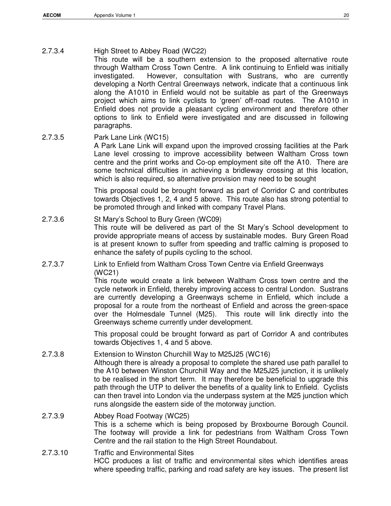This route will be a southern extension to the proposed alternative route through Waltham Cross Town Centre. A link continuing to Enfield was initially investigated. However, consultation with Sustrans, who are currently developing a North Central Greenways network, indicate that a continuous link along the A1010 in Enfield would not be suitable as part of the Greenways project which aims to link cyclists to 'green' off-road routes. The A1010 in Enfield does not provide a pleasant cycling environment and therefore other options to link to Enfield were investigated and are discussed in following paragraphs.

2.7.3.5 Park Lane Link (WC15)

A Park Lane Link will expand upon the improved crossing facilities at the Park Lane level crossing to improve accessibility between Waltham Cross town centre and the print works and Co-op employment site off the A10. There are some technical difficulties in achieving a bridleway crossing at this location, which is also required, so alternative provision may need to be sought

This proposal could be brought forward as part of Corridor C and contributes towards Objectives 1, 2, 4 and 5 above. This route also has strong potential to be promoted through and linked with company Travel Plans.

## 2.7.3.6 St Mary's School to Bury Green (WC09) This route will be delivered as part of the St Mary's School development to provide appropriate means of access by sustainable modes. Bury Green Road is at present known to suffer from speeding and traffic calming is proposed to enhance the safety of pupils cycling to the school.

## 2.7.3.7 Link to Enfield from Waltham Cross Town Centre via Enfield Greenways (WC21)

This route would create a link between Waltham Cross town centre and the cycle network in Enfield, thereby improving access to central London. Sustrans are currently developing a Greenways scheme in Enfield, which include a proposal for a route from the northeast of Enfield and across the green-space over the Holmesdale Tunnel (M25). This route will link directly into the Greenways scheme currently under development.

This proposal could be brought forward as part of Corridor A and contributes towards Objectives 1, 4 and 5 above.

2.7.3.8 Extension to Winston Churchill Way to M25J25 (WC16) Although there is already a proposal to complete the shared use path parallel to the A10 between Winston Churchill Way and the M25J25 junction, it is unlikely to be realised in the short term. It may therefore be beneficial to upgrade this path through the UTP to deliver the benefits of a quality link to Enfield. Cyclists can then travel into London via the underpass system at the M25 junction which runs alongside the eastern side of the motorway junction.

## 2.7.3.9 Abbey Road Footway (WC25) This is a scheme which is being proposed by Broxbourne Borough Council. The footway will provide a link for pedestrians from Waltham Cross Town Centre and the rail station to the High Street Roundabout.

2.7.3.10 Traffic and Environmental Sites HCC produces a list of traffic and environmental sites which identifies areas where speeding traffic, parking and road safety are key issues. The present list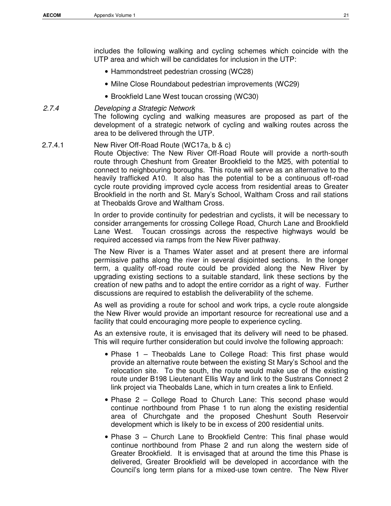includes the following walking and cycling schemes which coincide with the UTP area and which will be candidates for inclusion in the UTP:

- Hammondstreet pedestrian crossing (WC28)
- Milne Close Roundabout pedestrian improvements (WC29)
- Brookfield Lane West toucan crossing (WC30)

## 2.7.4 Developing a Strategic Network

The following cycling and walking measures are proposed as part of the development of a strategic network of cycling and walking routes across the area to be delivered through the UTP.

## 2.7.4.1 New River Off-Road Route (WC17a, b & c)

Route Objective: The New River Off-Road Route will provide a north-south route through Cheshunt from Greater Brookfield to the M25, with potential to connect to neighbouring boroughs. This route will serve as an alternative to the heavily trafficked A10. It also has the potential to be a continuous off-road cycle route providing improved cycle access from residential areas to Greater Brookfield in the north and St. Mary's School, Waltham Cross and rail stations at Theobalds Grove and Waltham Cross.

In order to provide continuity for pedestrian and cyclists, it will be necessary to consider arrangements for crossing College Road, Church Lane and Brookfield Lane West. Toucan crossings across the respective highways would be required accessed via ramps from the New River pathway.

The New River is a Thames Water asset and at present there are informal permissive paths along the river in several disjointed sections. In the longer term, a quality off-road route could be provided along the New River by upgrading existing sections to a suitable standard, link these sections by the creation of new paths and to adopt the entire corridor as a right of way. Further discussions are required to establish the deliverability of the scheme.

As well as providing a route for school and work trips, a cycle route alongside the New River would provide an important resource for recreational use and a facility that could encouraging more people to experience cycling.

As an extensive route, it is envisaged that its delivery will need to be phased. This will require further consideration but could involve the following approach:

- Phase 1 Theobalds Lane to College Road: This first phase would provide an alternative route between the existing St Mary's School and the relocation site. To the south, the route would make use of the existing route under B198 Lieutenant Ellis Way and link to the Sustrans Connect 2 link project via Theobalds Lane, which in turn creates a link to Enfield.
- Phase 2 College Road to Church Lane: This second phase would continue northbound from Phase 1 to run along the existing residential area of Churchgate and the proposed Cheshunt South Reservoir development which is likely to be in excess of 200 residential units.
- Phase 3 Church Lane to Brookfield Centre: This final phase would continue northbound from Phase 2 and run along the western side of Greater Brookfield. It is envisaged that at around the time this Phase is delivered, Greater Brookfield will be developed in accordance with the Council's long term plans for a mixed-use town centre. The New River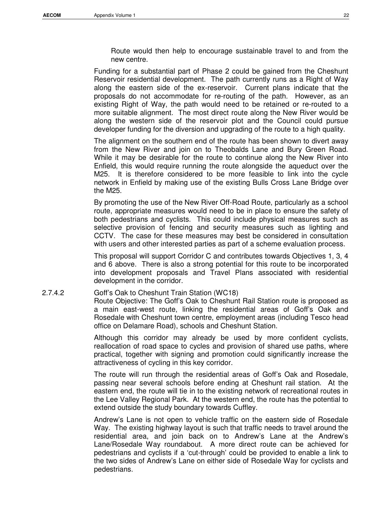Route would then help to encourage sustainable travel to and from the new centre.

Funding for a substantial part of Phase 2 could be gained from the Cheshunt Reservoir residential development. The path currently runs as a Right of Way along the eastern side of the ex-reservoir. Current plans indicate that the proposals do not accommodate for re-routing of the path. However, as an existing Right of Way, the path would need to be retained or re-routed to a more suitable alignment. The most direct route along the New River would be along the western side of the reservoir plot and the Council could pursue developer funding for the diversion and upgrading of the route to a high quality.

The alignment on the southern end of the route has been shown to divert away from the New River and join on to Theobalds Lane and Bury Green Road. While it may be desirable for the route to continue along the New River into Enfield, this would require running the route alongside the aqueduct over the M25. It is therefore considered to be more feasible to link into the cycle network in Enfield by making use of the existing Bulls Cross Lane Bridge over the M25.

By promoting the use of the New River Off-Road Route, particularly as a school route, appropriate measures would need to be in place to ensure the safety of both pedestrians and cyclists. This could include physical measures such as selective provision of fencing and security measures such as lighting and CCTV. The case for these measures may best be considered in consultation with users and other interested parties as part of a scheme evaluation process.

This proposal will support Corridor C and contributes towards Objectives 1, 3, 4 and 6 above. There is also a strong potential for this route to be incorporated into development proposals and Travel Plans associated with residential development in the corridor.

### 2.7.4.2 Goff's Oak to Cheshunt Train Station (WC18)

Route Objective: The Goff's Oak to Cheshunt Rail Station route is proposed as a main east-west route, linking the residential areas of Goff's Oak and Rosedale with Cheshunt town centre, employment areas (including Tesco head office on Delamare Road), schools and Cheshunt Station.

Although this corridor may already be used by more confident cyclists, reallocation of road space to cycles and provision of shared use paths, where practical, together with signing and promotion could significantly increase the attractiveness of cycling in this key corridor.

The route will run through the residential areas of Goff's Oak and Rosedale, passing near several schools before ending at Cheshunt rail station. At the eastern end, the route will tie in to the existing network of recreational routes in the Lee Valley Regional Park. At the western end, the route has the potential to extend outside the study boundary towards Cuffley.

Andrew's Lane is not open to vehicle traffic on the eastern side of Rosedale Way. The existing highway layout is such that traffic needs to travel around the residential area, and join back on to Andrew's Lane at the Andrew's Lane/Rosedale Way roundabout. A more direct route can be achieved for pedestrians and cyclists if a 'cut-through' could be provided to enable a link to the two sides of Andrew's Lane on either side of Rosedale Way for cyclists and pedestrians.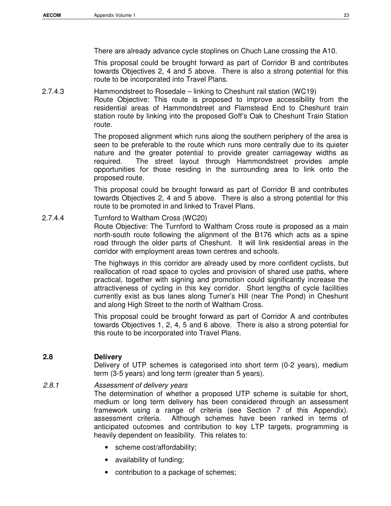There are already advance cycle stoplines on Chuch Lane crossing the A10.

This proposal could be brought forward as part of Corridor B and contributes towards Objectives 2, 4 and 5 above. There is also a strong potential for this route to be incorporated into Travel Plans.

2.7.4.3 Hammondstreet to Rosedale – linking to Cheshunt rail station (WC19) Route Objective: This route is proposed to improve accessibility from the residential areas of Hammondstreet and Flamstead End to Cheshunt train station route by linking into the proposed Goff's Oak to Cheshunt Train Station route.

> The proposed alignment which runs along the southern periphery of the area is seen to be preferable to the route which runs more centrally due to its quieter nature and the greater potential to provide greater carriageway widths as required. The street layout through Hammondstreet provides ample opportunities for those residing in the surrounding area to link onto the proposed route.

> This proposal could be brought forward as part of Corridor B and contributes towards Objectives 2, 4 and 5 above. There is also a strong potential for this route to be promoted in and linked to Travel Plans.

## 2.7.4.4 Turnford to Waltham Cross (WC20)

Route Objective: The Turnford to Waltham Cross route is proposed as a main north-south route following the alignment of the B176 which acts as a spine road through the older parts of Cheshunt. It will link residential areas in the corridor with employment areas town centres and schools.

The highways in this corridor are already used by more confident cyclists, but reallocation of road space to cycles and provision of shared use paths, where practical, together with signing and promotion could significantly increase the attractiveness of cycling in this key corridor. Short lengths of cycle facilities currently exist as bus lanes along Turner's Hill (near The Pond) in Cheshunt and along High Street to the north of Waltham Cross.

This proposal could be brought forward as part of Corridor A and contributes towards Objectives 1, 2, 4, 5 and 6 above. There is also a strong potential for this route to be incorporated into Travel Plans.

## **2.8 Delivery**

Delivery of UTP schemes is categorised into short term (0-2 years), medium term (3-5 years) and long term (greater than 5 years).

## 2.8.1 Assessment of delivery years

The determination of whether a proposed UTP scheme is suitable for short, medium or long term delivery has been considered through an assessment framework using a range of criteria (see Section 7 of this Appendix). assessment criteria. Although schemes have been ranked in terms of anticipated outcomes and contribution to key LTP targets, programming is heavily dependent on feasibility. This relates to:

- scheme cost/affordability;
- availability of funding;
- contribution to a package of schemes;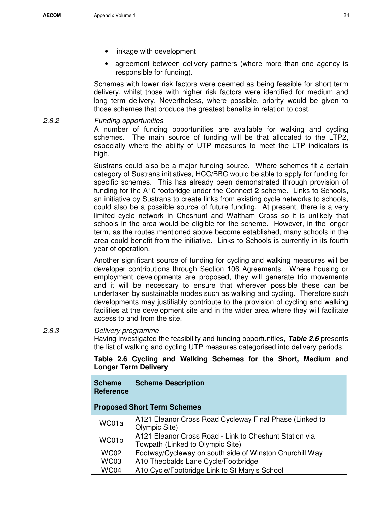- linkage with development
- agreement between delivery partners (where more than one agency is responsible for funding).

Schemes with lower risk factors were deemed as being feasible for short term delivery, whilst those with higher risk factors were identified for medium and long term delivery. Nevertheless, where possible, priority would be given to those schemes that produce the greatest benefits in relation to cost.

2.8.2 Funding opportunities

A number of funding opportunities are available for walking and cycling schemes. The main source of funding will be that allocated to the LTP2, especially where the ability of UTP measures to meet the LTP indicators is high.

Sustrans could also be a major funding source. Where schemes fit a certain category of Sustrans initiatives, HCC/BBC would be able to apply for funding for specific schemes. This has already been demonstrated through provision of funding for the A10 footbridge under the Connect 2 scheme. Links to Schools, an initiative by Sustrans to create links from existing cycle networks to schools, could also be a possible source of future funding. At present, there is a very limited cycle network in Cheshunt and Waltham Cross so it is unlikely that schools in the area would be eligible for the scheme. However, in the longer term, as the routes mentioned above become established, many schools in the area could benefit from the initiative. Links to Schools is currently in its fourth year of operation.

Another significant source of funding for cycling and walking measures will be developer contributions through Section 106 Agreements. Where housing or employment developments are proposed, they will generate trip movements and it will be necessary to ensure that wherever possible these can be undertaken by sustainable modes such as walking and cycling. Therefore such developments may justifiably contribute to the provision of cycling and walking facilities at the development site and in the wider area where they will facilitate access to and from the site.

2.8.3 Delivery programme

Having investigated the feasibility and funding opportunities, **Table 2.6** presents the list of walking and cycling UTP measures categorised into delivery periods:

| <b>Longer Term Delivery</b>       |                           |  |  |
|-----------------------------------|---------------------------|--|--|
| <b>Scheme</b><br><b>Reference</b> | <b>Scheme Description</b> |  |  |

**Table 2.6 Cycling and Walking Schemes for the Short, Medium and** 

|             | <b>Proposed Short Term Schemes</b>                                                         |
|-------------|--------------------------------------------------------------------------------------------|
| WC01a       | A121 Eleanor Cross Road Cycleway Final Phase (Linked to<br>Olympic Site)                   |
| WC01b       | A121 Eleanor Cross Road - Link to Cheshunt Station via<br>Towpath (Linked to Olympic Site) |
| <b>WC02</b> | Footway/Cycleway on south side of Winston Churchill Way                                    |
| <b>WC03</b> | A10 Theobalds Lane Cycle/Footbridge                                                        |
| WC04        | A10 Cycle/Footbridge Link to St Mary's School                                              |
|             |                                                                                            |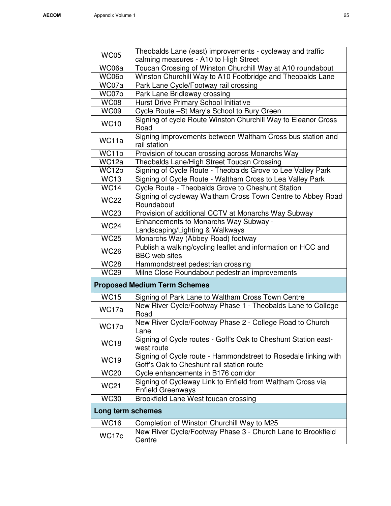| <b>WC05</b>       | Theobalds Lane (east) improvements - cycleway and traffic                                                    |  |  |  |
|-------------------|--------------------------------------------------------------------------------------------------------------|--|--|--|
|                   | calming measures - A10 to High Street                                                                        |  |  |  |
| WC06a             | Toucan Crossing of Winston Churchill Way at A10 roundabout                                                   |  |  |  |
| WC06b             | Winston Churchill Way to A10 Footbridge and Theobalds Lane                                                   |  |  |  |
| WC07a             | Park Lane Cycle/Footway rail crossing                                                                        |  |  |  |
| WC07b             | Park Lane Bridleway crossing                                                                                 |  |  |  |
| <b>WC08</b>       | Hurst Drive Primary School Initiative                                                                        |  |  |  |
| <b>WC09</b>       | Cycle Route - St Mary's School to Bury Green                                                                 |  |  |  |
| <b>WC10</b>       | Signing of cycle Route Winston Churchill Way to Eleanor Cross<br>Road                                        |  |  |  |
| WC <sub>11a</sub> | Signing improvements between Waltham Cross bus station and<br>rail station                                   |  |  |  |
| WC11b             | Provision of toucan crossing across Monarchs Way                                                             |  |  |  |
| WC12a             | Theobalds Lane/High Street Toucan Crossing                                                                   |  |  |  |
| WC12b             | Signing of Cycle Route - Theobalds Grove to Lee Valley Park                                                  |  |  |  |
| <b>WC13</b>       | Signing of Cycle Route - Waltham Cross to Lea Valley Park                                                    |  |  |  |
| $W\overline{C14}$ | Cycle Route - Theobalds Grove to Cheshunt Station                                                            |  |  |  |
| <b>WC22</b>       | Signing of cycleway Waltham Cross Town Centre to Abbey Road<br>Roundabout                                    |  |  |  |
| <b>WC23</b>       | Provision of additional CCTV at Monarchs Way Subway                                                          |  |  |  |
| <b>WC24</b>       | Enhancements to Monarchs Way Subway -<br>Landscaping/Lighting & Walkways                                     |  |  |  |
| <b>WC25</b>       | Monarchs Way (Abbey Road) footway                                                                            |  |  |  |
| <b>WC26</b>       | Publish a walking/cycling leaflet and information on HCC and<br><b>BBC</b> web sites                         |  |  |  |
| <b>WC28</b>       | Hammondstreet pedestrian crossing                                                                            |  |  |  |
| <b>WC29</b>       | Milne Close Roundabout pedestrian improvements                                                               |  |  |  |
|                   | <b>Proposed Medium Term Schemes</b>                                                                          |  |  |  |
| <b>WC15</b>       | Signing of Park Lane to Waltham Cross Town Centre                                                            |  |  |  |
| WC17a             | New River Cycle/Footway Phase 1 - Theobalds Lane to College<br>Road                                          |  |  |  |
| WC17b             | New River Cycle/Footway Phase 2 - College Road to Church<br>Lane                                             |  |  |  |
| <b>WC18</b>       | Signing of Cycle routes - Goff's Oak to Cheshunt Station east-<br>west route                                 |  |  |  |
| <b>WC19</b>       | Signing of Cycle route - Hammondstreet to Rosedale linking with<br>Goff's Oak to Cheshunt rail station route |  |  |  |
| <b>WC20</b>       | Cycle enhancements in B176 corridor                                                                          |  |  |  |
| <b>WC21</b>       | Signing of Cycleway Link to Enfield from Waltham Cross via<br><b>Enfield Greenways</b>                       |  |  |  |
| <b>WC30</b>       | Brookfield Lane West toucan crossing                                                                         |  |  |  |
| Long term schemes |                                                                                                              |  |  |  |
| <b>WC16</b>       | Completion of Winston Churchill Way to M25                                                                   |  |  |  |
| WC17c             | New River Cycle/Footway Phase 3 - Church Lane to Brookfield<br>Centre                                        |  |  |  |
|                   |                                                                                                              |  |  |  |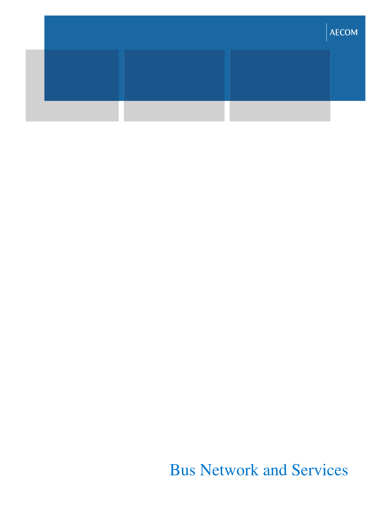|  | AECOM |
|--|-------|
|  |       |
|  |       |

## Bus Network and Services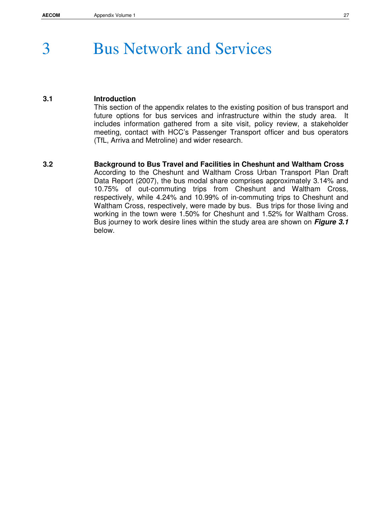## 3 Bus Network and Services

## **3.1 Introduction**

This section of the appendix relates to the existing position of bus transport and future options for bus services and infrastructure within the study area. It includes information gathered from a site visit, policy review, a stakeholder meeting, contact with HCC's Passenger Transport officer and bus operators (TfL, Arriva and Metroline) and wider research.

### **3.2 Background to Bus Travel and Facilities in Cheshunt and Waltham Cross**

According to the Cheshunt and Waltham Cross Urban Transport Plan Draft Data Report (2007), the bus modal share comprises approximately 3.14% and 10.75% of out-commuting trips from Cheshunt and Waltham Cross, respectively, while 4.24% and 10.99% of in-commuting trips to Cheshunt and Waltham Cross, respectively, were made by bus. Bus trips for those living and working in the town were 1.50% for Cheshunt and 1.52% for Waltham Cross. Bus journey to work desire lines within the study area are shown on **Figure 3.1** below.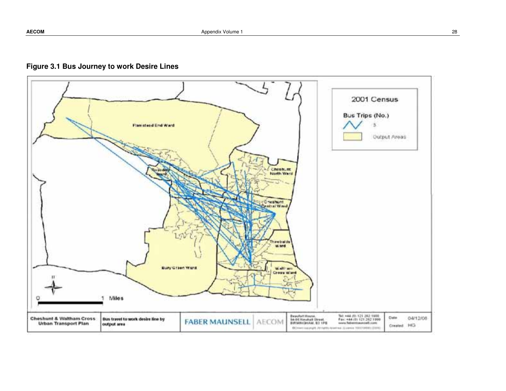

## **Figure 3.1 Bus Journey to work Desire Lines**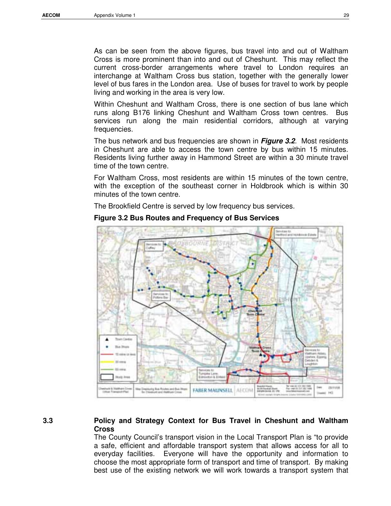As can be seen from the above figures, bus travel into and out of Waltham Cross is more prominent than into and out of Cheshunt. This may reflect the current cross-border arrangements where travel to London requires an interchange at Waltham Cross bus station, together with the generally lower level of bus fares in the London area. Use of buses for travel to work by people living and working in the area is very low.

Within Cheshunt and Waltham Cross, there is one section of bus lane which runs along B176 linking Cheshunt and Waltham Cross town centres. Bus services run along the main residential corridors, although at varying frequencies.

The bus network and bus frequencies are shown in **Figure 3.2**. Most residents in Cheshunt are able to access the town centre by bus within 15 minutes. Residents living further away in Hammond Street are within a 30 minute travel time of the town centre.

For Waltham Cross, most residents are within 15 minutes of the town centre, with the exception of the southeast corner in Holdbrook which is within 30 minutes of the town centre.

The Brookfield Centre is served by low frequency bus services.



#### **Figure 3.2 Bus Routes and Frequency of Bus Services**

## **3.3 Policy and Strategy Context for Bus Travel in Cheshunt and Waltham Cross**

The County Council's transport vision in the Local Transport Plan is "to provide a safe, efficient and affordable transport system that allows access for all to everyday facilities. Everyone will have the opportunity and information to choose the most appropriate form of transport and time of transport. By making best use of the existing network we will work towards a transport system that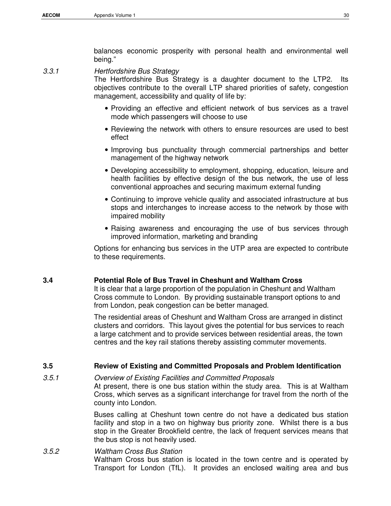3.3.1 Hertfordshire Bus Strategy

The Hertfordshire Bus Strategy is a daughter document to the LTP2. Its objectives contribute to the overall LTP shared priorities of safety, congestion management, accessibility and quality of life by:

- Providing an effective and efficient network of bus services as a travel mode which passengers will choose to use
- Reviewing the network with others to ensure resources are used to best effect
- Improving bus punctuality through commercial partnerships and better management of the highway network
- Developing accessibility to employment, shopping, education, leisure and health facilities by effective design of the bus network, the use of less conventional approaches and securing maximum external funding
- Continuing to improve vehicle quality and associated infrastructure at bus stops and interchanges to increase access to the network by those with impaired mobility
- Raising awareness and encouraging the use of bus services through improved information, marketing and branding

Options for enhancing bus services in the UTP area are expected to contribute to these requirements.

## **3.4 Potential Role of Bus Travel in Cheshunt and Waltham Cross**

It is clear that a large proportion of the population in Cheshunt and Waltham Cross commute to London. By providing sustainable transport options to and from London, peak congestion can be better managed.

The residential areas of Cheshunt and Waltham Cross are arranged in distinct clusters and corridors. This layout gives the potential for bus services to reach a large catchment and to provide services between residential areas, the town centres and the key rail stations thereby assisting commuter movements.

## **3.5 Review of Existing and Committed Proposals and Problem Identification**

## 3.5.1 Overview of Existing Facilities and Committed Proposals

At present, there is one bus station within the study area. This is at Waltham Cross, which serves as a significant interchange for travel from the north of the county into London.

Buses calling at Cheshunt town centre do not have a dedicated bus station facility and stop in a two on highway bus priority zone. Whilst there is a bus stop in the Greater Brookfield centre, the lack of frequent services means that the bus stop is not heavily used.

## 3.5.2 Waltham Cross Bus Station Waltham Cross bus station is located in the town centre and is operated by Transport for London (TfL). It provides an enclosed waiting area and bus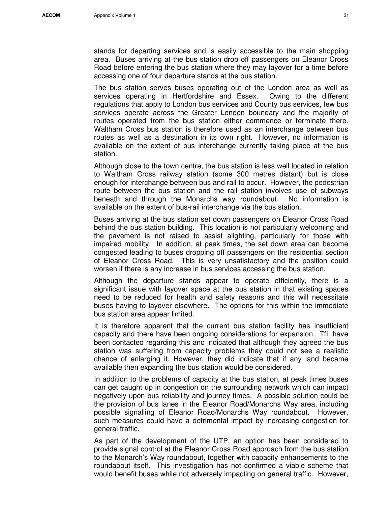stands for departing services and is easily accessible to the main shopping area. Buses arriving at the bus station drop off passengers on Eleanor Cross Road before entering the bus station where they may layover for a time before accessing one of four departure stands at the bus station.

The bus station serves buses operating out of the London area as well as services operating in Hertfordshire and Essex. Owing to the different regulations that apply to London bus services and County bus services, few bus services operate across the Greater London boundary and the majority of routes operated from the bus station either commence or terminate there. Waltham Cross bus station is therefore used as an interchange between bus routes as well as a destination in its own right. However, no information is available on the extent of bus interchange currently taking place at the bus station.

Although close to the town centre, the bus station is less well located in relation to Waltham Cross railway station (some 300 metres distant) but is close enough for interchange between bus and rail to occur. However, the pedestrian route between the bus station and the rail station involves use of subways beneath and through the Monarchs way roundabout. No information is available on the extent of bus-rail interchange via the bus station.

Buses arriving at the bus station set down passengers on Eleanor Cross Road behind the bus station building. This location is not particularly welcoming and the pavement is not raised to assist alighting, particularly for those with impaired mobility. In addition, at peak times, the set down area can become congested leading to buses dropping off passengers on the residential section of Eleanor Cross Road. This is very unsatisfactory and the position could worsen if there is any increase in bus services accessing the bus station.

Although the departure stands appear to operate efficiently, there is a significant issue with layover space at the bus station in that existing spaces need to be reduced for health and safety reasons and this will necessitate buses having to layover elsewhere. The options for this within the immediate bus station area appear limited.

It is therefore apparent that the current bus station facility has insufficient capacity and there have been ongoing considerations for expansion. TfL have been contacted regarding this and indicated that although they agreed the bus station was suffering from capacity problems they could not see a realistic chance of enlarging it. However, they did indicate that if any land became available then expanding the bus station would be considered.

In addition to the problems of capacity at the bus station, at peak times buses can get caught up in congestion on the surrounding network which can impact negatively upon bus reliability and journey times. A possible solution could be the provision of bus lanes in the Eleanor Road/Monarchs Way area, including possible signalling of Eleanor Road/Monarchs Way roundabout. However, such measures could have a detrimental impact by increasing congestion for general traffic.

As part of the development of the UTP, an option has been considered to provide signal control at the Eleanor Cross Road approach from the bus station to the Monarch's Way roundabout, together with capacity enhancements to the roundabout itself. This investigation has not confirmed a viable scheme that would benefit buses while not adversely impacting on general traffic. However,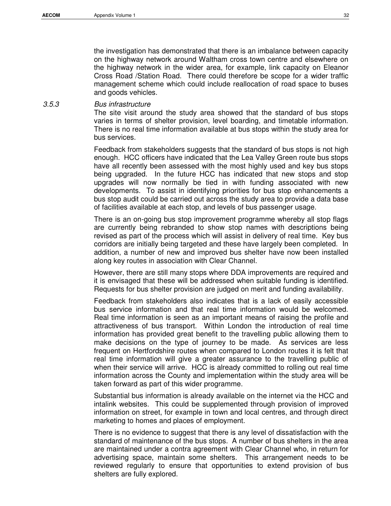the investigation has demonstrated that there is an imbalance between capacity on the highway network around Waltham cross town centre and elsewhere on the highway network in the wider area, for example, link capacity on Eleanor Cross Road /Station Road. There could therefore be scope for a wider traffic management scheme which could include reallocation of road space to buses and goods vehicles.

#### 3.5.3 Bus infrastructure

The site visit around the study area showed that the standard of bus stops varies in terms of shelter provision, level boarding, and timetable information. There is no real time information available at bus stops within the study area for bus services.

Feedback from stakeholders suggests that the standard of bus stops is not high enough. HCC officers have indicated that the Lea Valley Green route bus stops have all recently been assessed with the most highly used and key bus stops being upgraded. In the future HCC has indicated that new stops and stop upgrades will now normally be tied in with funding associated with new developments. To assist in identifying priorities for bus stop enhancements a bus stop audit could be carried out across the study area to provide a data base of facilities available at each stop, and levels of bus passenger usage.

There is an on-going bus stop improvement programme whereby all stop flags are currently being rebranded to show stop names with descriptions being revised as part of the process which will assist in delivery of real time. Key bus corridors are initially being targeted and these have largely been completed. In addition, a number of new and improved bus shelter have now been installed along key routes in association with Clear Channel.

However, there are still many stops where DDA improvements are required and it is envisaged that these will be addressed when suitable funding is identified. Requests for bus shelter provision are judged on merit and funding availability.

Feedback from stakeholders also indicates that is a lack of easily accessible bus service information and that real time information would be welcomed. Real time information is seen as an important means of raising the profile and attractiveness of bus transport. Within London the introduction of real time information has provided great benefit to the travelling public allowing them to make decisions on the type of journey to be made. As services are less frequent on Hertfordshire routes when compared to London routes it is felt that real time information will give a greater assurance to the travelling public of when their service will arrive. HCC is already committed to rolling out real time information across the County and implementation within the study area will be taken forward as part of this wider programme.

Substantial bus information is already available on the internet via the HCC and intalink websites. This could be supplemented through provision of improved information on street, for example in town and local centres, and through direct marketing to homes and places of employment.

There is no evidence to suggest that there is any level of dissatisfaction with the standard of maintenance of the bus stops. A number of bus shelters in the area are maintained under a contra agreement with Clear Channel who, in return for advertising space, maintain some shelters. This arrangement needs to be reviewed regularly to ensure that opportunities to extend provision of bus shelters are fully explored.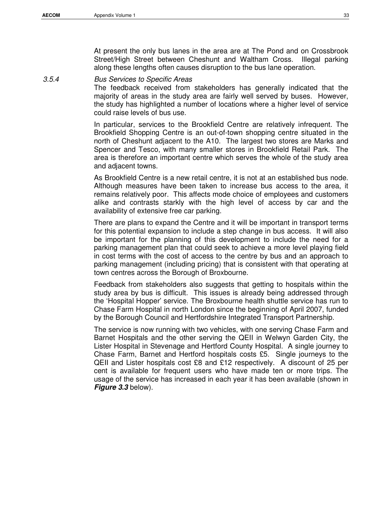At present the only bus lanes in the area are at The Pond and on Crossbrook Street/High Street between Cheshunt and Waltham Cross. Illegal parking along these lengths often causes disruption to the bus lane operation.

3.5.4 Bus Services to Specific Areas

The feedback received from stakeholders has generally indicated that the majority of areas in the study area are fairly well served by buses. However, the study has highlighted a number of locations where a higher level of service could raise levels of bus use.

In particular, services to the Brookfield Centre are relatively infrequent. The Brookfield Shopping Centre is an out-of-town shopping centre situated in the north of Cheshunt adjacent to the A10. The largest two stores are Marks and Spencer and Tesco, with many smaller stores in Brookfield Retail Park. The area is therefore an important centre which serves the whole of the study area and adjacent towns.

As Brookfield Centre is a new retail centre, it is not at an established bus node. Although measures have been taken to increase bus access to the area, it remains relatively poor. This affects mode choice of employees and customers alike and contrasts starkly with the high level of access by car and the availability of extensive free car parking.

There are plans to expand the Centre and it will be important in transport terms for this potential expansion to include a step change in bus access. It will also be important for the planning of this development to include the need for a parking management plan that could seek to achieve a more level playing field in cost terms with the cost of access to the centre by bus and an approach to parking management (including pricing) that is consistent with that operating at town centres across the Borough of Broxbourne.

Feedback from stakeholders also suggests that getting to hospitals within the study area by bus is difficult. This issues is already being addressed through the 'Hospital Hopper' service. The Broxbourne health shuttle service has run to Chase Farm Hospital in north London since the beginning of April 2007, funded by the Borough Council and Hertfordshire Integrated Transport Partnership.

The service is now running with two vehicles, with one serving Chase Farm and Barnet Hospitals and the other serving the QEII in Welwyn Garden City, the Lister Hospital in Stevenage and Hertford County Hospital. A single journey to Chase Farm, Barnet and Hertford hospitals costs £5. Single journeys to the QEII and Lister hospitals cost £8 and £12 respectively. A discount of 25 per cent is available for frequent users who have made ten or more trips. The usage of the service has increased in each year it has been available (shown in **Figure 3.3** below).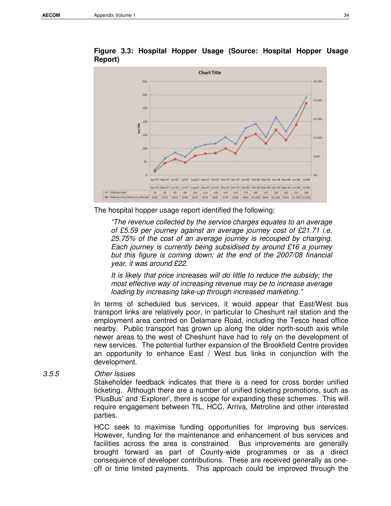

**Figure 3.3: Hospital Hopper Usage (Source: Hospital Hopper Usage Report)** 

The hospital hopper usage report identified the following:

"The revenue collected by the service charges equates to an average of £5.59 per journey against an average journey cost of £21.71 i.e. 25.75% of the cost of an average journey is recouped by charging. Each journey is currently being subsidised by around £16 a journey but this figure is coming down; at the end of the 2007/08 financial year, it was around £22.

It is likely that price increases will do little to reduce the subsidy; the most effective way of increasing revenue may be to increase average loading by increasing take-up through increased marketing."

In terms of scheduled bus services, it would appear that East/West bus transport links are relatively poor, in particular to Cheshunt rail station and the employment area centred on Delamare Road, including the Tesco head office nearby. Public transport has grown up along the older north-south axis while newer areas to the west of Cheshunt have had to rely on the development of new services. The potential further expansion of the Brookfield Centre provides an opportunity to enhance East / West bus links in conjunction with the development.

#### 3.5.5 Other Issues

Stakeholder feedback indicates that there is a need for cross border unified ticketing. Although there are a number of unified ticketing promotions, such as 'PlusBus' and 'Explorer', there is scope for expanding these schemes. This will require engagement between TfL, HCC, Arriva, Metroline and other interested parties.

HCC seek to maximise funding opportunities for improving bus services. However, funding for the maintenance and enhancement of bus services and facilities across the area is constrained. Bus improvements are generally brought forward as part of County-wide programmes or as a direct consequence of developer contributions. These are received generally as oneoff or time limited payments. This approach could be improved through the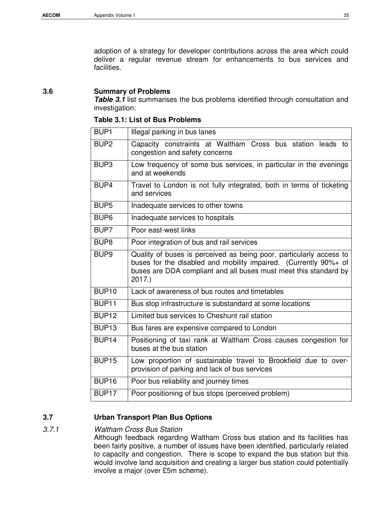adoption of a strategy for developer contributions across the area which could deliver a regular revenue stream for enhancements to bus services and facilities.

#### **3.6 Summary of Problems**

**Table 3.1** list summarises the bus problems identified through consultation and investigation:

| Table 3.1: List of Bus Problems |  |  |
|---------------------------------|--|--|
|---------------------------------|--|--|

| BUP <sub>1</sub>  | Illegal parking in bus lanes                                                                                                                                                                                         |  |
|-------------------|----------------------------------------------------------------------------------------------------------------------------------------------------------------------------------------------------------------------|--|
| BUP <sub>2</sub>  | Capacity constraints at Waltham Cross bus station leads to<br>congestion and safety concerns                                                                                                                         |  |
| BUP <sub>3</sub>  | Low frequency of some bus services, in particular in the evenings<br>and at weekends                                                                                                                                 |  |
| BUP4              | Travel to London is not fully integrated, both in terms of ticketing<br>and services                                                                                                                                 |  |
| BUP <sub>5</sub>  | Inadequate services to other towns                                                                                                                                                                                   |  |
| BUP <sub>6</sub>  | Inadequate services to hospitals                                                                                                                                                                                     |  |
| BUP7              | Poor east-west links                                                                                                                                                                                                 |  |
| BUP <sub>8</sub>  | Poor integration of bus and rail services                                                                                                                                                                            |  |
| BUP <sub>9</sub>  | Quality of buses is perceived as being poor, particularly access to<br>buses for the disabled and mobility impaired. (Currently 90%+ of<br>buses are DDA compliant and all buses must meet this standard by<br>2017. |  |
| <b>BUP10</b>      | Lack of awareness of bus routes and timetables                                                                                                                                                                       |  |
| BUP <sub>11</sub> | Bus stop infrastructure is substandard at some locations                                                                                                                                                             |  |
| BUP <sub>12</sub> | Limited bus services to Cheshunt rail station                                                                                                                                                                        |  |
| BUP <sub>13</sub> | Bus fares are expensive compared to London                                                                                                                                                                           |  |
| BUP <sub>14</sub> | Positioning of taxi rank at Waltham Cross causes congestion for<br>buses at the bus station                                                                                                                          |  |
| <b>BUP15</b>      | Low proportion of sustainable travel to Brookfield due to over-<br>provision of parking and lack of bus services                                                                                                     |  |
| <b>BUP16</b>      | Poor bus reliability and journey times                                                                                                                                                                               |  |
| BUP <sub>17</sub> | Poor positioning of bus stops (perceived problem)                                                                                                                                                                    |  |

#### **3.7 Urban Transport Plan Bus Options**

#### 3.7.1 Waltham Cross Bus Station

Although feedback regarding Waltham Cross bus station and its facilities has been fairly positive, a number of issues have been identified, particularly related to capacity and congestion. There is scope to expand the bus station but this would involve land acquisition and creating a larger bus station could potentially involve a major (over £5m scheme).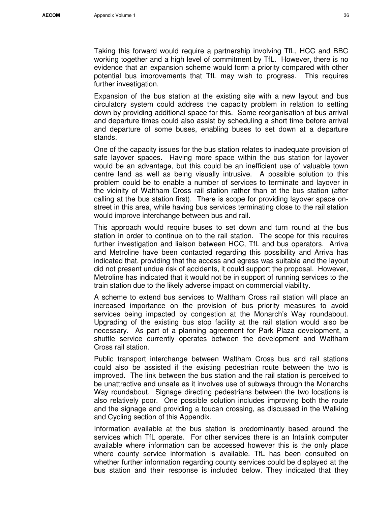Taking this forward would require a partnership involving TfL, HCC and BBC working together and a high level of commitment by TfL. However, there is no evidence that an expansion scheme would form a priority compared with other potential bus improvements that TfL may wish to progress. This requires further investigation.

Expansion of the bus station at the existing site with a new layout and bus circulatory system could address the capacity problem in relation to setting down by providing additional space for this. Some reorganisation of bus arrival and departure times could also assist by scheduling a short time before arrival and departure of some buses, enabling buses to set down at a departure stands.

One of the capacity issues for the bus station relates to inadequate provision of safe layover spaces. Having more space within the bus station for layover would be an advantage, but this could be an inefficient use of valuable town centre land as well as being visually intrusive. A possible solution to this problem could be to enable a number of services to terminate and layover in the vicinity of Waltham Cross rail station rather than at the bus station (after calling at the bus station first). There is scope for providing layover space onstreet in this area, while having bus services terminating close to the rail station would improve interchange between bus and rail.

This approach would require buses to set down and turn round at the bus station in order to continue on to the rail station. The scope for this requires further investigation and liaison between HCC, TfL and bus operators. Arriva and Metroline have been contacted regarding this possibility and Arriva has indicated that, providing that the access and egress was suitable and the layout did not present undue risk of accidents, it could support the proposal. However, Metroline has indicated that it would not be in support of running services to the train station due to the likely adverse impact on commercial viability.

A scheme to extend bus services to Waltham Cross rail station will place an increased importance on the provision of bus priority measures to avoid services being impacted by congestion at the Monarch's Way roundabout. Upgrading of the existing bus stop facility at the rail station would also be necessary. As part of a planning agreement for Park Plaza development, a shuttle service currently operates between the development and Waltham Cross rail station.

Public transport interchange between Waltham Cross bus and rail stations could also be assisted if the existing pedestrian route between the two is improved. The link between the bus station and the rail station is perceived to be unattractive and unsafe as it involves use of subways through the Monarchs Way roundabout. Signage directing pedestrians between the two locations is also relatively poor. One possible solution includes improving both the route and the signage and providing a toucan crossing, as discussed in the Walking and Cycling section of this Appendix.

Information available at the bus station is predominantly based around the services which TfL operate. For other services there is an Intalink computer available where information can be accessed however this is the only place where county service information is available. TfL has been consulted on whether further information regarding county services could be displayed at the bus station and their response is included below. They indicated that they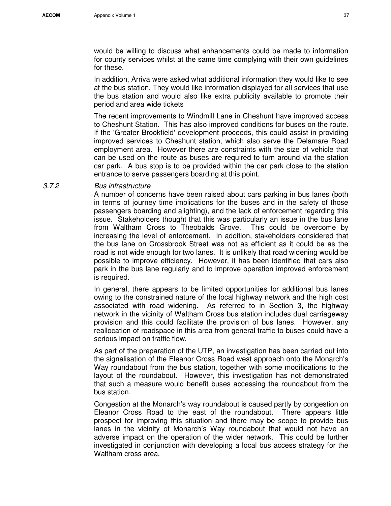would be willing to discuss what enhancements could be made to information for county services whilst at the same time complying with their own guidelines for these.

In addition, Arriva were asked what additional information they would like to see at the bus station. They would like information displayed for all services that use the bus station and would also like extra publicity available to promote their period and area wide tickets

The recent improvements to Windmill Lane in Cheshunt have improved access to Cheshunt Station. This has also improved conditions for buses on the route. If the 'Greater Brookfield' development proceeds, this could assist in providing improved services to Cheshunt station, which also serve the Delamare Road employment area. However there are constraints with the size of vehicle that can be used on the route as buses are required to turn around via the station car park. A bus stop is to be provided within the car park close to the station entrance to serve passengers boarding at this point.

#### 3.7.2 Bus infrastructure

A number of concerns have been raised about cars parking in bus lanes (both in terms of journey time implications for the buses and in the safety of those passengers boarding and alighting), and the lack of enforcement regarding this issue. Stakeholders thought that this was particularly an issue in the bus lane from Waltham Cross to Theobalds Grove. This could be overcome by increasing the level of enforcement. In addition, stakeholders considered that the bus lane on Crossbrook Street was not as efficient as it could be as the road is not wide enough for two lanes. It is unlikely that road widening would be possible to improve efficiency. However, it has been identified that cars also park in the bus lane regularly and to improve operation improved enforcement is required.

In general, there appears to be limited opportunities for additional bus lanes owing to the constrained nature of the local highway network and the high cost associated with road widening. As referred to in Section 3, the highway network in the vicinity of Waltham Cross bus station includes dual carriageway provision and this could facilitate the provision of bus lanes. However, any reallocation of roadspace in this area from general traffic to buses could have a serious impact on traffic flow.

As part of the preparation of the UTP, an investigation has been carried out into the signalisation of the Eleanor Cross Road west approach onto the Monarch's Way roundabout from the bus station, together with some modifications to the layout of the roundabout. However, this investigation has not demonstrated that such a measure would benefit buses accessing the roundabout from the bus station.

Congestion at the Monarch's way roundabout is caused partly by congestion on Eleanor Cross Road to the east of the roundabout. There appears little prospect for improving this situation and there may be scope to provide bus lanes in the vicinity of Monarch's Way roundabout that would not have an adverse impact on the operation of the wider network. This could be further investigated in conjunction with developing a local bus access strategy for the Waltham cross area.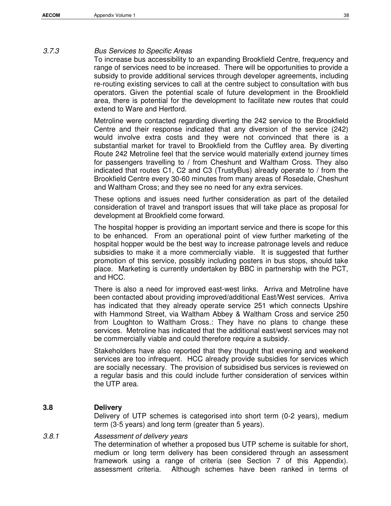#### 3.7.3 Bus Services to Specific Areas

To increase bus accessibility to an expanding Brookfield Centre, frequency and range of services need to be increased. There will be opportunities to provide a subsidy to provide additional services through developer agreements, including re-routing existing services to call at the centre subject to consultation with bus operators. Given the potential scale of future development in the Brookfield area, there is potential for the development to facilitate new routes that could extend to Ware and Hertford.

Metroline were contacted regarding diverting the 242 service to the Brookfield Centre and their response indicated that any diversion of the service (242) would involve extra costs and they were not convinced that there is a substantial market for travel to Brookfield from the Cuffley area. By diverting Route 242 Metroline feel that the service would materially extend journey times for passengers travelling to / from Cheshunt and Waltham Cross. They also indicated that routes C1, C2 and C3 (TrustyBus) already operate to / from the Brookfield Centre every 30-60 minutes from many areas of Rosedale, Cheshunt and Waltham Cross; and they see no need for any extra services.

These options and issues need further consideration as part of the detailed consideration of travel and transport issues that will take place as proposal for development at Brookfield come forward.

The hospital hopper is providing an important service and there is scope for this to be enhanced. From an operational point of view further marketing of the hospital hopper would be the best way to increase patronage levels and reduce subsidies to make it a more commercially viable. It is suggested that further promotion of this service, possibly including posters in bus stops, should take place. Marketing is currently undertaken by BBC in partnership with the PCT, and HCC.

There is also a need for improved east-west links. Arriva and Metroline have been contacted about providing improved/additional East/West services. Arriva has indicated that they already operate service 251 which connects Upshire with Hammond Street, via Waltham Abbey & Waltham Cross and service 250 from Loughton to Waltham Cross.: They have no plans to change these services. Metroline has indicated that the additional east/west services may not be commercially viable and could therefore require a subsidy.

Stakeholders have also reported that they thought that evening and weekend services are too infrequent. HCC already provide subsidies for services which are socially necessary. The provision of subsidised bus services is reviewed on a regular basis and this could include further consideration of services within the UTP area.

#### **3.8 Delivery**

Delivery of UTP schemes is categorised into short term (0-2 years), medium term (3-5 years) and long term (greater than 5 years).

#### 3.8.1 Assessment of delivery years

The determination of whether a proposed bus UTP scheme is suitable for short, medium or long term delivery has been considered through an assessment framework using a range of criteria (see Section 7 of this Appendix). assessment criteria. Although schemes have been ranked in terms of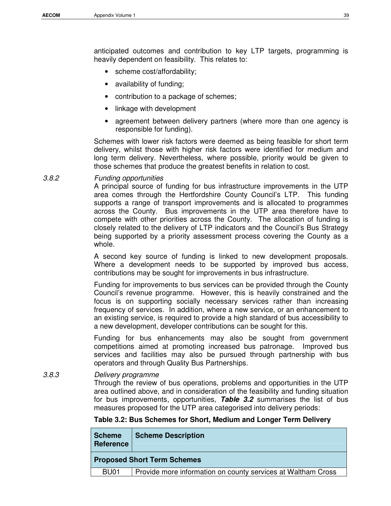anticipated outcomes and contribution to key LTP targets, programming is heavily dependent on feasibility. This relates to:

- scheme cost/affordability;
- availability of funding;
- contribution to a package of schemes;
- linkage with development
- agreement between delivery partners (where more than one agency is responsible for funding).

Schemes with lower risk factors were deemed as being feasible for short term delivery, whilst those with higher risk factors were identified for medium and long term delivery. Nevertheless, where possible, priority would be given to those schemes that produce the greatest benefits in relation to cost.

3.8.2 Funding opportunities

A principal source of funding for bus infrastructure improvements in the UTP area comes through the Hertfordshire County Council's LTP. This funding supports a range of transport improvements and is allocated to programmes across the County. Bus improvements in the UTP area therefore have to compete with other priorities across the County. The allocation of funding is closely related to the delivery of LTP indicators and the Council's Bus Strategy being supported by a priority assessment process covering the County as a whole.

A second key source of funding is linked to new development proposals. Where a development needs to be supported by improved bus access, contributions may be sought for improvements in bus infrastructure.

Funding for improvements to bus services can be provided through the County Council's revenue programme. However, this is heavily constrained and the focus is on supporting socially necessary services rather than increasing frequency of services. In addition, where a new service, or an enhancement to an existing service, is required to provide a high standard of bus accessibility to a new development, developer contributions can be sought for this.

Funding for bus enhancements may also be sought from government competitions aimed at promoting increased bus patronage. Improved bus services and facilities may also be pursued through partnership with bus operators and through Quality Bus Partnerships.

3.8.3 Delivery programme

Through the review of bus operations, problems and opportunities in the UTP area outlined above, and in consideration of the feasibility and funding situation for bus improvements, opportunities, **Table 3.2** summarises the list of bus measures proposed for the UTP area categorised into delivery periods:

#### **Table 3.2: Bus Schemes for Short, Medium and Longer Term Delivery**

| <b>Scheme</b><br><b>Reference</b> | <b>Scheme Description</b>                                    |
|-----------------------------------|--------------------------------------------------------------|
|                                   | <b>Proposed Short Term Schemes</b>                           |
| BU <sub>01</sub>                  | Provide more information on county services at Waltham Cross |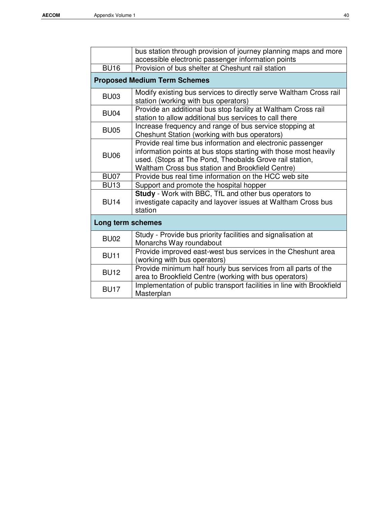|                   | bus station through provision of journey planning maps and more<br>accessible electronic passenger information points                                                                                                                         |
|-------------------|-----------------------------------------------------------------------------------------------------------------------------------------------------------------------------------------------------------------------------------------------|
| <b>BU16</b>       | Provision of bus shelter at Cheshunt rail station                                                                                                                                                                                             |
|                   | <b>Proposed Medium Term Schemes</b>                                                                                                                                                                                                           |
| <b>BU03</b>       | Modify existing bus services to directly serve Waltham Cross rail<br>station (working with bus operators)                                                                                                                                     |
| <b>BU04</b>       | Provide an additional bus stop facility at Waltham Cross rail<br>station to allow additional bus services to call there                                                                                                                       |
| <b>BU05</b>       | Increase frequency and range of bus service stopping at<br>Cheshunt Station (working with bus operators)                                                                                                                                      |
| <b>BU06</b>       | Provide real time bus information and electronic passenger<br>information points at bus stops starting with those most heavily<br>used. (Stops at The Pond, Theobalds Grove rail station,<br>Waltham Cross bus station and Brookfield Centre) |
| <b>BU07</b>       | Provide bus real time information on the HCC web site                                                                                                                                                                                         |
| <b>BU13</b>       | Support and promote the hospital hopper                                                                                                                                                                                                       |
| <b>BU14</b>       | Study - Work with BBC, TfL and other bus operators to<br>investigate capacity and layover issues at Waltham Cross bus<br>station                                                                                                              |
| Long term schemes |                                                                                                                                                                                                                                               |
| <b>BU02</b>       | Study - Provide bus priority facilities and signalisation at<br>Monarchs Way roundabout                                                                                                                                                       |
| <b>BU11</b>       | Provide improved east-west bus services in the Cheshunt area<br>(working with bus operators)                                                                                                                                                  |
| <b>BU12</b>       | Provide minimum half hourly bus services from all parts of the<br>area to Brookfield Centre (working with bus operators)                                                                                                                      |
| <b>BU17</b>       | Implementation of public transport facilities in line with Brookfield<br>Masterplan                                                                                                                                                           |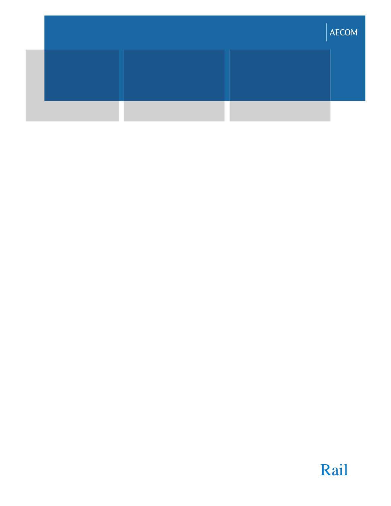|  | AECOM |
|--|-------|
|  |       |
|  |       |

# Rail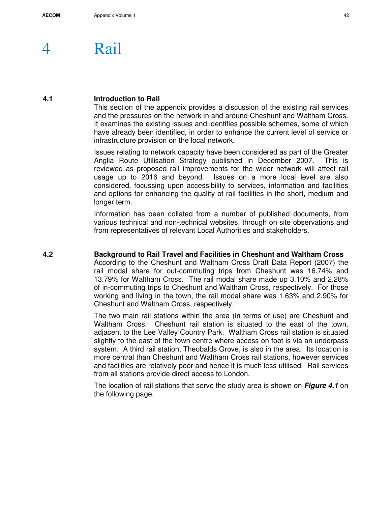# 4 Rail

#### **4.1 Introduction to Rail**

This section of the appendix provides a discussion of the existing rail services and the pressures on the network in and around Cheshunt and Waltham Cross. It examines the existing issues and identifies possible schemes, some of which have already been identified, in order to enhance the current level of service or infrastructure provision on the local network.

Issues relating to network capacity have been considered as part of the Greater Anglia Route Utilisation Strategy published in December 2007. This is reviewed as proposed rail improvements for the wider network will affect rail usage up to 2016 and beyond. Issues on a more local level are also considered, focussing upon accessibility to services, information and facilities and options for enhancing the quality of rail facilities in the short, medium and longer term.

Information has been collated from a number of published documents, from various technical and non-technical websites, through on site observations and from representatives of relevant Local Authorities and stakeholders.

### **4.2 Background to Rail Travel and Facilities in Cheshunt and Waltham Cross**

According to the Cheshunt and Waltham Cross Draft Data Report (2007) the rail modal share for out-commuting trips from Cheshunt was 16.74% and 13.79% for Waltham Cross. The rail modal share made up 3.10% and 2.28% of in-commuting trips to Cheshunt and Waltham Cross, respectively. For those working and living in the town, the rail modal share was 1.63% and 2.90% for Cheshunt and Waltham Cross, respectively.

The two main rail stations within the area (in terms of use) are Cheshunt and Waltham Cross. Cheshunt rail station is situated to the east of the town, adjacent to the Lee Valley Country Park. Waltham Cross rail station is situated slightly to the east of the town centre where access on foot is via an underpass system. A third rail station, Theobalds Grove, is also in the area. Its location is more central than Cheshunt and Waltham Cross rail stations, however services and facilities are relatively poor and hence it is much less utilised. Rail services from all stations provide direct access to London.

The location of rail stations that serve the study area is shown on **Figure 4.1** on the following page.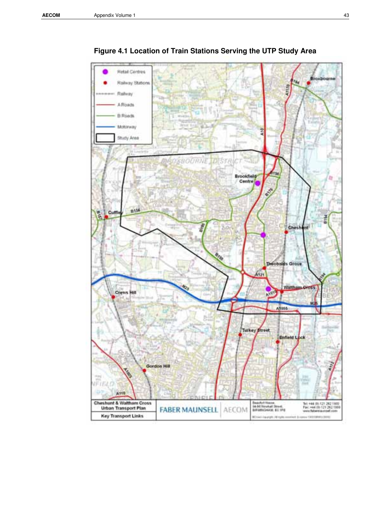

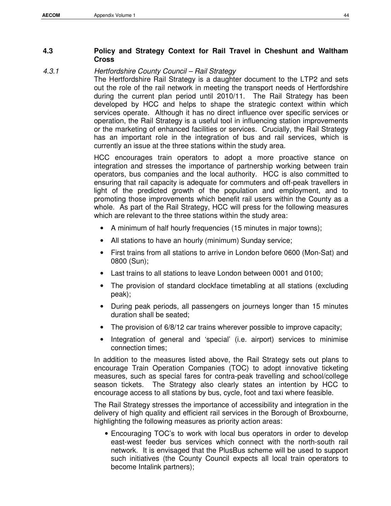#### **4.3 Policy and Strategy Context for Rail Travel in Cheshunt and Waltham Cross**

#### 4.3.1 Hertfordshire County Council – Rail Strategy

The Hertfordshire Rail Strategy is a daughter document to the LTP2 and sets out the role of the rail network in meeting the transport needs of Hertfordshire during the current plan period until 2010/11. The Rail Strategy has been developed by HCC and helps to shape the strategic context within which services operate. Although it has no direct influence over specific services or operation, the Rail Strategy is a useful tool in influencing station improvements or the marketing of enhanced facilities or services. Crucially, the Rail Strategy has an important role in the integration of bus and rail services, which is currently an issue at the three stations within the study area.

HCC encourages train operators to adopt a more proactive stance on integration and stresses the importance of partnership working between train operators, bus companies and the local authority. HCC is also committed to ensuring that rail capacity is adequate for commuters and off-peak travellers in light of the predicted growth of the population and employment, and to promoting those improvements which benefit rail users within the County as a whole. As part of the Rail Strategy, HCC will press for the following measures which are relevant to the three stations within the study area:

- A minimum of half hourly frequencies (15 minutes in major towns);
- All stations to have an hourly (minimum) Sunday service;
- First trains from all stations to arrive in London before 0600 (Mon-Sat) and 0800 (Sun);
- Last trains to all stations to leave London between 0001 and 0100;
- The provision of standard clockface timetabling at all stations (excluding peak);
- During peak periods, all passengers on journeys longer than 15 minutes duration shall be seated;
- The provision of 6/8/12 car trains wherever possible to improve capacity;
- Integration of general and 'special' (i.e. airport) services to minimise connection times;

In addition to the measures listed above, the Rail Strategy sets out plans to encourage Train Operation Companies (TOC) to adopt innovative ticketing measures, such as special fares for contra-peak travelling and school/college season tickets. The Strategy also clearly states an intention by HCC to encourage access to all stations by bus, cycle, foot and taxi where feasible.

The Rail Strategy stresses the importance of accessibility and integration in the delivery of high quality and efficient rail services in the Borough of Broxbourne, highlighting the following measures as priority action areas:

• Encouraging TOC's to work with local bus operators in order to develop east-west feeder bus services which connect with the north-south rail network. It is envisaged that the PlusBus scheme will be used to support such initiatives (the County Council expects all local train operators to become Intalink partners);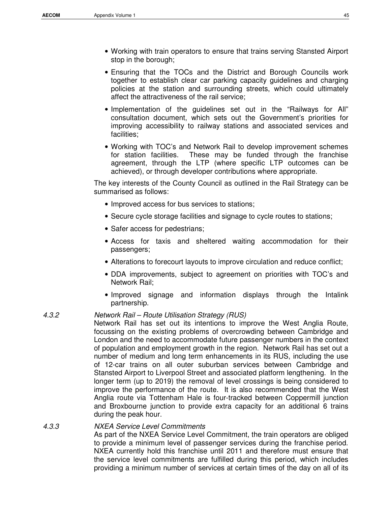- Working with train operators to ensure that trains serving Stansted Airport stop in the borough;
- Ensuring that the TOCs and the District and Borough Councils work together to establish clear car parking capacity guidelines and charging policies at the station and surrounding streets, which could ultimately affect the attractiveness of the rail service;
- Implementation of the guidelines set out in the "Railways for All" consultation document, which sets out the Government's priorities for improving accessibility to railway stations and associated services and facilities;
- Working with TOC's and Network Rail to develop improvement schemes for station facilities. These may be funded through the franchise agreement, through the LTP (where specific LTP outcomes can be achieved), or through developer contributions where appropriate.

The key interests of the County Council as outlined in the Rail Strategy can be summarised as follows:

- Improved access for bus services to stations;
- Secure cycle storage facilities and signage to cycle routes to stations;
- Safer access for pedestrians;
- Access for taxis and sheltered waiting accommodation for their passengers;
- Alterations to forecourt layouts to improve circulation and reduce conflict;
- DDA improvements, subject to agreement on priorities with TOC's and Network Rail;
- Improved signage and information displays through the Intalink partnership.

#### 4.3.2 Network Rail – Route Utilisation Strategy (RUS)

Network Rail has set out its intentions to improve the West Anglia Route, focussing on the existing problems of overcrowding between Cambridge and London and the need to accommodate future passenger numbers in the context of population and employment growth in the region. Network Rail has set out a number of medium and long term enhancements in its RUS, including the use of 12-car trains on all outer suburban services between Cambridge and Stansted Airport to Liverpool Street and associated platform lengthening. In the longer term (up to 2019) the removal of level crossings is being considered to improve the performance of the route. It is also recommended that the West Anglia route via Tottenham Hale is four-tracked between Coppermill junction and Broxbourne junction to provide extra capacity for an additional 6 trains during the peak hour.

#### 4.3.3 NXEA Service Level Commitments

As part of the NXEA Service Level Commitment, the train operators are obliged to provide a minimum level of passenger services during the franchise period. NXEA currently hold this franchise until 2011 and therefore must ensure that the service level commitments are fulfilled during this period, which includes providing a minimum number of services at certain times of the day on all of its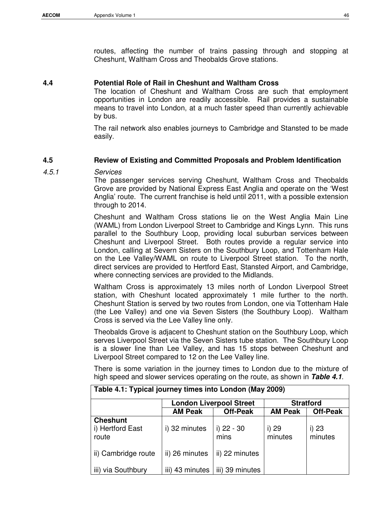routes, affecting the number of trains passing through and stopping at Cheshunt, Waltham Cross and Theobalds Grove stations.

#### **4.4 Potential Role of Rail in Cheshunt and Waltham Cross**

The location of Cheshunt and Waltham Cross are such that employment opportunities in London are readily accessible. Rail provides a sustainable means to travel into London, at a much faster speed than currently achievable by bus.

The rail network also enables journeys to Cambridge and Stansted to be made easily.

#### **4.5 Review of Existing and Committed Proposals and Problem Identification**

4.5.1 Services

The passenger services serving Cheshunt, Waltham Cross and Theobalds Grove are provided by National Express East Anglia and operate on the 'West Anglia' route. The current franchise is held until 2011, with a possible extension through to 2014.

Cheshunt and Waltham Cross stations lie on the West Anglia Main Line (WAML) from London Liverpool Street to Cambridge and Kings Lynn. This runs parallel to the Southbury Loop, providing local suburban services between Cheshunt and Liverpool Street. Both routes provide a regular service into London, calling at Severn Sisters on the Southbury Loop, and Tottenham Hale on the Lee Valley/WAML on route to Liverpool Street station. To the north, direct services are provided to Hertford East, Stansted Airport, and Cambridge, where connecting services are provided to the Midlands.

Waltham Cross is approximately 13 miles north of London Liverpool Street station, with Cheshunt located approximately 1 mile further to the north. Cheshunt Station is served by two routes from London, one via Tottenham Hale (the Lee Valley) and one via Seven Sisters (the Southbury Loop). Waltham Cross is served via the Lee Valley line only.

Theobalds Grove is adjacent to Cheshunt station on the Southbury Loop, which serves Liverpool Street via the Seven Sisters tube station. The Southbury Loop is a slower line than Lee Valley, and has 15 stops between Cheshunt and Liverpool Street compared to 12 on the Lee Valley line.

There is some variation in the journey times to London due to the mixture of high speed and slower services operating on the route, as shown in **Table 4.1**.

| Table 4.1: Typical journey times into London (May 2009) |                 |                                |                  |                  |
|---------------------------------------------------------|-----------------|--------------------------------|------------------|------------------|
|                                                         |                 | <b>London Liverpool Street</b> |                  | <b>Stratford</b> |
|                                                         | <b>AM Peak</b>  | <b>Off-Peak</b>                | <b>AM Peak</b>   | <b>Off-Peak</b>  |
| <b>Cheshunt</b><br>i) Hertford East<br>route            | i) 32 minutes   | i) 22 - 30<br>mins             | i) 29<br>minutes | i) 23<br>minutes |
| ii) Cambridge route                                     | ii) 26 minutes  | ii) 22 minutes                 |                  |                  |
| iii) via Southbury                                      | iii) 43 minutes | iii) 39 minutes                |                  |                  |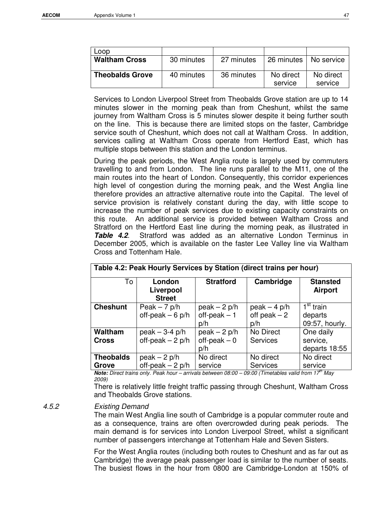| Loop                   |            |            |                      |                      |
|------------------------|------------|------------|----------------------|----------------------|
| <b>Waltham Cross</b>   | 30 minutes | 27 minutes | 26 minutes           | No service           |
| <b>Theobalds Grove</b> | 40 minutes | 36 minutes | No direct<br>service | No direct<br>service |

Services to London Liverpool Street from Theobalds Grove station are up to 14 minutes slower in the morning peak than from Cheshunt, whilst the same journey from Waltham Cross is 5 minutes slower despite it being further south on the line. This is because there are limited stops on the faster, Cambridge service south of Cheshunt, which does not call at Waltham Cross. In addition, services calling at Waltham Cross operate from Hertford East, which has multiple stops between this station and the London terminus.

During the peak periods, the West Anglia route is largely used by commuters travelling to and from London. The line runs parallel to the M11, one of the main routes into the heart of London. Consequently, this corridor experiences high level of congestion during the morning peak, and the West Anglia line therefore provides an attractive alternative route into the Capital. The level of service provision is relatively constant during the day, with little scope to increase the number of peak services due to existing capacity constraints on this route. An additional service is provided between Waltham Cross and Stratford on the Hertford East line during the morning peak, as illustrated in **Table 4.2**. Stratford was added as an alternative London Terminus in December 2005, which is available on the faster Lee Valley line via Waltham Cross and Tottenham Hale.

|                  | $1.0000$ The Fig. The contract of the contract for the contract $1.0000$ |                                       |                                        |                                                    |
|------------------|--------------------------------------------------------------------------|---------------------------------------|----------------------------------------|----------------------------------------------------|
| To               | London<br>Liverpool<br><b>Street</b>                                     | <b>Stratford</b>                      | Cambridge                              | <b>Stansted</b><br><b>Airport</b>                  |
| <b>Cheshunt</b>  | Peak $-7$ p/h<br>off-peak $-6$ p/h                                       | $peak - 2 p/h$<br>$off-peak-1$<br>p/h | $peak - 4 p/h$<br>off peak $-2$<br>p/h | 1 <sup>st</sup> train<br>departs<br>09:57, hourly. |
| <b>Waltham</b>   | $peak - 3-4 p/h$                                                         | $peak - 2 p/h$                        | No Direct                              | One daily                                          |
| <b>Cross</b>     | off-peak $-2$ p/h                                                        | $off-peak-0$<br>p/h                   | <b>Services</b>                        | service,<br>departs 18:55                          |
| <b>Theobalds</b> | $peak - 2 p/h$                                                           | No direct                             | No direct                              | No direct                                          |
| Grove            | off-peak $-2$ p/h                                                        | service                               | <b>Services</b>                        | service                                            |

## **Table 4.2: Peak Hourly Services by Station (direct trains per hour)**

**Note:** Direct trains only. Peak hour – arrivals between 08:00 – 09:00 (Timetables valid from 17<sup>th</sup> May 2009)

There is relatively little freight traffic passing through Cheshunt, Waltham Cross and Theobalds Grove stations.

#### 4.5.2 Existing Demand

The main West Anglia line south of Cambridge is a popular commuter route and as a consequence, trains are often overcrowded during peak periods. The main demand is for services into London Liverpool Street, whilst a significant number of passengers interchange at Tottenham Hale and Seven Sisters.

For the West Anglia routes (including both routes to Cheshunt and as far out as Cambridge) the average peak passenger load is similar to the number of seats. The busiest flows in the hour from 0800 are Cambridge-London at 150% of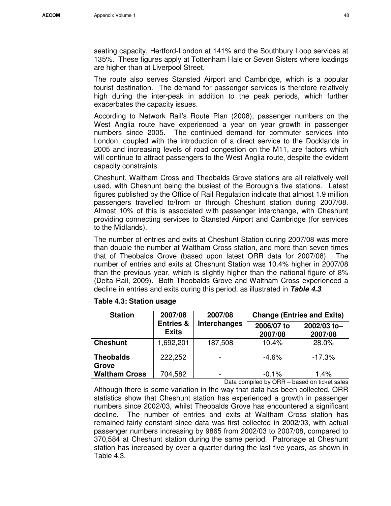seating capacity, Hertford-London at 141% and the Southbury Loop services at 135%. These figures apply at Tottenham Hale or Seven Sisters where loadings are higher than at Liverpool Street.

The route also serves Stansted Airport and Cambridge, which is a popular tourist destination. The demand for passenger services is therefore relatively high during the inter-peak in addition to the peak periods, which further exacerbates the capacity issues.

According to Network Rail's Route Plan (2008), passenger numbers on the West Anglia route have experienced a year on year growth in passenger numbers since 2005. The continued demand for commuter services into London, coupled with the introduction of a direct service to the Docklands in 2005 and increasing levels of road congestion on the M11, are factors which will continue to attract passengers to the West Anglia route, despite the evident capacity constraints.

Cheshunt, Waltham Cross and Theobalds Grove stations are all relatively well used, with Cheshunt being the busiest of the Borough's five stations. Latest figures published by the Office of Rail Regulation indicate that almost 1.9 million passengers travelled to/from or through Cheshunt station during 2007/08. Almost 10% of this is associated with passenger interchange, with Cheshunt providing connecting services to Stansted Airport and Cambridge (for services to the Midlands).

The number of entries and exits at Cheshunt Station during 2007/08 was more than double the number at Waltham Cross station, and more than seven times that of Theobalds Grove (based upon latest ORR data for 2007/08). The number of entries and exits at Cheshunt Station was 10.4% higher in 2007/08 than the previous year, which is slightly higher than the national figure of 8% (Delta Rail, 2009). Both Theobalds Grove and Waltham Cross experienced a decline in entries and exits during this period, as illustrated in **Table 4.3**.

| Table 4.3: Station usage  |                                      |                     |                               |                                   |
|---------------------------|--------------------------------------|---------------------|-------------------------------|-----------------------------------|
| <b>Station</b>            | 2007/08                              | 2007/08             |                               | <b>Change (Entries and Exits)</b> |
|                           | <b>Entries &amp;</b><br><b>Exits</b> | <b>Interchanges</b> | 2006/07 to<br>2007/08         | 2002/03 to-<br>2007/08            |
| <b>Cheshunt</b>           | 1,692,201                            | 187,508             | 10.4%                         | 28.0%                             |
| <b>Theobalds</b><br>Grove | 222,252                              |                     | $-4.6%$                       | $-17.3%$                          |
| <b>Waltham Cross</b>      | 704,582                              |                     | $-0.1%$                       | 1.4%                              |
|                           |                                      | - -                 | .<br>$\overline{\phantom{m}}$ | $\cdots$                          |

Data compiled by ORR – based on ticket sales

Although there is some variation in the way that data has been collected, ORR statistics show that Cheshunt station has experienced a growth in passenger numbers since 2002/03, whilst Theobalds Grove has encountered a significant decline. The number of entries and exits at Waltham Cross station has remained fairly constant since data was first collected in 2002/03, with actual passenger numbers increasing by 9865 from 2002/03 to 2007/08, compared to 370,584 at Cheshunt station during the same period. Patronage at Cheshunt station has increased by over a quarter during the last five years, as shown in Table 4.3.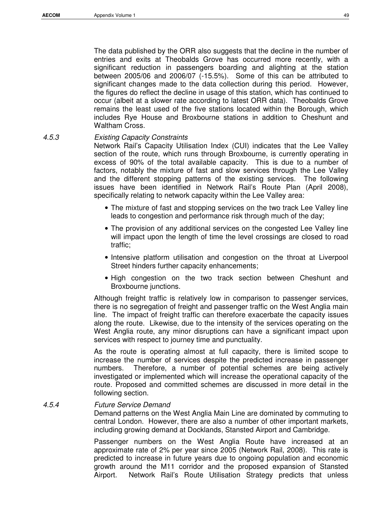The data published by the ORR also suggests that the decline in the number of entries and exits at Theobalds Grove has occurred more recently, with a significant reduction in passengers boarding and alighting at the station between 2005/06 and 2006/07 (-15.5%). Some of this can be attributed to significant changes made to the data collection during this period. However, the figures do reflect the decline in usage of this station, which has continued to occur (albeit at a slower rate according to latest ORR data). Theobalds Grove remains the least used of the five stations located within the Borough, which includes Rye House and Broxbourne stations in addition to Cheshunt and Waltham Cross.

4.5.3 Existing Capacity Constraints

Network Rail's Capacity Utilisation Index (CUI) indicates that the Lee Valley section of the route, which runs through Broxbourne, is currently operating in excess of 90% of the total available capacity. This is due to a number of factors, notably the mixture of fast and slow services through the Lee Valley and the different stopping patterns of the existing services. The following issues have been identified in Network Rail's Route Plan (April 2008), specifically relating to network capacity within the Lee Valley area:

- The mixture of fast and stopping services on the two track Lee Valley line leads to congestion and performance risk through much of the day;
- The provision of any additional services on the congested Lee Valley line will impact upon the length of time the level crossings are closed to road traffic;
- Intensive platform utilisation and congestion on the throat at Liverpool Street hinders further capacity enhancements;
- High congestion on the two track section between Cheshunt and Broxbourne junctions.

Although freight traffic is relatively low in comparison to passenger services, there is no segregation of freight and passenger traffic on the West Anglia main line. The impact of freight traffic can therefore exacerbate the capacity issues along the route. Likewise, due to the intensity of the services operating on the West Anglia route, any minor disruptions can have a significant impact upon services with respect to journey time and punctuality.

As the route is operating almost at full capacity, there is limited scope to increase the number of services despite the predicted increase in passenger numbers. Therefore, a number of potential schemes are being actively investigated or implemented which will increase the operational capacity of the route. Proposed and committed schemes are discussed in more detail in the following section.

#### 4.5.4 Future Service Demand

Demand patterns on the West Anglia Main Line are dominated by commuting to central London. However, there are also a number of other important markets, including growing demand at Docklands, Stansted Airport and Cambridge.

Passenger numbers on the West Anglia Route have increased at an approximate rate of 2% per year since 2005 (Network Rail, 2008). This rate is predicted to increase in future years due to ongoing population and economic growth around the M11 corridor and the proposed expansion of Stansted Airport. Network Rail's Route Utilisation Strategy predicts that unless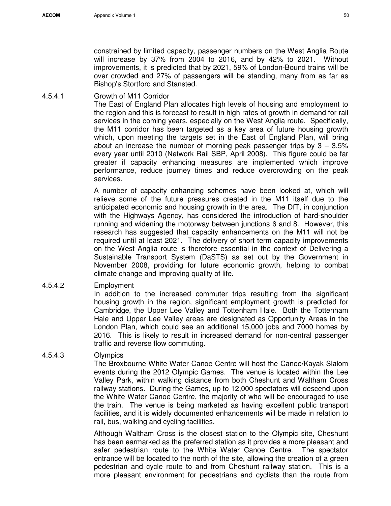constrained by limited capacity, passenger numbers on the West Anglia Route will increase by 37% from 2004 to 2016, and by 42% to 2021. Without improvements, it is predicted that by 2021, 59% of London-Bound trains will be over crowded and 27% of passengers will be standing, many from as far as Bishop's Stortford and Stansted.

4.5.4.1 Growth of M11 Corridor

The East of England Plan allocates high levels of housing and employment to the region and this is forecast to result in high rates of growth in demand for rail services in the coming years, especially on the West Anglia route. Specifically, the M11 corridor has been targeted as a key area of future housing growth which, upon meeting the targets set in the East of England Plan, will bring about an increase the number of morning peak passenger trips by  $3 - 3.5\%$ every year until 2010 (Network Rail SBP, April 2008). This figure could be far greater if capacity enhancing measures are implemented which improve performance, reduce journey times and reduce overcrowding on the peak services.

A number of capacity enhancing schemes have been looked at, which will relieve some of the future pressures created in the M11 itself due to the anticipated economic and housing growth in the area. The DfT, in conjunction with the Highways Agency, has considered the introduction of hard-shoulder running and widening the motorway between junctions 6 and 8. However, this research has suggested that capacity enhancements on the M11 will not be required until at least 2021. The delivery of short term capacity improvements on the West Anglia route is therefore essential in the context of Delivering a Sustainable Transport System (DaSTS) as set out by the Government in November 2008, providing for future economic growth, helping to combat climate change and improving quality of life.

4.5.4.2 Employment

In addition to the increased commuter trips resulting from the significant housing growth in the region, significant employment growth is predicted for Cambridge, the Upper Lee Valley and Tottenham Hale. Both the Tottenham Hale and Upper Lee Valley areas are designated as Opportunity Areas in the London Plan, which could see an additional 15,000 jobs and 7000 homes by 2016. This is likely to result in increased demand for non-central passenger traffic and reverse flow commuting.

#### 4.5.4.3 Olympics

The Broxbourne White Water Canoe Centre will host the Canoe/Kayak Slalom events during the 2012 Olympic Games. The venue is located within the Lee Valley Park, within walking distance from both Cheshunt and Waltham Cross railway stations. During the Games, up to 12,000 spectators will descend upon the White Water Canoe Centre, the majority of who will be encouraged to use the train. The venue is being marketed as having excellent public transport facilities, and it is widely documented enhancements will be made in relation to rail, bus, walking and cycling facilities.

Although Waltham Cross is the closest station to the Olympic site, Cheshunt has been earmarked as the preferred station as it provides a more pleasant and safer pedestrian route to the White Water Canoe Centre. The spectator entrance will be located to the north of the site, allowing the creation of a green pedestrian and cycle route to and from Cheshunt railway station. This is a more pleasant environment for pedestrians and cyclists than the route from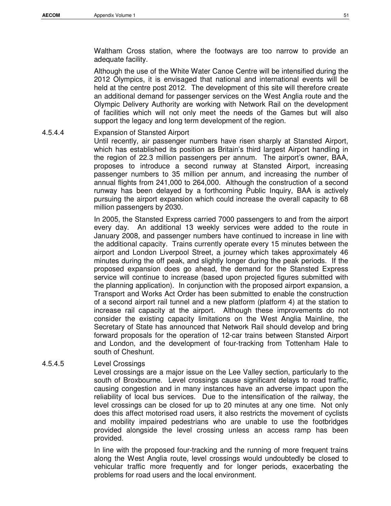Waltham Cross station, where the footways are too narrow to provide an adequate facility.

Although the use of the White Water Canoe Centre will be intensified during the 2012 Olympics, it is envisaged that national and international events will be held at the centre post 2012. The development of this site will therefore create an additional demand for passenger services on the West Anglia route and the Olympic Delivery Authority are working with Network Rail on the development of facilities which will not only meet the needs of the Games but will also support the legacy and long term development of the region.

#### 4.5.4.4 Expansion of Stansted Airport

Until recently, air passenger numbers have risen sharply at Stansted Airport, which has established its position as Britain's third largest Airport handling in the region of 22.3 million passengers per annum. The airport's owner, BAA, proposes to introduce a second runway at Stansted Airport, increasing passenger numbers to 35 million per annum, and increasing the number of annual flights from 241,000 to 264,000. Although the construction of a second runway has been delayed by a forthcoming Public Inquiry, BAA is actively pursuing the airport expansion which could increase the overall capacity to 68 million passengers by 2030.

In 2005, the Stansted Express carried 7000 passengers to and from the airport every day. An additional 13 weekly services were added to the route in January 2008, and passenger numbers have continued to increase in line with the additional capacity. Trains currently operate every 15 minutes between the airport and London Liverpool Street, a journey which takes approximately 46 minutes during the off peak, and slightly longer during the peak periods. If the proposed expansion does go ahead, the demand for the Stansted Express service will continue to increase (based upon projected figures submitted with the planning application). In conjunction with the proposed airport expansion, a Transport and Works Act Order has been submitted to enable the construction of a second airport rail tunnel and a new platform (platform 4) at the station to increase rail capacity at the airport. Although these improvements do not consider the existing capacity limitations on the West Anglia Mainline, the Secretary of State has announced that Network Rail should develop and bring forward proposals for the operation of 12-car trains between Stansted Airport and London, and the development of four-tracking from Tottenham Hale to south of Cheshunt.

#### 4.5.4.5 Level Crossings

Level crossings are a major issue on the Lee Valley section, particularly to the south of Broxbourne. Level crossings cause significant delays to road traffic, causing congestion and in many instances have an adverse impact upon the reliability of local bus services. Due to the intensification of the railway, the level crossings can be closed for up to 20 minutes at any one time. Not only does this affect motorised road users, it also restricts the movement of cyclists and mobility impaired pedestrians who are unable to use the footbridges provided alongside the level crossing unless an access ramp has been provided.

In line with the proposed four-tracking and the running of more frequent trains along the West Anglia route, level crossings would undoubtedly be closed to vehicular traffic more frequently and for longer periods, exacerbating the problems for road users and the local environment.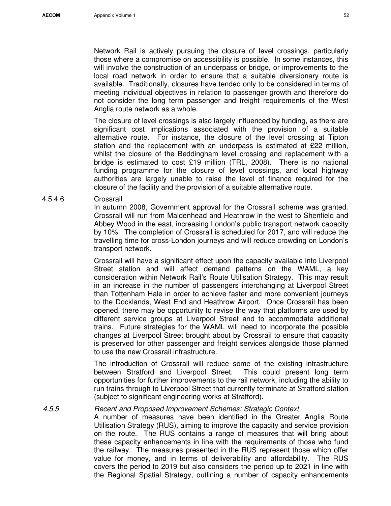Network Rail is actively pursuing the closure of level crossings, particularly those where a compromise on accessibility is possible. In some instances, this will involve the construction of an underpass or bridge, or improvements to the local road network in order to ensure that a suitable diversionary route is available. Traditionally, closures have tended only to be considered in terms of meeting individual objectives in relation to passenger growth and therefore do not consider the long term passenger and freight requirements of the West Anglia route network as a whole.

The closure of level crossings is also largely influenced by funding, as there are significant cost implications associated with the provision of a suitable alternative route. For instance, the closure of the level crossing at Tipton station and the replacement with an underpass is estimated at £22 million, whilst the closure of the Beddingham level crossing and replacement with a bridge is estimated to cost £19 million (TRL, 2008). There is no national funding programme for the closure of level crossings, and local highway authorities are largely unable to raise the level of finance required for the closure of the facility and the provision of a suitable alternative route.

#### 4.5.4.6 Crossrail

In autumn 2008, Government approval for the Crossrail scheme was granted. Crossrail will run from Maidenhead and Heathrow in the west to Shenfield and Abbey Wood in the east, increasing London's public transport network capacity by 10%. The completion of Crossrail is scheduled for 2017, and will reduce the travelling time for cross-London journeys and will reduce crowding on London's transport network.

Crossrail will have a significant effect upon the capacity available into Liverpool Street station and will affect demand patterns on the WAML, a key consideration within Network Rail's Route Utilisation Strategy. This may result in an increase in the number of passengers interchanging at Liverpool Street than Tottenham Hale in order to achieve faster and more convenient journeys to the Docklands, West End and Heathrow Airport. Once Crossrail has been opened, there may be opportunity to revise the way that platforms are used by different service groups at Liverpool Street and to accommodate additional trains. Future strategies for the WAML will need to incorporate the possible changes at Liverpool Street brought about by Crossrail to ensure that capacity is preserved for other passenger and freight services alongside those planned to use the new Crossrail infrastructure.

The introduction of Crossrail will reduce some of the existing infrastructure between Stratford and Liverpool Street. This could present long term opportunities for further improvements to the rail network, including the ability to run trains through to Liverpool Street that currently terminate at Stratford station (subject to significant engineering works at Stratford).

4.5.5 Recent and Proposed Improvement Schemes: Strategic Context

A number of measures have been identified in the Greater Anglia Route Utilisation Strategy (RUS), aiming to improve the capacity and service provision on the route. The RUS contains a range of measures that will bring about these capacity enhancements in line with the requirements of those who fund the railway. The measures presented in the RUS represent those which offer value for money, and in terms of deliverability and affordability. The RUS covers the period to 2019 but also considers the period up to 2021 in line with the Regional Spatial Strategy, outlining a number of capacity enhancements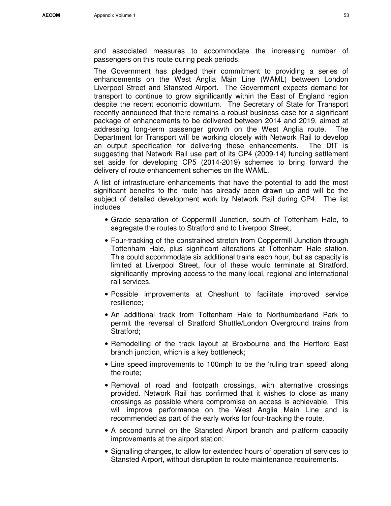and associated measures to accommodate the increasing number of passengers on this route during peak periods.

The Government has pledged their commitment to providing a series of enhancements on the West Anglia Main Line (WAML) between London Liverpool Street and Stansted Airport. The Government expects demand for transport to continue to grow significantly within the East of England region despite the recent economic downturn. The Secretary of State for Transport recently announced that there remains a robust business case for a significant package of enhancements to be delivered between 2014 and 2019, aimed at addressing long-term passenger growth on the West Anglia route. The Department for Transport will be working closely with Network Rail to develop an output specification for delivering these enhancements. The DfT is suggesting that Network Rail use part of its CP4 (2009-14) funding settlement set aside for developing CP5 (2014-2019) schemes to bring forward the delivery of route enhancement schemes on the WAML.

A list of infrastructure enhancements that have the potential to add the most significant benefits to the route has already been drawn up and will be the subject of detailed development work by Network Rail during CP4. The list includes

- Grade separation of Coppermill Junction, south of Tottenham Hale, to segregate the routes to Stratford and to Liverpool Street;
- Four-tracking of the constrained stretch from Coppermill Junction through Tottenham Hale, plus significant alterations at Tottenham Hale station. This could accommodate six additional trains each hour, but as capacity is limited at Liverpool Street, four of these would terminate at Stratford, significantly improving access to the many local, regional and international rail services.
- Possible improvements at Cheshunt to facilitate improved service resilience;
- An additional track from Tottenham Hale to Northumberland Park to permit the reversal of Stratford Shuttle/London Overground trains from Stratford;
- Remodelling of the track layout at Broxbourne and the Hertford East branch junction, which is a key bottleneck;
- Line speed improvements to 100mph to be the 'ruling train speed' along the route;
- Removal of road and footpath crossings, with alternative crossings provided. Network Rail has confirmed that it wishes to close as many crossings as possible where compromise on access is achievable. This will improve performance on the West Anglia Main Line and is recommended as part of the early works for four-tracking the route.
- A second tunnel on the Stansted Airport branch and platform capacity improvements at the airport station;
- Signalling changes, to allow for extended hours of operation of services to Stansted Airport, without disruption to route maintenance requirements.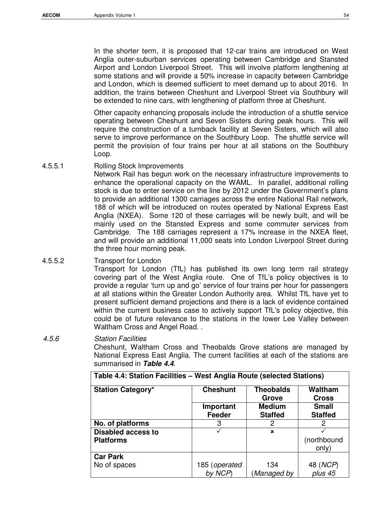In the shorter term, it is proposed that 12-car trains are introduced on West Anglia outer-suburban services operating between Cambridge and Stansted Airport and London Liverpool Street. This will involve platform lengthening at some stations and will provide a 50% increase in capacity between Cambridge and London, which is deemed sufficient to meet demand up to about 2016. In addition, the trains between Cheshunt and Liverpool Street via Southbury will be extended to nine cars, with lengthening of platform three at Cheshunt.

Other capacity enhancing proposals include the introduction of a shuttle service operating between Cheshunt and Seven Sisters during peak hours. This will require the construction of a turnback facility at Seven Sisters, which will also serve to improve performance on the Southbury Loop. The shuttle service will permit the provision of four trains per hour at all stations on the Southbury Loop.

4.5.5.1 Rolling Stock Improvements

Network Rail has begun work on the necessary infrastructure improvements to enhance the operational capacity on the WAML. In parallel, additional rolling stock is due to enter service on the line by 2012 under the Government's plans to provide an additional 1300 carriages across the entire National Rail network, 188 of which will be introduced on routes operated by National Express East Anglia (NXEA). Some 120 of these carriages will be newly built, and will be mainly used on the Stansted Express and some commuter services from Cambridge. The 188 carriages represent a 17% increase in the NXEA fleet, and will provide an additional 11,000 seats into London Liverpool Street during the three hour morning peak.

#### 4.5.5.2 Transport for London

Transport for London (TfL) has published its own long term rail strategy covering part of the West Anglia route. One of TfL's policy objectives is to provide a regular 'turn up and go' service of four trains per hour for passengers at all stations within the Greater London Authority area. Whilst TfL have yet to present sufficient demand projections and there is a lack of evidence contained within the current business case to actively support TfL's policy objective, this could be of future relevance to the stations in the lower Lee Valley between Waltham Cross and Angel Road. .

4.5.6 Station Facilities Cheshunt, Waltham Cross and Theobalds Grove stations are managed by National Express East Anglia. The current facilities at each of the stations are summarised in **Table 4.4**.

| Table 4.4: Station Facilities – West Anglia Route (selected Stations) |                 |                           |                                |
|-----------------------------------------------------------------------|-----------------|---------------------------|--------------------------------|
| <b>Station Category*</b>                                              | <b>Cheshunt</b> | <b>Theobalds</b><br>Grove | <b>Waltham</b><br><b>Cross</b> |
|                                                                       | Important       | <b>Medium</b>             | <b>Small</b>                   |
|                                                                       | Feeder          | <b>Staffed</b>            | <b>Staffed</b>                 |
| No. of platforms                                                      | 3               | 2                         | 2                              |
| <b>Disabled access to</b>                                             |                 | ×                         |                                |
| <b>Platforms</b>                                                      |                 |                           | (northbound                    |
|                                                                       |                 |                           | only)                          |
| <b>Car Park</b>                                                       |                 |                           |                                |
| No of spaces                                                          | 185 (operated   | 134                       | 48 ( <i>NCP</i> )              |
|                                                                       | by NCP)         | Managed by)               | plus 45                        |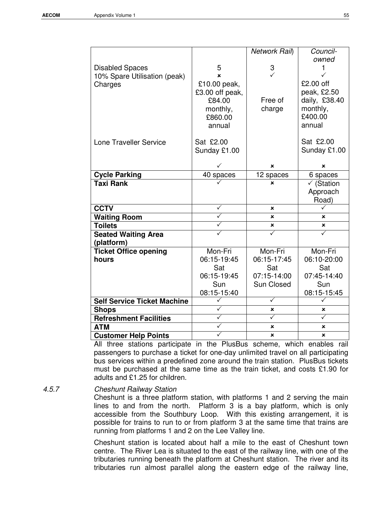|                                    |                         | Network Rail) | Council-              |
|------------------------------------|-------------------------|---------------|-----------------------|
|                                    |                         |               | owned                 |
| <b>Disabled Spaces</b>             | 5                       | 3             | 1                     |
| 10% Spare Utilisation (peak)       | ×                       | $\checkmark$  | $\checkmark$          |
| Charges                            | £10.00 peak,            |               | £2.00 off             |
|                                    | £3.00 off peak,         |               | peak, £2.50           |
|                                    | £84.00                  | Free of       | daily, £38.40         |
|                                    | monthly,                | charge        | monthly,              |
|                                    | £860.00                 |               | £400.00               |
|                                    | annual                  |               | annual                |
|                                    |                         |               |                       |
| <b>Lone Traveller Service</b>      | Sat £2.00               |               | Sat £2.00             |
|                                    | Sunday £1.00            |               | Sunday £1.00          |
|                                    |                         |               |                       |
|                                    |                         | ×             | ×                     |
| <b>Cycle Parking</b>               | 40 spaces               | 12 spaces     | 6 spaces              |
| <b>Taxi Rank</b>                   |                         | x             | $\checkmark$ (Station |
|                                    |                         |               | Approach              |
|                                    |                         |               | Road)                 |
| <b>CCTV</b>                        | ✓                       | ×             |                       |
| <b>Waiting Room</b>                | $\overline{\checkmark}$ | $\mathbf x$   | ×                     |
| <b>Toilets</b>                     | ✓                       | ×             | ×                     |
| <b>Seated Waiting Area</b>         |                         | ✓             |                       |
| (platform)                         |                         |               |                       |
| <b>Ticket Office opening</b>       | Mon-Fri                 | Mon-Fri       | Mon-Fri               |
| hours                              | 06:15-19:45             | 06:15-17:45   | 06:10-20:00           |
|                                    | Sat                     | Sat           | Sat                   |
|                                    | 06:15-19:45             | 07:15-14:00   | 07:45-14:40           |
|                                    | Sun                     | Sun Closed    | Sun                   |
|                                    | 08:15-15:40             |               | 08:15-15:45           |
| <b>Self Service Ticket Machine</b> | ✓                       | ✓             | ✓                     |
| <b>Shops</b>                       | $\checkmark$            | ×             | ×                     |
| <b>Refreshment Facilities</b>      | ✓                       | ✓             | ✓                     |
| <b>ATM</b>                         | ✓                       | ×             | ×                     |
| <b>Customer Help Points</b>        |                         | ×             | ×                     |

All three stations participate in the PlusBus scheme, which enables rail passengers to purchase a ticket for one-day unlimited travel on all participating bus services within a predefined zone around the train station. PlusBus tickets must be purchased at the same time as the train ticket, and costs £1.90 for adults and £1.25 for children.

#### 4.5.7 Cheshunt Railway Station

Cheshunt is a three platform station, with platforms 1 and 2 serving the main lines to and from the north. Platform 3 is a bay platform, which is only accessible from the Southbury Loop. With this existing arrangement, it is possible for trains to run to or from platform 3 at the same time that trains are running from platforms 1 and 2 on the Lee Valley line.

Cheshunt station is located about half a mile to the east of Cheshunt town centre. The River Lea is situated to the east of the railway line, with one of the tributaries running beneath the platform at Cheshunt station. The river and its tributaries run almost parallel along the eastern edge of the railway line,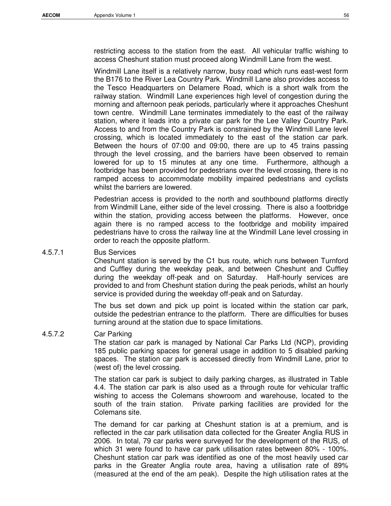restricting access to the station from the east. All vehicular traffic wishing to access Cheshunt station must proceed along Windmill Lane from the west.

Windmill Lane itself is a relatively narrow, busy road which runs east-west form the B176 to the River Lea Country Park. Windmill Lane also provides access to the Tesco Headquarters on Delamere Road, which is a short walk from the railway station. Windmill Lane experiences high level of congestion during the morning and afternoon peak periods, particularly where it approaches Cheshunt town centre. Windmill Lane terminates immediately to the east of the railway station, where it leads into a private car park for the Lee Valley Country Park. Access to and from the Country Park is constrained by the Windmill Lane level crossing, which is located immediately to the east of the station car park. Between the hours of 07:00 and 09:00, there are up to 45 trains passing through the level crossing, and the barriers have been observed to remain lowered for up to 15 minutes at any one time. Furthermore, although a footbridge has been provided for pedestrians over the level crossing, there is no ramped access to accommodate mobility impaired pedestrians and cyclists whilst the barriers are lowered.

Pedestrian access is provided to the north and southbound platforms directly from Windmill Lane, either side of the level crossing. There is also a footbridge within the station, providing access between the platforms. However, once again there is no ramped access to the footbridge and mobility impaired pedestrians have to cross the railway line at the Windmill Lane level crossing in order to reach the opposite platform.

4.5.7.1 Bus Services

Cheshunt station is served by the C1 bus route, which runs between Turnford and Cuffley during the weekday peak, and between Cheshunt and Cuffley during the weekday off-peak and on Saturday. Half-hourly services are provided to and from Cheshunt station during the peak periods, whilst an hourly service is provided during the weekday off-peak and on Saturday.

The bus set down and pick up point is located within the station car park, outside the pedestrian entrance to the platform. There are difficulties for buses turning around at the station due to space limitations.

#### 4.5.7.2 Car Parking

The station car park is managed by National Car Parks Ltd (NCP), providing 185 public parking spaces for general usage in addition to 5 disabled parking spaces. The station car park is accessed directly from Windmill Lane, prior to (west of) the level crossing.

The station car park is subject to daily parking charges, as illustrated in Table 4.4. The station car park is also used as a through route for vehicular traffic wishing to access the Colemans showroom and warehouse, located to the south of the train station. Private parking facilities are provided for the Colemans site.

The demand for car parking at Cheshunt station is at a premium, and is reflected in the car park utilisation data collected for the Greater Anglia RUS in 2006. In total, 79 car parks were surveyed for the development of the RUS, of which 31 were found to have car park utilisation rates between 80% - 100%. Cheshunt station car park was identified as one of the most heavily used car parks in the Greater Anglia route area, having a utilisation rate of 89% (measured at the end of the am peak). Despite the high utilisation rates at the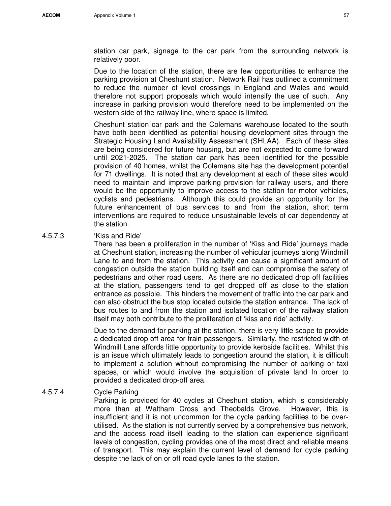station car park, signage to the car park from the surrounding network is relatively poor.

Due to the location of the station, there are few opportunities to enhance the parking provision at Cheshunt station. Network Rail has outlined a commitment to reduce the number of level crossings in England and Wales and would therefore not support proposals which would intensify the use of such. Any increase in parking provision would therefore need to be implemented on the western side of the railway line, where space is limited.

Cheshunt station car park and the Colemans warehouse located to the south have both been identified as potential housing development sites through the Strategic Housing Land Availability Assessment (SHLAA). Each of these sites are being considered for future housing, but are not expected to come forward until 2021-2025. The station car park has been identified for the possible provision of 40 homes, whilst the Colemans site has the development potential for 71 dwellings. It is noted that any development at each of these sites would need to maintain and improve parking provision for railway users, and there would be the opportunity to improve access to the station for motor vehicles, cyclists and pedestrians. Although this could provide an opportunity for the future enhancement of bus services to and from the station, short term interventions are required to reduce unsustainable levels of car dependency at the station.

#### 4.5.7.3 'Kiss and Ride'

There has been a proliferation in the number of 'Kiss and Ride' journeys made at Cheshunt station, increasing the number of vehicular journeys along Windmill Lane to and from the station. This activity can cause a significant amount of congestion outside the station building itself and can compromise the safety of pedestrians and other road users. As there are no dedicated drop off facilities at the station, passengers tend to get dropped off as close to the station entrance as possible. This hinders the movement of traffic into the car park and can also obstruct the bus stop located outside the station entrance. The lack of bus routes to and from the station and isolated location of the railway station itself may both contribute to the proliferation of 'kiss and ride' activity.

Due to the demand for parking at the station, there is very little scope to provide a dedicated drop off area for train passengers. Similarly, the restricted width of Windmill Lane affords little opportunity to provide kerbside facilities. Whilst this is an issue which ultimately leads to congestion around the station, it is difficult to implement a solution without compromising the number of parking or taxi spaces, or which would involve the acquisition of private land In order to provided a dedicated drop-off area.

#### 4.5.7.4 Cycle Parking

Parking is provided for 40 cycles at Cheshunt station, which is considerably more than at Waltham Cross and Theobalds Grove. However, this is insufficient and it is not uncommon for the cycle parking facilities to be overutilised. As the station is not currently served by a comprehensive bus network, and the access road itself leading to the station can experience significant levels of congestion, cycling provides one of the most direct and reliable means of transport. This may explain the current level of demand for cycle parking despite the lack of on or off road cycle lanes to the station.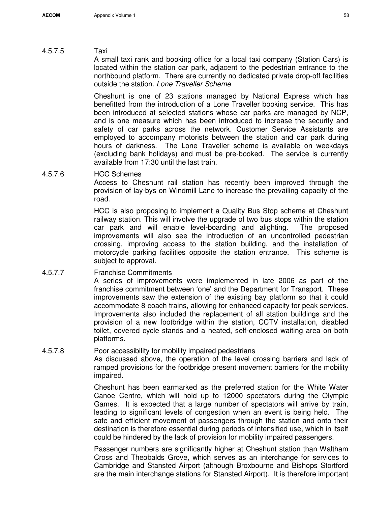#### 4.5.7.5 Taxi

A small taxi rank and booking office for a local taxi company (Station Cars) is located within the station car park, adjacent to the pedestrian entrance to the northbound platform. There are currently no dedicated private drop-off facilities outside the station. Lone Traveller Scheme

Cheshunt is one of 23 stations managed by National Express which has benefitted from the introduction of a Lone Traveller booking service. This has been introduced at selected stations whose car parks are managed by NCP, and is one measure which has been introduced to increase the security and safety of car parks across the network. Customer Service Assistants are employed to accompany motorists between the station and car park during hours of darkness. The Lone Traveller scheme is available on weekdays (excluding bank holidays) and must be pre-booked. The service is currently available from 17:30 until the last train.

4.5.7.6 HCC Schemes

Access to Cheshunt rail station has recently been improved through the provision of lay-bys on Windmill Lane to increase the prevailing capacity of the road.

HCC is also proposing to implement a Quality Bus Stop scheme at Cheshunt railway station. This will involve the upgrade of two bus stops within the station car park and will enable level-boarding and alighting. The proposed improvements will also see the introduction of an uncontrolled pedestrian crossing, improving access to the station building, and the installation of motorcycle parking facilities opposite the station entrance. This scheme is subject to approval.

4.5.7.7 Franchise Commitments

A series of improvements were implemented in late 2006 as part of the franchise commitment between 'one' and the Department for Transport. These improvements saw the extension of the existing bay platform so that it could accommodate 8-coach trains, allowing for enhanced capacity for peak services. Improvements also included the replacement of all station buildings and the provision of a new footbridge within the station, CCTV installation, disabled toilet, covered cycle stands and a heated, self-enclosed waiting area on both platforms.

#### 4.5.7.8 Poor accessibility for mobility impaired pedestrians

As discussed above, the operation of the level crossing barriers and lack of ramped provisions for the footbridge present movement barriers for the mobility impaired.

Cheshunt has been earmarked as the preferred station for the White Water Canoe Centre, which will hold up to 12000 spectators during the Olympic Games. It is expected that a large number of spectators will arrive by train, leading to significant levels of congestion when an event is being held. The safe and efficient movement of passengers through the station and onto their destination is therefore essential during periods of intensified use, which in itself could be hindered by the lack of provision for mobility impaired passengers.

Passenger numbers are significantly higher at Cheshunt station than Waltham Cross and Theobalds Grove, which serves as an interchange for services to Cambridge and Stansted Airport (although Broxbourne and Bishops Stortford are the main interchange stations for Stansted Airport). It is therefore important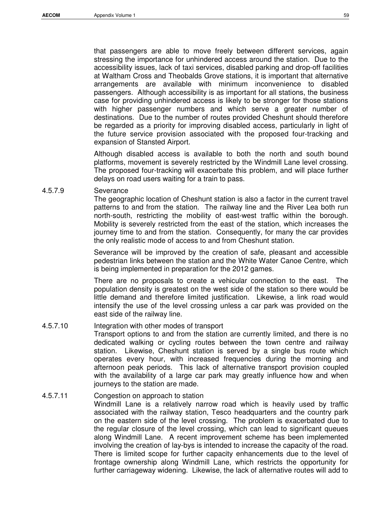that passengers are able to move freely between different services, again

stressing the importance for unhindered access around the station. Due to the accessibility issues, lack of taxi services, disabled parking and drop-off facilities at Waltham Cross and Theobalds Grove stations, it is important that alternative arrangements are available with minimum inconvenience to disabled passengers. Although accessibility is as important for all stations, the business case for providing unhindered access is likely to be stronger for those stations with higher passenger numbers and which serve a greater number of destinations. Due to the number of routes provided Cheshunt should therefore be regarded as a priority for improving disabled access, particularly in light of the future service provision associated with the proposed four-tracking and expansion of Stansted Airport.

Although disabled access is available to both the north and south bound platforms, movement is severely restricted by the Windmill Lane level crossing. The proposed four-tracking will exacerbate this problem, and will place further delays on road users waiting for a train to pass.

#### 4.5.7.9 Severance

The geographic location of Cheshunt station is also a factor in the current travel patterns to and from the station. The railway line and the River Lea both run north-south, restricting the mobility of east-west traffic within the borough. Mobility is severely restricted from the east of the station, which increases the journey time to and from the station. Consequently, for many the car provides the only realistic mode of access to and from Cheshunt station.

Severance will be improved by the creation of safe, pleasant and accessible pedestrian links between the station and the White Water Canoe Centre, which is being implemented in preparation for the 2012 games.

There are no proposals to create a vehicular connection to the east. The population density is greatest on the west side of the station so there would be little demand and therefore limited justification. Likewise, a link road would intensify the use of the level crossing unless a car park was provided on the east side of the railway line.

#### 4.5.7.10 Integration with other modes of transport

Transport options to and from the station are currently limited, and there is no dedicated walking or cycling routes between the town centre and railway station. Likewise, Cheshunt station is served by a single bus route which operates every hour, with increased frequencies during the morning and afternoon peak periods. This lack of alternative transport provision coupled with the availability of a large car park may greatly influence how and when journeys to the station are made.

#### 4.5.7.11 Congestion on approach to station

Windmill Lane is a relatively narrow road which is heavily used by traffic associated with the railway station, Tesco headquarters and the country park on the eastern side of the level crossing. The problem is exacerbated due to the regular closure of the level crossing, which can lead to significant queues along Windmill Lane. A recent improvement scheme has been implemented involving the creation of lay-bys is intended to increase the capacity of the road. There is limited scope for further capacity enhancements due to the level of frontage ownership along Windmill Lane, which restricts the opportunity for further carriageway widening. Likewise, the lack of alternative routes will add to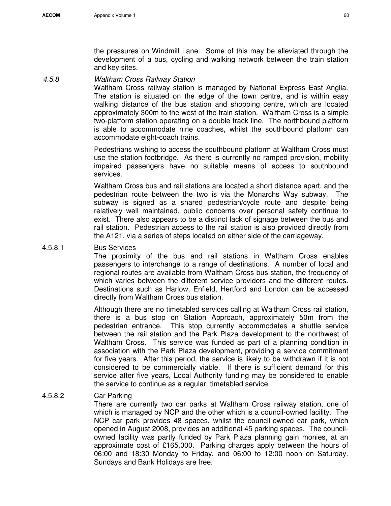the pressures on Windmill Lane. Some of this may be alleviated through the development of a bus, cycling and walking network between the train station and key sites.

#### 4.5.8 Waltham Cross Railway Station

Waltham Cross railway station is managed by National Express East Anglia. The station is situated on the edge of the town centre, and is within easy walking distance of the bus station and shopping centre, which are located approximately 300m to the west of the train station. Waltham Cross is a simple two-platform station operating on a double track line. The northbound platform is able to accommodate nine coaches, whilst the southbound platform can accommodate eight-coach trains.

Pedestrians wishing to access the southbound platform at Waltham Cross must use the station footbridge. As there is currently no ramped provision, mobility impaired passengers have no suitable means of access to southbound services.

Waltham Cross bus and rail stations are located a short distance apart, and the pedestrian route between the two is via the Monarchs Way subway. The subway is signed as a shared pedestrian/cycle route and despite being relatively well maintained, public concerns over personal safety continue to exist. There also appears to be a distinct lack of signage between the bus and rail station. Pedestrian access to the rail station is also provided directly from the A121, via a series of steps located on either side of the carriageway.

#### 4.5.8.1 Bus Services

The proximity of the bus and rail stations in Waltham Cross enables passengers to interchange to a range of destinations. A number of local and regional routes are available from Waltham Cross bus station, the frequency of which varies between the different service providers and the different routes. Destinations such as Harlow, Enfield, Hertford and London can be accessed directly from Waltham Cross bus station.

Although there are no timetabled services calling at Waltham Cross rail station, there is a bus stop on Station Approach, approximately 50m from the pedestrian entrance. This stop currently accommodates a shuttle service between the rail station and the Park Plaza development to the northwest of Waltham Cross. This service was funded as part of a planning condition in association with the Park Plaza development, providing a service commitment for five years. After this period, the service is likely to be withdrawn if it is not considered to be commercially viable. If there is sufficient demand for this service after five years, Local Authority funding may be considered to enable the service to continue as a regular, timetabled service.

#### 4.5.8.2 Car Parking

There are currently two car parks at Waltham Cross railway station, one of which is managed by NCP and the other which is a council-owned facility. The NCP car park provides 48 spaces, whilst the council-owned car park, which opened in August 2008, provides an additional 45 parking spaces. The councilowned facility was partly funded by Park Plaza planning gain monies, at an approximate cost of £165,000. Parking charges apply between the hours of 06:00 and 18:30 Monday to Friday, and 06:00 to 12:00 noon on Saturday. Sundays and Bank Holidays are free.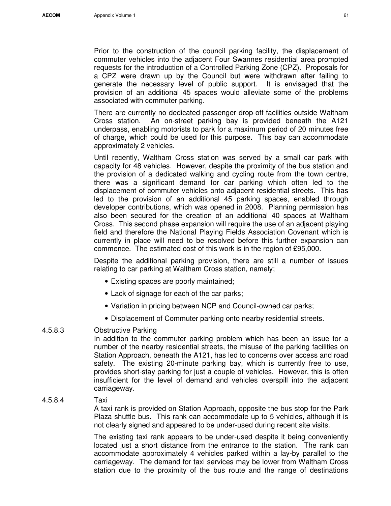Prior to the construction of the council parking facility, the displacement of commuter vehicles into the adjacent Four Swannes residential area prompted requests for the introduction of a Controlled Parking Zone (CPZ). Proposals for a CPZ were drawn up by the Council but were withdrawn after failing to generate the necessary level of public support. It is envisaged that the provision of an additional 45 spaces would alleviate some of the problems associated with commuter parking.

There are currently no dedicated passenger drop-off facilities outside Waltham Cross station. An on-street parking bay is provided beneath the A121 underpass, enabling motorists to park for a maximum period of 20 minutes free of charge, which could be used for this purpose. This bay can accommodate approximately 2 vehicles.

Until recently, Waltham Cross station was served by a small car park with capacity for 48 vehicles. However, despite the proximity of the bus station and the provision of a dedicated walking and cycling route from the town centre, there was a significant demand for car parking which often led to the displacement of commuter vehicles onto adjacent residential streets. This has led to the provision of an additional 45 parking spaces, enabled through developer contributions, which was opened in 2008. Planning permission has also been secured for the creation of an additional 40 spaces at Waltham Cross. This second phase expansion will require the use of an adjacent playing field and therefore the National Playing Fields Association Covenant which is currently in place will need to be resolved before this further expansion can commence. The estimated cost of this work is in the region of £95,000.

Despite the additional parking provision, there are still a number of issues relating to car parking at Waltham Cross station, namely;

- Existing spaces are poorly maintained;
- Lack of signage for each of the car parks;
- Variation in pricing between NCP and Council-owned car parks;
- Displacement of Commuter parking onto nearby residential streets.

#### 4.5.8.3 Obstructive Parking

In addition to the commuter parking problem which has been an issue for a number of the nearby residential streets, the misuse of the parking facilities on Station Approach, beneath the A121, has led to concerns over access and road safety. The existing 20-minute parking bay, which is currently free to use, provides short-stay parking for just a couple of vehicles. However, this is often insufficient for the level of demand and vehicles overspill into the adjacent carriageway.

#### 4.5.8.4 Taxi

A taxi rank is provided on Station Approach, opposite the bus stop for the Park Plaza shuttle bus. This rank can accommodate up to 5 vehicles, although it is not clearly signed and appeared to be under-used during recent site visits.

The existing taxi rank appears to be under-used despite it being conveniently located just a short distance from the entrance to the station. The rank can accommodate approximately 4 vehicles parked within a lay-by parallel to the carriageway. The demand for taxi services may be lower from Waltham Cross station due to the proximity of the bus route and the range of destinations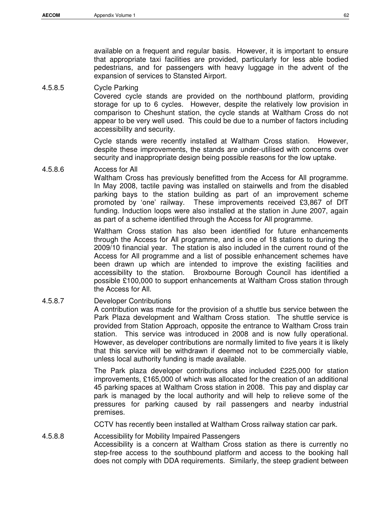available on a frequent and regular basis. However, it is important to ensure that appropriate taxi facilities are provided, particularly for less able bodied pedestrians, and for passengers with heavy luggage in the advent of the expansion of services to Stansted Airport.

#### 4.5.8.5 Cycle Parking

Covered cycle stands are provided on the northbound platform, providing storage for up to 6 cycles. However, despite the relatively low provision in comparison to Cheshunt station, the cycle stands at Waltham Cross do not appear to be very well used. This could be due to a number of factors including accessibility and security.

Cycle stands were recently installed at Waltham Cross station. However, despite these improvements, the stands are under-utilised with concerns over security and inappropriate design being possible reasons for the low uptake.

#### 4.5.8.6 Access for All

Waltham Cross has previously benefitted from the Access for All programme. In May 2008, tactile paving was installed on stairwells and from the disabled parking bays to the station building as part of an improvement scheme promoted by 'one' railway. These improvements received £3,867 of DfT funding. Induction loops were also installed at the station in June 2007, again as part of a scheme identified through the Access for All programme.

Waltham Cross station has also been identified for future enhancements through the Access for All programme, and is one of 18 stations to during the 2009/10 financial year. The station is also included in the current round of the Access for All programme and a list of possible enhancement schemes have been drawn up which are intended to improve the existing facilities and accessibility to the station. Broxbourne Borough Council has identified a possible £100,000 to support enhancements at Waltham Cross station through the Access for All.

#### 4.5.8.7 Developer Contributions

A contribution was made for the provision of a shuttle bus service between the Park Plaza development and Waltham Cross station. The shuttle service is provided from Station Approach, opposite the entrance to Waltham Cross train station. This service was introduced in 2008 and is now fully operational. However, as developer contributions are normally limited to five years it is likely that this service will be withdrawn if deemed not to be commercially viable, unless local authority funding is made available.

The Park plaza developer contributions also included £225,000 for station improvements, £165,000 of which was allocated for the creation of an additional 45 parking spaces at Waltham Cross station in 2008. This pay and display car park is managed by the local authority and will help to relieve some of the pressures for parking caused by rail passengers and nearby industrial premises.

CCTV has recently been installed at Waltham Cross railway station car park.

4.5.8.8 Accessibility for Mobility Impaired Passengers Accessibility is a concern at Waltham Cross station as there is currently no step-free access to the southbound platform and access to the booking hall does not comply with DDA requirements. Similarly, the steep gradient between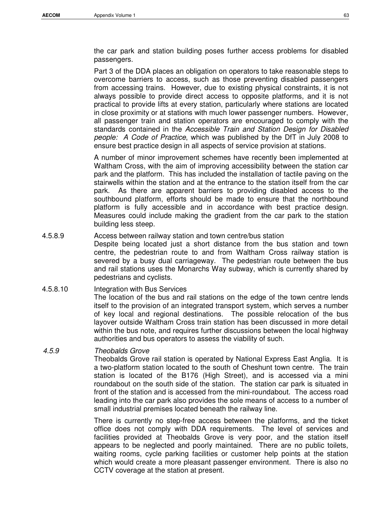the car park and station building poses further access problems for disabled passengers.

Part 3 of the DDA places an obligation on operators to take reasonable steps to overcome barriers to access, such as those preventing disabled passengers from accessing trains. However, due to existing physical constraints, it is not always possible to provide direct access to opposite platforms, and it is not practical to provide lifts at every station, particularly where stations are located in close proximity or at stations with much lower passenger numbers. However, all passenger train and station operators are encouraged to comply with the standards contained in the Accessible Train and Station Design for Disabled people: A Code of Practice, which was published by the DfT in July 2008 to ensure best practice design in all aspects of service provision at stations.

A number of minor improvement schemes have recently been implemented at Waltham Cross, with the aim of improving accessibility between the station car park and the platform. This has included the installation of tactile paving on the stairwells within the station and at the entrance to the station itself from the car park. As there are apparent barriers to providing disabled access to the southbound platform, efforts should be made to ensure that the northbound platform is fully accessible and in accordance with best practice design. Measures could include making the gradient from the car park to the station building less steep.

#### 4.5.8.9 Access between railway station and town centre/bus station

Despite being located just a short distance from the bus station and town centre, the pedestrian route to and from Waltham Cross railway station is severed by a busy dual carriageway. The pedestrian route between the bus and rail stations uses the Monarchs Way subway, which is currently shared by pedestrians and cyclists.

4.5.8.10 Integration with Bus Services The location of the bus and rail stations on the edge of the town centre lends itself to the provision of an integrated transport system, which serves a number of key local and regional destinations. The possible relocation of the bus layover outside Waltham Cross train station has been discussed in more detail within the bus note, and requires further discussions between the local highway authorities and bus operators to assess the viability of such.

#### 4.5.9 Theobalds Grove

Theobalds Grove rail station is operated by National Express East Anglia. It is a two-platform station located to the south of Cheshunt town centre. The train station is located of the B176 (High Street), and is accessed via a mini roundabout on the south side of the station. The station car park is situated in front of the station and is accessed from the mini-roundabout. The access road leading into the car park also provides the sole means of access to a number of small industrial premises located beneath the railway line.

There is currently no step-free access between the platforms, and the ticket office does not comply with DDA requirements. The level of services and facilities provided at Theobalds Grove is very poor, and the station itself appears to be neglected and poorly maintained. There are no public toilets, waiting rooms, cycle parking facilities or customer help points at the station which would create a more pleasant passenger environment. There is also no CCTV coverage at the station at present.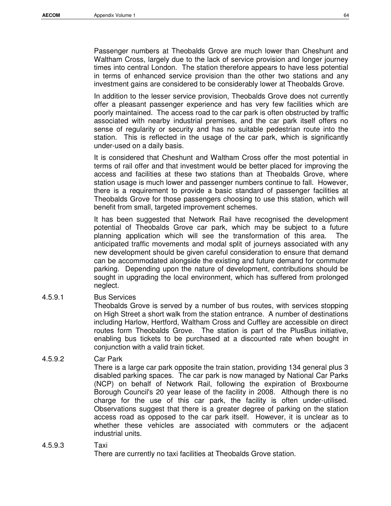Passenger numbers at Theobalds Grove are much lower than Cheshunt and Waltham Cross, largely due to the lack of service provision and longer journey times into central London. The station therefore appears to have less potential in terms of enhanced service provision than the other two stations and any investment gains are considered to be considerably lower at Theobalds Grove.

In addition to the lesser service provision, Theobalds Grove does not currently offer a pleasant passenger experience and has very few facilities which are poorly maintained. The access road to the car park is often obstructed by traffic associated with nearby industrial premises, and the car park itself offers no sense of regularity or security and has no suitable pedestrian route into the station. This is reflected in the usage of the car park, which is significantly under-used on a daily basis.

It is considered that Cheshunt and Waltham Cross offer the most potential in terms of rail offer and that investment would be better placed for improving the access and facilities at these two stations than at Theobalds Grove, where station usage is much lower and passenger numbers continue to fall. However, there is a requirement to provide a basic standard of passenger facilities at Theobalds Grove for those passengers choosing to use this station, which will benefit from small, targeted improvement schemes.

It has been suggested that Network Rail have recognised the development potential of Theobalds Grove car park, which may be subject to a future planning application which will see the transformation of this area. The anticipated traffic movements and modal split of journeys associated with any new development should be given careful consideration to ensure that demand can be accommodated alongside the existing and future demand for commuter parking. Depending upon the nature of development, contributions should be sought in upgrading the local environment, which has suffered from prolonged neglect.

#### 4.5.9.1 Bus Services

Theobalds Grove is served by a number of bus routes, with services stopping on High Street a short walk from the station entrance. A number of destinations including Harlow, Hertford, Waltham Cross and Cuffley are accessible on direct routes form Theobalds Grove. The station is part of the PlusBus initiative, enabling bus tickets to be purchased at a discounted rate when bought in conjunction with a valid train ticket.

#### 4.5.9.2 Car Park

There is a large car park opposite the train station, providing 134 general plus 3 disabled parking spaces. The car park is now managed by National Car Parks (NCP) on behalf of Network Rail, following the expiration of Broxbourne Borough Council's 20 year lease of the facility in 2008. Although there is no charge for the use of this car park, the facility is often under-utilised. Observations suggest that there is a greater degree of parking on the station access road as opposed to the car park itself. However, it is unclear as to whether these vehicles are associated with commuters or the adjacent industrial units.

#### 4.5.9.3 Taxi

There are currently no taxi facilities at Theobalds Grove station.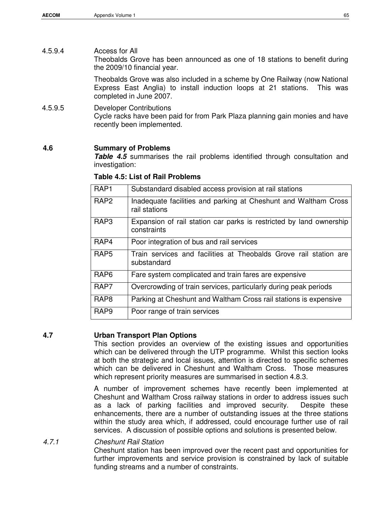# 4.5.9.4 Access for All Theobalds Grove has been announced as one of 18 stations to benefit during the 2009/10 financial year.

Theobalds Grove was also included in a scheme by One Railway (now National Express East Anglia) to install induction loops at 21 stations. This was completed in June 2007.

#### 4.5.9.5 Developer Contributions Cycle racks have been paid for from Park Plaza planning gain monies and have recently been implemented.

#### **4.6 Summary of Problems**

**Table 4.5** summarises the rail problems identified through consultation and investigation:

| RAP <sub>1</sub> | Substandard disabled access provision at rail stations                             |
|------------------|------------------------------------------------------------------------------------|
| RAP <sub>2</sub> | Inadequate facilities and parking at Cheshunt and Waltham Cross<br>rail stations   |
| RAP <sub>3</sub> | Expansion of rail station car parks is restricted by land ownership<br>constraints |
| RAP4             | Poor integration of bus and rail services                                          |
| RAP <sub>5</sub> | Train services and facilities at Theobalds Grove rail station are<br>substandard   |
| RAP <sub>6</sub> | Fare system complicated and train fares are expensive                              |
| RAP7             | Overcrowding of train services, particularly during peak periods                   |
| RAP <sub>8</sub> | Parking at Cheshunt and Waltham Cross rail stations is expensive                   |
| RAP <sub>9</sub> | Poor range of train services                                                       |

**Table 4.5: List of Rail Problems** 

#### **4.7 Urban Transport Plan Options**

This section provides an overview of the existing issues and opportunities which can be delivered through the UTP programme. Whilst this section looks at both the strategic and local issues, attention is directed to specific schemes which can be delivered in Cheshunt and Waltham Cross. Those measures which represent priority measures are summarised in section 4.8.3.

A number of improvement schemes have recently been implemented at Cheshunt and Waltham Cross railway stations in order to address issues such as a lack of parking facilities and improved security. Despite these enhancements, there are a number of outstanding issues at the three stations within the study area which, if addressed, could encourage further use of rail services. A discussion of possible options and solutions is presented below.

# 4.7.1 Cheshunt Rail Station

Cheshunt station has been improved over the recent past and opportunities for further improvements and service provision is constrained by lack of suitable funding streams and a number of constraints.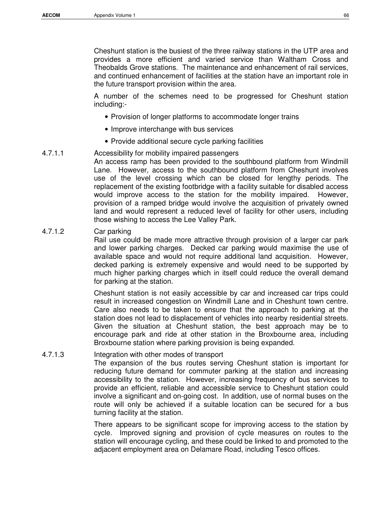Cheshunt station is the busiest of the three railway stations in the UTP area and provides a more efficient and varied service than Waltham Cross and Theobalds Grove stations. The maintenance and enhancement of rail services, and continued enhancement of facilities at the station have an important role in the future transport provision within the area.

A number of the schemes need to be progressed for Cheshunt station including:-

- Provision of longer platforms to accommodate longer trains
- Improve interchange with bus services
- Provide additional secure cycle parking facilities

#### 4.7.1.1 Accessibility for mobility impaired passengers

An access ramp has been provided to the southbound platform from Windmill Lane. However, access to the southbound platform from Cheshunt involves use of the level crossing which can be closed for lengthy periods. The replacement of the existing footbridge with a facility suitable for disabled access would improve access to the station for the mobility impaired. However, provision of a ramped bridge would involve the acquisition of privately owned land and would represent a reduced level of facility for other users, including those wishing to access the Lee Valley Park.

#### 4.7.1.2 Car parking

Rail use could be made more attractive through provision of a larger car park and lower parking charges. Decked car parking would maximise the use of available space and would not require additional land acquisition. However, decked parking is extremely expensive and would need to be supported by much higher parking charges which in itself could reduce the overall demand for parking at the station.

Cheshunt station is not easily accessible by car and increased car trips could result in increased congestion on Windmill Lane and in Cheshunt town centre. Care also needs to be taken to ensure that the approach to parking at the station does not lead to displacement of vehicles into nearby residential streets. Given the situation at Cheshunt station, the best approach may be to encourage park and ride at other station in the Broxbourne area, including Broxbourne station where parking provision is being expanded.

#### 4.7.1.3 Integration with other modes of transport The expansion of the bus routes serving Cheshunt station is important for reducing future demand for commuter parking at the station and increasing accessibility to the station. However, increasing frequency of bus services to provide an efficient, reliable and accessible service to Cheshunt station could involve a significant and on-going cost. In addition, use of normal buses on the route will only be achieved if a suitable location can be secured for a bus turning facility at the station.

There appears to be significant scope for improving access to the station by cycle. Improved signing and provision of cycle measures on routes to the station will encourage cycling, and these could be linked to and promoted to the adjacent employment area on Delamare Road, including Tesco offices.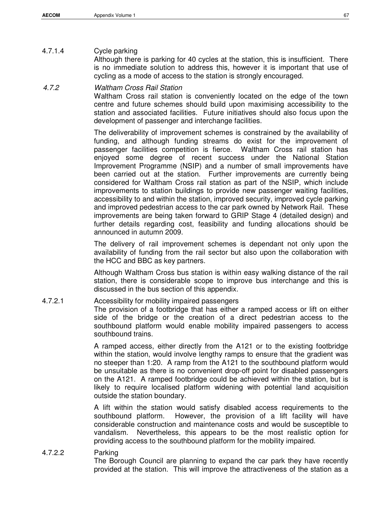# 4.7.1.4 Cycle parking

Although there is parking for 40 cycles at the station, this is insufficient. There is no immediate solution to address this, however it is important that use of cycling as a mode of access to the station is strongly encouraged.

## 4.7.2 Waltham Cross Rail Station

Waltham Cross rail station is conveniently located on the edge of the town centre and future schemes should build upon maximising accessibility to the station and associated facilities. Future initiatives should also focus upon the development of passenger and interchange facilities.

The deliverability of improvement schemes is constrained by the availability of funding, and although funding streams do exist for the improvement of passenger facilities competition is fierce. Waltham Cross rail station has enjoyed some degree of recent success under the National Station Improvement Programme (NSIP) and a number of small improvements have been carried out at the station. Further improvements are currently being considered for Waltham Cross rail station as part of the NSIP, which include improvements to station buildings to provide new passenger waiting facilities, accessibility to and within the station, improved security, improved cycle parking and improved pedestrian access to the car park owned by Network Rail. These improvements are being taken forward to GRIP Stage 4 (detailed design) and further details regarding cost, feasibility and funding allocations should be announced in autumn 2009.

The delivery of rail improvement schemes is dependant not only upon the availability of funding from the rail sector but also upon the collaboration with the HCC and BBC as key partners.

Although Waltham Cross bus station is within easy walking distance of the rail station, there is considerable scope to improve bus interchange and this is discussed in the bus section of this appendix.

# 4.7.2.1 Accessibility for mobility impaired passengers

The provision of a footbridge that has either a ramped access or lift on either side of the bridge or the creation of a direct pedestrian access to the southbound platform would enable mobility impaired passengers to access southbound trains.

A ramped access, either directly from the A121 or to the existing footbridge within the station, would involve lengthy ramps to ensure that the gradient was no steeper than 1:20. A ramp from the A121 to the southbound platform would be unsuitable as there is no convenient drop-off point for disabled passengers on the A121. A ramped footbridge could be achieved within the station, but is likely to require localised platform widening with potential land acquisition outside the station boundary.

A lift within the station would satisfy disabled access requirements to the southbound platform. However, the provision of a lift facility will have considerable construction and maintenance costs and would be susceptible to vandalism. Nevertheless, this appears to be the most realistic option for providing access to the southbound platform for the mobility impaired.

# 4.7.2.2 Parking

The Borough Council are planning to expand the car park they have recently provided at the station. This will improve the attractiveness of the station as a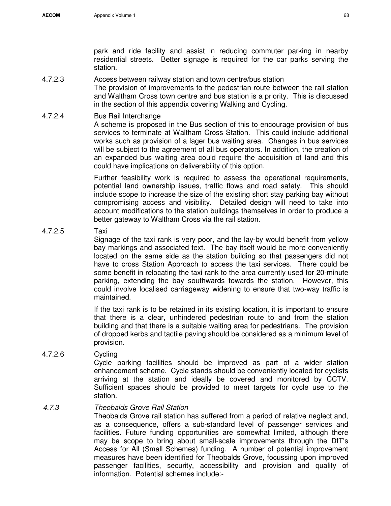park and ride facility and assist in reducing commuter parking in nearby residential streets. Better signage is required for the car parks serving the station.

4.7.2.3 Access between railway station and town centre/bus station

The provision of improvements to the pedestrian route between the rail station and Waltham Cross town centre and bus station is a priority. This is discussed in the section of this appendix covering Walking and Cycling.

4.7.2.4 Bus Rail Interchange

A scheme is proposed in the Bus section of this to encourage provision of bus services to terminate at Waltham Cross Station. This could include additional works such as provision of a lager bus waiting area. Changes in bus services will be subject to the agreement of all bus operators. In addition, the creation of an expanded bus waiting area could require the acquisition of land and this could have implications on deliverability of this option.

Further feasibility work is required to assess the operational requirements, potential land ownership issues, traffic flows and road safety. This should include scope to increase the size of the existing short stay parking bay without compromising access and visibility. Detailed design will need to take into account modifications to the station buildings themselves in order to produce a better gateway to Waltham Cross via the rail station.

### 4.7.2.5 Taxi

Signage of the taxi rank is very poor, and the lay-by would benefit from yellow bay markings and associated text. The bay itself would be more conveniently located on the same side as the station building so that passengers did not have to cross Station Approach to access the taxi services. There could be some benefit in relocating the taxi rank to the area currently used for 20-minute parking, extending the bay southwards towards the station. However, this could involve localised carriageway widening to ensure that two-way traffic is maintained.

If the taxi rank is to be retained in its existing location, it is important to ensure that there is a clear, unhindered pedestrian route to and from the station building and that there is a suitable waiting area for pedestrians. The provision of dropped kerbs and tactile paving should be considered as a minimum level of provision.

4.7.2.6 Cycling Cycle parking facilities should be improved as part of a wider station enhancement scheme. Cycle stands should be conveniently located for cyclists arriving at the station and ideally be covered and monitored by CCTV. Sufficient spaces should be provided to meet targets for cycle use to the station.

# 4.7.3 Theobalds Grove Rail Station

Theobalds Grove rail station has suffered from a period of relative neglect and, as a consequence, offers a sub-standard level of passenger services and facilities. Future funding opportunities are somewhat limited, although there may be scope to bring about small-scale improvements through the DfT's Access for All (Small Schemes) funding. A number of potential improvement measures have been identified for Theobalds Grove, focussing upon improved passenger facilities, security, accessibility and provision and quality of information. Potential schemes include:-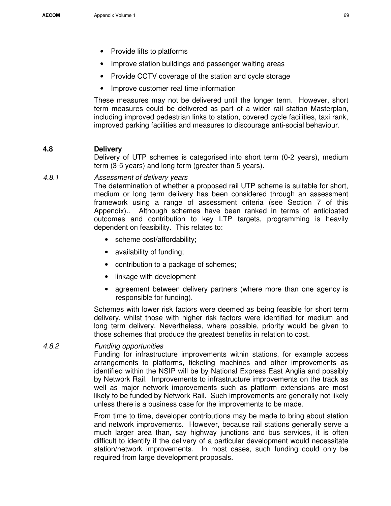- Provide lifts to platforms
- Improve station buildings and passenger waiting areas
- Provide CCTV coverage of the station and cycle storage
- Improve customer real time information

These measures may not be delivered until the longer term. However, short term measures could be delivered as part of a wider rail station Masterplan, including improved pedestrian links to station, covered cycle facilities, taxi rank, improved parking facilities and measures to discourage anti-social behaviour.

#### **4.8 Delivery**

Delivery of UTP schemes is categorised into short term (0-2 years), medium term (3-5 years) and long term (greater than 5 years).

#### 4.8.1 Assessment of delivery years

The determination of whether a proposed rail UTP scheme is suitable for short, medium or long term delivery has been considered through an assessment framework using a range of assessment criteria (see Section 7 of this Appendix).. Although schemes have been ranked in terms of anticipated outcomes and contribution to key LTP targets, programming is heavily dependent on feasibility. This relates to:

- scheme cost/affordability;
- availability of funding;
- contribution to a package of schemes;
- linkage with development
- agreement between delivery partners (where more than one agency is responsible for funding).

Schemes with lower risk factors were deemed as being feasible for short term delivery, whilst those with higher risk factors were identified for medium and long term delivery. Nevertheless, where possible, priority would be given to those schemes that produce the greatest benefits in relation to cost.

#### 4.8.2 Funding opportunities

Funding for infrastructure improvements within stations, for example access arrangements to platforms, ticketing machines and other improvements as identified within the NSIP will be by National Express East Anglia and possibly by Network Rail. Improvements to infrastructure improvements on the track as well as major network improvements such as platform extensions are most likely to be funded by Network Rail. Such improvements are generally not likely unless there is a business case for the improvements to be made.

From time to time, developer contributions may be made to bring about station and network improvements. However, because rail stations generally serve a much larger area than, say highway junctions and bus services, it is often difficult to identify if the delivery of a particular development would necessitate station/network improvements. In most cases, such funding could only be required from large development proposals.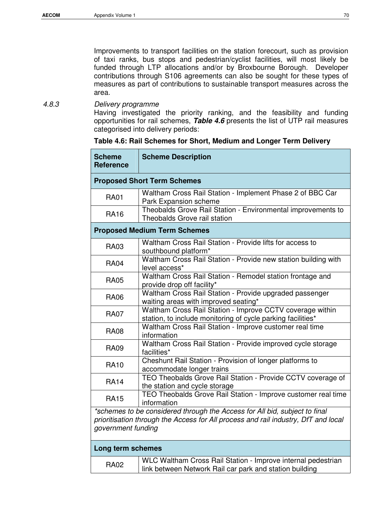Improvements to transport facilities on the station forecourt, such as provision of taxi ranks, bus stops and pedestrian/cyclist facilities, will most likely be funded through LTP allocations and/or by Broxbourne Borough. Developer contributions through S106 agreements can also be sought for these types of measures as part of contributions to sustainable transport measures across the area.

# 4.8.3 Delivery programme

Having investigated the priority ranking, and the feasibility and funding opportunities for rail schemes, **Table 4.6** presents the list of UTP rail measures categorised into delivery periods:

| <b>Scheme</b><br><b>Reference</b> | <b>Scheme Description</b>                                                                                                                                        |  |  |  |  |
|-----------------------------------|------------------------------------------------------------------------------------------------------------------------------------------------------------------|--|--|--|--|
|                                   | <b>Proposed Short Term Schemes</b>                                                                                                                               |  |  |  |  |
| <b>RA01</b>                       | Waltham Cross Rail Station - Implement Phase 2 of BBC Car<br>Park Expansion scheme                                                                               |  |  |  |  |
| <b>RA16</b>                       | Theobalds Grove Rail Station - Environmental improvements to<br>Theobalds Grove rail station                                                                     |  |  |  |  |
|                                   | <b>Proposed Medium Term Schemes</b>                                                                                                                              |  |  |  |  |
| <b>RA03</b>                       | Waltham Cross Rail Station - Provide lifts for access to<br>southbound platform*                                                                                 |  |  |  |  |
| <b>RA04</b>                       | Waltham Cross Rail Station - Provide new station building with<br>level access*                                                                                  |  |  |  |  |
| <b>RA05</b>                       | Waltham Cross Rail Station - Remodel station frontage and<br>provide drop off facility*                                                                          |  |  |  |  |
| <b>RA06</b>                       | Waltham Cross Rail Station - Provide upgraded passenger<br>waiting areas with improved seating*                                                                  |  |  |  |  |
| <b>RA07</b>                       | Waltham Cross Rail Station - Improve CCTV coverage within<br>station, to include monitoring of cycle parking facilities*                                         |  |  |  |  |
| <b>RA08</b>                       | Waltham Cross Rail Station - Improve customer real time<br>information                                                                                           |  |  |  |  |
| <b>RA09</b>                       | Waltham Cross Rail Station - Provide improved cycle storage<br>facilities*                                                                                       |  |  |  |  |
| <b>RA10</b>                       | Cheshunt Rail Station - Provision of longer platforms to<br>accommodate longer trains                                                                            |  |  |  |  |
| <b>RA14</b>                       | TEO Theobalds Grove Rail Station - Provide CCTV coverage of<br>the station and cycle storage                                                                     |  |  |  |  |
| <b>RA15</b>                       | TEO Theobalds Grove Rail Station - Improve customer real time<br>information                                                                                     |  |  |  |  |
| government funding                | *schemes to be considered through the Access for All bid, subject to final<br>prioritisation through the Access for All process and rail industry, DfT and local |  |  |  |  |

## **Table 4.6: Rail Schemes for Short, Medium and Longer Term Delivery**

### **Long term schemes**

| <b>RA02</b> | <b>WLC Waltham Cross Rail Station - Improve internal pedestrian</b> |
|-------------|---------------------------------------------------------------------|
|             | I link between Network Rail car park and station building           |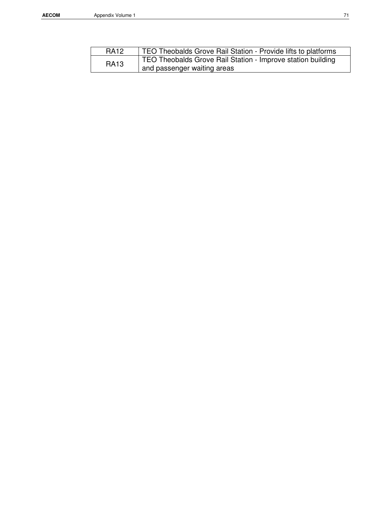| <b>RA12</b> | TEO Theobalds Grove Rail Station - Provide lifts to platforms |
|-------------|---------------------------------------------------------------|
| <b>RA13</b> | TEO Theobalds Grove Rail Station - Improve station building   |
|             | and passenger waiting areas                                   |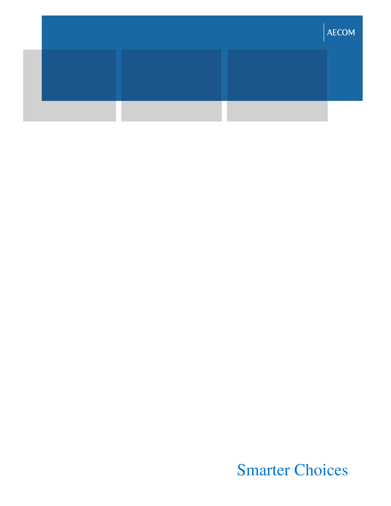|  | <b>AECOM</b> |
|--|--------------|
|  |              |
|  |              |

Smarter Choices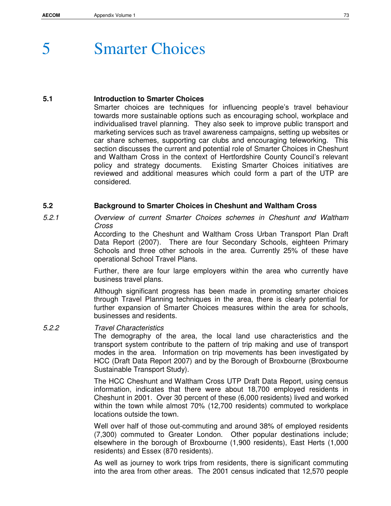# 5 Smarter Choices

## **5.1 Introduction to Smarter Choices**

Smarter choices are techniques for influencing people's travel behaviour towards more sustainable options such as encouraging school, workplace and individualised travel planning. They also seek to improve public transport and marketing services such as travel awareness campaigns, setting up websites or car share schemes, supporting car clubs and encouraging teleworking. This section discusses the current and potential role of Smarter Choices in Cheshunt and Waltham Cross in the context of Hertfordshire County Council's relevant policy and strategy documents. Existing Smarter Choices initiatives are reviewed and additional measures which could form a part of the UTP are considered.

# **5.2 Background to Smarter Choices in Cheshunt and Waltham Cross**

5.2.1 Overview of current Smarter Choices schemes in Cheshunt and Waltham Cross

According to the Cheshunt and Waltham Cross Urban Transport Plan Draft Data Report (2007). There are four Secondary Schools, eighteen Primary Schools and three other schools in the area. Currently 25% of these have operational School Travel Plans.

Further, there are four large employers within the area who currently have business travel plans.

Although significant progress has been made in promoting smarter choices through Travel Planning techniques in the area, there is clearly potential for further expansion of Smarter Choices measures within the area for schools, businesses and residents.

# 5.2.2 Travel Characteristics

The demography of the area, the local land use characteristics and the transport system contribute to the pattern of trip making and use of transport modes in the area. Information on trip movements has been investigated by HCC (Draft Data Report 2007) and by the Borough of Broxbourne (Broxbourne Sustainable Transport Study).

The HCC Cheshunt and Waltham Cross UTP Draft Data Report, using census information, indicates that there were about 18,700 employed residents in Cheshunt in 2001. Over 30 percent of these (6,000 residents) lived and worked within the town while almost 70% (12,700 residents) commuted to workplace locations outside the town.

Well over half of those out-commuting and around 38% of employed residents (7,300) commuted to Greater London. Other popular destinations include; elsewhere in the borough of Broxbourne (1,900 residents), East Herts (1,000 residents) and Essex (870 residents).

As well as journey to work trips from residents, there is significant commuting into the area from other areas. The 2001 census indicated that 12,570 people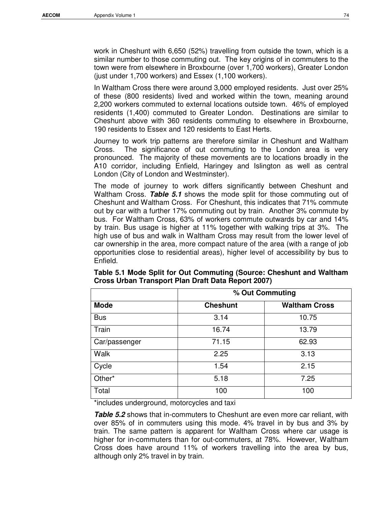work in Cheshunt with 6,650 (52%) travelling from outside the town, which is a similar number to those commuting out. The key origins of in commuters to the town were from elsewhere in Broxbourne (over 1,700 workers), Greater London (just under 1,700 workers) and Essex (1,100 workers).

In Waltham Cross there were around 3,000 employed residents. Just over 25% of these (800 residents) lived and worked within the town, meaning around 2,200 workers commuted to external locations outside town. 46% of employed residents (1,400) commuted to Greater London. Destinations are similar to Cheshunt above with 360 residents commuting to elsewhere in Broxbourne, 190 residents to Essex and 120 residents to East Herts.

Journey to work trip patterns are therefore similar in Cheshunt and Waltham Cross. The significance of out commuting to the London area is very pronounced. The majority of these movements are to locations broadly in the A10 corridor, including Enfield, Haringey and Islington as well as central London (City of London and Westminster).

The mode of journey to work differs significantly between Cheshunt and Waltham Cross. **Table 5.1** shows the mode split for those commuting out of Cheshunt and Waltham Cross. For Cheshunt, this indicates that 71% commute out by car with a further 17% commuting out by train. Another 3% commute by bus. For Waltham Cross, 63% of workers commute outwards by car and 14% by train. Bus usage is higher at 11% together with walking trips at 3%. The high use of bus and walk in Waltham Cross may result from the lower level of car ownership in the area, more compact nature of the area (with a range of job opportunities close to residential areas), higher level of accessibility by bus to Enfield.

|               | % Out Commuting |                      |  |  |  |
|---------------|-----------------|----------------------|--|--|--|
| <b>Mode</b>   | <b>Cheshunt</b> | <b>Waltham Cross</b> |  |  |  |
| <b>Bus</b>    | 3.14            | 10.75                |  |  |  |
| Train         | 16.74           | 13.79                |  |  |  |
| Car/passenger | 71.15           | 62.93                |  |  |  |
| Walk          | 2.25            | 3.13                 |  |  |  |
| Cycle         | 1.54            | 2.15                 |  |  |  |
| Other*        | 5.18            | 7.25                 |  |  |  |
| Total         | 100             | 100                  |  |  |  |

**Table 5.1 Mode Split for Out Commuting (Source: Cheshunt and Waltham Cross Urban Transport Plan Draft Data Report 2007)** 

\*includes underground, motorcycles and taxi

**Table 5.2** shows that in-commuters to Cheshunt are even more car reliant, with over 85% of in commuters using this mode. 4% travel in by bus and 3% by train. The same pattern is apparent for Waltham Cross where car usage is higher for in-commuters than for out-commuters, at 78%. However, Waltham Cross does have around 11% of workers travelling into the area by bus, although only 2% travel in by train.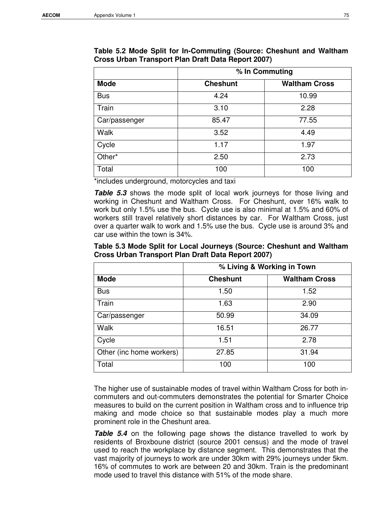|               | % In Commuting  |                      |  |  |  |
|---------------|-----------------|----------------------|--|--|--|
| <b>Mode</b>   | <b>Cheshunt</b> | <b>Waltham Cross</b> |  |  |  |
| <b>Bus</b>    | 4.24            | 10.99                |  |  |  |
| Train         | 3.10            | 2.28                 |  |  |  |
| Car/passenger | 85.47           | 77.55                |  |  |  |
| Walk          | 3.52            | 4.49                 |  |  |  |
| Cycle         | 1.17            | 1.97                 |  |  |  |
| Other*        | 2.50            | 2.73                 |  |  |  |
| Total         | 100             | 100                  |  |  |  |

**Table 5.2 Mode Split for In-Commuting (Source: Cheshunt and Waltham Cross Urban Transport Plan Draft Data Report 2007)** 

\*includes underground, motorcycles and taxi

**Table 5.3** shows the mode split of local work journeys for those living and working in Cheshunt and Waltham Cross. For Cheshunt, over 16% walk to work but only 1.5% use the bus. Cycle use is also minimal at 1.5% and 60% of workers still travel relatively short distances by car. For Waltham Cross, just over a quarter walk to work and 1.5% use the bus. Cycle use is around 3% and car use within the town is 34%.

| Table 5.3 Mode Split for Local Journeys (Source: Cheshunt and Waltham |
|-----------------------------------------------------------------------|
| Cross Urban Transport Plan Draft Data Report 2007)                    |

|                          | % Living & Working in Town |                      |  |  |  |
|--------------------------|----------------------------|----------------------|--|--|--|
| <b>Mode</b>              | <b>Cheshunt</b>            | <b>Waltham Cross</b> |  |  |  |
| <b>Bus</b>               | 1.50                       | 1.52                 |  |  |  |
| Train                    | 1.63                       | 2.90                 |  |  |  |
| Car/passenger            | 50.99                      | 34.09                |  |  |  |
| Walk                     | 16.51                      | 26.77                |  |  |  |
| Cycle                    | 1.51                       | 2.78                 |  |  |  |
| Other (inc home workers) | 27.85                      | 31.94                |  |  |  |
| Total                    | 100                        | 100                  |  |  |  |

The higher use of sustainable modes of travel within Waltham Cross for both incommuters and out-commuters demonstrates the potential for Smarter Choice measures to build on the current position in Waltham cross and to influence trip making and mode choice so that sustainable modes play a much more prominent role in the Cheshunt area.

**Table 5.4** on the following page shows the distance travelled to work by residents of Broxboune district (source 2001 census) and the mode of travel used to reach the workplace by distance segment. This demonstrates that the vast majority of journeys to work are under 30km with 29% journeys under 5km. 16% of commutes to work are between 20 and 30km. Train is the predominant mode used to travel this distance with 51% of the mode share.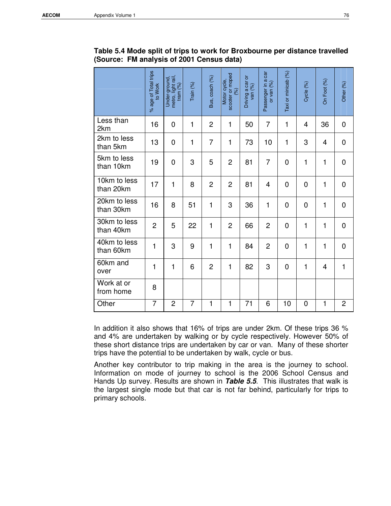|                           | % age of Total trips<br>to Work | metro, light rail,<br>Under-ground,<br>tram $(%)$ | Train (%)      | Bus, coach (%) | scooter or moped<br>Motor cycle,<br>(96) | Driving a car or<br>van $(%)$ | Passenger in a car<br>or van (%) | Taxi or minicab (%) | Cycle (%)    | On Foot (%) | Other (%)      |
|---------------------------|---------------------------------|---------------------------------------------------|----------------|----------------|------------------------------------------|-------------------------------|----------------------------------|---------------------|--------------|-------------|----------------|
| Less than<br>2km          | 16                              | $\overline{0}$                                    | 1              | $\overline{2}$ | 1                                        | 50                            | $\overline{7}$                   | $\mathbf{1}$        | 4            | 36          | $\mathbf 0$    |
| 2km to less<br>than 5km   | 13                              | 0                                                 | 1              | $\overline{7}$ | 1                                        | 73                            | 10                               | 1                   | 3            | 4           | $\mathbf 0$    |
| 5km to less<br>than 10km  | 19                              | $\overline{0}$                                    | 3              | 5              | $\overline{2}$                           | 81                            | $\overline{7}$                   | $\overline{0}$      | 1            | 1           | $\overline{0}$ |
| 10km to less<br>than 20km | 17                              | $\mathbf{1}$                                      | 8              | $\overline{2}$ | $\overline{2}$                           | 81                            | $\overline{4}$                   | $\overline{0}$      | 0            | 1           | $\mathbf 0$    |
| 20km to less<br>than 30km | 16                              | 8                                                 | 51             | $\mathbf{1}$   | 3                                        | 36                            | 1                                | 0                   | 0            | 1           | $\mathbf 0$    |
| 30km to less<br>than 40km | $\overline{2}$                  | 5                                                 | 22             | $\mathbf{1}$   | $\overline{c}$                           | 66                            | $\overline{2}$                   | 0                   | $\mathbf{1}$ | 1           | 0              |
| 40km to less<br>than 60km | 1                               | 3                                                 | 9              | $\mathbf{1}$   | 1                                        | 84                            | $\overline{c}$                   | $\overline{0}$      | 1            | 1           | $\mathbf 0$    |
| 60km and<br>over          | $\mathbf{1}$                    | $\mathbf{1}$                                      | 6              | $\overline{2}$ | 1                                        | 82                            | 3                                | $\overline{0}$      | $\mathbf{1}$ | 4           | $\mathbf{1}$   |
| Work at or<br>from home   | 8                               |                                                   |                |                |                                          |                               |                                  |                     |              |             |                |
| Other                     | $\overline{7}$                  | $\overline{2}$                                    | $\overline{7}$ | $\mathbf{1}$   | 1                                        | 71                            | 6                                | 10                  | 0            | 1           | $\overline{2}$ |

**Table 5.4 Mode split of trips to work for Broxbourne per distance travelled (Source: FM analysis of 2001 Census data)** 

In addition it also shows that 16% of trips are under 2km. Of these trips 36 % and 4% are undertaken by walking or by cycle respectively. However 50% of these short distance trips are undertaken by car or van. Many of these shorter trips have the potential to be undertaken by walk, cycle or bus.

Another key contributor to trip making in the area is the journey to school. Information on mode of journey to school is the 2006 School Census and Hands Up survey. Results are shown in **Table 5.5**. This illustrates that walk is the largest single mode but that car is not far behind, particularly for trips to primary schools.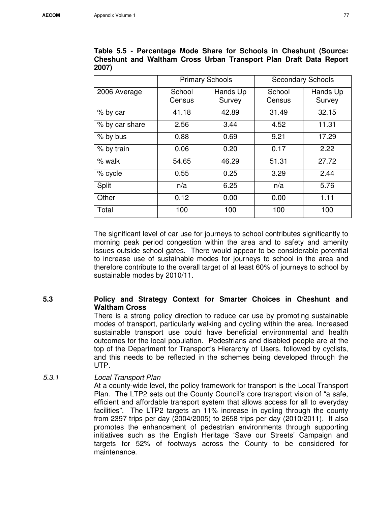|                |                  | <b>Primary Schools</b> |                  | <b>Secondary Schools</b> |
|----------------|------------------|------------------------|------------------|--------------------------|
| 2006 Average   | School<br>Census | Hands Up<br>Survey     | School<br>Census | Hands Up<br>Survey       |
| % by car       | 41.18            | 42.89                  | 31.49            | 32.15                    |
| % by car share | 2.56             | 3.44                   | 4.52             | 11.31                    |
| % by bus       | 0.88             | 0.69                   | 9.21             | 17.29                    |
| % by train     | 0.06             | 0.20                   | 0.17             | 2.22                     |
| $%$ walk       | 54.65            | 46.29                  | 51.31            | 27.72                    |
| % cycle        | 0.55             | 0.25                   | 3.29             | 2.44                     |
| <b>Split</b>   | n/a              | 6.25                   | n/a              | 5.76                     |
| Other          | 0.12             | 0.00                   | 0.00             | 1.11                     |
| Total          | 100              | 100                    | 100              | 100                      |

**Table 5.5 - Percentage Mode Share for Schools in Cheshunt (Source: Cheshunt and Waltham Cross Urban Transport Plan Draft Data Report 2007)** 

The significant level of car use for journeys to school contributes significantly to morning peak period congestion within the area and to safety and amenity issues outside school gates. There would appear to be considerable potential to increase use of sustainable modes for journeys to school in the area and therefore contribute to the overall target of at least 60% of journeys to school by sustainable modes by 2010/11.

# **5.3 Policy and Strategy Context for Smarter Choices in Cheshunt and Waltham Cross**

There is a strong policy direction to reduce car use by promoting sustainable modes of transport, particularly walking and cycling within the area. Increased sustainable transport use could have beneficial environmental and health outcomes for the local population. Pedestrians and disabled people are at the top of the Department for Transport's Hierarchy of Users, followed by cyclists, and this needs to be reflected in the schemes being developed through the UTP.

5.3.1 Local Transport Plan

At a county-wide level, the policy framework for transport is the Local Transport Plan. The LTP2 sets out the County Council's core transport vision of "a safe, efficient and affordable transport system that allows access for all to everyday facilities". The LTP2 targets an 11% increase in cycling through the county from 2397 trips per day (2004/2005) to 2658 trips per day (2010/2011). It also promotes the enhancement of pedestrian environments through supporting initiatives such as the English Heritage 'Save our Streets' Campaign and targets for 52% of footways across the County to be considered for maintenance.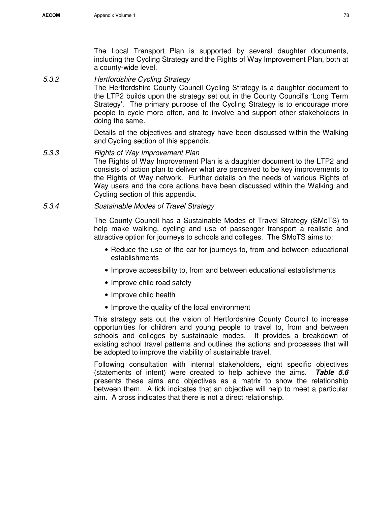The Local Transport Plan is supported by several daughter documents, including the Cycling Strategy and the Rights of Way Improvement Plan, both at a county-wide level.

### 5.3.2 Hertfordshire Cycling Strategy

The Hertfordshire County Council Cycling Strategy is a daughter document to the LTP2 builds upon the strategy set out in the County Council's 'Long Term Strategy'. The primary purpose of the Cycling Strategy is to encourage more people to cycle more often, and to involve and support other stakeholders in doing the same.

Details of the objectives and strategy have been discussed within the Walking and Cycling section of this appendix.

#### 5.3.3 Rights of Way Improvement Plan

The Rights of Way Improvement Plan is a daughter document to the LTP2 and consists of action plan to deliver what are perceived to be key improvements to the Rights of Way network. Further details on the needs of various Rights of Way users and the core actions have been discussed within the Walking and Cycling section of this appendix.

#### 5.3.4 Sustainable Modes of Travel Strategy

The County Council has a Sustainable Modes of Travel Strategy (SMoTS) to help make walking, cycling and use of passenger transport a realistic and attractive option for journeys to schools and colleges. The SMoTS aims to:

- Reduce the use of the car for journeys to, from and between educational establishments
- Improve accessibility to, from and between educational establishments
- Improve child road safety
- Improve child health
- Improve the quality of the local environment

This strategy sets out the vision of Hertfordshire County Council to increase opportunities for children and young people to travel to, from and between schools and colleges by sustainable modes. It provides a breakdown of existing school travel patterns and outlines the actions and processes that will be adopted to improve the viability of sustainable travel.

Following consultation with internal stakeholders, eight specific objectives (statements of intent) were created to help achieve the aims. **Table 5.6** presents these aims and objectives as a matrix to show the relationship between them. A tick indicates that an objective will help to meet a particular aim. A cross indicates that there is not a direct relationship.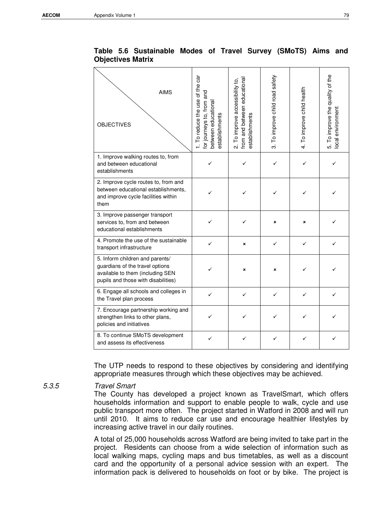$\overline{\phantom{0}}$ 

| <b>AIMS</b><br><b>OBJECTIVES</b>                                                                                                              | 1. To reduce the use of the car<br>and<br>for journeys to, from<br>between educational<br>establishments | from and between educational<br>2. To improve accessibility to,<br>establishments | 3. To improve child road safety | 4. To improve child health | 5. To improve the quality of the<br>ocal environment |
|-----------------------------------------------------------------------------------------------------------------------------------------------|----------------------------------------------------------------------------------------------------------|-----------------------------------------------------------------------------------|---------------------------------|----------------------------|------------------------------------------------------|
| 1. Improve walking routes to, from<br>and between educational<br>establishments                                                               | ✓                                                                                                        | ✓                                                                                 | ✓                               | ✓                          |                                                      |
| 2. Improve cycle routes to, from and<br>between educational establishments,<br>and improve cycle facilities within<br>them                    |                                                                                                          |                                                                                   | ✓                               |                            |                                                      |
| 3. Improve passenger transport<br>services to, from and between<br>educational establishments                                                 |                                                                                                          |                                                                                   | ×                               | ×                          |                                                      |
| 4. Promote the use of the sustainable<br>transport infrastructure                                                                             |                                                                                                          | ×                                                                                 | ✓                               |                            |                                                      |
| 5. Inform children and parents/<br>guardians of the travel options<br>available to them (including SEN<br>pupils and those with disabilities) |                                                                                                          | ×                                                                                 | ×                               |                            |                                                      |
| 6. Engage all schools and colleges in<br>the Travel plan process                                                                              | ✓                                                                                                        | ✓                                                                                 | ✓                               | ✓                          |                                                      |
| 7. Encourage partnership working and<br>strengthen links to other plans,<br>policies and initiatives                                          |                                                                                                          |                                                                                   |                                 |                            |                                                      |
| 8. To continue SMoTS development<br>and assess its effectiveness                                                                              | ✓                                                                                                        |                                                                                   |                                 |                            | ✓                                                    |

**Table 5.6 Sustainable Modes of Travel Survey (SMoTS) Aims and Objectives Matrix** 

The UTP needs to respond to these objectives by considering and identifying appropriate measures through which these objectives may be achieved.

#### 5.3.5 Travel Smart

The County has developed a project known as TravelSmart, which offers households information and support to enable people to walk, cycle and use public transport more often. The project started in Watford in 2008 and will run until 2010. It aims to reduce car use and encourage healthier lifestyles by increasing active travel in our daily routines.

A total of 25,000 households across Watford are being invited to take part in the project. Residents can choose from a wide selection of information such as local walking maps, cycling maps and bus timetables, as well as a discount card and the opportunity of a personal advice session with an expert. The information pack is delivered to households on foot or by bike. The project is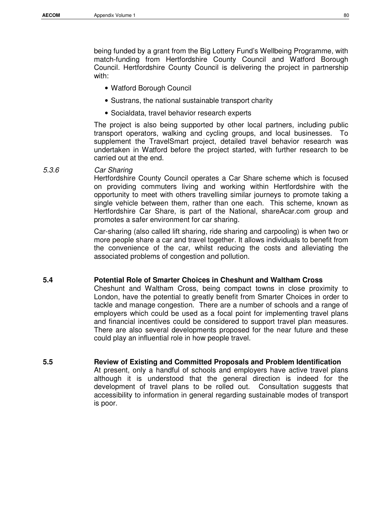being funded by a grant from the Big Lottery Fund's Wellbeing Programme, with match-funding from Hertfordshire County Council and Watford Borough Council. Hertfordshire County Council is delivering the project in partnership with:

- Watford Borough Council
- Sustrans, the national sustainable transport charity
- Socialdata, travel behavior research experts

The project is also being supported by other local partners, including public transport operators, walking and cycling groups, and local businesses. To supplement the TravelSmart project, detailed travel behavior research was undertaken in Watford before the project started, with further research to be carried out at the end.

5.3.6 Car Sharing

Hertfordshire County Council operates a Car Share scheme which is focused on providing commuters living and working within Hertfordshire with the opportunity to meet with others travelling similar journeys to promote taking a single vehicle between them, rather than one each. This scheme, known as Hertfordshire Car Share, is part of the National, shareAcar.com group and promotes a safer environment for car sharing.

Car-sharing (also called lift sharing, ride sharing and carpooling) is when two or more people share a car and travel together. It allows individuals to benefit from the convenience of the car, whilst reducing the costs and alleviating the associated problems of congestion and pollution.

#### **5.4 Potential Role of Smarter Choices in Cheshunt and Waltham Cross**

Cheshunt and Waltham Cross, being compact towns in close proximity to London, have the potential to greatly benefit from Smarter Choices in order to tackle and manage congestion. There are a number of schools and a range of employers which could be used as a focal point for implementing travel plans and financial incentives could be considered to support travel plan measures. There are also several developments proposed for the near future and these could play an influential role in how people travel.

**5.5 Review of Existing and Committed Proposals and Problem Identification**  At present, only a handful of schools and employers have active travel plans although it is understood that the general direction is indeed for the development of travel plans to be rolled out. Consultation suggests that accessibility to information in general regarding sustainable modes of transport is poor.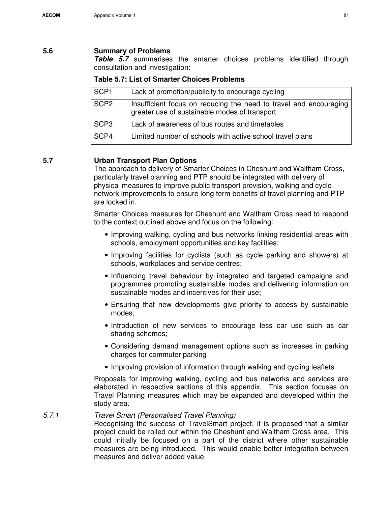## **5.6 Summary of Problems**

**Table 5.7** summarises the smarter choices problems identified through consultation and investigation:

#### **Table 5.7: List of Smarter Choices Problems**

| SCP <sub>1</sub> | Lack of promotion/publicity to encourage cycling                                                                   |
|------------------|--------------------------------------------------------------------------------------------------------------------|
| SCP <sub>2</sub> | Insufficient focus on reducing the need to travel and encouraging<br>greater use of sustainable modes of transport |
| SCP <sub>3</sub> | Lack of awareness of bus routes and timetables                                                                     |
| SCP4             | Limited number of schools with active school travel plans                                                          |

### **5.7 Urban Transport Plan Options**

The approach to delivery of Smarter Choices in Cheshunt and Waltham Cross, particularly travel planning and PTP should be integrated with delivery of physical measures to improve public transport provision, walking and cycle network improvements to ensure long term benefits of travel planning and PTP are locked in.

Smarter Choices measures for Cheshunt and Waltham Cross need to respond to the context outlined above and focus on the following:

- Improving walking, cycling and bus networks linking residential areas with schools, employment opportunities and key facilities;
- Improving facilities for cyclists (such as cycle parking and showers) at schools, workplaces and service centres;
- Influencing travel behaviour by integrated and targeted campaigns and programmes promoting sustainable modes and delivering information on sustainable modes and incentives for their use;
- Ensuring that new developments give priority to access by sustainable modes;
- Introduction of new services to encourage less car use such as car sharing schemes;
- Considering demand management options such as increases in parking charges for commuter parking
- Improving provision of information through walking and cycling leaflets

Proposals for improving walking, cycling and bus networks and services are elaborated in respective sections of this appendix. This section focuses on Travel Planning measures which may be expanded and developed within the study area.

# 5.7.1 Travel Smart (Personalised Travel Planning)

Recognising the success of TravelSmart project, it is proposed that a similar project could be rolled out within the Cheshunt and Waltham Cross area. This could initially be focused on a part of the district where other sustainable measures are being introduced. This would enable better integration between measures and deliver added value.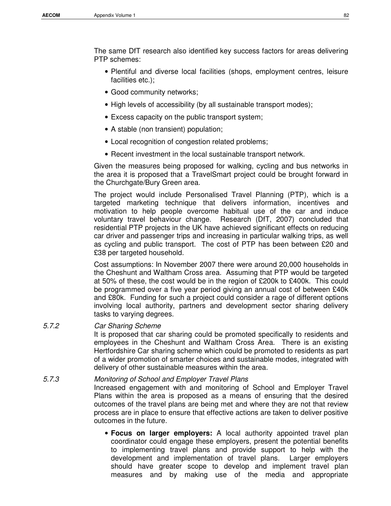The same DfT research also identified key success factors for areas delivering PTP schemes:

- Plentiful and diverse local facilities (shops, employment centres, leisure facilities etc.);
- Good community networks;
- High levels of accessibility (by all sustainable transport modes);
- Excess capacity on the public transport system;
- A stable (non transient) population;
- Local recognition of congestion related problems;
- Recent investment in the local sustainable transport network.

Given the measures being proposed for walking, cycling and bus networks in the area it is proposed that a TravelSmart project could be brought forward in the Churchgate/Bury Green area.

The project would include Personalised Travel Planning (PTP), which is a targeted marketing technique that delivers information, incentives and motivation to help people overcome habitual use of the car and induce voluntary travel behaviour change. Research (DfT, 2007) concluded that residential PTP projects in the UK have achieved significant effects on reducing car driver and passenger trips and increasing in particular walking trips, as well as cycling and public transport. The cost of PTP has been between £20 and £38 per targeted household.

Cost assumptions: In November 2007 there were around 20,000 households in the Cheshunt and Waltham Cross area. Assuming that PTP would be targeted at 50% of these, the cost would be in the region of £200k to £400k. This could be programmed over a five year period giving an annual cost of between £40k and £80k. Funding for such a project could consider a rage of different options involving local authority, partners and development sector sharing delivery tasks to varying degrees.

5.7.2 Car Sharing Scheme

It is proposed that car sharing could be promoted specifically to residents and employees in the Cheshunt and Waltham Cross Area. There is an existing Hertfordshire Car sharing scheme which could be promoted to residents as part of a wider promotion of smarter choices and sustainable modes, integrated with delivery of other sustainable measures within the area.

# 5.7.3 Monitoring of School and Employer Travel Plans Increased engagement with and monitoring of School and Employer Travel Plans within the area is proposed as a means of ensuring that the desired outcomes of the travel plans are being met and where they are not that review process are in place to ensure that effective actions are taken to deliver positive outcomes in the future.

• **Focus on larger employers:** A local authority appointed travel plan coordinator could engage these employers, present the potential benefits to implementing travel plans and provide support to help with the development and implementation of travel plans. Larger employers should have greater scope to develop and implement travel plan measures and by making use of the media and appropriate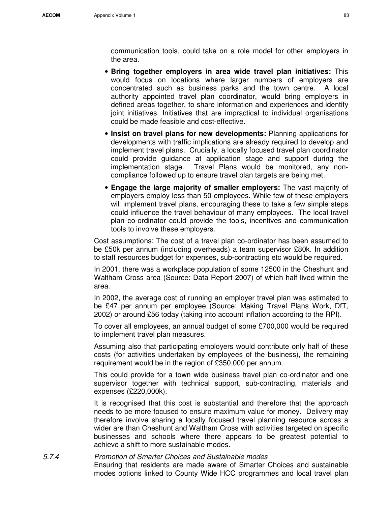communication tools, could take on a role model for other employers in the area.

- **Bring together employers in area wide travel plan initiatives:** This would focus on locations where larger numbers of employers are concentrated such as business parks and the town centre. A local authority appointed travel plan coordinator, would bring employers in defined areas together, to share information and experiences and identify joint initiatives. Initiatives that are impractical to individual organisations could be made feasible and cost-effective.
- **Insist on travel plans for new developments:** Planning applications for developments with traffic implications are already required to develop and implement travel plans. Crucially, a locally focused travel plan coordinator could provide guidance at application stage and support during the implementation stage. Travel Plans would be monitored, any noncompliance followed up to ensure travel plan targets are being met.
- **Engage the large majority of smaller employers:** The vast majority of employers employ less than 50 employees. While few of these employers will implement travel plans, encouraging these to take a few simple steps could influence the travel behaviour of many employees. The local travel plan co-ordinator could provide the tools, incentives and communication tools to involve these employers.

Cost assumptions: The cost of a travel plan co-ordinator has been assumed to be £50k per annum (including overheads) a team supervisor £80k. In addition to staff resources budget for expenses, sub-contracting etc would be required.

In 2001, there was a workplace population of some 12500 in the Cheshunt and Waltham Cross area (Source: Data Report 2007) of which half lived within the area.

In 2002, the average cost of running an employer travel plan was estimated to be £47 per annum per employee (Source: Making Travel Plans Work, DfT, 2002) or around £56 today (taking into account inflation according to the RPI).

To cover all employees, an annual budget of some £700,000 would be required to implement travel plan measures.

Assuming also that participating employers would contribute only half of these costs (for activities undertaken by employees of the business), the remaining requirement would be in the region of £350,000 per annum.

This could provide for a town wide business travel plan co-ordinator and one supervisor together with technical support, sub-contracting, materials and expenses (£220,000k).

It is recognised that this cost is substantial and therefore that the approach needs to be more focused to ensure maximum value for money. Delivery may therefore involve sharing a locally focused travel planning resource across a wider are than Cheshunt and Waltham Cross with activities targeted on specific businesses and schools where there appears to be greatest potential to achieve a shift to more sustainable modes.

5.7.4 Promotion of Smarter Choices and Sustainable modes Ensuring that residents are made aware of Smarter Choices and sustainable modes options linked to County Wide HCC programmes and local travel plan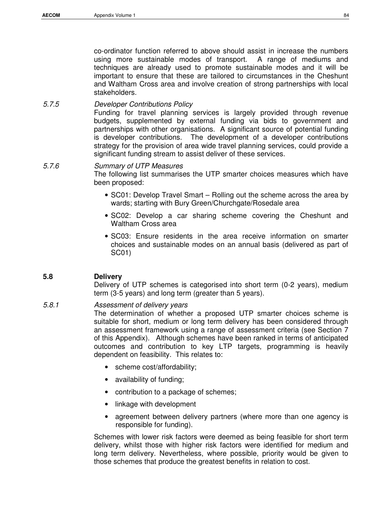co-ordinator function referred to above should assist in increase the numbers using more sustainable modes of transport. A range of mediums and techniques are already used to promote sustainable modes and it will be important to ensure that these are tailored to circumstances in the Cheshunt and Waltham Cross area and involve creation of strong partnerships with local stakeholders.

# 5.7.5 Developer Contributions Policy

Funding for travel planning services is largely provided through revenue budgets, supplemented by external funding via bids to government and partnerships with other organisations. A significant source of potential funding is developer contributions. The development of a developer contributions strategy for the provision of area wide travel planning services, could provide a significant funding stream to assist deliver of these services.

# 5.7.6 Summary of UTP Measures

The following list summarises the UTP smarter choices measures which have been proposed:

- SC01: Develop Travel Smart Rolling out the scheme across the area by wards; starting with Bury Green/Churchgate/Rosedale area
- SC02: Develop a car sharing scheme covering the Cheshunt and Waltham Cross area
- SC03: Ensure residents in the area receive information on smarter choices and sustainable modes on an annual basis (delivered as part of SC01)

# **5.8 Delivery**

Delivery of UTP schemes is categorised into short term (0-2 years), medium term (3-5 years) and long term (greater than 5 years).

### 5.8.1 Assessment of delivery years

The determination of whether a proposed UTP smarter choices scheme is suitable for short, medium or long term delivery has been considered through an assessment framework using a range of assessment criteria (see Section 7 of this Appendix). Although schemes have been ranked in terms of anticipated outcomes and contribution to key LTP targets, programming is heavily dependent on feasibility. This relates to:

- scheme cost/affordability;
- availability of funding;
- contribution to a package of schemes;
- linkage with development
- agreement between delivery partners (where more than one agency is responsible for funding).

Schemes with lower risk factors were deemed as being feasible for short term delivery, whilst those with higher risk factors were identified for medium and long term delivery. Nevertheless, where possible, priority would be given to those schemes that produce the greatest benefits in relation to cost.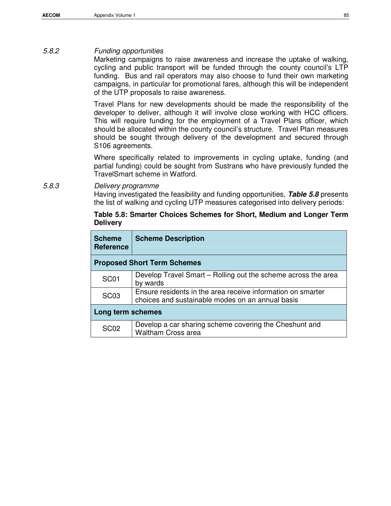## 5.8.2 Funding opportunities

Marketing campaigns to raise awareness and increase the uptake of walking, cycling and public transport will be funded through the county council's LTP funding. Bus and rail operators may also choose to fund their own marketing campaigns, in particular for promotional fares, although this will be independent of the UTP proposals to raise awareness.

Travel Plans for new developments should be made the responsibility of the developer to deliver, although it will involve close working with HCC officers. This will require funding for the employment of a Travel Plans officer, which should be allocated within the county council's structure. Travel Plan measures should be sought through delivery of the development and secured through S106 agreements.

Where specifically related to improvements in cycling uptake, funding (and partial funding) could be sought from Sustrans who have previously funded the TravelSmart scheme in Watford.

5.8.3 Delivery programme Having investigated the feasibility and funding opportunities, **Table 5.8** presents the list of walking and cycling UTP measures categorised into delivery periods:

# **Table 5.8: Smarter Choices Schemes for Short, Medium and Longer Term Delivery**

| <b>Scheme</b><br><b>Reference</b>  | <b>Scheme Description</b>                                                                                       |  |  |  |  |
|------------------------------------|-----------------------------------------------------------------------------------------------------------------|--|--|--|--|
| <b>Proposed Short Term Schemes</b> |                                                                                                                 |  |  |  |  |
| SC <sub>01</sub>                   | Develop Travel Smart – Rolling out the scheme across the area<br>by wards                                       |  |  |  |  |
| SC <sub>03</sub>                   | Ensure residents in the area receive information on smarter<br>choices and sustainable modes on an annual basis |  |  |  |  |
| Long term schemes                  |                                                                                                                 |  |  |  |  |
| <b>SC02</b>                        | Develop a car sharing scheme covering the Cheshunt and<br><b>Waltham Cross area</b>                             |  |  |  |  |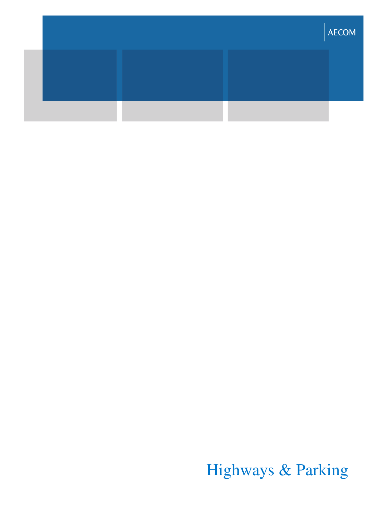|  |  | <b>AECOM</b> |
|--|--|--------------|
|  |  |              |
|  |  |              |
|  |  |              |

Highways & Parking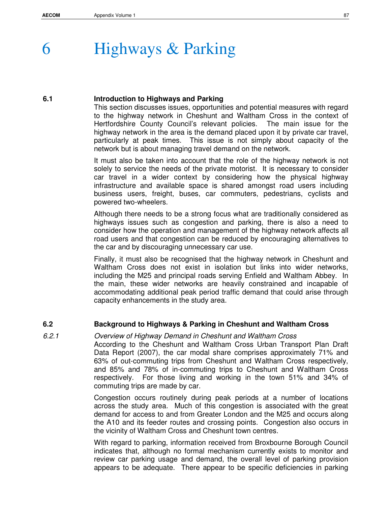# 6 Highways & Parking

## **6.1 Introduction to Highways and Parking**

This section discusses issues, opportunities and potential measures with regard to the highway network in Cheshunt and Waltham Cross in the context of Hertfordshire County Council's relevant policies. The main issue for the highway network in the area is the demand placed upon it by private car travel, particularly at peak times. This issue is not simply about capacity of the network but is about managing travel demand on the network.

It must also be taken into account that the role of the highway network is not solely to service the needs of the private motorist. It is necessary to consider car travel in a wider context by considering how the physical highway infrastructure and available space is shared amongst road users including business users, freight, buses, car commuters, pedestrians, cyclists and powered two-wheelers.

Although there needs to be a strong focus what are traditionally considered as highways issues such as congestion and parking, there is also a need to consider how the operation and management of the highway network affects all road users and that congestion can be reduced by encouraging alternatives to the car and by discouraging unnecessary car use.

Finally, it must also be recognised that the highway network in Cheshunt and Waltham Cross does not exist in isolation but links into wider networks, including the M25 and principal roads serving Enfield and Waltham Abbey. In the main, these wider networks are heavily constrained and incapable of accommodating additional peak period traffic demand that could arise through capacity enhancements in the study area.

# **6.2 Background to Highways & Parking in Cheshunt and Waltham Cross**

# 6.2.1 Overview of Highway Demand in Cheshunt and Waltham Cross

According to the Cheshunt and Waltham Cross Urban Transport Plan Draft Data Report (2007), the car modal share comprises approximately 71% and 63% of out-commuting trips from Cheshunt and Waltham Cross respectively, and 85% and 78% of in-commuting trips to Cheshunt and Waltham Cross respectively. For those living and working in the town 51% and 34% of commuting trips are made by car.

Congestion occurs routinely during peak periods at a number of locations across the study area. Much of this congestion is associated with the great demand for access to and from Greater London and the M25 and occurs along the A10 and its feeder routes and crossing points. Congestion also occurs in the vicinity of Waltham Cross and Cheshunt town centres.

With regard to parking, information received from Broxbourne Borough Council indicates that, although no formal mechanism currently exists to monitor and review car parking usage and demand, the overall level of parking provision appears to be adequate. There appear to be specific deficiencies in parking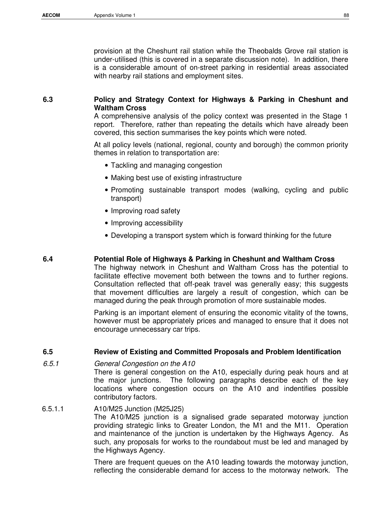provision at the Cheshunt rail station while the Theobalds Grove rail station is under-utilised (this is covered in a separate discussion note). In addition, there is a considerable amount of on-street parking in residential areas associated with nearby rail stations and employment sites.

## **6.3 Policy and Strategy Context for Highways & Parking in Cheshunt and Waltham Cross**

A comprehensive analysis of the policy context was presented in the Stage 1 report. Therefore, rather than repeating the details which have already been covered, this section summarises the key points which were noted.

At all policy levels (national, regional, county and borough) the common priority themes in relation to transportation are:

- Tackling and managing congestion
- Making best use of existing infrastructure
- Promoting sustainable transport modes (walking, cycling and public transport)
- Improving road safety
- Improving accessibility
- Developing a transport system which is forward thinking for the future

#### **6.4 Potential Role of Highways & Parking in Cheshunt and Waltham Cross**

The highway network in Cheshunt and Waltham Cross has the potential to facilitate effective movement both between the towns and to further regions. Consultation reflected that off-peak travel was generally easy; this suggests that movement difficulties are largely a result of congestion, which can be managed during the peak through promotion of more sustainable modes.

Parking is an important element of ensuring the economic vitality of the towns, however must be appropriately prices and managed to ensure that it does not encourage unnecessary car trips.

#### **6.5 Review of Existing and Committed Proposals and Problem Identification**

#### 6.5.1 General Congestion on the A10

There is general congestion on the A10, especially during peak hours and at the major junctions. The following paragraphs describe each of the key locations where congestion occurs on the A10 and indentifies possible contributory factors.

## 6.5.1.1 A10/M25 Junction (M25J25)

The A10/M25 junction is a signalised grade separated motorway junction providing strategic links to Greater London, the M1 and the M11. Operation and maintenance of the junction is undertaken by the Highways Agency. As such, any proposals for works to the roundabout must be led and managed by the Highways Agency.

There are frequent queues on the A10 leading towards the motorway junction, reflecting the considerable demand for access to the motorway network. The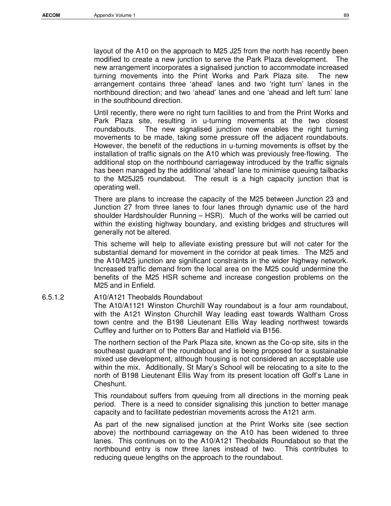layout of the A10 on the approach to M25 J25 from the north has recently been modified to create a new junction to serve the Park Plaza development. The new arrangement incorporates a signalised junction to accommodate increased turning movements into the Print Works and Park Plaza site. The new arrangement contains three 'ahead' lanes and two 'right turn' lanes in the northbound direction; and two 'ahead' lanes and one 'ahead and left turn' lane in the southbound direction.

Until recently, there were no right turn facilities to and from the Print Works and Park Plaza site, resulting in u-turning movements at the two closest roundabouts. The new signalised junction now enables the right turning movements to be made, taking some pressure off the adjacent roundabouts. However, the benefit of the reductions in u-turning movements is offset by the installation of traffic signals on the A10 which was previously free-flowing. The additional stop on the northbound carriageway introduced by the traffic signals has been managed by the additional 'ahead' lane to minimise queuing tailbacks to the M25J25 roundabout. The result is a high capacity junction that is operating well.

There are plans to increase the capacity of the M25 between Junction 23 and Junction 27 from three lanes to four lanes through dynamic use of the hard shoulder Hardshoulder Running – HSR). Much of the works will be carried out within the existing highway boundary, and existing bridges and structures will generally not be altered.

This scheme will help to alleviate existing pressure but will not cater for the substantial demand for movement in the corridor at peak times. The M25 and the A10/M25 junction are significant constraints in the wider highway network. Increased traffic demand from the local area on the M25 could undermine the benefits of the M25 HSR scheme and increase congestion problems on the M25 and in Enfield.

#### 6.5.1.2 A10/A121 Theobalds Roundabout

The A10/A1121 Winston Churchill Way roundabout is a four arm roundabout, with the A121 Winston Churchill Way leading east towards Waltham Cross town centre and the B198 Lieutenant Ellis Way leading northwest towards Cuffley and further on to Potters Bar and Hatfield via B156.

The northern section of the Park Plaza site, known as the Co-op site, sits in the southeast quadrant of the roundabout and is being proposed for a sustainable mixed use development, although housing is not considered an acceptable use within the mix. Additionally, St Mary's School will be relocating to a site to the north of B198 Lieutenant Ellis Way from its present location off Goff's Lane in Cheshunt.

This roundabout suffers from queuing from all directions in the morning peak period. There is a need to consider signalising this junction to better manage capacity and to facilitate pedestrian movements across the A121 arm.

As part of the new signalised junction at the Print Works site (see section above) the northbound carriageway on the A10 has been widened to three lanes. This continues on to the A10/A121 Theobalds Roundabout so that the northbound entry is now three lanes instead of two. This contributes to reducing queue lengths on the approach to the roundabout.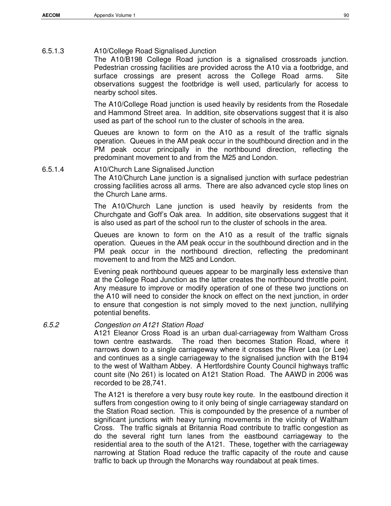## 6.5.1.3 A10/College Road Signalised Junction

The A10/B198 College Road junction is a signalised crossroads junction. Pedestrian crossing facilities are provided across the A10 via a footbridge, and surface crossings are present across the College Road arms. Site observations suggest the footbridge is well used, particularly for access to nearby school sites.

The A10/College Road junction is used heavily by residents from the Rosedale and Hammond Street area. In addition, site observations suggest that it is also used as part of the school run to the cluster of schools in the area.

Queues are known to form on the A10 as a result of the traffic signals operation. Queues in the AM peak occur in the southbound direction and in the PM peak occur principally in the northbound direction, reflecting the predominant movement to and from the M25 and London.

6.5.1.4 A10/Church Lane Signalised Junction The A10/Church Lane junction is a signalised junction with surface pedestrian crossing facilities across all arms. There are also advanced cycle stop lines on the Church Lane arms.

> The A10/Church Lane junction is used heavily by residents from the Churchgate and Goff's Oak area. In addition, site observations suggest that it is also used as part of the school run to the cluster of schools in the area.

> Queues are known to form on the A10 as a result of the traffic signals operation. Queues in the AM peak occur in the southbound direction and in the PM peak occur in the northbound direction, reflecting the predominant movement to and from the M25 and London.

> Evening peak northbound queues appear to be marginally less extensive than at the College Road Junction as the latter creates the northbound throttle point. Any measure to improve or modify operation of one of these two junctions on the A10 will need to consider the knock on effect on the next junction, in order to ensure that congestion is not simply moved to the next junction, nullifying potential benefits.

# 6.5.2 Congestion on A121 Station Road

A121 Eleanor Cross Road is an urban dual-carriageway from Waltham Cross town centre eastwards. The road then becomes Station Road, where it narrows down to a single carriageway where it crosses the River Lea (or Lee) and continues as a single carriageway to the signalised junction with the B194 to the west of Waltham Abbey. A Hertfordshire County Council highways traffic count site (No 261) is located on A121 Station Road. The AAWD in 2006 was recorded to be 28,741.

The A121 is therefore a very busy route key route. In the eastbound direction it suffers from congestion owing to it only being of single carriageway standard on the Station Road section. This is compounded by the presence of a number of significant junctions with heavy turning movements in the vicinity of Waltham Cross. The traffic signals at Britannia Road contribute to traffic congestion as do the several right turn lanes from the eastbound carriageway to the residential area to the south of the A121. These, together with the carriageway narrowing at Station Road reduce the traffic capacity of the route and cause traffic to back up through the Monarchs way roundabout at peak times.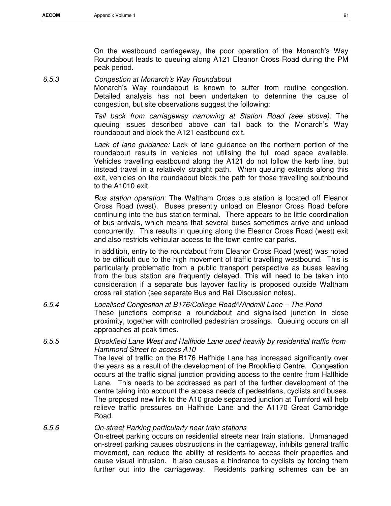On the westbound carriageway, the poor operation of the Monarch's Way Roundabout leads to queuing along A121 Eleanor Cross Road during the PM peak period.

6.5.3 Congestion at Monarch's Way Roundabout

Monarch's Way roundabout is known to suffer from routine congestion. Detailed analysis has not been undertaken to determine the cause of congestion, but site observations suggest the following:

Tail back from carriageway narrowing at Station Road (see above): The queuing issues described above can tail back to the Monarch's Way roundabout and block the A121 eastbound exit.

Lack of lane quidance: Lack of lane guidance on the northern portion of the roundabout results in vehicles not utilising the full road space available. Vehicles travelling eastbound along the A121 do not follow the kerb line, but instead travel in a relatively straight path. When queuing extends along this exit, vehicles on the roundabout block the path for those travelling southbound to the A1010 exit.

Bus station operation: The Waltham Cross bus station is located off Eleanor Cross Road (west). Buses presently unload on Eleanor Cross Road before continuing into the bus station terminal. There appears to be little coordination of bus arrivals, which means that several buses sometimes arrive and unload concurrently. This results in queuing along the Eleanor Cross Road (west) exit and also restricts vehicular access to the town centre car parks.

In addition, entry to the roundabout from Eleanor Cross Road (west) was noted to be difficult due to the high movement of traffic travelling westbound. This is particularly problematic from a public transport perspective as buses leaving from the bus station are frequently delayed. This will need to be taken into consideration if a separate bus layover facility is proposed outside Waltham cross rail station (see separate Bus and Rail Discussion notes).

6.5.4 Localised Congestion at B176/College Road/Windmill Lane – The Pond These junctions comprise a roundabout and signalised junction in close proximity, together with controlled pedestrian crossings. Queuing occurs on all approaches at peak times.

# 6.5.5 Brookfield Lane West and Halfhide Lane used heavily by residential traffic from Hammond Street to access A10

The level of traffic on the B176 Halfhide Lane has increased significantly over the years as a result of the development of the Brookfield Centre. Congestion occurs at the traffic signal junction providing access to the centre from Halfhide Lane. This needs to be addressed as part of the further development of the centre taking into account the access needs of pedestrians, cyclists and buses. The proposed new link to the A10 grade separated junction at Turnford will help relieve traffic pressures on Halfhide Lane and the A1170 Great Cambridge Road.

### 6.5.6 On-street Parking particularly near train stations

On-street parking occurs on residential streets near train stations. Unmanaged on-street parking causes obstructions in the carriageway, inhibits general traffic movement, can reduce the ability of residents to access their properties and cause visual intrusion. It also causes a hindrance to cyclists by forcing them further out into the carriageway. Residents parking schemes can be an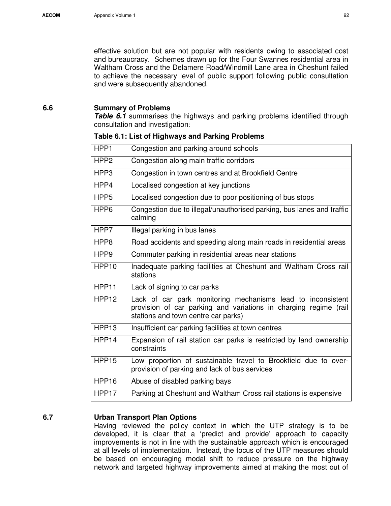effective solution but are not popular with residents owing to associated cost and bureaucracy. Schemes drawn up for the Four Swannes residential area in Waltham Cross and the Delamere Road/Windmill Lane area in Cheshunt failed to achieve the necessary level of public support following public consultation and were subsequently abandoned.

#### **6.6 Summary of Problems**

**Table 6.1** summarises the highways and parking problems identified through consultation and investigation:

| HPP1              | Congestion and parking around schools                                                                                                                                  |  |  |
|-------------------|------------------------------------------------------------------------------------------------------------------------------------------------------------------------|--|--|
| HPP <sub>2</sub>  | Congestion along main traffic corridors                                                                                                                                |  |  |
| HPP3              | Congestion in town centres and at Brookfield Centre                                                                                                                    |  |  |
| HPP4              | Localised congestion at key junctions                                                                                                                                  |  |  |
| HPP <sub>5</sub>  | Localised congestion due to poor positioning of bus stops                                                                                                              |  |  |
| HPP <sub>6</sub>  | Congestion due to illegal/unauthorised parking, bus lanes and traffic<br>calming                                                                                       |  |  |
| HPP7              | Illegal parking in bus lanes                                                                                                                                           |  |  |
| HPP8              | Road accidents and speeding along main roads in residential areas                                                                                                      |  |  |
| HPP <sub>9</sub>  | Commuter parking in residential areas near stations                                                                                                                    |  |  |
| HPP <sub>10</sub> | Inadequate parking facilities at Cheshunt and Waltham Cross rail<br>stations                                                                                           |  |  |
| HPP11             | Lack of signing to car parks                                                                                                                                           |  |  |
| HPP <sub>12</sub> | Lack of car park monitoring mechanisms lead to inconsistent<br>provision of car parking and variations in charging regime (rail<br>stations and town centre car parks) |  |  |
| HPP <sub>13</sub> | Insufficient car parking facilities at town centres                                                                                                                    |  |  |
| HPP14             | Expansion of rail station car parks is restricted by land ownership<br>constraints                                                                                     |  |  |
| HPP <sub>15</sub> | Low proportion of sustainable travel to Brookfield due to over-<br>provision of parking and lack of bus services                                                       |  |  |
| HPP <sub>16</sub> | Abuse of disabled parking bays                                                                                                                                         |  |  |
| HPP17             | Parking at Cheshunt and Waltham Cross rail stations is expensive                                                                                                       |  |  |

#### **6.7 Urban Transport Plan Options**

Having reviewed the policy context in which the UTP strategy is to be developed, it is clear that a 'predict and provide' approach to capacity improvements is not in line with the sustainable approach which is encouraged at all levels of implementation. Instead, the focus of the UTP measures should be based on encouraging modal shift to reduce pressure on the highway network and targeted highway improvements aimed at making the most out of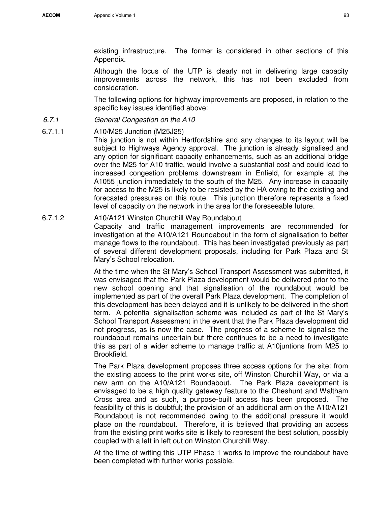existing infrastructure. The former is considered in other sections of this Appendix.

Although the focus of the UTP is clearly not in delivering large capacity improvements across the network, this has not been excluded from consideration.

The following options for highway improvements are proposed, in relation to the specific key issues identified above:

#### 6.7.1 General Congestion on the A10

#### 6.7.1.1 A10/M25 Junction (M25J25)

This junction is not within Hertfordshire and any changes to its layout will be subject to Highways Agency approval. The junction is already signalised and any option for significant capacity enhancements, such as an additional bridge over the M25 for A10 traffic, would involve a substantial cost and could lead to increased congestion problems downstream in Enfield, for example at the A1055 junction immediately to the south of the M25. Any increase in capacity for access to the M25 is likely to be resisted by the HA owing to the existing and forecasted pressures on this route. This junction therefore represents a fixed level of capacity on the network in the area for the foreseeable future.

### 6.7.1.2 A10/A121 Winston Churchill Way Roundabout

Capacity and traffic management improvements are recommended for investigation at the A10/A121 Roundabout in the form of signalisation to better manage flows to the roundabout. This has been investigated previously as part of several different development proposals, including for Park Plaza and St Mary's School relocation.

At the time when the St Mary's School Transport Assessment was submitted, it was envisaged that the Park Plaza development would be delivered prior to the new school opening and that signalisation of the roundabout would be implemented as part of the overall Park Plaza development. The completion of this development has been delayed and it is unlikely to be delivered in the short term. A potential signalisation scheme was included as part of the St Mary's School Transport Assessment in the event that the Park Plaza development did not progress, as is now the case. The progress of a scheme to signalise the roundabout remains uncertain but there continues to be a need to investigate this as part of a wider scheme to manage traffic at A10juntions from M25 to Brookfield.

The Park Plaza development proposes three access options for the site: from the existing access to the print works site, off Winston Churchill Way, or via a new arm on the A10/A121 Roundabout. The Park Plaza development is envisaged to be a high quality gateway feature to the Cheshunt and Waltham Cross area and as such, a purpose-built access has been proposed. The feasibility of this is doubtful; the provision of an additional arm on the A10/A121 Roundabout is not recommended owing to the additional pressure it would place on the roundabout. Therefore, it is believed that providing an access from the existing print works site is likely to represent the best solution, possibly coupled with a left in left out on Winston Churchill Way.

At the time of writing this UTP Phase 1 works to improve the roundabout have been completed with further works possible.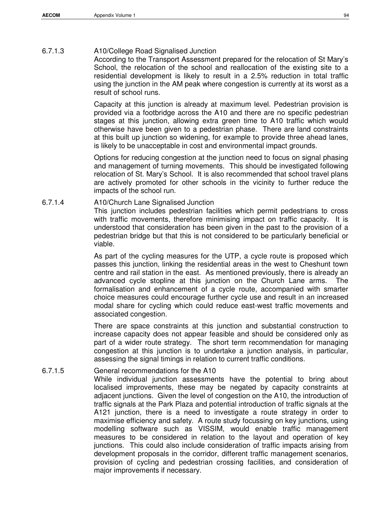## 6.7.1.3 A10/College Road Signalised Junction

According to the Transport Assessment prepared for the relocation of St Mary's School, the relocation of the school and reallocation of the existing site to a residential development is likely to result in a 2.5% reduction in total traffic using the junction in the AM peak where congestion is currently at its worst as a result of school runs.

Capacity at this junction is already at maximum level. Pedestrian provision is provided via a footbridge across the A10 and there are no specific pedestrian stages at this junction, allowing extra green time to A10 traffic which would otherwise have been given to a pedestrian phase. There are land constraints at this built up junction so widening, for example to provide three ahead lanes, is likely to be unacceptable in cost and environmental impact grounds.

Options for reducing congestion at the junction need to focus on signal phasing and management of turning movements. This should be investigated following relocation of St. Mary's School. It is also recommended that school travel plans are actively promoted for other schools in the vicinity to further reduce the impacts of the school run.

## 6.7.1.4 A10/Church Lane Signalised Junction

This junction includes pedestrian facilities which permit pedestrians to cross with traffic movements, therefore minimising impact on traffic capacity. It is understood that consideration has been given in the past to the provision of a pedestrian bridge but that this is not considered to be particularly beneficial or viable.

As part of the cycling measures for the UTP, a cycle route is proposed which passes this junction, linking the residential areas in the west to Cheshunt town centre and rail station in the east. As mentioned previously, there is already an advanced cycle stopline at this junction on the Church Lane arms. The formalisation and enhancement of a cycle route, accompanied with smarter choice measures could encourage further cycle use and result in an increased modal share for cycling which could reduce east-west traffic movements and associated congestion.

There are space constraints at this junction and substantial construction to increase capacity does not appear feasible and should be considered only as part of a wider route strategy. The short term recommendation for managing congestion at this junction is to undertake a junction analysis, in particular, assessing the signal timings in relation to current traffic conditions.

# 6.7.1.5 General recommendations for the A10

While individual junction assessments have the potential to bring about localised improvements, these may be negated by capacity constraints at adjacent junctions. Given the level of congestion on the A10, the introduction of traffic signals at the Park Plaza and potential introduction of traffic signals at the A121 junction, there is a need to investigate a route strategy in order to maximise efficiency and safety. A route study focussing on key junctions, using modelling software such as VISSIM, would enable traffic management measures to be considered in relation to the layout and operation of key junctions. This could also include consideration of traffic impacts arising from development proposals in the corridor, different traffic management scenarios, provision of cycling and pedestrian crossing facilities, and consideration of major improvements if necessary.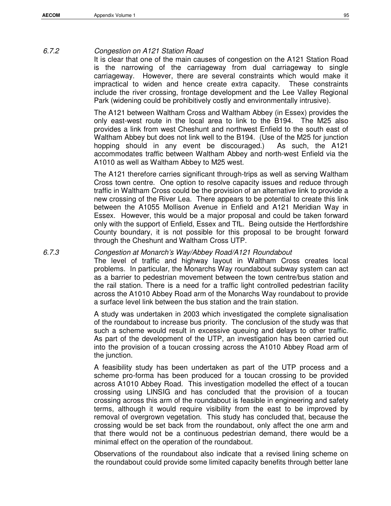## 6.7.2 Congestion on A121 Station Road

It is clear that one of the main causes of congestion on the A121 Station Road is the narrowing of the carriageway from dual carriageway to single carriageway. However, there are several constraints which would make it impractical to widen and hence create extra capacity. These constraints include the river crossing, frontage development and the Lee Valley Regional Park (widening could be prohibitively costly and environmentally intrusive).

The A121 between Waltham Cross and Waltham Abbey (in Essex) provides the only east-west route in the local area to link to the B194. The M25 also provides a link from west Cheshunt and northwest Enfield to the south east of Waltham Abbey but does not link well to the B194. (Use of the M25 for junction hopping should in any event be discouraged.) As such, the A121 accommodates traffic between Waltham Abbey and north-west Enfield via the A1010 as well as Waltham Abbey to M25 west.

The A121 therefore carries significant through-trips as well as serving Waltham Cross town centre. One option to resolve capacity issues and reduce through traffic in Waltham Cross could be the provision of an alternative link to provide a new crossing of the River Lea. There appears to be potential to create this link between the A1055 Mollison Avenue in Enfield and A121 Meridian Way in Essex. However, this would be a major proposal and could be taken forward only with the support of Enfield, Essex and TfL. Being outside the Hertfordshire County boundary, it is not possible for this proposal to be brought forward through the Cheshunt and Waltham Cross UTP.

## 6.7.3 Congestion at Monarch's Way/Abbey Road/A121 Roundabout

The level of traffic and highway layout in Waltham Cross creates local problems. In particular, the Monarchs Way roundabout subway system can act as a barrier to pedestrian movement between the town centre/bus station and the rail station. There is a need for a traffic light controlled pedestrian facility across the A1010 Abbey Road arm of the Monarchs Way roundabout to provide a surface level link between the bus station and the train station.

A study was undertaken in 2003 which investigated the complete signalisation of the roundabout to increase bus priority. The conclusion of the study was that such a scheme would result in excessive queuing and delays to other traffic. As part of the development of the UTP, an investigation has been carried out into the provision of a toucan crossing across the A1010 Abbey Road arm of the junction.

A feasibility study has been undertaken as part of the UTP process and a scheme pro-forma has been produced for a toucan crossing to be provided across A1010 Abbey Road. This investigation modelled the effect of a toucan crossing using LINSIG and has concluded that the provision of a toucan crossing across this arm of the roundabout is feasible in engineering and safety terms, although it would require visibility from the east to be improved by removal of overgrown vegetation. This study has concluded that, because the crossing would be set back from the roundabout, only affect the one arm and that there would not be a continuous pedestrian demand, there would be a minimal effect on the operation of the roundabout.

Observations of the roundabout also indicate that a revised lining scheme on the roundabout could provide some limited capacity benefits through better lane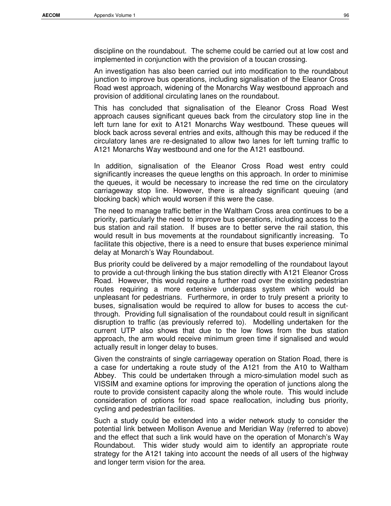discipline on the roundabout. The scheme could be carried out at low cost and implemented in conjunction with the provision of a toucan crossing.

An investigation has also been carried out into modification to the roundabout junction to improve bus operations, including signalisation of the Eleanor Cross Road west approach, widening of the Monarchs Way westbound approach and provision of additional circulating lanes on the roundabout.

This has concluded that signalisation of the Eleanor Cross Road West approach causes significant queues back from the circulatory stop line in the left turn lane for exit to A121 Monarchs Way westbound. These queues will block back across several entries and exits, although this may be reduced if the circulatory lanes are re-designated to allow two lanes for left turning traffic to A121 Monarchs Way westbound and one for the A121 eastbound.

In addition, signalisation of the Eleanor Cross Road west entry could significantly increases the queue lengths on this approach. In order to minimise the queues, it would be necessary to increase the red time on the circulatory carriageway stop line. However, there is already significant queuing (and blocking back) which would worsen if this were the case.

The need to manage traffic better in the Waltham Cross area continues to be a priority, particularly the need to improve bus operations, including access to the bus station and rail station. If buses are to better serve the rail station, this would result in bus movements at the roundabout significantly increasing. To facilitate this objective, there is a need to ensure that buses experience minimal delay at Monarch's Way Roundabout.

Bus priority could be delivered by a major remodelling of the roundabout layout to provide a cut-through linking the bus station directly with A121 Eleanor Cross Road. However, this would require a further road over the existing pedestrian routes requiring a more extensive underpass system which would be unpleasant for pedestrians. Furthermore, in order to truly present a priority to buses, signalisation would be required to allow for buses to access the cutthrough. Providing full signalisation of the roundabout could result in significant disruption to traffic (as previously referred to). Modelling undertaken for the current UTP also shows that due to the low flows from the bus station approach, the arm would receive minimum green time if signalised and would actually result in longer delay to buses.

Given the constraints of single carriageway operation on Station Road, there is a case for undertaking a route study of the A121 from the A10 to Waltham Abbey. This could be undertaken through a micro-simulation model such as VISSIM and examine options for improving the operation of junctions along the route to provide consistent capacity along the whole route. This would include consideration of options for road space reallocation, including bus priority, cycling and pedestrian facilities.

Such a study could be extended into a wider network study to consider the potential link between Mollison Avenue and Meridian Way (referred to above) and the effect that such a link would have on the operation of Monarch's Way Roundabout. This wider study would aim to identify an appropriate route strategy for the A121 taking into account the needs of all users of the highway and longer term vision for the area.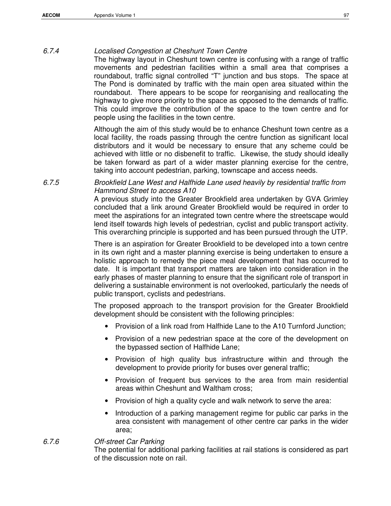## 6.7.4 Localised Congestion at Cheshunt Town Centre

The highway layout in Cheshunt town centre is confusing with a range of traffic movements and pedestrian facilities within a small area that comprises a roundabout, traffic signal controlled "T" junction and bus stops. The space at The Pond is dominated by traffic with the main open area situated within the roundabout. There appears to be scope for reorganising and reallocating the highway to give more priority to the space as opposed to the demands of traffic. This could improve the contribution of the space to the town centre and for people using the facilities in the town centre.

Although the aim of this study would be to enhance Cheshunt town centre as a local facility, the roads passing through the centre function as significant local distributors and it would be necessary to ensure that any scheme could be achieved with little or no disbenefit to traffic. Likewise, the study should ideally be taken forward as part of a wider master planning exercise for the centre, taking into account pedestrian, parking, townscape and access needs.

6.7.5 Brookfield Lane West and Halfhide Lane used heavily by residential traffic from Hammond Street to access A10

A previous study into the Greater Brookfield area undertaken by GVA Grimley concluded that a link around Greater Brookfield would be required in order to meet the aspirations for an integrated town centre where the streetscape would lend itself towards high levels of pedestrian, cyclist and public transport activity. This overarching principle is supported and has been pursued through the UTP.

There is an aspiration for Greater Brookfield to be developed into a town centre in its own right and a master planning exercise is being undertaken to ensure a holistic approach to remedy the piece meal development that has occurred to date. It is important that transport matters are taken into consideration in the early phases of master planning to ensure that the significant role of transport in delivering a sustainable environment is not overlooked, particularly the needs of public transport, cyclists and pedestrians.

The proposed approach to the transport provision for the Greater Brookfield development should be consistent with the following principles:

- Provision of a link road from Halfhide Lane to the A10 Turnford Junction;
- Provision of a new pedestrian space at the core of the development on the bypassed section of Halfhide Lane;
- Provision of high quality bus infrastructure within and through the development to provide priority for buses over general traffic;
- Provision of frequent bus services to the area from main residential areas within Cheshunt and Waltham cross;
- Provision of high a quality cycle and walk network to serve the area:
- Introduction of a parking management regime for public car parks in the area consistent with management of other centre car parks in the wider area;

# 6.7.6 Off-street Car Parking

The potential for additional parking facilities at rail stations is considered as part of the discussion note on rail.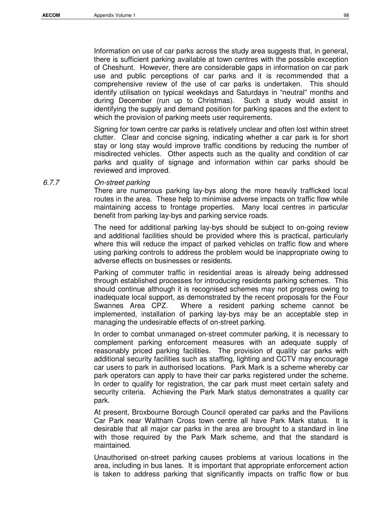Information on use of car parks across the study area suggests that, in general, there is sufficient parking available at town centres with the possible exception of Cheshunt. However, there are considerable gaps in information on car park use and public perceptions of car parks and it is recommended that a comprehensive review of the use of car parks is undertaken. This should identify utilisation on typical weekdays and Saturdays in "neutral" months and during December (run up to Christmas). Such a study would assist in identifying the supply and demand position for parking spaces and the extent to which the provision of parking meets user requirements.

Signing for town centre car parks is relatively unclear and often lost within street clutter. Clear and concise signing, indicating whether a car park is for short stay or long stay would improve traffic conditions by reducing the number of misdirected vehicles. Other aspects such as the quality and condition of car parks and quality of signage and information within car parks should be reviewed and improved.

#### 6.7.7 On-street parking

There are numerous parking lay-bys along the more heavily trafficked local routes in the area. These help to minimise adverse impacts on traffic flow while maintaining access to frontage properties. Many local centres in particular benefit from parking lay-bys and parking service roads.

The need for additional parking lay-bys should be subject to on-going review and additional facilities should be provided where this is practical, particularly where this will reduce the impact of parked vehicles on traffic flow and where using parking controls to address the problem would be inappropriate owing to adverse effects on businesses or residents.

Parking of commuter traffic in residential areas is already being addressed through established processes for introducing residents parking schemes. This should continue although it is recognised schemes may not progress owing to inadequate local support, as demonstrated by the recent proposals for the Four Swannes Area CPZ. Where a resident parking scheme cannot be implemented, installation of parking lay-bys may be an acceptable step in managing the undesirable effects of on-street parking.

In order to combat unmanaged on-street commuter parking, it is necessary to complement parking enforcement measures with an adequate supply of reasonably priced parking facilities. The provision of quality car parks with additional security facilities such as staffing, lighting and CCTV may encourage car users to park in authorised locations. Park Mark is a scheme whereby car park operators can apply to have their car parks registered under the scheme. In order to qualify for registration, the car park must meet certain safety and security criteria. Achieving the Park Mark status demonstrates a quality car park.

At present, Broxbourne Borough Council operated car parks and the Pavilions Car Park near Waltham Cross town centre all have Park Mark status. It is desirable that all major car parks in the area are brought to a standard in line with those required by the Park Mark scheme, and that the standard is maintained.

Unauthorised on-street parking causes problems at various locations in the area, including in bus lanes. It is important that appropriate enforcement action is taken to address parking that significantly impacts on traffic flow or bus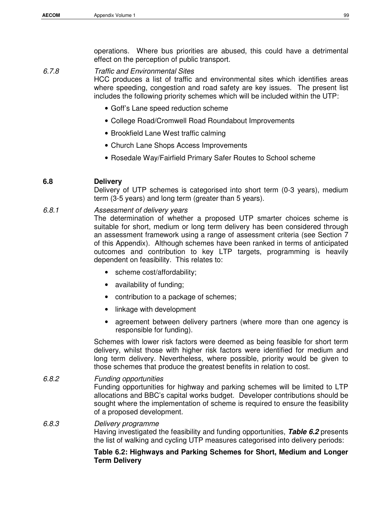operations. Where bus priorities are abused, this could have a detrimental effect on the perception of public transport.

6.7.8 Traffic and Environmental Sites HCC produces a list of traffic and environmental sites which identifies areas where speeding, congestion and road safety are key issues. The present list includes the following priority schemes which will be included within the UTP:

- Goff's Lane speed reduction scheme
- College Road/Cromwell Road Roundabout Improvements
- Brookfield Lane West traffic calming
- Church Lane Shops Access Improvements
- Rosedale Way/Fairfield Primary Safer Routes to School scheme

## **6.8 Delivery**

Delivery of UTP schemes is categorised into short term (0-3 years), medium term (3-5 years) and long term (greater than 5 years).

### 6.8.1 Assessment of delivery years

The determination of whether a proposed UTP smarter choices scheme is suitable for short, medium or long term delivery has been considered through an assessment framework using a range of assessment criteria (see Section 7 of this Appendix). Although schemes have been ranked in terms of anticipated outcomes and contribution to key LTP targets, programming is heavily dependent on feasibility. This relates to:

- scheme cost/affordability;
- availability of funding;
- contribution to a package of schemes;
- linkage with development
- agreement between delivery partners (where more than one agency is responsible for funding).

Schemes with lower risk factors were deemed as being feasible for short term delivery, whilst those with higher risk factors were identified for medium and long term delivery. Nevertheless, where possible, priority would be given to those schemes that produce the greatest benefits in relation to cost.

### 6.8.2 Funding opportunities

Funding opportunities for highway and parking schemes will be limited to LTP allocations and BBC's capital works budget. Developer contributions should be sought where the implementation of scheme is required to ensure the feasibility of a proposed development.

#### 6.8.3 Delivery programme

Having investigated the feasibility and funding opportunities, **Table 6.2** presents the list of walking and cycling UTP measures categorised into delivery periods:

### **Table 6.2: Highways and Parking Schemes for Short, Medium and Longer Term Delivery**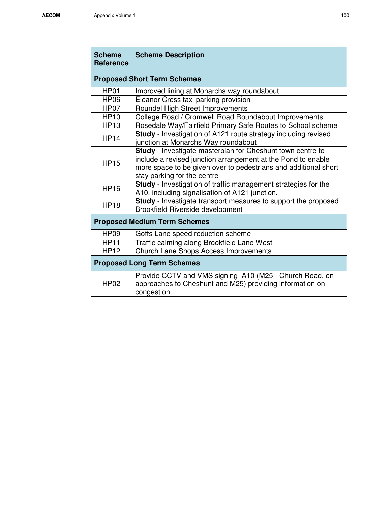| <b>Scheme</b><br><b>Reference</b>   | <b>Scheme Description</b>                                                                                                                                                                                                           |  |  |  |  |
|-------------------------------------|-------------------------------------------------------------------------------------------------------------------------------------------------------------------------------------------------------------------------------------|--|--|--|--|
| <b>Proposed Short Term Schemes</b>  |                                                                                                                                                                                                                                     |  |  |  |  |
| HP01                                | Improved lining at Monarchs way roundabout                                                                                                                                                                                          |  |  |  |  |
| <b>HP06</b>                         | Eleanor Cross taxi parking provision                                                                                                                                                                                                |  |  |  |  |
| HP07                                | Roundel High Street Improvements                                                                                                                                                                                                    |  |  |  |  |
| <b>HP10</b>                         | College Road / Cromwell Road Roundabout Improvements                                                                                                                                                                                |  |  |  |  |
| <b>HP13</b>                         | Rosedale Way/Fairfield Primary Safe Routes to School scheme                                                                                                                                                                         |  |  |  |  |
| <b>HP14</b>                         | Study - Investigation of A121 route strategy including revised<br>junction at Monarchs Way roundabout                                                                                                                               |  |  |  |  |
| <b>HP15</b>                         | <b>Study</b> - Investigate masterplan for Cheshunt town centre to<br>include a revised junction arrangement at the Pond to enable<br>more space to be given over to pedestrians and additional short<br>stay parking for the centre |  |  |  |  |
| <b>HP16</b>                         | Study - Investigation of traffic management strategies for the<br>A10, including signalisation of A121 junction.                                                                                                                    |  |  |  |  |
| <b>HP18</b>                         | Study - Investigate transport measures to support the proposed<br>Brookfield Riverside development                                                                                                                                  |  |  |  |  |
| <b>Proposed Medium Term Schemes</b> |                                                                                                                                                                                                                                     |  |  |  |  |
| <b>HP09</b>                         | Goffs Lane speed reduction scheme                                                                                                                                                                                                   |  |  |  |  |
| <b>HP11</b>                         | Traffic calming along Brookfield Lane West                                                                                                                                                                                          |  |  |  |  |
| <b>HP12</b>                         | <b>Church Lane Shops Access Improvements</b>                                                                                                                                                                                        |  |  |  |  |
|                                     | <b>Proposed Long Term Schemes</b>                                                                                                                                                                                                   |  |  |  |  |
| <b>HP02</b>                         | Provide CCTV and VMS signing A10 (M25 - Church Road, on<br>approaches to Cheshunt and M25) providing information on<br>congestion                                                                                                   |  |  |  |  |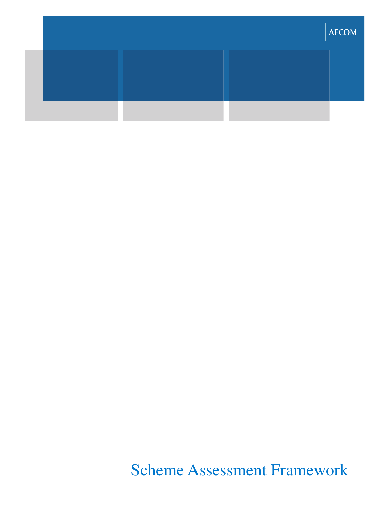|  | <b>AECOM</b> |
|--|--------------|
|  |              |
|  |              |

Scheme Assessment Framework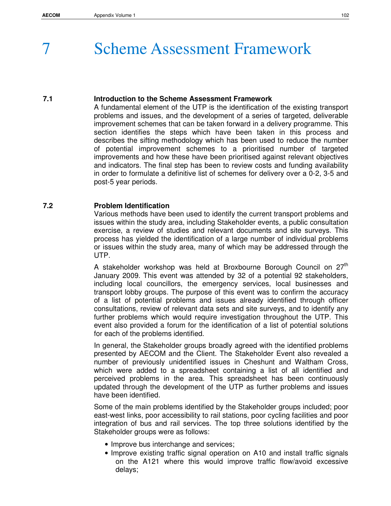# **Scheme Assessment Framework**

## **7.1 Introduction to the Scheme Assessment Framework**

A fundamental element of the UTP is the identification of the existing transport problems and issues, and the development of a series of targeted, deliverable improvement schemes that can be taken forward in a delivery programme. This section identifies the steps which have been taken in this process and describes the sifting methodology which has been used to reduce the number of potential improvement schemes to a prioritised number of targeted improvements and how these have been prioritised against relevant objectives and indicators. The final step has been to review costs and funding availability in order to formulate a definitive list of schemes for delivery over a 0-2, 3-5 and post-5 year periods.

# **7.2 Problem Identification**

Various methods have been used to identify the current transport problems and issues within the study area, including Stakeholder events, a public consultation exercise, a review of studies and relevant documents and site surveys. This process has yielded the identification of a large number of individual problems or issues within the study area, many of which may be addressed through the UTP.

A stakeholder workshop was held at Broxbourne Borough Council on  $27<sup>th</sup>$ January 2009. This event was attended by 32 of a potential 92 stakeholders, including local councillors, the emergency services, local businesses and transport lobby groups. The purpose of this event was to confirm the accuracy of a list of potential problems and issues already identified through officer consultations, review of relevant data sets and site surveys, and to identify any further problems which would require investigation throughout the UTP. This event also provided a forum for the identification of a list of potential solutions for each of the problems identified.

In general, the Stakeholder groups broadly agreed with the identified problems presented by AECOM and the Client. The Stakeholder Event also revealed a number of previously unidentified issues in Cheshunt and Waltham Cross, which were added to a spreadsheet containing a list of all identified and perceived problems in the area. This spreadsheet has been continuously updated through the development of the UTP as further problems and issues have been identified.

Some of the main problems identified by the Stakeholder groups included; poor east-west links, poor accessibility to rail stations, poor cycling facilities and poor integration of bus and rail services. The top three solutions identified by the Stakeholder groups were as follows:

- Improve bus interchange and services;
- Improve existing traffic signal operation on A10 and install traffic signals on the A121 where this would improve traffic flow/avoid excessive delays;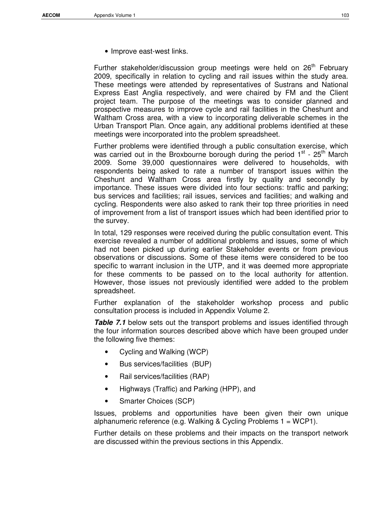• Improve east-west links.

Further stakeholder/discussion group meetings were held on 26<sup>th</sup> February 2009, specifically in relation to cycling and rail issues within the study area. These meetings were attended by representatives of Sustrans and National Express East Anglia respectively, and were chaired by FM and the Client project team. The purpose of the meetings was to consider planned and prospective measures to improve cycle and rail facilities in the Cheshunt and Waltham Cross area, with a view to incorporating deliverable schemes in the Urban Transport Plan. Once again, any additional problems identified at these meetings were incorporated into the problem spreadsheet.

Further problems were identified through a public consultation exercise, which was carried out in the Broxbourne borough during the period  $1^{st}$  - 25<sup>th</sup> March 2009. Some 39,000 questionnaires were delivered to households, with respondents being asked to rate a number of transport issues within the Cheshunt and Waltham Cross area firstly by quality and secondly by importance. These issues were divided into four sections: traffic and parking; bus services and facilities; rail issues, services and facilities; and walking and cycling. Respondents were also asked to rank their top three priorities in need of improvement from a list of transport issues which had been identified prior to the survey.

In total, 129 responses were received during the public consultation event. This exercise revealed a number of additional problems and issues, some of which had not been picked up during earlier Stakeholder events or from previous observations or discussions. Some of these items were considered to be too specific to warrant inclusion in the UTP, and it was deemed more appropriate for these comments to be passed on to the local authority for attention. However, those issues not previously identified were added to the problem spreadsheet.

Further explanation of the stakeholder workshop process and public consultation process is included in Appendix Volume 2.

**Table 7.1** below sets out the transport problems and issues identified through the four information sources described above which have been grouped under the following five themes:

- Cycling and Walking (WCP)
- Bus services/facilities (BUP)
- Rail services/facilities (RAP)
- Highways (Traffic) and Parking (HPP), and
- Smarter Choices (SCP)

Issues, problems and opportunities have been given their own unique alphanumeric reference (e.g. Walking & Cycling Problems 1 = WCP1).

Further details on these problems and their impacts on the transport network are discussed within the previous sections in this Appendix.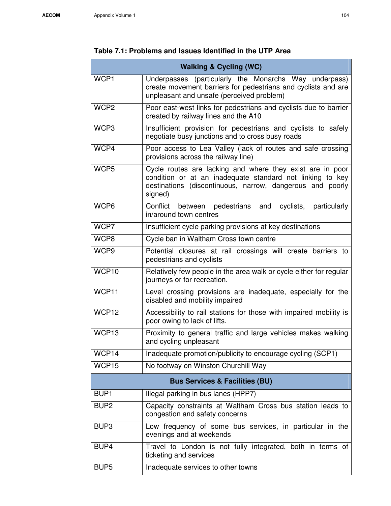п

## **Table 7.1: Problems and Issues Identified in the UTP Area**

|                   | <b>Walking &amp; Cycling (WC)</b>                                                                                                                                                              |
|-------------------|------------------------------------------------------------------------------------------------------------------------------------------------------------------------------------------------|
| WCP1              | Underpasses (particularly the Monarchs Way underpass)<br>create movement barriers for pedestrians and cyclists and are<br>unpleasant and unsafe (perceived problem)                            |
| WCP <sub>2</sub>  | Poor east-west links for pedestrians and cyclists due to barrier<br>created by railway lines and the A10                                                                                       |
| WCP <sub>3</sub>  | Insufficient provision for pedestrians and cyclists to safely<br>negotiate busy junctions and to cross busy roads                                                                              |
| WCP4              | Poor access to Lea Valley (lack of routes and safe crossing<br>provisions across the railway line)                                                                                             |
| WCP <sub>5</sub>  | Cycle routes are lacking and where they exist are in poor<br>condition or at an inadequate standard not linking to key<br>destinations (discontinuous, narrow, dangerous and poorly<br>signed) |
| WCP6              | Conflict between pedestrians and cyclists, particularly<br>in/around town centres                                                                                                              |
| WCP7              | Insufficient cycle parking provisions at key destinations                                                                                                                                      |
| WCP8              | Cycle ban in Waltham Cross town centre                                                                                                                                                         |
| WCP9              | Potential closures at rail crossings will create barriers to<br>pedestrians and cyclists                                                                                                       |
| WCP10             | Relatively few people in the area walk or cycle either for regular<br>journeys or for recreation.                                                                                              |
| WCP11             | Level crossing provisions are inadequate, especially for the<br>disabled and mobility impaired                                                                                                 |
| WCP12             | Accessibility to rail stations for those with impaired mobility is<br>poor owing to lack of lifts.                                                                                             |
| WCP <sub>13</sub> | Proximity to general traffic and large vehicles makes walking<br>and cycling unpleasant                                                                                                        |
| WCP14             | Inadequate promotion/publicity to encourage cycling (SCP1)                                                                                                                                     |
| WCP15             | No footway on Winston Churchill Way                                                                                                                                                            |
|                   | <b>Bus Services &amp; Facilities (BU)</b>                                                                                                                                                      |
| BUP <sub>1</sub>  | Illegal parking in bus lanes (HPP7)                                                                                                                                                            |
| BUP <sub>2</sub>  | Capacity constraints at Waltham Cross bus station leads to<br>congestion and safety concerns                                                                                                   |
| BUP3              | Low frequency of some bus services, in particular in the<br>evenings and at weekends                                                                                                           |
| BUP4              | Travel to London is not fully integrated, both in terms of<br>ticketing and services                                                                                                           |
| BUP <sub>5</sub>  | Inadequate services to other towns                                                                                                                                                             |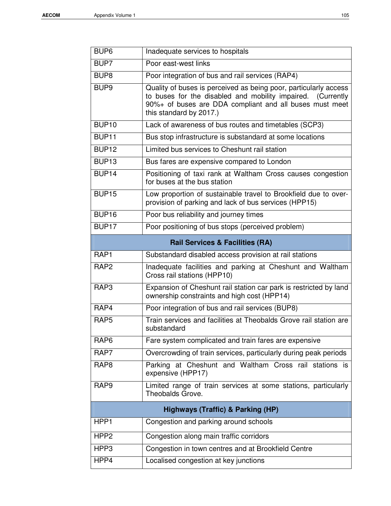| BUP <sub>6</sub>  | Inadequate services to hospitals                                                                                                                                                                                      |
|-------------------|-----------------------------------------------------------------------------------------------------------------------------------------------------------------------------------------------------------------------|
| BUP7              | Poor east-west links                                                                                                                                                                                                  |
| BUP <sub>8</sub>  | Poor integration of bus and rail services (RAP4)                                                                                                                                                                      |
| BUP <sub>9</sub>  | Quality of buses is perceived as being poor, particularly access<br>to buses for the disabled and mobility impaired. (Currently<br>90%+ of buses are DDA compliant and all buses must meet<br>this standard by 2017.) |
| BUP <sub>10</sub> | Lack of awareness of bus routes and timetables (SCP3)                                                                                                                                                                 |
| BUP <sub>11</sub> | Bus stop infrastructure is substandard at some locations                                                                                                                                                              |
| BUP <sub>12</sub> | Limited bus services to Cheshunt rail station                                                                                                                                                                         |
| BUP <sub>13</sub> | Bus fares are expensive compared to London                                                                                                                                                                            |
| BUP <sub>14</sub> | Positioning of taxi rank at Waltham Cross causes congestion<br>for buses at the bus station                                                                                                                           |
| BUP <sub>15</sub> | Low proportion of sustainable travel to Brookfield due to over-<br>provision of parking and lack of bus services (HPP15)                                                                                              |
| BUP <sub>16</sub> | Poor bus reliability and journey times                                                                                                                                                                                |
| BUP <sub>17</sub> | Poor positioning of bus stops (perceived problem)                                                                                                                                                                     |
|                   | <b>Rail Services &amp; Facilities (RA)</b>                                                                                                                                                                            |
| RAP <sub>1</sub>  | Substandard disabled access provision at rail stations                                                                                                                                                                |
| RAP <sub>2</sub>  | Inadequate facilities and parking at Cheshunt and Waltham<br>Cross rail stations (HPP10)                                                                                                                              |
| RAP3              | Expansion of Cheshunt rail station car park is restricted by land<br>ownership constraints and high cost (HPP14)                                                                                                      |
| RAP4              | Poor integration of bus and rail services (BUP8)                                                                                                                                                                      |
| RAP <sub>5</sub>  | Train services and facilities at Theobalds Grove rail station are<br>substandard                                                                                                                                      |
| RAP <sub>6</sub>  | Fare system complicated and train fares are expensive                                                                                                                                                                 |
| RAP7              | Overcrowding of train services, particularly during peak periods                                                                                                                                                      |
| RAP <sub>8</sub>  | Parking at Cheshunt and Waltham Cross rail stations is<br>expensive (HPP17)                                                                                                                                           |
| RAP <sub>9</sub>  | Limited range of train services at some stations, particularly<br>Theobalds Grove.                                                                                                                                    |
|                   | Highways (Traffic) & Parking (HP)                                                                                                                                                                                     |
| HPP1              | Congestion and parking around schools                                                                                                                                                                                 |
| HPP <sub>2</sub>  | Congestion along main traffic corridors                                                                                                                                                                               |
| HPP3              | Congestion in town centres and at Brookfield Centre                                                                                                                                                                   |
| HPP4              | Localised congestion at key junctions                                                                                                                                                                                 |
|                   |                                                                                                                                                                                                                       |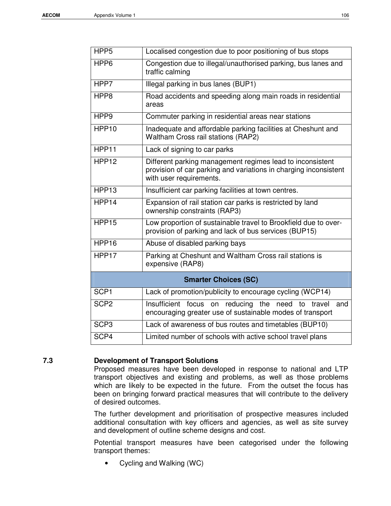| HPP <sub>5</sub>  | Localised congestion due to poor positioning of bus stops                                                                                                |
|-------------------|----------------------------------------------------------------------------------------------------------------------------------------------------------|
| HPP6              | Congestion due to illegal/unauthorised parking, bus lanes and<br>traffic calming                                                                         |
| HPP7              | Illegal parking in bus lanes (BUP1)                                                                                                                      |
| HPP8              | Road accidents and speeding along main roads in residential<br>areas                                                                                     |
| HPP <sub>9</sub>  | Commuter parking in residential areas near stations                                                                                                      |
| HPP <sub>10</sub> | Inadequate and affordable parking facilities at Cheshunt and<br><b>Waltham Cross rail stations (RAP2)</b>                                                |
| HPP11             | Lack of signing to car parks                                                                                                                             |
| HPP <sub>12</sub> | Different parking management regimes lead to inconsistent<br>provision of car parking and variations in charging inconsistent<br>with user requirements. |
| HPP <sub>13</sub> | Insufficient car parking facilities at town centres.                                                                                                     |
| HPP14             | Expansion of rail station car parks is restricted by land<br>ownership constraints (RAP3)                                                                |
| HPP15             | Low proportion of sustainable travel to Brookfield due to over-<br>provision of parking and lack of bus services (BUP15)                                 |
| HPP16             | Abuse of disabled parking bays                                                                                                                           |
| HPP17             | Parking at Cheshunt and Waltham Cross rail stations is<br>expensive (RAP8)                                                                               |
|                   | <b>Smarter Choices (SC)</b>                                                                                                                              |
| SCP <sub>1</sub>  | Lack of promotion/publicity to encourage cycling (WCP14)                                                                                                 |
| SCP <sub>2</sub>  | Insufficient focus on reducing the need to travel<br>and<br>encouraging greater use of sustainable modes of transport                                    |
| SCP <sub>3</sub>  | Lack of awareness of bus routes and timetables (BUP10)                                                                                                   |
| SCP4              | Limited number of schools with active school travel plans                                                                                                |
|                   |                                                                                                                                                          |

#### **7.3 Development of Transport Solutions**

Proposed measures have been developed in response to national and LTP transport objectives and existing and problems, as well as those problems which are likely to be expected in the future. From the outset the focus has been on bringing forward practical measures that will contribute to the delivery of desired outcomes.

The further development and prioritisation of prospective measures included additional consultation with key officers and agencies, as well as site survey and development of outline scheme designs and cost.

Potential transport measures have been categorised under the following transport themes:

• Cycling and Walking (WC)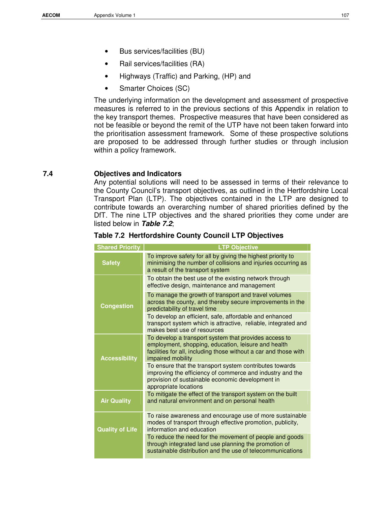- Bus services/facilities (BU)
- Rail services/facilities (RA)
- Highways (Traffic) and Parking, (HP) and
- Smarter Choices (SC)

The underlying information on the development and assessment of prospective measures is referred to in the previous sections of this Appendix in relation to the key transport themes. Prospective measures that have been considered as not be feasible or beyond the remit of the UTP have not been taken forward into the prioritisation assessment framework. Some of these prospective solutions are proposed to be addressed through further studies or through inclusion within a policy framework.

#### **7.4 Objectives and Indicators**

Any potential solutions will need to be assessed in terms of their relevance to the County Council's transport objectives, as outlined in the Hertfordshire Local Transport Plan (LTP). The objectives contained in the LTP are designed to contribute towards an overarching number of shared priorities defined by the DfT. The nine LTP objectives and the shared priorities they come under are listed below in **Table 7.2**;

| <b>Shared Priority</b> | <b>LTP Objective</b>                                                                                                                                                                                  |
|------------------------|-------------------------------------------------------------------------------------------------------------------------------------------------------------------------------------------------------|
| <b>Safety</b>          | To improve safety for all by giving the highest priority to<br>minimising the number of collisions and injuries occurring as<br>a result of the transport system                                      |
|                        | To obtain the best use of the existing network through<br>effective design, maintenance and management                                                                                                |
| <b>Congestion</b>      | To manage the growth of transport and travel volumes<br>across the county, and thereby secure improvements in the<br>predictability of travel time                                                    |
|                        | To develop an efficient, safe, affordable and enhanced<br>transport system which is attractive, reliable, integrated and<br>makes best use of resources                                               |
| <b>Accessibility</b>   | To develop a transport system that provides access to<br>employment, shopping, education, leisure and health<br>facilities for all, including those without a car and those with<br>impaired mobility |
|                        | To ensure that the transport system contributes towards<br>improving the efficiency of commerce and industry and the<br>provision of sustainable economic development in<br>appropriate locations     |
| <b>Air Quality</b>     | To mitigate the effect of the transport system on the built<br>and natural environment and on personal health                                                                                         |
| <b>Quality of Life</b> | To raise awareness and encourage use of more sustainable<br>modes of transport through effective promotion, publicity,<br>information and education                                                   |
|                        | To reduce the need for the movement of people and goods<br>through integrated land use planning the promotion of<br>sustainable distribution and the use of telecommunications                        |

#### **Table 7.2 Hertfordshire County Council LTP Objectives**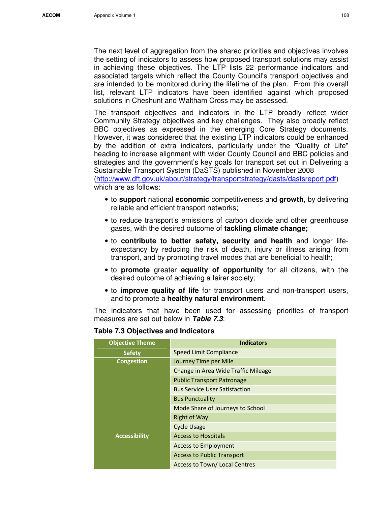The next level of aggregation from the shared priorities and objectives involves the setting of indicators to assess how proposed transport solutions may assist in achieving these objectives. The LTP lists 22 performance indicators and associated targets which reflect the County Council's transport objectives and are intended to be monitored during the lifetime of the plan. From this overall list, relevant LTP indicators have been identified against which proposed solutions in Cheshunt and Waltham Cross may be assessed.

The transport objectives and indicators in the LTP broadly reflect wider Community Strategy objectives and key challenges. They also broadly reflect BBC objectives as expressed in the emerging Core Strategy documents. However, it was considered that the existing LTP indicators could be enhanced by the addition of extra indicators, particularly under the "Quality of Life" heading to increase alignment with wider County Council and BBC policies and strategies and the government's key goals for transport set out in Delivering a Sustainable Transport System (DaSTS) published in November 2008 (http://www.dft.gov.uk/about/strategy/transportstrategy/dasts/dastsreport.pdf) which are as follows:

- to **support** national **economic** competitiveness and **growth**, by delivering reliable and efficient transport networks;
- to reduce transport's emissions of carbon dioxide and other greenhouse gases, with the desired outcome of **tackling climate change;**
- to **contribute to better safety, security and health** and longer lifeexpectancy by reducing the risk of death, injury or illness arising from transport, and by promoting travel modes that are beneficial to health;
- to **promote** greater **equality of opportunity** for all citizens, with the desired outcome of achieving a fairer society;
- to **improve quality of life** for transport users and non-transport users, and to promote a **healthy natural environment**.

The indicators that have been used for assessing priorities of transport measures are set out below in **Table 7.3**:

| <b>Table 7.3 Objectives and Indicators</b> |                                      |
|--------------------------------------------|--------------------------------------|
| <b>Objective Theme</b>                     | <b>Indicators</b>                    |
| <b>Safety</b>                              | Speed Limit Compliance               |
| <b>Congestion</b>                          | Journey Time per Mile                |
|                                            | Change in Area Wide Traffic Mileage  |
|                                            | <b>Public Transport Patronage</b>    |
|                                            | <b>Bus Service User Satisfaction</b> |
|                                            | <b>Bus Punctuality</b>               |
|                                            | Mode Share of Journeys to School     |
|                                            | <b>Right of Way</b>                  |
|                                            | <b>Cycle Usage</b>                   |
| <b>Accessibility</b>                       | <b>Access to Hospitals</b>           |
|                                            | <b>Access to Employment</b>          |
|                                            | <b>Access to Public Transport</b>    |
|                                            | Access to Town/Local Centres         |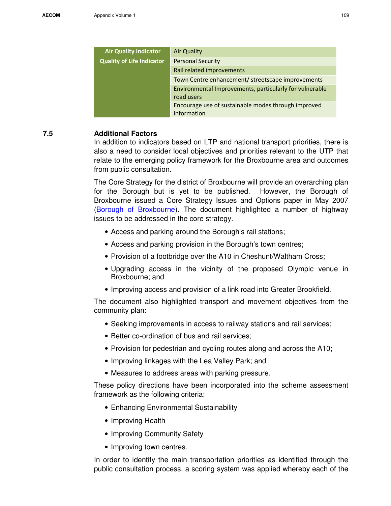| <b>Air Quality Indicator</b>     | <b>Air Quality</b>                                                    |
|----------------------------------|-----------------------------------------------------------------------|
| <b>Quality of Life Indicator</b> | <b>Personal Security</b>                                              |
|                                  | Rail related improvements                                             |
|                                  | Town Centre enhancement/ streetscape improvements                     |
|                                  | Environmental Improvements, particularly for vulnerable<br>road users |
|                                  | Encourage use of sustainable modes through improved<br>information    |

#### **7.5 Additional Factors**

In addition to indicators based on LTP and national transport priorities, there is also a need to consider local objectives and priorities relevant to the UTP that relate to the emerging policy framework for the Broxbourne area and outcomes from public consultation.

The Core Strategy for the district of Broxbourne will provide an overarching plan for the Borough but is yet to be published. However, the Borough of Broxbourne issued a Core Strategy Issues and Options paper in May 2007 (Borough of Broxbourne). The document highlighted a number of highway issues to be addressed in the core strategy.

- Access and parking around the Borough's rail stations;
- Access and parking provision in the Borough's town centres;
- Provision of a footbridge over the A10 in Cheshunt/Waltham Cross;
- Upgrading access in the vicinity of the proposed Olympic venue in Broxbourne; and
- Improving access and provision of a link road into Greater Brookfield.

The document also highlighted transport and movement objectives from the community plan:

- Seeking improvements in access to railway stations and rail services;
- Better co-ordination of bus and rail services;
- Provision for pedestrian and cycling routes along and across the A10;
- Improving linkages with the Lea Valley Park; and
- Measures to address areas with parking pressure.

These policy directions have been incorporated into the scheme assessment framework as the following criteria:

- Enhancing Environmental Sustainability
- Improving Health
- Improving Community Safety
- Improving town centres.

In order to identify the main transportation priorities as identified through the public consultation process, a scoring system was applied whereby each of the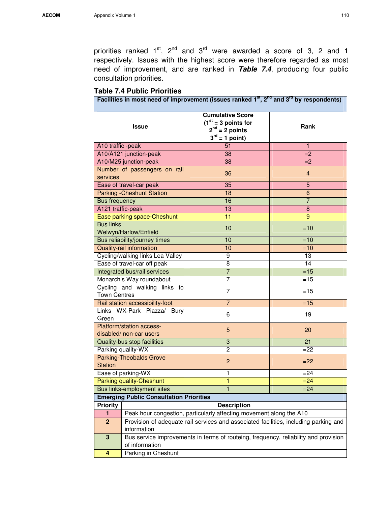priorities ranked  $1^{st}$ ,  $2^{nd}$  and  $3^{rd}$  were awarded a score of 3, 2 and 1 respectively. Issues with the highest score were therefore regarded as most need of improvement, and are ranked in **Table 7.4**, producing four public consultation priorities.

|  |  |  | <b>Table 7.4 Public Priorities</b> |
|--|--|--|------------------------------------|
|--|--|--|------------------------------------|

|                      |                                                     | Facilities in most need of improvement (issues ranked $1st$ , $2nd$ and $3rd$ by respondents) |                |
|----------------------|-----------------------------------------------------|-----------------------------------------------------------------------------------------------|----------------|
|                      | <b>Issue</b>                                        | <b>Cumulative Score</b><br>$(1st = 3 points for$<br>$2nd = 2 points$<br>$3^{rd}$ = 1 point)   | Rank           |
| A10 traffic -peak    |                                                     | 51                                                                                            | 1              |
|                      | A10/A121 junction-peak                              | 38                                                                                            | $=2$           |
|                      | A10/M25 junction-peak                               | 38                                                                                            | $=2$           |
| services             | Number of passengers on rail                        | 36                                                                                            | $\overline{4}$ |
|                      | Ease of travel-car peak                             | $\overline{35}$                                                                               | 5              |
|                      | <b>Parking - Cheshunt Station</b>                   | 18                                                                                            | 6              |
| <b>Bus frequency</b> |                                                     | 16                                                                                            | $\overline{7}$ |
| A121 traffic-peak    |                                                     | 13                                                                                            | 8              |
|                      | Ease parking space-Cheshunt                         | 11                                                                                            | 9              |
| <b>Bus links</b>     | Welwyn/Harlow/Enfield                               | 10                                                                                            | $=10$          |
|                      | Bus reliability/journey times                       | 10                                                                                            | $=10$          |
|                      | Quality-rail information                            | 10                                                                                            | $=10$          |
|                      | Cycling/walking links Lea Valley                    | $\overline{9}$                                                                                | 13             |
|                      | Ease of travel-car off peak                         | 8                                                                                             | 14             |
|                      | Integrated bus/rail services                        | $\overline{7}$                                                                                | $=15$          |
|                      | Monarch's Way roundabout                            | 7                                                                                             | $=15$          |
| <b>Town Centres</b>  | Cycling and walking links to                        | $\overline{7}$                                                                                | $=15$          |
|                      | Rail station accessibility-foot                     | $\overline{7}$                                                                                | $=15$          |
| Green                | Links WX-Park Piazza/ Bury                          | 6                                                                                             | 19             |
|                      | Platform/station access-<br>disabled/ non-car users | 5                                                                                             | 20             |
|                      | Quality-bus stop facilities                         | $\ensuremath{\mathsf{3}}$                                                                     | 21             |
|                      | Parking quality-WX                                  | $\overline{c}$                                                                                | $=22$          |
| <b>Station</b>       | <b>Parking-Theobalds Grove</b>                      | $\overline{c}$                                                                                | $=22$          |
|                      | Ease of parking-WX                                  | 1                                                                                             | $= 24$         |
|                      | Parking quality-Cheshunt                            | 1                                                                                             | $=24$          |
|                      | Bus links-employment sites                          | 1                                                                                             | $= 24$         |
|                      | <b>Emerging Public Consultation Priorities</b>      |                                                                                               |                |
| <b>Priority</b>      |                                                     | <b>Description</b>                                                                            |                |
| $\blacksquare$       |                                                     | Peak hour congestion, particularly affecting movement along the A10                           |                |
| $\mathbf{2}$         |                                                     | Provision of adequate rail services and associated facilities, including parking and          |                |
|                      | information                                         |                                                                                               |                |
| $\mathbf 3$          | of information                                      | Bus service improvements in terms of routeing, frequency, reliability and provision           |                |
| 4                    | Parking in Cheshunt                                 |                                                                                               |                |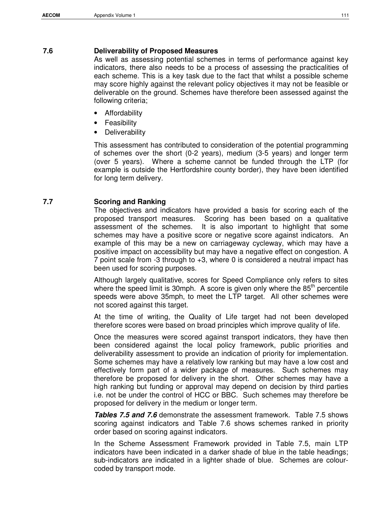#### **7.6 Deliverability of Proposed Measures**

As well as assessing potential schemes in terms of performance against key indicators, there also needs to be a process of assessing the practicalities of each scheme. This is a key task due to the fact that whilst a possible scheme may score highly against the relevant policy objectives it may not be feasible or deliverable on the ground. Schemes have therefore been assessed against the following criteria;

- **Affordability**
- **Feasibility**
- **Deliverability**

This assessment has contributed to consideration of the potential programming of schemes over the short (0-2 years), medium (3-5 years) and longer term (over 5 years). Where a scheme cannot be funded through the LTP (for example is outside the Hertfordshire county border), they have been identified for long term delivery.

### **7.7 Scoring and Ranking**

The objectives and indicators have provided a basis for scoring each of the proposed transport measures. Scoring has been based on a qualitative assessment of the schemes. It is also important to highlight that some schemes may have a positive score or negative score against indicators. An example of this may be a new on carriageway cycleway, which may have a positive impact on accessibility but may have a negative effect on congestion. A 7 point scale from -3 through to +3, where 0 is considered a neutral impact has been used for scoring purposes.

Although largely qualitative, scores for Speed Compliance only refers to sites where the speed limit is 30mph. A score is given only where the  $85<sup>th</sup>$  percentile speeds were above 35mph, to meet the LTP target. All other schemes were not scored against this target.

At the time of writing, the Quality of Life target had not been developed therefore scores were based on broad principles which improve quality of life.

Once the measures were scored against transport indicators, they have then been considered against the local policy framework, public priorities and deliverability assessment to provide an indication of priority for implementation. Some schemes may have a relatively low ranking but may have a low cost and effectively form part of a wider package of measures. Such schemes may therefore be proposed for delivery in the short. Other schemes may have a high ranking but funding or approval may depend on decision by third parties i.e. not be under the control of HCC or BBC. Such schemes may therefore be proposed for delivery in the medium or longer term.

**Tables 7.5 and 7.6** demonstrate the assessment framework. Table 7.5 shows scoring against indicators and Table 7.6 shows schemes ranked in priority order based on scoring against indicators.

In the Scheme Assessment Framework provided in Table 7.5, main LTP indicators have been indicated in a darker shade of blue in the table headings; sub-indicators are indicated in a lighter shade of blue. Schemes are colourcoded by transport mode.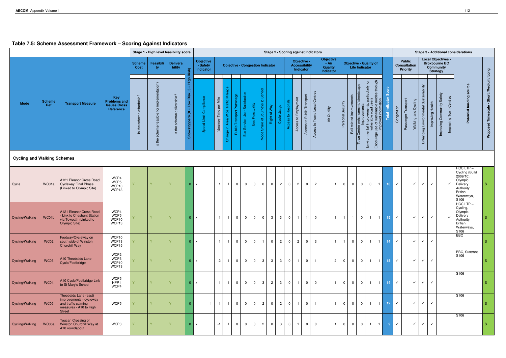# **Table 7.5: Scheme Assessment Framework – Scoring Against Indicators**

|                                    |                      |                                                                                                                    |                                                                |                                                    |                                                                                                        | Stage 1 - High level feasibility score               |                                                                      |                                    |                                |                                                         |                                |                                                       |                                         |                                                 |                |                |                | <b>Stage 2 - Scoring against Indicators</b>      |                               |                               |                                                     |                         |                |                                                            |                                                                                                                                                                     |                       |                          |              |                                                         |                     |                                                 |                     |                                                                       |                               | <b>Stage 3 - Additional considerations</b>                                                                                |                                          |
|------------------------------------|----------------------|--------------------------------------------------------------------------------------------------------------------|----------------------------------------------------------------|----------------------------------------------------|--------------------------------------------------------------------------------------------------------|------------------------------------------------------|----------------------------------------------------------------------|------------------------------------|--------------------------------|---------------------------------------------------------|--------------------------------|-------------------------------------------------------|-----------------------------------------|-------------------------------------------------|----------------|----------------|----------------|--------------------------------------------------|-------------------------------|-------------------------------|-----------------------------------------------------|-------------------------|----------------|------------------------------------------------------------|---------------------------------------------------------------------------------------------------------------------------------------------------------------------|-----------------------|--------------------------|--------------|---------------------------------------------------------|---------------------|-------------------------------------------------|---------------------|-----------------------------------------------------------------------|-------------------------------|---------------------------------------------------------------------------------------------------------------------------|------------------------------------------|
|                                    |                      |                                                                                                                    |                                                                | <b>Scheme</b><br>Cost                              | Feasibili<br>ty.                                                                                       | <b>Delivera</b><br>bility                            | ₽<br>宧                                                               | Objective<br>- Safety<br>Indicator |                                |                                                         |                                |                                                       | <b>Objective - Congestion Indicator</b> |                                                 |                |                |                | Objective -<br><b>Accessibility</b><br>Indicator |                               |                               | Objective<br>$- Air$<br><b>Quality</b><br>Indicator |                         |                | <b>Life Indicator</b>                                      | <b>Objective - Quality of</b>                                                                                                                                       |                       |                          |              | <b>Public</b><br><b>Consultation</b><br><b>Priority</b> |                     |                                                 | <b>Strategy</b>     | <b>Local Objectives -</b><br><b>Broxbourne BC</b><br><b>Community</b> |                               |                                                                                                                           |                                          |
| <b>Mode</b>                        | <b>Scheme</b><br>Ref | <b>Transport Measure</b>                                                                                           | Key<br><b>Problems and</b><br><b>Issues Cross</b><br>Reference | dable?<br>affor<br>Ġ<br>the<br>$\overline{\omega}$ | ntation?<br>$rac{e}{\rho}$<br>르<br>$\tilde{\mathbf{p}}$<br>sible<br>ு<br>ㅎ<br>ᆃ<br>$\overline{\omega}$ | deliverable?<br>scheme<br>the<br>$\overline{\omega}$ | High<br>က<br>Risk,<br>Low<br>- 11<br>$\epsilon$<br>å<br>sto<br>Show: | ਨ<br>တိ                            | Mile<br>per<br>Time<br>Journey | Traffic<br>Wide <sup>-</sup><br>Area<br>a,<br>nge<br>Õ. | age<br>Public Transport Patron | $\overline{5}$<br>atisfacti<br>ဖ<br>Service Us<br>Bus | Bus Punctuality                         | Ø<br>$\mathfrak{a}$<br>Share of Journeys<br>န္ခ | Right of Way   | Cycle Usage    | ss to Hospit   | Employment<br>Access to                          | to Public Transport<br>Access | Access to Town/ Local Centres | Air Quality                                         | Security<br>rsonal<br>å | relate<br>Rail | <u>e</u><br>stre<br>enhancem<br>improveme<br>Centre<br>own | $\tilde{\mathbf{p}}$<br>particularly 1<br>$\frac{d}{d}$<br>Environmental Improvement<br>vulnerable road<br>Encourage use of sustainal<br>Encourage use of sustainal | modes through<br>tion | ore<br><b>CO</b><br>otal | Congestion   | Transport<br>Passenger                                  | Walking and Cycling | dilip<br>$\infty$<br>Environmental<br>Enhancing | Health<br>Improving | Safety<br>Improving Community                                         | ntres<br>පි<br>Improving Town | source<br>funding<br>Potential                                                                                            | Proposed Timescale - Short /Medium/ Long |
| <b>Cycling and Walking Schemes</b> |                      |                                                                                                                    |                                                                |                                                    |                                                                                                        |                                                      |                                                                      |                                    |                                |                                                         |                                |                                                       |                                         |                                                 |                |                |                |                                                  |                               |                               |                                                     |                         |                |                                                            |                                                                                                                                                                     |                       |                          |              |                                                         |                     |                                                 |                     |                                                                       |                               |                                                                                                                           |                                          |
| Cycle                              | WC01a                | A121 Eleanor Cross Road<br><b>Cycleway Final Phase</b><br>(Linked to Olympic Site)                                 | WCP4<br>WCP5<br>WCP10<br>WCP13                                 |                                                    | Y                                                                                                      |                                                      | $0 \mid x$                                                           |                                    | $\mathbf{1}$                   | $\overline{1}$                                          | $\mathbf 0$                    | $\mathbf 0$                                           | $\mathbf 0$                             | $\mathbf 0$                                     | $\mathbf 0$    | $\overline{2}$ | $\overline{0}$ | $\overline{2}$                                   | $\mathbf 0$                   | $\overline{2}$                | $\mathbf{1}$                                        | $\mathbf 0$             | $\mathbf 0$    | $\mathbf 0$                                                | $\overline{0}$                                                                                                                                                      | $\overline{1}$        | 10 <sub>1</sub>          | $\checkmark$ |                                                         | $\checkmark$        | $\checkmark$                                    | $\checkmark$        |                                                                       |                               | $HCC$ LTP $-$<br>Cycling (Build<br>2009/10),<br>Olympic<br>Delivery<br>Authority,<br><b>British</b><br>Waterways,<br>S106 | S.                                       |
| Cycling/Walking                    | WC01b                | A121 Eleanor Cross Road<br>- Link to Cheshunt Station<br>via Towpath (Linked to<br>Olympic Site)                   | WCP4<br>WCP5<br>WCP10<br>WCP13                                 |                                                    | Y                                                                                                      |                                                      | 0 x                                                                  |                                    |                                | $\overline{1}$                                          | $\overline{0}$                 | $\mathbf{0}$                                          | $\mathbf{0}$                            | $\mathbf 0$                                     | $\mathbf{3}$   | $\mathbf{3}$   | $\mathbf 0$    | $\overline{1}$                                   | $\overline{1}$                | $\overline{0}$                |                                                     | $\overline{1}$          | $\overline{1}$ | $\overline{0}$                                             | $\overline{1}$                                                                                                                                                      | $\vert$ 1 $\vert$     | 15 <sub>1</sub>          | $\checkmark$ |                                                         | $\checkmark$        | $\checkmark$                                    | $\checkmark$        |                                                                       |                               | $HCC$ LTP $-$<br>Cycling,<br>Olympic<br>Delivery<br>Authority,<br><b>British</b><br>Waterways,<br>S106                    | S.                                       |
| Cycling/Walking                    | <b>WC02</b>          | Footway/Cycleway on<br>south side of Winston<br><b>Churchill Way</b>                                               | WCP10<br>WCP13<br>WCP15                                        |                                                    |                                                                                                        |                                                      | 0 x                                                                  |                                    | $\overline{1}$                 | $\overline{1}$                                          | $\overline{0}$                 | $\overline{0}$                                        | $\overline{0}$                          | $\overline{\mathbf{1}}$                         | $\mathbf 0$    | $\overline{2}$ | $\overline{0}$ | $\overline{c}$                                   | $\overline{0}$                | $\mathbf{3}$                  | $\mathbf{1}$                                        | $\overline{1}$          | $\mathbf 0$    | $\mathbf{0}$                                               | $\overline{1}$                                                                                                                                                      | $\overline{1}$        | 14 <sub>1</sub>          | $\checkmark$ |                                                         | $\checkmark$        | $\checkmark$                                    | $\checkmark$        |                                                                       |                               | <b>BBC</b>                                                                                                                | S                                        |
| Cycling/Walking                    | <b>WC03</b>          | A10 Theobalds Lane<br>Cycle/Footbridge                                                                             | WCP2<br>WCP3<br>WCP10<br>WCP13                                 |                                                    | V.                                                                                                     |                                                      | 0 x                                                                  |                                    | $2^{\circ}$                    | $\overline{1}$                                          | $\overline{0}$                 | $\overline{0}$                                        | $\mathbf{0}$                            | 3                                               | $\mathbf{3}$   | $\mathbf{3}$   | $\overline{0}$ | $\overline{1}$                                   | $\overline{0}$                |                               | $\overline{2}$                                      | $\Omega$                | $\overline{0}$ | 0 <sup>1</sup>                                             |                                                                                                                                                                     | $1 \quad 1$           | 18 <sup>°</sup>          | $\checkmark$ |                                                         | $\checkmark$        | $\checkmark$                                    | $\checkmark$        |                                                                       |                               | BBC, Sustrans,<br>S106                                                                                                    | S.                                       |
| Cycling/Walking                    | <b>WC04</b>          | A10 Cycle/Footbridge Link<br>to St Mary's School                                                                   | WCP5<br>HPP1<br>WCP4                                           |                                                    |                                                                                                        |                                                      | $0 \mid x$                                                           |                                    |                                | $\overline{1}$                                          | $\mathbf 0$                    | $\overline{0}$                                        | $\overline{0}$                          | 3                                               | $\overline{2}$ | 3 I            | $\overline{0}$ | $\overline{1}$                                   | 0 <sup>1</sup>                | $\overline{0}$                |                                                     | $\mathbf 0$             | $\mathbf 0$    | 0 <sup>1</sup>                                             |                                                                                                                                                                     | 1   1                 | 14                       | $\checkmark$ |                                                         | $\checkmark$        | $\checkmark$                                    | $\checkmark$        |                                                                       |                               | S106                                                                                                                      | S.                                       |
| Cycling/Walking                    | WC05                 | Theobalds Lane (east)<br>improvements - cycleway<br>and traffic calming<br>measures - A10 to High<br><b>Street</b> | WCP5                                                           |                                                    |                                                                                                        |                                                      |                                                                      | $\mathbf{1}$                       | $\overline{1}$                 | $\overline{1}$                                          | $\overline{0}$                 | $\overline{0}$                                        | $\mathbf 0$                             | $\overline{2}$                                  | $\mathbf 0$    | $2^{\circ}$    | $\overline{0}$ | $\overline{1}$                                   | $\overline{0}$                |                               |                                                     | $\mathbf 0$             | $\mathbf 0$    | $\overline{0}$                                             |                                                                                                                                                                     | $1$   $1$             | 12                       | $\checkmark$ |                                                         | $\checkmark$        | $\checkmark$                                    | $\checkmark$        |                                                                       |                               | S <sub>106</sub>                                                                                                          | S.                                       |
| Cycling/Walking                    | WC06a                | <b>Toucan Crossing of</b><br>Winston Churchill Way at<br>A10 roundabout                                            | WCP3                                                           |                                                    |                                                                                                        |                                                      | 0 x                                                                  |                                    | $-1$                           | $\overline{1}$                                          | $\mathbf 0$                    | $\overline{0}$                                        | $\overline{0}$                          | $\overline{2}$                                  | $\overline{0}$ | 3 <sup>1</sup> | $\overline{0}$ | $\overline{1}$                                   | 0 <sup>1</sup>                | $\overline{0}$                | $\blacksquare$                                      | $\Omega$                | $\overline{0}$ | $\overline{0}$                                             | $\blacksquare$                                                                                                                                                      | $\overline{1}$        | 9 <sup>°</sup>           | $\checkmark$ |                                                         | $\checkmark$        | $\checkmark$                                    | $\checkmark$        |                                                                       |                               | S <sub>106</sub>                                                                                                          | S                                        |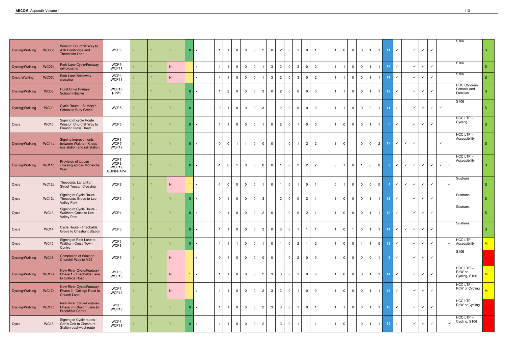|                 |             |                                                                                      |                                    |        |    |                |                                |                         |                |                         |                |                |                |                |                                           |                |                |                |             |                   |                |                                           |                 |                             |              |                           |              |                              |              | S106                                            |                |
|-----------------|-------------|--------------------------------------------------------------------------------------|------------------------------------|--------|----|----------------|--------------------------------|-------------------------|----------------|-------------------------|----------------|----------------|----------------|----------------|-------------------------------------------|----------------|----------------|----------------|-------------|-------------------|----------------|-------------------------------------------|-----------------|-----------------------------|--------------|---------------------------|--------------|------------------------------|--------------|-------------------------------------------------|----------------|
| Cycling/Walking | WC06b       | Winston Churchill Way to<br>A10 Footbridge and<br><b>Theobalds Lane</b>              | WCP5                               |        |    |                | $0 \mid x$                     | $\overline{\mathbf{1}}$ | $\Omega$       | $\Omega$                | $\Omega$       | $\overline{2}$ | $\Omega$       | $\overline{2}$ | $\overline{0}$<br>$\overline{1}$          | $\Omega$       |                |                | $\Omega$    | $\mathbf 0$       | $\Omega$       | $\overline{1}$                            | 11 <sub>1</sub> | $\checkmark$                |              | $\checkmark$              | $\checkmark$ | $\checkmark$                 |              |                                                 | S.             |
| Cycling/Walking | WC07a       | Park Lane Cycle/Footway<br>rail crossing                                             | WCP9<br>WCP11                      |        | N  |                | $\mathbf{x}$                   | $\overline{\mathbf{1}}$ | $\overline{0}$ | $\mathbf 0$             | $\overline{0}$ |                | $\mathbf{3}$   | $2^{\circ}$    | $\overline{0}$<br>$\mathbf{3}$            | $\Omega$       | $\overline{2}$ | $\overline{1}$ |             | $\overline{0}$    | $\overline{0}$ | $\overline{1}$                            | 17 <sub>2</sub> | $\checkmark$                |              | $\checkmark$              |              | $\checkmark$<br>$\checkmark$ |              | S106                                            | S.             |
| Cycle-Walking   | WC07b       | Park Lane Bridleway<br>crossing                                                      | WCP9<br>WCP11                      |        | N. |                | $\mathbf{1}$<br>$\mathsf{x}$   | $\overline{1}$          | $\overline{0}$ | $\overline{0}$          | $\mathbf{0}$   |                | $\mathbf{3}$   | $\overline{2}$ | $\overline{0}$<br>$\mathbf{3}$            | $\Omega$       | 2              | $\mathbf{1}$   |             | $\overline{0}$    | $\overline{0}$ | $\overline{1}$                            | 17              | $\checkmark$                |              | $\checkmark$              |              | $\checkmark$<br>$\checkmark$ |              | S106                                            | S              |
| Cycling/Walking | <b>WC08</b> | <b>Hurst Drive Primary</b><br>School Initiative                                      | WCP10<br>HPP1                      |        |    | $\Omega$       | $\mathbf{x}$                   | $\overline{2}$          | $\mathbf 0$    | $\mathbf 0$             | $\mathbf{0}$   | 3              | $\Omega$       | $\overline{2}$ | $\overline{0}$<br>$\mathbf 0$             | $\Omega$       | $\overline{0}$ |                |             | $\overline{0}$    | $\mathbf 0$    | $\overline{1}$<br>$\overline{\mathbf{1}}$ | 12 <sub>1</sub> | $\checkmark$                |              | $\checkmark$              |              | $\checkmark$<br>$\checkmark$ |              | <b>HCC Childrens</b><br>Schools and<br>Families |                |
| Cycling/Walking | <b>WC09</b> | Cycle Route - St Mary's<br>School to Bury Green                                      | WCP5                               |        |    |                | $\overline{0}$<br>$\mathbf{1}$ | $\overline{1}$          | $\overline{0}$ | $\mathbf 0$             | $\overline{0}$ | 3              |                | $\overline{2}$ | $\overline{0}$<br>$\mathbf 0$             | $\overline{0}$ | $\overline{0}$ | $\overline{1}$ |             | $\overline{0}$    | $\overline{0}$ | $\overline{0}$<br>$\overline{1}$          | 11 <sub>1</sub> | $\checkmark$                |              |                           | $\checkmark$ | $\checkmark$<br>$\checkmark$ | $\checkmark$ | S106                                            | S.             |
| Cycle           | <b>WC10</b> | Signing of cycle Route<br>Winston Churchill Way to<br>Eleanor Cross Road             | WCP5                               |        |    |                | $0 \mid x$                     | $\overline{\mathbf{1}}$ | $\mathsf{O}$   | $\mathbf 0$             | $\mathbf 0$    |                | $\mathbf 0$    | $\overline{2}$ | $\overline{0}$<br>$\overline{1}$          | $\overline{0}$ | $\overline{0}$ |                |             | $\overline{0}$    | $\overline{0}$ | $\overline{1}$<br>$\overline{1}$          |                 | $\checkmark$<br>9           |              |                           | $\checkmark$ | $\checkmark$<br>$\checkmark$ |              | $HCC$ LTP $-$<br>Cycling                        | S.             |
| Cycling/Walking | WC11a       | <b>Signing improvements</b><br>between Waltham Cross<br>bus station and rail station | WCP1<br>WCP5<br>WCP12              | Y.     |    |                | $0 \mid x$<br>$\overline{0}$   | $\overline{0}$          | $\overline{1}$ | $\overline{1}$          | $\overline{0}$ | $\mathbf 0$    | $\overline{0}$ | $\overline{1}$ | $\overline{0}$<br>$\overline{1}$          | $\overline{2}$ | $\overline{2}$ | $\overline{1}$ | $\mathbf 0$ | $\overline{1}$    | $\overline{0}$ | $\overline{2}$<br>$\overline{0}$          | 12 <sub>1</sub> | $\checkmark$                | $\checkmark$ |                           | $\checkmark$ |                              | $\checkmark$ | $HCC$ LTP $-$<br>Accessibility                  | S.             |
| Cycling/Walking | WC11b       | Provision of toucan<br>crossing across Monarchs<br>Way                               | WCP1<br>WCP3<br>WCP12<br>BUP8/RAP4 | V.     |    |                | 0 x<br>$-1$                    | $\overline{0}$          | $\overline{1}$ | $\mathbf 0$             | $\mathbf 0$    | $\mathbf 0$    | $\mathbf 0$    | $\mathbf{1}$   | $\mathbf 0$<br>$\overline{2}$             | $\overline{2}$ | $\overline{2}$ | $\overline{0}$ |             | $\overline{0}$    | $\blacksquare$ | $\overline{0}$<br>$\overline{0}$          |                 | $\checkmark$<br>$9^{\circ}$ | $\checkmark$ |                           | $\checkmark$ | $\checkmark$<br>$\checkmark$ | $\checkmark$ | $HCC$ LTP $-$<br>Accessibility<br>$\checkmark$  | S.             |
| Cycle           | WC12a       | Theobalds Lane/High<br><b>Street Toucan Crossing</b>                                 | WCP3                               |        | N. |                | $-1$<br>$\mathbf{x}$           | $\overline{0}$          | $\overline{0}$ | $\mathbf 0$             | $\overline{0}$ |                | $\Omega$       | $\overline{1}$ | $\overline{0}$<br>$\mathbf{1}$            | $\Omega$       | $\overline{1}$ | $\mathbf 0$    |             | $\overline{0}$    | $\overline{0}$ | $\overline{0}$<br>$\overline{0}$          |                 | $\checkmark$                | $\checkmark$ | $\checkmark$              |              | $\checkmark$<br>$\checkmark$ |              | Sustrans                                        | S.             |
| Cycle           | WC12b       | Signing of Cycle Route -<br>Theobalds Grove to Lee<br><b>Valley Park</b>             | WCP5                               |        |    | 0 <sup>1</sup> | $\overline{0}$<br>$\mathsf{x}$ |                         | $\overline{0}$ | $\mathbf 0$             | $\mathbf 0$    | $\mathbf{3}$   |                | $\overline{2}$ | $\overline{0}$<br>$\mathbf{0}$            | $\overline{2}$ |                |                | $\Omega$    | $\overline{0}$    | $\overline{0}$ | $\mathbf{1}$                              | 13 <sub>1</sub> | $\checkmark$                |              | $\checkmark$              |              | $\checkmark$<br>$\checkmark$ |              | Sustrans                                        | S.             |
| Cycle           | <b>WC13</b> | Signing of Cycle Route -<br>Waltham Cross to Lee<br><b>Valley Park</b>               | WCP4                               |        |    | $\Omega$       | $\Omega$<br>$\mathsf{x}$       |                         | $\Omega$       | $\Omega$                | $\Omega$       | $\overline{2}$ | $\Omega$       |                | $\overline{0}$<br>$\Omega$                | $\overline{2}$ |                |                |             | $\overline{0}$    | $\mathbf 0$    | $\overline{1}$                            | 10 <sub>1</sub> | $\checkmark$                |              | $\checkmark$              | $\checkmark$ | $\checkmark$                 |              | Sustrans                                        | S.             |
| Cycle           | <b>WC14</b> | Cycle Route - Theobalds<br>Grove to Cheshunt Station                                 | WCP5                               |        |    |                | 0 x                            | $\overline{1}$          | $\overline{0}$ | $\overline{\mathbf{0}}$ | $\overline{0}$ | 2              | $\overline{0}$ | $3 \mid$       | $\overline{0}$<br>$\vert$ 1               | 1 <sup>1</sup> | $\overline{1}$ | 1 <sup>1</sup> | $\mathbf 0$ | $\overline{1}$    |                | $0$ 1 1 1 4 $\checkmark$                  |                 |                             |              | $\checkmark$ $\checkmark$ |              | $\checkmark$<br>$\checkmark$ |              | Sustrans                                        |                |
| Cycle           | <b>WC15</b> | Signing of Park Lane to<br>Waltham Cross Town<br>Centre                              | WCP5<br>WCP8                       | $\vee$ |    |                | 0 x<br>$\mathbf{1}$            | $\overline{1}$          | $\overline{1}$ | $\overline{0}$          | $\overline{0}$ |                | $\overline{0}$ | $\mathbf{1}$   | $\overline{0}$<br>$\overline{2}$          |                | $\overline{2}$ | $\overline{1}$ | $\Omega$    | $\overline{0}$    | $\overline{1}$ | $\overline{0}$<br>$\overline{1}$          | 13 <sup>°</sup> | $\checkmark$                |              |                           | $\checkmark$ | $\checkmark$<br>$\checkmark$ |              | $HCC$ LTP $-$<br>Accessibility<br>$\checkmark$  | M <sub>1</sub> |
| Cycling/Walking | <b>WC16</b> | <b>Completion of Winston</b><br>Churchill Way to M25                                 | WCP5                               |        | N  |                | $\overline{0}$<br>$1 \mid x$   | $\overline{1}$          | $\overline{0}$ | $\overline{0}$          | $\overline{0}$ | $\Omega$       | $\mathsf{O}$   | $\overline{1}$ | $\overline{\mathbf{0}}$<br>$\overline{2}$ | $\overline{0}$ | $\overline{0}$ | $\overline{1}$ | $\Omega$    | $\overline{0}$    | $\overline{0}$ | $\overline{0}$<br>$\vert$ 1               |                 | $\checkmark$<br>-6          |              |                           | $\checkmark$ | $\checkmark$<br>$\checkmark$ |              | S106                                            |                |
| Cycling/Walking | WC17a       | New River Cycle/Footway<br>Phase 1 - Theobalds Lane<br>to College Road               | WCP5<br>WCP13                      |        | N  |                | $1 \mid x$                     | $\overline{\mathbf{1}}$ | $\overline{0}$ | $\mathbf 0$             | $\overline{0}$ | $\overline{2}$ | $\mathbf{3}$   | $\mathbf{3}$   | $\overline{0}$<br>$\overline{1}$          | $\mathbf 0$    | $\overline{0}$ |                | $\Omega$    | $\mathbf 0$       | $\overline{0}$ | $\overline{1}$<br>$\overline{1}$          | 14              | $\checkmark$                |              |                           | $\checkmark$ | $\checkmark$<br>$\checkmark$ |              | $HCC$ LTP $-$<br>RoW or<br>Cycling, S106        | M              |
| Cycling/Walking | WC17b       | New River Cycle/Footway<br>Phase 2 - College Road to<br>Church Lane                  | WCP5<br>WCP13                      |        | N  |                | $\mathsf{x}$                   | $\overline{\mathbf{1}}$ | $\mathbf 0$    | $\overline{0}$          | $\overline{0}$ | $\overline{2}$ | $\mathbf{3}$   | $\mathbf{3}$   | $\overline{0}$<br>$\overline{1}$          | $\overline{0}$ | $\overline{0}$ | -1             | $\Omega$    | $\overline{0}$    | $\overline{0}$ | $\vert$ 1 $\vert$<br>$\overline{1}$       | 14              | $\checkmark$                |              | $\checkmark$              |              | $\checkmark$<br>$\checkmark$ |              | $HCC$ LTP $-$<br>RoW or Cycling                 | M              |
| Cycling/Walking | WC17c       | New River Cycle/Footway<br>Phase 3 - Church Lane to<br><b>Brookfield Centre</b>      | <b>WCP</b><br>WCP13                |        |    |                | 0 x                            |                         | $\overline{0}$ | $\overline{0}$          | $\overline{0}$ | $\overline{2}$ | $\mathbf{3}$   | $\mathbf{3}$   | $\overline{0}$<br>$\overline{1}$          | $\Omega$       |                |                |             | $\mathbf{0}$      | $\overline{0}$ | $\overline{1}$<br>$\overline{1}$          | 16              | $\checkmark$                |              | $\checkmark$              |              | $\checkmark$<br>$\checkmark$ |              | $HCC$ LTP $-$<br>RoW or Cycling                 |                |
| Cycle           | <b>WC18</b> | Signing of Cycle routes -<br>Goff's Oak to Cheshunt<br>Station east-west route       | WCP5<br>WCP13                      |        |    |                | 0 x<br>$\mathbf{1}$            | $\overline{1}$          | $\overline{0}$ | $\overline{0}$          | $\overline{0}$ | $\overline{c}$ | $\overline{1}$ | 3 <sup>1</sup> | $\overline{\mathbf{0}}$<br>$\overline{1}$ | $\overline{1}$ | $\overline{1}$ |                | $\mathbf 0$ | $\vert$ 1 $\vert$ | $\overline{0}$ | $\vert$ 1<br>$\overline{1}$               | 15 <sub>1</sub> | $\checkmark$                |              |                           | $\checkmark$ | $\checkmark$<br>$\checkmark$ |              | $HCC$ LTP $-$<br>Cycling, S106<br>$\checkmark$  |                |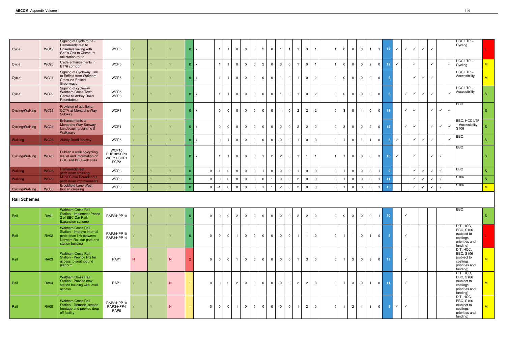| Cycle               | <b>WC19</b> | Signing of Cycle route -<br>Hammondstreet to<br>Rosedale linking with<br>Goff's Oak to Cheshunt<br>rail station route               | WCP5                                                  |   | v. |   |                | 0 x            |                |                | $\overline{0}$ | $\mathbf 0$<br>- 0                        | $\overline{c}$ | $\overline{0}$ |                | $\overline{1}$                |                | $\mathbf{3}$   |                |                | $\Omega$       | $\mathbf 0$    | $\mathbf 0$             |                | $\mathbf{1}$   | 14 <sup>°</sup> | $\checkmark$ | $\checkmark$ | $\checkmark$      | $\checkmark$ | $\checkmark$ |                              | $HCC$ LTP $-$<br>Cycling                                                                |                           |
|---------------------|-------------|-------------------------------------------------------------------------------------------------------------------------------------|-------------------------------------------------------|---|----|---|----------------|----------------|----------------|----------------|----------------|-------------------------------------------|----------------|----------------|----------------|-------------------------------|----------------|----------------|----------------|----------------|----------------|----------------|-------------------------|----------------|----------------|-----------------|--------------|--------------|-------------------|--------------|--------------|------------------------------|-----------------------------------------------------------------------------------------|---------------------------|
| Cycle               | <b>WC20</b> | Cycle enhancements in<br>B176 corridor                                                                                              | WCP5                                                  |   | V. |   | $\Omega$       | $\mathbf{x}$   |                |                | $\overline{0}$ | $\mathbf 0$<br>- 0                        | $\overline{2}$ | $\mathbf{0}$   |                | $\mathbf{3}$<br>$\Omega$      |                | $\Omega$       |                |                | $\Omega$       | $\mathbf{0}$   | $\Omega$                | $\overline{2}$ | $\mathbf{0}$   | 12 <sub>1</sub> | $\checkmark$ |              | $\checkmark$      |              | $\checkmark$ | $\checkmark$                 | $HCC$ LTP $-$<br>Cycling                                                                | M                         |
| Cycle               | <b>WC21</b> | Signing of Cycleway Link<br>to Enfield from Waltham<br>Cross via Enfield<br>Greenways                                               | WCP5                                                  |   |    |   | $\Omega$       | $\mathbf{x}$   |                |                | $\mathbf 0$    | $\mathbf 0$<br>$\overline{0}$             | $\Omega$       | $\mathbf 0$    | $\overline{1}$ | $\Omega$                      |                | $\Omega$       | $\overline{2}$ | $\Omega$       | $\Omega$       | $\mathbf 0$    | $\mathbf 0$             | $\Omega$       | $\overline{0}$ |                 |              |              | $\checkmark$      | ✓            | $\checkmark$ |                              | $HCC$ LTP $-$<br>Accessibility                                                          | $\overline{\mathsf{M}}$ . |
| Cycle               | <b>WC22</b> | Signing of cycleway<br>Waltham Cross Town<br>Centre to Abbey Road<br>Roundabout                                                     | WCP5<br>WCP8                                          |   |    |   |                | 0 x            | $\overline{1}$ |                | $\mathbf 0$    | $\mathbf 0$<br>$\overline{0}$             | $\overline{0}$ | $\overline{0}$ |                | $\Omega$<br>$\mathbf{1}$      |                | $\overline{0}$ | $\overline{2}$ | $\Omega$       | $\mathbf 0$    | $\overline{0}$ | $\overline{0}$          | $\Omega$       | $\overline{0}$ | 6               |              | $\checkmark$ | $\checkmark$      | $\checkmark$ | $\checkmark$ |                              | $HCC$ LTP $-$<br>Accessibility                                                          |                           |
| Cycling/Walking     | <b>WC23</b> | Provision of additional<br><b>CCTV at Monarchs Way</b><br>Subway                                                                    | WCP1                                                  |   |    |   |                | 0 x            | $\Omega$       | - 0            | $\mathbf 0$    | $\mathbf 0$<br>$\overline{0}$             | $\mathbf 0$    | $\overline{0}$ | $\mathbf{1}$   | $\Omega$                      | $\overline{2}$ | $2 \mid$       | $\overline{2}$ | $\Omega$       | 3              | $\overline{0}$ | - 1                     | $\Omega$       | $\overline{0}$ | 11              |              | $\checkmark$ | $\checkmark$      |              | $\checkmark$ | $\checkmark$<br>$\checkmark$ | <b>BBC</b>                                                                              | S                         |
| Cycling/Walking     | <b>WC24</b> | Enhancements to<br>Monarchs Way Subway -<br>Landscaping/Lighting &<br><b>Walkways</b>                                               | WCP1                                                  |   |    |   | $\Omega$       | $\mathsf{x}$   | $\Omega$       | $\Omega$       | $\mathbf 0$    | $\overline{0}$<br>$\Omega$                | $\overline{0}$ | $\overline{0}$ |                | $\overline{2}$<br>$\Omega$    | $\overline{2}$ | $\overline{2}$ | $\overline{2}$ | $\Omega$       | 3              | $\overline{0}$ | $\overline{2}$          | $\overline{2}$ | $\overline{0}$ | 15 <sub>1</sub> |              | $\checkmark$ | $\checkmark$      |              | $\checkmark$ | $\checkmark$<br>$\checkmark$ | BBC, HCC LTP<br>- Accessibility,<br>S106                                                |                           |
| Walking             | <b>WC25</b> | Abbey Road footway                                                                                                                  | WCP5                                                  |   |    |   |                | $0 \mid x$     | $\Omega$       |                | $\mathbf 0$    | $\mathbf 0$<br>$\overline{0}$             | $\overline{0}$ | $\overline{0}$ |                | $\overline{0}$<br>$\Omega$    |                | $\mathbf{0}$   | $\overline{0}$ | $\overline{0}$ | $\mathbf{1}$   | $\overline{0}$ | $\overline{\mathbf{1}}$ |                | $\overline{0}$ | 5 <sup>5</sup>  | $\checkmark$ |              | $\checkmark$      | ✓            | $\checkmark$ | $\checkmark$                 | <b>BBC</b>                                                                              | -S                        |
| Cycling/Walking     | <b>WC26</b> | Publish a walking/cycling<br>leaflet and information on<br>HCC and BBC web sites                                                    | WCP10<br>BUP10/SCP3<br>WCP14/SCP1<br>SCP <sub>2</sub> |   | Y. |   |                | 0 x            | $\overline{1}$ |                | $\mathbf 0$    | $\mathbf 0$<br>$\overline{0}$             |                | $\overline{2}$ |                | $\overline{2}$<br>$\Omega$    |                | $\mathbf{1}$   | $\overline{1}$ |                | $\overline{1}$ | $\overline{0}$ | $\mathbf{0}$            | $\Omega$       | 3 <sup>1</sup> | 15 <sub>1</sub> | $\checkmark$ |              | $\checkmark$      |              | $\checkmark$ | $\checkmark$                 | <b>BBC</b>                                                                              | S                         |
| Walking             | <b>WC28</b> | Hammondstreet<br>pedestrian crossing                                                                                                | WCP3                                                  |   |    |   | $\Omega$       | $\overline{0}$ | -1             | - 0            | $\mathbf 0$    | $\mathsf{O}$<br>$\overline{0}$            |                | $\mathbf 0$    |                | $\mathbf 0$<br>$\Omega$       |                | $\Omega$       | $\mathbf{3}$   | $\overline{0}$ |                | $\overline{0}$ | $\overline{0}$          | -3             | $\mathbf{1}$   | -9              |              |              | $\checkmark$<br>✓ |              | $\checkmark$ | $\checkmark$                 | <b>BBC</b>                                                                              | <sub>S</sub>              |
| <b>Walking</b>      | <b>WC29</b> | Milne Close Roundabout<br>pedestrian improvements                                                                                   | WCP3                                                  |   |    |   |                | $\mathbf 0$    | $\Omega$       | - 0            | $\mathbf 0$    | $\mathbf 0$<br>- 0                        | $\Omega$       | $\mathbf{1}$   |                | $\overline{0}$<br>$\Omega$    | $\overline{2}$ | $\Omega$       | $\mathbf{3}$   | $\overline{0}$ |                | $\mathbf 0$    | $\mathbf 0$             | -3             |                | 11              |              |              | $\checkmark$      |              | $\checkmark$ | $\checkmark$                 | S106                                                                                    | S.                        |
| Cycling/Walking     | <b>WC30</b> | <b>Brookfield Lane West</b><br>toucan crossing                                                                                      | WCP3                                                  |   |    |   |                | $\mathbf 0$    | -1             | - 0            | $\mathbf 0$    | $\overline{0}$<br>- 0                     |                | $\mathbf{1}$   |                | $\overline{2}$<br>- 0         | $\overline{2}$ | $\overline{0}$ | $\mathbf{3}$   | $\Omega$       |                | $\mathbf 0$    | $\Omega$                | $\mathbf{3}$   |                | 13 <sup>°</sup> |              |              | $\checkmark$      |              | $\checkmark$ | $\checkmark$                 | S106                                                                                    | M                         |
| <b>Rail Schemes</b> |             |                                                                                                                                     |                                                       |   |    |   |                |                |                |                |                |                                           |                |                |                |                               |                |                |                |                |                |                |                         |                |                |                 |              |              |                   |              |              |                              |                                                                                         |                           |
| Rail                | <b>RA01</b> | <b>Waltham Cross Rail</b><br><b>Station - Implement Phase</b><br>2 of BBC Car Park<br><b>Expansion scheme</b>                       | RAP2/HPP10                                            |   |    |   |                | $\Omega$       |                | $\Omega$       | $\overline{2}$ | $\mathbf 0$<br>$\overline{0}$             | $\Omega$       | $\overline{0}$ |                | $\overline{0}$<br>$\Omega$    | $\overline{2}$ | $\overline{2}$ | $\overline{0}$ | $\Omega$       | $\Omega$       | $\mathbf{3}$   | $\overline{0}$          | $\overline{0}$ | $\overline{1}$ | 10 <sub>1</sub> |              |              |                   |              |              |                              | <b>BBC</b>                                                                              | S                         |
| Rail                | <b>RA02</b> | <b>Waltham Cross Rail</b><br>Station - Improve internal<br>pedestrian link between<br>Network Rail car park and<br>station building | RAP2/HPP10<br>RAP3/HPP14                              |   | V. |   | $\Omega$       | $\mathbf{0}$   |                | $\overline{0}$ | $\mathbf{1}$   | $\overline{0}$<br>$\overline{0}$          | $\overline{0}$ | $\overline{0}$ |                | $\mathbf 0$<br>$\overline{0}$ |                | 1 <sup>1</sup> | $\overline{0}$ | $\Omega$       | $\overline{1}$ | $\overline{1}$ | $\overline{0}$          | $\overline{1}$ | $\overline{0}$ | 6 <sup>°</sup>  |              | $\checkmark$ |                   |              |              |                              | DfT, HCC,<br><b>BBC, S106</b><br>(subject to<br>costings,<br>priorities and<br>funding) |                           |
| Rail                | <b>RA03</b> | <b>Waltham Cross Rail</b><br>Station - Provide lifts for<br>access to southbound<br>platform                                        | RAP1                                                  | N | V. | N |                | $\mathbf 0$    | $\Omega$       | $\overline{0}$ | $\mathbf{1}$   | $\overline{0}$<br>$\overline{0}$          | $\overline{0}$ | $\mathbf 0$    |                | $\overline{0}$<br>$\Omega$    |                | 3 <sup>1</sup> | $\overline{0}$ | $\Omega$       | $\overline{1}$ | 3 <sup>1</sup> | $\overline{\mathbf{0}}$ | $\mathbf{3}$   | $\overline{0}$ | 12 <sub>1</sub> |              | $\checkmark$ |                   |              |              |                              | DfT, HCC,<br><b>BBC, S106</b><br>(subject to<br>costings,<br>priorities and<br>funding) | M                         |
| Rail                | <b>RA04</b> | <b>Waltham Cross Rail</b><br>Station - Provide new<br>station building with level<br>access                                         | RAP1                                                  |   | V. | N | $\overline{1}$ | $\mathbf{0}$   |                | $\overline{0}$ | $\overline{2}$ | $\mathbf 0$<br>$\overline{0}$             | $\overline{0}$ | $\overline{0}$ |                | $\overline{0}$<br>$\Omega$    | $\overline{2}$ | 2 <sup>1</sup> | $\overline{0}$ | $\Omega$       | $\overline{1}$ | 3 <sup>1</sup> | $\overline{0}$          | $\overline{1}$ | $\overline{0}$ | 11              |              | $\checkmark$ |                   |              |              |                              | DfT, HCC,<br><b>BBC, S106</b><br>(subject to<br>costings,<br>priorities and<br>funding) | M                         |
| Rail                | <b>RA05</b> | <b>Waltham Cross Rail</b><br>Station - Remodel station<br>frontage and provide drop<br>off facility                                 | RAP2/HPP10<br>RAP3/HPP4<br>RAP8                       |   | Y. | N |                | $\mathbf 0$    |                | $\overline{0}$ | $\mathbf{1}$   | $\overline{0}$<br>$\overline{\mathbf{0}}$ | $\mathbf 0$    | $\overline{0}$ |                | $\overline{0}$<br>$\mathbf 0$ |                | $2^{\circ}$    | $\overline{0}$ | $\Omega$       | $\mathbf{1}$   | $2 \mid$       | $\overline{1}$          | $\overline{1}$ | $\overline{0}$ | 9 <sup>°</sup>  | $\checkmark$ | $\checkmark$ |                   |              |              |                              | DfT, HCC,<br><b>BBC, S106</b><br>(subject to<br>costings,<br>priorities and<br>funding) | M                         |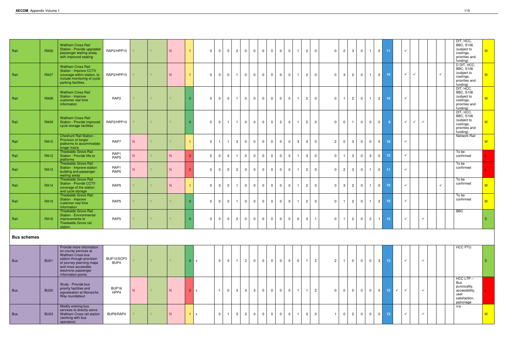| Rail               | <b>RA06</b> | <b>Waltham Cross Rail</b><br>Station - Provide upgraded<br>passenger waiting areas<br>with improved seating                                                                                          | RAP2/HPP10         |              | V. | N. |                      | $\Omega$       | $\Omega$       | $\overline{0}$ | $\overline{2}$ | $\mathbf 0$    | $\overline{0}$ | $\overline{0}$ | $\mathbf 0$ | $\mathbf{0}$   | $\overline{0}$ | $\overline{1}$          | 2              | $\Omega$                | $\Omega$       | $\overline{2}$ | $\mathbf{3}$   | $\mathbf{0}$   | $\overline{1}$ | $\overline{0}$ | 11              |              | $\checkmark$ |              |              | DfT, HCC,<br><b>BBC, S106</b><br>(subject to<br>costings,<br>priorities and<br>funding)                   | M  |
|--------------------|-------------|------------------------------------------------------------------------------------------------------------------------------------------------------------------------------------------------------|--------------------|--------------|----|----|----------------------|----------------|----------------|----------------|----------------|----------------|----------------|----------------|-------------|----------------|----------------|-------------------------|----------------|-------------------------|----------------|----------------|----------------|----------------|----------------|----------------|-----------------|--------------|--------------|--------------|--------------|-----------------------------------------------------------------------------------------------------------|----|
| Rail               | <b>RA07</b> | <b>Waltham Cross Rail</b><br><b>Station - Improve CCTV</b><br>coverage within station, to<br>include monitoring of cycle<br>parking facilities.                                                      | RAP2/HPP10         |              | Y. | N. | $\blacktriangleleft$ | $\Omega$       | $\Omega$       | $\overline{0}$ | $\mathbf{1}$   | $\overline{0}$ | $\overline{0}$ | $\overline{0}$ | $\mathbf 0$ | 0 <sup>1</sup> | $\overline{0}$ | $\overline{1}$          | $\overline{2}$ | $\overline{0}$          | $\Omega$       | $\mathbf{3}$   | $\overline{2}$ | $\overline{0}$ | $\overline{1}$ | $\overline{0}$ | 10 <sub>1</sub> |              | $\checkmark$ | $\checkmark$ |              | D DfT, HCC,<br><b>BBC, S106</b><br>(subject to<br>$\checkmark$<br>costings,<br>priorities and<br>funding) | M  |
| Rail               | <b>RA08</b> | <b>Waltham Cross Rail</b><br>Station - Improve<br>customer real time<br>information                                                                                                                  | RAP <sub>2</sub>   | $\mathbf{Y}$ | V. | Y. | $\Omega$             | $\mathbf{0}$   | $\Omega$       | $\overline{0}$ | $\mathbf{1}$   | $\mathbf 0$    | $\overline{0}$ | $\mathbf 0$    | $\mathbf 0$ | $\mathbf{0}$   | $\overline{0}$ | $\overline{1}$          | $\overline{2}$ | $\overline{0}$          | $\Omega$       | $\overline{1}$ | $\overline{2}$ | $\overline{0}$ | $\overline{1}$ | $\overline{2}$ | 10 <sub>1</sub> |              | $\checkmark$ |              |              | DfT, HCC,<br><b>BBC, S106</b><br>(subject to<br>costings,<br>priorities and<br>funding)                   | M  |
| Rail               | <b>RA09</b> | <b>Waltham Cross Rail</b><br>Station - Provide improved<br>cycle storage facilities                                                                                                                  | RAP2/HPP10         |              | V. |    |                      | $\overline{0}$ | $\Omega$       | $\overline{1}$ | $\mathbf{1}$   | $\overline{0}$ | $\overline{0}$ | $\overline{0}$ | $\mathbf 0$ | 2 <sup>1</sup> | $\overline{0}$ | $\overline{1}$          | $\overline{2}$ | $\overline{0}$          | $\Omega$       | $\Omega$       | $\mathbf{1}$   | $\mathbf{0}$   | $\overline{0}$ | $\overline{0}$ | -8              |              | $\checkmark$ | $\checkmark$ | $\checkmark$ | DfT, HCC,<br><b>BBC, S106</b><br>(subject to<br>costings,<br>priorities and<br>funding)                   | M  |
| Rail               | <b>RA10</b> | <b>Cheshunt Rail Station -</b><br>Provision of longer<br>platforms to accommodate<br>longer trains                                                                                                   | RAP7               | N            |    |    |                      | $\Omega$       |                |                | $\mathbf{3}$   | $\overline{0}$ | $\overline{0}$ | $\overline{0}$ | $\Omega$    | $\Omega$       | $\overline{0}$ | 3                       | 3              | $\Omega$                | $\overline{2}$ | $\Omega$       | $\mathbf{3}$   | $\Omega$       | $\overline{0}$ | $\overline{0}$ | 16 <sup>1</sup> |              | $\checkmark$ |              |              | <b>Network Rail</b>                                                                                       | M  |
| Rail               | <b>RA12</b> | <b>Theobalds Grove Rail</b><br>Station - Provide lifts to<br>platforms                                                                                                                               | RAP1<br>RAP5       | N.           |    | N. |                      | $\overline{0}$ | $\Omega$       | - 0            | $\mathbf{1}$   | $\overline{0}$ | $\Omega$       | $\overline{0}$ | $\Omega$    | $\mathbf{0}$   | $\overline{0}$ | $\overline{\mathbf{1}}$ | $\mathbf{3}$   | $\Omega$                | $\Omega$       |                | $\mathbf{3}$   | $\Omega$       | $\mathbf{3}$   | $\overline{0}$ | 12 <sub>2</sub> |              | $\checkmark$ |              |              | To be<br>confirmed                                                                                        |    |
| Rail               | <b>RA13</b> | <b>Theobalds Grove Rail</b><br>Station - Improve station<br>building and passenger<br>waiting areas                                                                                                  | RAP1<br>RAP5       | N            |    | N. | $\mathcal{D}$        | $\Omega$       | $\Omega$       | $\Omega$       | $\overline{2}$ | $\overline{0}$ | $\overline{0}$ | $\overline{0}$ | $\Omega$    | $\overline{0}$ | $\overline{0}$ | $\mathbf{1}$            | $\overline{2}$ | $\overline{0}$          | $\Omega$       | $\overline{2}$ | $\mathbf{3}$   | $\overline{0}$ | $\overline{1}$ | $\mathbf 0$    | 11              |              | $\checkmark$ |              |              | To be<br>confirmed                                                                                        |    |
| Rail               | <b>RA14</b> | <b>Theobalds Grove Rail</b><br><b>Station - Provide CCTV</b><br>coverage of the station<br>and cycle storage                                                                                         | RAP5               |              |    | N  |                      | $\Omega$       |                | $\Omega$       | $\mathbf{1}$   | $\mathbf 0$    | $\overline{0}$ | $\overline{0}$ | $\mathbf 0$ | $\overline{0}$ | $\overline{0}$ | $\overline{1}$          | $\overline{2}$ | $\overline{0}$          | $\Omega$       | $\mathbf{3}$   | $\overline{2}$ | $\overline{0}$ | $\overline{1}$ | $\overline{0}$ | 10 <sub>1</sub> |              | $\checkmark$ |              |              | To be<br>confirmed<br>$\checkmark$                                                                        | M  |
| Rail               | <b>RA15</b> | <b>Theobalds Grove Rail</b><br>Station - Improve<br>customer real time<br>information                                                                                                                | RAP5               |              |    |    |                      | $\Omega$       | $\Omega$       | $\overline{0}$ | $\mathbf{1}$   | $\mathbf 0$    | $\overline{0}$ | $\overline{0}$ | $\mathbf 0$ | $\overline{0}$ | $\overline{0}$ | $\overline{1}$          | $\overline{2}$ | $\overline{0}$          | $\Omega$       |                | $\overline{2}$ | $\mathbf{0}$   | $\overline{1}$ | $\overline{2}$ | 10 <sub>1</sub> |              | $\checkmark$ |              |              | To be<br>confirmed                                                                                        | M  |
| Rail               | <b>RA16</b> | <b>Theobalds Grove Rail</b><br><b>Station - Environmental</b><br>improvements to<br><b>Theobalds Grove rail</b><br>station                                                                           | RAP5               |              |    |    |                      | $\Omega$       | $\Omega$       | $\overline{0}$ | $\overline{2}$ | $\mathbf 0$    | $\overline{0}$ | $\overline{0}$ | $\mathbf 0$ | $\overline{0}$ | $\overline{0}$ | $\mathbf 0$             | 3 <sup>1</sup> | $\overline{1}$          | $\Omega$       | - 1            | $\overline{2}$ | $\overline{0}$ | $\overline{2}$ | $\overline{1}$ | 12 <sub>1</sub> |              | $\checkmark$ |              | $\checkmark$ | <b>BBC</b>                                                                                                | S. |
| <b>Bus schemes</b> |             |                                                                                                                                                                                                      |                    |              |    |    |                      |                |                |                |                |                |                |                |             |                |                |                         |                |                         |                |                |                |                |                |                |                 |              |              |              |              |                                                                                                           |    |
| <b>Bus</b>         | <b>BU01</b> | Provide more information<br>on county services at<br>Waltham Cross bus<br>station through provision<br>of journey planning maps<br>and more accessible<br>electronic passenger<br>information points | BUP10/SCP3<br>BUP4 |              | Y. | Y. | $\overline{0}$       | $\mathsf{x}$   | $\Omega$       | $\overline{0}$ | $\mathbf{1}$   | $\overline{2}$ | $\overline{0}$ | $\overline{0}$ | $\mathbf 0$ | $\mathbf 0$    | $\overline{0}$ | $\mathbf{0}$            |                | $\overline{2}$          | $\overline{2}$ | - 1            | $\overline{0}$ | $\mathbf 0$    | $\overline{0}$ | $\mathbf{3}$   | 12 <sub>1</sub> |              | $\checkmark$ |              | $\checkmark$ | <b>HCC PTU</b>                                                                                            | S. |
| <b>Bus</b>         | <b>BU02</b> | Study - Provide bus<br>priority facilities and<br>signalisation at Monarchs<br>Way roundabout                                                                                                        | BUP16<br>HPP4      | N            |    | N. | 2 <sup>1</sup>       | $\mathsf{x}$   | $-1$           | $\overline{0}$ | $\mathbf{3}$   | $\mathbf{3}$   | $\mathbf{3}$   | $\overline{0}$ | $\mathbf 0$ | $\overline{0}$ | $\overline{0}$ | $\overline{1}$          | $\mathbf{1}$   | $\overline{2}$          | $\overline{0}$ | $\Omega$       | $\mathbf 0$    | $\overline{0}$ | $\overline{0}$ | $\overline{0}$ | 12 <sub>1</sub> | $\checkmark$ | $\checkmark$ |              | $\checkmark$ | $HCC$ LTP $-$<br>Bus<br>punctuality,<br>accessibility,<br>user<br>satisfaction,<br>patronage              |    |
| <b>Bus</b>         | <b>BU03</b> | Modify existing bus<br>services to directly serve<br>Waltham Cross rail station<br>(working with bus<br>operators)                                                                                   | BUP8/RAP4          |              | V. | N  | $1 \mid x$           |                | $\overline{0}$ | $\overline{1}$ | $\mathbf{3}$   | $2^{\circ}$    | $\overline{0}$ | $\overline{0}$ | $\mathbf 0$ | 0 <sup>1</sup> | $\overline{0}$ | $\overline{1}$          | $\mathbf{3}$   | $\overline{\mathbf{0}}$ | $\mathbf{1}$   | $\Omega$       | $\overline{2}$ | $\overline{0}$ | $\overline{0}$ | $\overline{0}$ | 13 <sup>°</sup> |              | $\checkmark$ |              | $\checkmark$ | n/a                                                                                                       | M  |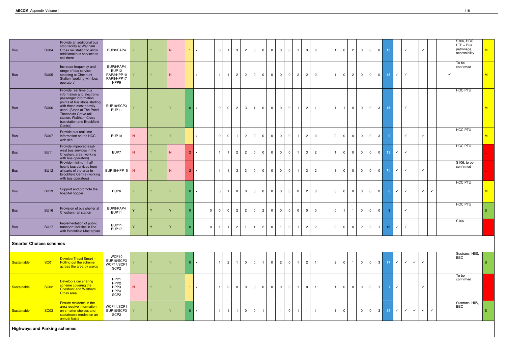| <b>Bus</b>                     | <b>BU04</b> | Provide an additional bus<br>stop facility at Waltham<br>Cross rail station to allow<br>additional bus services to<br>call there                                                                                                                                | BUP8/RAP4                                              |              |    | N. |                | $1 \times$   | $\Omega$       |                | $\mathbf{3}$                     | $\overline{2}$<br>$\Omega$       | $\overline{0}$ | $\mathbf 0$    | $\overline{0}$ | $\mathbf 0$    |                | $\mathbf{3}$   | $\overline{0}$ |                | $\Omega$       | $\overline{2}$ | $\overline{0}$          | $\overline{0}$ | $\mathbf 0$    | 13              |              | $\checkmark$ |              | $\checkmark$                 | S106, HCC<br>$LTP - Bus$<br>patronage,<br>accessibility | M  |  |
|--------------------------------|-------------|-----------------------------------------------------------------------------------------------------------------------------------------------------------------------------------------------------------------------------------------------------------------|--------------------------------------------------------|--------------|----|----|----------------|--------------|----------------|----------------|----------------------------------|----------------------------------|----------------|----------------|----------------|----------------|----------------|----------------|----------------|----------------|----------------|----------------|-------------------------|----------------|----------------|-----------------|--------------|--------------|--------------|------------------------------|---------------------------------------------------------|----|--|
| <b>Bus</b>                     | <b>BU05</b> | Increase frequency and<br>range of bus service<br>stopping at Cheshunt<br>Station (working with bus<br>operators)                                                                                                                                               | BUP8/RAP4<br>BUP12<br>RAP2/HPP10<br>RAP8/HPP17<br>HPP9 |              | V. | N  |                | $1 \mid x$   | $\overline{1}$ |                | $\overline{2}$                   | $2^{\circ}$<br>$\overline{0}$    | $\overline{0}$ | $\overline{0}$ | $\overline{0}$ | $\overline{0}$ | $\overline{2}$ | 2 <sup>1</sup> | $\overline{0}$ | 1 <sup>1</sup> | $\overline{0}$ | $2^{\circ}$    | $\overline{0}$          | $\mathbf 0$    | $\circ$        | 13 <sup>°</sup> | $\checkmark$ | $\checkmark$ |              |                              | To be<br>confirmed<br>$\checkmark$                      | M  |  |
| <b>Bus</b>                     | <b>BU06</b> | Provide real time bus<br>information and electronic<br>passenger information<br>points at bus stops starting<br>with those most heavily<br>used. (Stops at The Pond,<br>Theobalds Grove rail<br>station, Waltham Cross<br>bus station and Brookfield<br>Centre) | BUP10/SCP3<br>BUP11                                    |              | Y. | Y  |                | 0 x          | $\Omega$       | $\overline{0}$ | $\overline{2}$                   | 3 <sup>1</sup><br>$\overline{1}$ | $\overline{0}$ | $\overline{0}$ | $\overline{0}$ | $\overline{0}$ | $\mathbf 1$    | 2 <sup>1</sup> | $\vert$ 1      | 1 <sup>1</sup> |                | $\overline{0}$ | $\overline{0}$          | $\overline{0}$ | 3 <sup>1</sup> | 15 <sub>1</sub> |              | $\checkmark$ |              |                              | HCC PTU                                                 | M  |  |
| <b>Bus</b>                     | BU07        | Provide bus real time<br>information on the HCC<br>web site                                                                                                                                                                                                     | BUP10                                                  | N            |    |    |                | $1 \times$   | $\Omega$       | $\overline{0}$ | $\mathbf{1}$                     | $\overline{2}$<br>$\overline{0}$ | $\overline{0}$ | $\overline{0}$ | $\overline{0}$ | $\overline{0}$ | $\mathbf{1}$   | $2^{\circ}$    | $\overline{0}$ | $\Omega$       | $\overline{0}$ | $\overline{0}$ | $\overline{0}$          | $\overline{0}$ | $\mathbf{3}$   | -9              |              | $\checkmark$ |              | $\checkmark$                 | <b>HCC PTU</b>                                          | M  |  |
| Bus                            | <b>BU11</b> | Provide improved east-<br>west bus services in the<br>Cheshunt area (working<br>with bus operators)                                                                                                                                                             | BUP7                                                   |              |    | N. | 2 <sup>1</sup> | $\mathsf{X}$ |                |                | $\overline{2}$                   | $\overline{2}$<br>$\overline{0}$ | $\overline{0}$ | $\overline{0}$ | $\mathbf 0$    | $\overline{0}$ |                | $\overline{3}$ | $\overline{2}$ |                | $\mathbf{0}$   | $\overline{0}$ | $\overline{0}$          | $\overline{0}$ | $\overline{0}$ | 13 <sup>°</sup> | $\checkmark$ | $\checkmark$ |              |                              | HCC PTU                                                 |    |  |
| <b>Bus</b>                     | <b>BU12</b> | Provide minimum half<br>hourly bus services from<br>all parts of the area to<br><b>Brookfield Centre (working</b><br>with bus operators)                                                                                                                        | BUP15/HPP15 N                                          |              |    | N  |                | $2 \mid x$   |                |                | $\mathbf{3}$                     | 3 <sup>1</sup><br>$\overline{0}$ | $\overline{0}$ | $\overline{0}$ | $\overline{0}$ | $\overline{0}$ | $\mathbf{1}$   | 3 <sup>1</sup> | $\overline{c}$ | $\overline{1}$ | $\mathbf 0$    | $\overline{0}$ | $\overline{0}$          | $\mathbf 0$    | $\circ$        | 15 <sub>1</sub> | $\checkmark$ | $\checkmark$ |              | $\checkmark$                 | S106, to be<br>confirmed                                |    |  |
| <b>Bus</b>                     | <b>BU13</b> | Support and promote the<br>hospital hopper                                                                                                                                                                                                                      | BUP6                                                   |              |    |    |                | 0 x          | $\Omega$       |                | $\overline{0}$<br>$\overline{0}$ | $\overline{0}$                   | $\overline{0}$ | $\overline{0}$ | $\overline{0}$ | $\mathbf{3}$   | $\overline{0}$ | $2^{\circ}$    | $\Omega$       | $\Omega$       | $\overline{0}$ | $\overline{0}$ | $\overline{0}$          | $\Omega$       | $\overline{0}$ | 6               | $\checkmark$ | $\checkmark$ |              | $\checkmark$<br>$\checkmark$ | HCC PTU                                                 | M  |  |
| <b>Bus</b>                     | <b>BU16</b> | Provision of bus shelter at<br>Cheshunt rail station                                                                                                                                                                                                            | BUP8/RAP4<br>BUP11                                     | $\mathbf{v}$ | Y  | Y  |                | $\mathbf{0}$ |                | $\Omega$       | $\overline{2}$                   | $\overline{2}$<br>$\overline{0}$ | $\overline{2}$ | $\overline{0}$ | $\overline{0}$ | $\overline{0}$ | $\overline{0}$ | $\mathbf{0}$   | $\Omega$       | $\Omega$       |                | $\overline{1}$ | $\overline{0}$          | $\overline{0}$ | $\overline{0}$ | 8               |              | $\checkmark$ |              |                              | <b>HCC PTU</b>                                          | S. |  |
| Bus                            |             | Implementation of public<br>BU17   transport facilities in line<br>with Brookfield Masterplan                                                                                                                                                                   | BUP11<br>BUP17                                         | Y            | Y  | y  | $\Omega$       | $\Omega$     | $\overline{1}$ | $\overline{1}$ | $2 \mid 1 \mid$                  |                                  | $1 \mid 2$     | $\circ$        |                | $1$ 0 1        |                | $\overline{2}$ | $\overline{2}$ |                |                |                | $0$ $0$ $0$ $2$ $2$ $1$ |                |                | $-19$           | $\checkmark$ | $\checkmark$ |              |                              | S <sub>106</sub>                                        |    |  |
| <b>Smarter Choices schemes</b> |             |                                                                                                                                                                                                                                                                 |                                                        |              |    |    |                |              |                |                |                                  |                                  |                |                |                |                |                |                |                |                |                |                |                         |                |                |                 |              |              |              |                              |                                                         |    |  |
| Sustainable                    | <b>SC01</b> | Develop Travel Smart-<br>Rolling out the scheme<br>across the area by wards                                                                                                                                                                                     | WCP10<br>BUP10/SCP3<br>WCP14/SCP1<br>SCP <sub>2</sub>  |              |    |    | $\overline{0}$ | $\mathsf{x}$ | $\overline{1}$ | $\overline{2}$ | $\mathbf{1}$<br>$\overline{0}$   | $\overline{0}$                   | -1             | $\mathbf 0$    | $\overline{2}$ | $\mathbf 0$    | $\mathbf 1$    | $\overline{2}$ | $\overline{1}$ | $\overline{2}$ | $\mathbf 0$    | $\overline{1}$ | $\overline{0}$          | $\overline{0}$ | $\mathbf{3}$   | 17 <sup>2</sup> | $\checkmark$ | $\checkmark$ | $\checkmark$ | $\checkmark$                 | Sustrans, HIIS,<br><b>BBC</b>                           | S  |  |
| Sustainable                    | <b>SC02</b> | Develop a car sharing<br>scheme covering the<br>Cheshunt and Waltham                                                                                                                                                                                            | HPP1<br>HPP <sub>2</sub><br>HPP3<br>110D <sub>2</sub>  |              |    |    |                |              |                | -2             | $\Omega$<br>$\Omega$             |                                  |                |                |                |                |                |                |                |                |                |                |                         |                |                |                 |              |              |              |                              | To be<br>confirmed                                      |    |  |

| Sustainable | <b>SC01</b>                         | <b>Develop Travel Smart-</b><br>Rolling out the scheme<br>across the area by wards                                              | WCP10<br>BUP10/SCP3<br>WCP14/SCP1<br>SCP <sub>2</sub> |   |  |  |          | $\mathsf{x}$              |                          | $\overline{2}$ |  | 0           |   |                | 0              | $\overline{2}$ | $\mathbf 0$ | $\overline{2}$ |                | $\mathbf{2}$ | $\mathbf 0$    | $\mathbf 0$  | $\overline{0}$ | 3 <sup>1</sup> |     |  |
|-------------|-------------------------------------|---------------------------------------------------------------------------------------------------------------------------------|-------------------------------------------------------|---|--|--|----------|---------------------------|--------------------------|----------------|--|-------------|---|----------------|----------------|----------------|-------------|----------------|----------------|--------------|----------------|--------------|----------------|----------------|-----|--|
| Sustainable | <b>SC02</b>                         | Develop a car sharing<br>scheme covering the<br><b>Cheshunt and Waltham</b><br><b>Cross area</b>                                | HPP1<br>HPP2<br>HPP3<br>HPP4<br>SCP <sub>2</sub>      | N |  |  |          | $\boldsymbol{\mathsf{x}}$ |                          | $\overline{2}$ |  | $\mathbf 0$ | υ | $\overline{0}$ | $\mathbf 0$    | $\mathbf{0}$   | $\mathbf 0$ | $\mathbf 0$    |                |              | $\mathbf 0$    | $\mathbf{0}$ | $\overline{0}$ |                |     |  |
| Sustainable | <b>SC03</b>                         | <b>Ensure residents in the</b><br>area receive information<br>on smarter choices and<br>sustainable modes on an<br>annual basis | WCP14/SCP1<br>BUP10/SCP3<br>SCP <sub>2</sub>          |   |  |  | $\Omega$ | $\boldsymbol{\mathsf{x}}$ | $\overline{\phantom{0}}$ |                |  | $\mathbf 0$ |   |                | $\overline{1}$ |                | $\mathbf 0$ | $\overline{ }$ | $\overline{a}$ |              | $\overline{0}$ | $\mathbf 0$  | $\mathbf 0$    | 3 <sup>1</sup> | 14. |  |
|             | <b>Highways and Parking schemes</b> |                                                                                                                                 |                                                       |   |  |  |          |                           |                          |                |  |             |   |                |                |                |             |                |                |              |                |              |                |                |     |  |

 $\begin{array}{c|c|c|c|c|c|c|c} \hline \multicolumn{3}{c|}{\times} & \multicolumn{3}{c|}{\times} & \multicolumn{3}{c|}{\times} & \multicolumn{3}{c|}{\times} & \multicolumn{3}{c|}{\times} & \multicolumn{3}{c|}{\times} & \multicolumn{3}{c|}{\times} & \multicolumn{3}{c|}{\times} & \multicolumn{3}{c|}{\times} & \multicolumn{3}{c|}{\times} & \multicolumn{3}{c|}{\times} & \multicolumn{3}{c|}{\times} & \multicolumn{3}{c|}{\times} & \multicolumn{3}{c|}{\times} &$ 

Sustrans, HIIS, BBC

S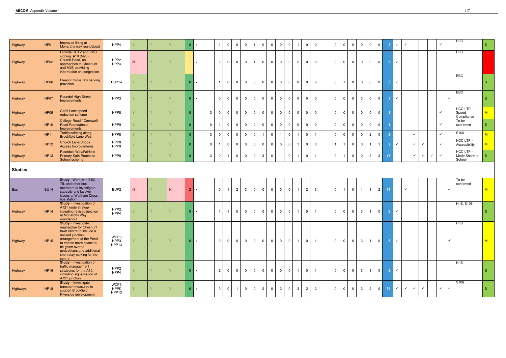| Highway        | <b>HP01</b> | Improved lining at<br>Monarchs way roundabout                                                                                                                                                                                                         | HPP4                     | $\vee$ |        |        | $\Omega$       | $\mathsf{x}$            |                | $\overline{0}$<br>$\overline{0}$          |                |                         | $\overline{0}$ | $\overline{0}$ | $\overline{0}$ | $\Omega$       | $\overline{0}$<br>$\mathbf{1}$      | $\overline{0}$          | $\Omega$       | $\mathbf 0$    | $\overline{0}$<br>$\overline{0}$          | $\Omega$                         | $\overline{0}$ | 3 <sup>°</sup>  | $\checkmark$                      | $\checkmark$ |              |              |              | $\checkmark$ |              | H IIS                                    | S.           |
|----------------|-------------|-------------------------------------------------------------------------------------------------------------------------------------------------------------------------------------------------------------------------------------------------------|--------------------------|--------|--------|--------|----------------|-------------------------|----------------|-------------------------------------------|----------------|-------------------------|----------------|----------------|----------------|----------------|-------------------------------------|-------------------------|----------------|----------------|-------------------------------------------|----------------------------------|----------------|-----------------|-----------------------------------|--------------|--------------|--------------|--------------|--------------|--------------|------------------------------------------|--------------|
| Highway        | <b>HP02</b> | Provide CCTV and VMS<br>signing A10 (M25 -<br>Church Road, on<br>approaches to Cheshunt<br>and M25) providing<br>information on congestion                                                                                                            | HPP <sub>2</sub><br>HPP4 | N      |        | $\vee$ |                | $1 \mid x$              | $\overline{2}$ | $\overline{0}$<br>$\mathbf 0$             | $\mathbf 0$    |                         | $\overline{0}$ | $\overline{0}$ | $\overline{0}$ | $\overline{0}$ | $\overline{2}$<br>$\overline{0}$    | $\overline{0}$          | $\Omega$       | $\mathbf 0$    | $\mathbf 0$<br>$\overline{0}$             | $\overline{0}$                   | 0 <sup>1</sup> | 5 <sub>1</sub>  | $\checkmark$                      |              |              |              |              |              |              | <b>HIIS</b>                              |              |
| Highway        | <b>HP06</b> | Eleanor Cross taxi parking<br>provision                                                                                                                                                                                                               | BUP <sub>14</sub>        |        |        |        | $\overline{0}$ | $\mathsf{I} \mathsf{X}$ |                | $\overline{0}$<br>$\mathbf 0$             | $\Omega$       | $\overline{0}$          | $\overline{0}$ | $\mathbf{0}$   | $\overline{0}$ | $\mathbf 0$    | $\mathbf 0$<br>$\overline{0}$       | $\Omega$                | $\Omega$       | $\mathbf{1}$   | $\mathbf{0}$                              | $\overline{0}$<br>$\mathbf 0$    | $\overline{0}$ | 2 <sup>7</sup>  | $\checkmark$                      |              |              |              |              |              |              | <b>BBC</b>                               | <sub>S</sub> |
| Highway        | <b>HP07</b> | <b>Roundel High Street</b><br>Improvements                                                                                                                                                                                                            | HPP3                     |        |        |        | $\overline{0}$ | $\mathsf{I} \mathsf{X}$ | $\Omega$       | $\overline{0}$<br>$\mathbf 0$             | $\Omega$       | $\overline{0}$          | $\mathbf 0$    | $\mathbf 0$    | $\mathbf 0$    | $\Omega$       | $\mathbf 0$<br>$\mathbf{0}$         | $\overline{0}$          | $\Omega$       | $\mathbf 0$    | $\mathbf{3}$<br>$\mathbf{0}$              | $\mathbf 0$                      | $\overline{0}$ | 3 <sup>°</sup>  | $\checkmark$                      |              |              |              |              |              | $\checkmark$ | <b>BBC</b>                               | <sub>S</sub> |
| Highway        | <b>HP09</b> | Goffs Lane speed<br>reduction scheme                                                                                                                                                                                                                  | HPP8                     |        |        |        | $\Omega$       | $\mathbf{3}$            | $\mathbf{0}$   | $\overline{0}$<br>$\overline{0}$          | $\Omega$       | $\overline{0}$          | $\overline{0}$ | $\mathbf 0$    | $\mathbf 0$    | $\overline{0}$ | $\mathbf 0$<br>$\overline{0}$       | $\overline{0}$          | $\Omega$       | $\mathbf 0$    | $\overline{0}$<br>$\overline{\mathbf{0}}$ | $\overline{0}$                   | $\overline{0}$ | -3              |                                   |              |              |              |              | $\checkmark$ |              | $HCC$ LTP $-$<br>Speed<br>Compliance     | M            |
| Highway        | <b>HP10</b> | <b>College Road / Cromwell</b><br><b>Road Roundabout</b><br>Improvements                                                                                                                                                                              | HPP9                     |        |        |        |                | $\Omega$                |                | $\overline{0}$<br>$\mathbf 0$             | $\Omega$       | $\Omega$                | $\overline{0}$ | $\overline{0}$ | $\overline{0}$ | $\mathbf 0$    | $\overline{0}$<br>$\overline{0}$    | $\overline{0}$          | $\Omega$       | $\mathbf 0$    | $\overline{0}$<br>$\overline{\mathbf{0}}$ | $\overline{0}$                   | $\overline{0}$ |                 |                                   |              |              |              |              | $\checkmark$ |              | To be<br>confirmed                       | S            |
| Highway        | <b>HP11</b> | Traffic calming along<br><b>Brookfield Lane West</b>                                                                                                                                                                                                  | HPP8                     |        |        |        | $\Omega$       | 3                       | $\mathbf 0$    | $\overline{0}$<br>$\mathbf 0$             | $\Omega$       | - 0                     | $\mathbf{1}$   | $\mathbf 0$    |                | $\overline{0}$ | $\overline{0}$                      |                         | $\overline{0}$ | $\mathbf 0$    | $\mathbf{0}$<br>- 0                       | $\overline{c}$                   | $\overline{0}$ | $\overline{9}$  |                                   |              | $\checkmark$ |              |              | $\checkmark$ |              | S <sub>106</sub>                         | M            |
| Highway        | <b>HP12</b> | <b>Church Lane Shops</b><br><b>Access Improvements</b>                                                                                                                                                                                                | HPP8<br>HPP9             |        |        |        | $\epsilon$     | $\overline{0}$          |                | $\overline{0}$<br>$\mathsf{O}$            | $\Omega$       | $\Omega$                | $\overline{0}$ | $\overline{0}$ | $\overline{0}$ | $\overline{0}$ | $\overline{0}$<br>$\overline{1}$    | $\mathbf{3}$            |                | $\mathbf{1}$   | $\overline{0}$<br>$\overline{0}$          |                                  | $\mathbf{1}$   | -9              | $\checkmark$                      |              | $\checkmark$ | $\checkmark$ |              | $\checkmark$ |              | $HCC$ LTP $-$<br>Accessibility           | M            |
| Highway        | <b>HP13</b> | Rosedale Way/Fairfield<br><b>Primary Safe Routes to</b><br>School scheme                                                                                                                                                                              | HPP8                     |        |        |        |                | 3                       |                | $\overline{0}$<br>$\overline{\mathbf{1}}$ | $\Omega$       | - 0                     | $\mathbf{3}$   | $\mathbf 0$    | -1             | $\overline{0}$ | $\overline{1}$<br>$\overline{0}$    |                         | $\Omega$       | $\overline{1}$ | $\mathbf 0$<br>$\overline{\mathbf{0}}$    | 3                                | 3 <sup>1</sup> | 17              |                                   |              | $\checkmark$ | ✓            | $\checkmark$ | $\checkmark$ |              | $HCC$ LTP $-$<br>Mode Share to<br>School | -S           |
| <b>Studies</b> |             |                                                                                                                                                                                                                                                       |                          |        |        |        |                |                         |                |                                           |                |                         |                |                |                |                |                                     |                         |                |                |                                           |                                  |                |                 |                                   |              |              |              |              |              |              |                                          |              |
| Bus            | <b>BU14</b> | Study - Work with BBC,<br>TfL and other bus<br>operators to investigate<br>capacity and layover<br>issues at Waltham Cross<br>bus station                                                                                                             | BUP <sub>2</sub>         | N      |        | N.     |                | $2 \times$              | $\Omega$       | $\overline{2}$<br>$\overline{1}$          | $\mathbf{3}$   | $\overline{0}$          | $\overline{0}$ | $\mathbf 0$    | $\mathbf{0}$   | $\mathbf 0$    | 2 <sup>1</sup><br>$\overline{1}$    | 3                       | $\Omega$       | $\mathbf{1}$   | $\overline{0}$<br>$\overline{1}$          | $\overline{1}$                   | 2              | 17 <sub>z</sub> |                                   | $\checkmark$ |              |              |              |              |              | To be<br>confirmed                       | M            |
| Highway        | <b>HP14</b> | <b>Study</b> - Investigation of<br>A121 route strategy<br>including revised junction<br>at Monarchs Way<br>roundabout                                                                                                                                 | HPP <sub>2</sub><br>HPP4 |        |        |        | $\overline{0}$ | $\mathsf{I} \mathsf{x}$ |                | $-1$<br>$\mathbf 0$                       | $\mathbf 0$    | $\overline{0}$          | $\mathbf 0$    | $\mathbf 0$    | $\overline{0}$ | $\mathbf 0$    | $\overline{1}$<br>$\overline{0}$    | $\overline{\mathbf{1}}$ | $\Omega$       | $\mathbf 0$    | $\mathbf{0}$                              | $\mathbf{3}$<br>- 1              | 0 <sup>1</sup> | 6 <sup>1</sup>  | $\langle \langle \rangle \rangle$ |              |              |              |              |              |              | <b>HIIS, S106</b>                        | S            |
| Highway        | <b>HP15</b> | <b>Study</b> - Investigate<br>masterplan for Cheshunt<br>town centre to include a<br>revised junction<br>arrangement at the Pond<br>to enable more space to<br>be given over to<br>pedestrians and additional<br>short stay parking for the<br>centre | WCP6<br>HPP3<br>HPP13    | Y.     | Y.     | Y      |                | 0 x                     | $\Omega$       | $\overline{0}$<br>$\overline{0}$          | $\mathbf 0$    | $\overline{\mathbf{0}}$ | $\overline{0}$ | $\overline{0}$ | $\circ$ 1      | $\overline{0}$ | $\overline{0}$<br>$\overline{1}$    | $\overline{1}$          | $\Omega$       | $\mathbf 0$    | $\overline{0}$                            | 3 <sup>1</sup><br>$\overline{1}$ | 0              | 6 <sup>1</sup>  | $\checkmark$                      |              |              |              |              |              | $\checkmark$ | <b>HIIS</b>                              | M            |
| Highway        | <b>HP16</b> | <b>Study</b> - Investigation of<br>traffic management<br>strategies for the A10,<br>including signalisation of<br>A121 junction.                                                                                                                      | HPP <sub>2</sub><br>HPP4 |        | V.     | Y.     |                | 0 x                     | $\overline{2}$ | $\overline{0}$<br>$\overline{0}$          | $\Omega$       | $\overline{0}$          | $\overline{0}$ | $\overline{0}$ | $\overline{0}$ | $\mathbf 0$    | $\overline{0}$<br>$\vert$ 1 $\vert$ | $\overline{1}$          | $\Omega$       | $\overline{0}$ | $\overline{0}$                            | $\mathbf{3}$<br>$\overline{1}$   | $\circ$        | 8 <sup>1</sup>  | $\checkmark$                      |              |              |              |              |              |              | <b>HIIS</b>                              | <b>S</b>     |
| Highways       | <b>HP18</b> | <b>Study</b> - Investigate<br>transport measures to<br>support Brookfield<br>Riverside development                                                                                                                                                    | WCP6<br>HPP£<br>HPP13    |        | $\vee$ |        |                | 0 x                     | $\overline{0}$ | $\overline{0}$<br>$\overline{1}$          | $\overline{0}$ | $\overline{0}$          | $2^{\circ}$    | $\overline{0}$ | $\overline{2}$ | $\mathsf 0$    | 3 <sup>1</sup><br>2 <sup>1</sup>    | $\overline{2}$          | $\overline{0}$ | $\overline{0}$ | $\overline{0}$                            | 2<br>$\overline{c}$              | $\circ$        | 16 <sup>°</sup> | $\checkmark$                      | $\checkmark$ | $\checkmark$ | $\checkmark$ |              | $\checkmark$ | $\checkmark$ | S106                                     | S.           |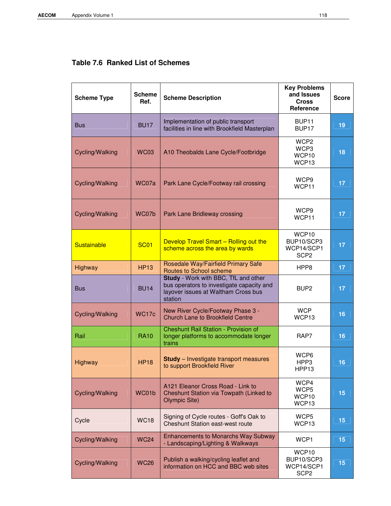| <b>Scheme Type</b> | <b>Scheme</b><br>Ref. | <b>Scheme Description</b>                                                                                                           | <b>Key Problems</b><br>and Issues<br><b>Cross</b><br>Reference    | <b>Score</b>    |
|--------------------|-----------------------|-------------------------------------------------------------------------------------------------------------------------------------|-------------------------------------------------------------------|-----------------|
| <b>Bus</b>         | <b>BU17</b>           | Implementation of public transport<br>facilities in line with Brookfield Masterplan                                                 | BUP <sub>11</sub><br>BUP <sub>17</sub>                            | 19              |
| Cycling/Walking    | <b>WC03</b>           | A10 Theobalds Lane Cycle/Footbridge                                                                                                 | WCP <sub>2</sub><br>WCP3<br>WCP10<br>WCP13                        | 18              |
| Cycling/Walking    | WC07a                 | Park Lane Cycle/Footway rail crossing                                                                                               | WCP9<br>WCP11                                                     | 17              |
| Cycling/Walking    | WC07b                 | Park Lane Bridleway crossing                                                                                                        | WCP <sub>9</sub><br>WCP11                                         | 17 <sub>2</sub> |
| Sustainable        | <b>SC01</b>           | Develop Travel Smart - Rolling out the<br>scheme across the area by wards                                                           | WCP10<br>BUP10/SCP3<br>WCP14/SCP1<br>SCP <sub>2</sub>             | 17 <sub>2</sub> |
| Highway            | <b>HP13</b>           | Rosedale Way/Fairfield Primary Safe<br>Routes to School scheme                                                                      | HPP8                                                              | 17              |
| <b>Bus</b>         | <b>BU14</b>           | Study - Work with BBC, TfL and other<br>bus operators to investigate capacity and<br>layover issues at Waltham Cross bus<br>station | BUP <sub>2</sub>                                                  | 17              |
| Cycling/Walking    | WC17c                 | New River Cycle/Footway Phase 3 -<br><b>Church Lane to Brookfield Centre</b>                                                        | <b>WCP</b><br>WCP13                                               | 16              |
| Rail               | <b>RA10</b>           | <b>Cheshunt Rail Station - Provision of</b><br>longer platforms to accommodate longer<br>trains                                     | RAP7                                                              | 16              |
| Highway            | <b>HP18</b>           | <b>Study</b> - Investigate transport measures<br>to support Brookfield River                                                        | WCP6<br>HPP3<br>HPP13                                             | 16              |
| Cycling/Walking    | WC01b                 | A121 Eleanor Cross Road - Link to<br>Cheshunt Station via Towpath (Linked to<br><b>Olympic Site)</b>                                | WCP4<br>WCP5<br>WCP <sub>10</sub><br>WCP13                        | 15              |
| Cycle              | <b>WC18</b>           | Signing of Cycle routes - Goff's Oak to<br><b>Cheshunt Station east-west route</b>                                                  | WCP5<br>WCP <sub>13</sub>                                         | 15              |
| Cycling/Walking    | <b>WC24</b>           | Enhancements to Monarchs Way Subway<br>- Landscaping/Lighting & Walkways                                                            | WCP1                                                              | 15              |
| Cycling/Walking    | <b>WC26</b>           | Publish a walking/cycling leaflet and<br>information on HCC and BBC web sites                                                       | WCP <sub>10</sub><br>BUP10/SCP3<br>WCP14/SCP1<br>SCP <sub>2</sub> | 15              |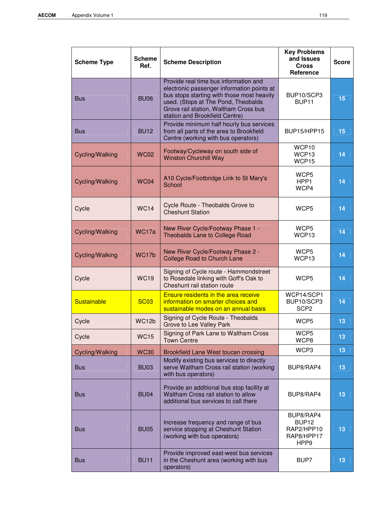| <b>Scheme Type</b> | <b>Scheme</b><br>Ref. | <b>Scheme Description</b>                                                                                                                                                                                                                           | <b>Key Problems</b><br>and Issues<br><b>Cross</b><br>Reference                 | <b>Score</b>    |
|--------------------|-----------------------|-----------------------------------------------------------------------------------------------------------------------------------------------------------------------------------------------------------------------------------------------------|--------------------------------------------------------------------------------|-----------------|
| <b>Bus</b>         | <b>BU06</b>           | Provide real time bus information and<br>electronic passenger information points at<br>bus stops starting with those most heavily<br>used. (Stops at The Pond, Theobalds<br>Grove rail station, Waltham Cross bus<br>station and Brookfield Centre) | BUP10/SCP3<br>BUP <sub>11</sub>                                                | 15              |
| <b>Bus</b>         | <b>BU12</b>           | Provide minimum half hourly bus services<br>from all parts of the area to Brookfield<br>Centre (working with bus operators)                                                                                                                         | BUP15/HPP15                                                                    | 15              |
| Cycling/Walking    | <b>WC02</b>           | Footway/Cycleway on south side of<br><b>Winston Churchill Way</b>                                                                                                                                                                                   | WCP10<br>WCP13<br>WCP15                                                        | 14              |
| Cycling/Walking    | <b>WC04</b>           | A10 Cycle/Footbridge Link to St Mary's<br>School                                                                                                                                                                                                    | WCP <sub>5</sub><br>HPP1<br>WCP4                                               | 14              |
| Cycle              | <b>WC14</b>           | Cycle Route - Theobalds Grove to<br><b>Cheshunt Station</b>                                                                                                                                                                                         | WCP <sub>5</sub>                                                               | 14              |
| Cycling/Walking    | WC17a                 | New River Cycle/Footway Phase 1 -<br>Theobalds Lane to College Road                                                                                                                                                                                 | WCP <sub>5</sub><br>WCP13                                                      | 14              |
| Cycling/Walking    | WC17b                 | New River Cycle/Footway Phase 2 -<br><b>College Road to Church Lane</b>                                                                                                                                                                             | WCP <sub>5</sub><br>WCP13                                                      | 14              |
| Cycle              | <b>WC19</b>           | Signing of Cycle route - Hammondstreet<br>to Rosedale linking with Goff's Oak to<br>Cheshunt rail station route                                                                                                                                     | WCP <sub>5</sub>                                                               | 14              |
| Sustainable        | <b>SC03</b>           | <b>Ensure residents in the area receive</b><br>information on smarter choices and<br>sustainable modes on an annual basis                                                                                                                           | WCP14/SCP1<br>BUP10/SCP3<br>SCP <sub>2</sub>                                   | 14              |
| Cycle              | WC12b                 | Signing of Cycle Route - Theobalds<br>Grove to Lee Valley Park                                                                                                                                                                                      | WCP5                                                                           | 13              |
| Cycle              | <b>WC15</b>           | Signing of Park Lane to Waltham Cross<br><b>Town Centre</b>                                                                                                                                                                                         | WCP5<br>WCP8                                                                   | 13              |
| Cycling/Walking    | <b>WC30</b>           | Brookfield Lane West toucan crossing                                                                                                                                                                                                                | WCP3                                                                           | 13              |
| <b>Bus</b>         | <b>BU03</b>           | Modify existing bus services to directly<br>serve Waltham Cross rail station (working<br>with bus operators)                                                                                                                                        | BUP8/RAP4                                                                      | 13              |
| <b>Bus</b>         | <b>BU04</b>           | Provide an additional bus stop facility at<br>Waltham Cross rail station to allow<br>additional bus services to call there                                                                                                                          | BUP8/RAP4                                                                      | 13              |
| <b>Bus</b>         | <b>BU05</b>           | Increase frequency and range of bus<br>service stopping at Cheshunt Station<br>(working with bus operators)                                                                                                                                         | BUP8/RAP4<br>BUP <sub>12</sub><br>RAP2/HPP10<br>RAP8/HPP17<br>HPP <sub>9</sub> | 13              |
| <b>Bus</b>         | <b>BU11</b>           | Provide improved east-west bus services<br>in the Cheshunt area (working with bus<br>operators)                                                                                                                                                     | BUP7                                                                           | 13 <sub>1</sub> |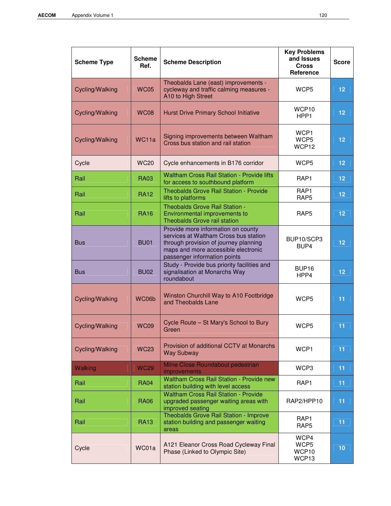| <b>Scheme Type</b> | <b>Scheme</b><br>Ref. | <b>Scheme Description</b>                                                                                                                                                                   | <b>Key Problems</b><br>and Issues<br><b>Cross</b><br>Reference | <b>Score</b> |
|--------------------|-----------------------|---------------------------------------------------------------------------------------------------------------------------------------------------------------------------------------------|----------------------------------------------------------------|--------------|
| Cycling/Walking    | <b>WC05</b>           | Theobalds Lane (east) improvements -<br>cycleway and traffic calming measures -<br>A10 to High Street                                                                                       | WCP <sub>5</sub>                                               | 12           |
| Cycling/Walking    | <b>WC08</b>           | Hurst Drive Primary School Initiative                                                                                                                                                       | WCP10<br>HPP <sub>1</sub>                                      | 12           |
| Cycling/Walking    | WC11a                 | Signing improvements between Waltham<br>Cross bus station and rail station                                                                                                                  | WCP1<br>WCP <sub>5</sub><br>WCP12                              | 12           |
| Cycle              | <b>WC20</b>           | Cycle enhancements in B176 corridor                                                                                                                                                         | WCP <sub>5</sub>                                               | 12           |
| Rail               | <b>RA03</b>           | <b>Waltham Cross Rail Station - Provide lifts</b><br>for access to southbound platform                                                                                                      | RAP1                                                           | 12           |
| Rail               | <b>RA12</b>           | <b>Theobalds Grove Rail Station - Provide</b><br>lifts to platforms                                                                                                                         | RAP1<br>RAP <sub>5</sub>                                       | 12           |
| Rail               | <b>RA16</b>           | Theobalds Grove Rail Station -<br>Environmental improvements to<br>Theobalds Grove rail station                                                                                             | RAP <sub>5</sub>                                               | 12           |
| <b>Bus</b>         | <b>BU01</b>           | Provide more information on county<br>services at Waltham Cross bus station<br>through provision of journey planning<br>maps and more accessible electronic<br>passenger information points | BUP10/SCP3<br>BUP4                                             | 12           |
| <b>Bus</b>         | <b>BU02</b>           | Study - Provide bus priority facilities and<br>signalisation at Monarchs Way<br>roundabout                                                                                                  | BUP <sub>16</sub><br>HPP4                                      | 12           |
| Cycling/Walking    | WC06b                 | Winston Churchill Way to A10 Footbridge<br>and Theobalds Lane                                                                                                                               | WCP <sub>5</sub>                                               | 11           |
| Cycling/Walking    | <b>WC09</b>           | Cycle Route - St Mary's School to Bury<br>Green                                                                                                                                             | WCP <sub>5</sub>                                               | 11           |
| Cycling/Walking    | <b>WC23</b>           | Provision of additional CCTV at Monarchs<br><b>Way Subway</b>                                                                                                                               | WCP1                                                           | 11           |
| Walking            | <b>WC29</b>           | Milne Close Roundabout pedestrian<br><i>improvements</i>                                                                                                                                    | WCP3                                                           | 11           |
| Rail               | <b>RA04</b>           | Waltham Cross Rail Station - Provide new<br>station building with level access                                                                                                              | RAP <sub>1</sub>                                               | 11           |
| Rail               | <b>RA06</b>           | <b>Waltham Cross Rail Station - Provide</b><br>upgraded passenger waiting areas with<br>improved seating                                                                                    | RAP2/HPP10                                                     | 11           |
| Rail               | <b>RA13</b>           | <b>Theobalds Grove Rail Station - Improve</b><br>station building and passenger waiting<br>areas                                                                                            | RAP <sub>1</sub><br>RAP <sub>5</sub>                           | 11           |
| Cycle              | WC01a                 | A121 Eleanor Cross Road Cycleway Final<br>Phase (Linked to Olympic Site)                                                                                                                    | WCP4<br>WCP5<br>WCP10<br>WCP13                                 | 10           |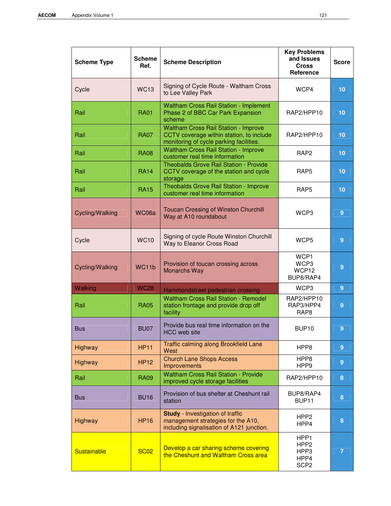| <b>Scheme Type</b> | <b>Scheme</b><br>Ref. | <b>Scheme Description</b>                                                                                                   | <b>Key Problems</b><br>and Issues<br><b>Cross</b><br>Reference | <b>Score</b>   |
|--------------------|-----------------------|-----------------------------------------------------------------------------------------------------------------------------|----------------------------------------------------------------|----------------|
| Cycle              | <b>WC13</b>           | Signing of Cycle Route - Waltham Cross<br>to Lee Valley Park                                                                | WCP4                                                           | 10             |
| Rail               | <b>RA01</b>           | <b>Waltham Cross Rail Station - Implement</b><br>Phase 2 of BBC Car Park Expansion<br>scheme                                | RAP2/HPP10                                                     | 10             |
| Rail               | <b>RA07</b>           | Waltham Cross Rail Station - Improve<br>CCTV coverage within station, to include<br>monitoring of cycle parking facilities. | RAP2/HPP10                                                     | 10             |
| Rail               | <b>RA08</b>           | <b>Waltham Cross Rail Station - Improve</b><br>customer real time information                                               | RAP <sub>2</sub>                                               | 10             |
| Rail               | <b>RA14</b>           | Theobalds Grove Rail Station - Provide<br>CCTV coverage of the station and cycle<br>storage                                 | RAP <sub>5</sub>                                               | 10             |
| Rail               | <b>RA15</b>           | Theobalds Grove Rail Station - Improve<br>customer real time information                                                    | RAP <sub>5</sub>                                               | 10             |
| Cycling/Walking    | WC06a                 | <b>Toucan Crossing of Winston Churchill</b><br>Way at A10 roundabout                                                        | WCP3                                                           | $\overline{9}$ |
| Cycle              | <b>WC10</b>           | Signing of cycle Route Winston Churchill<br>Way to Eleanor Cross Road                                                       | WCP <sub>5</sub>                                               | $\overline{9}$ |
| Cycling/Walking    | WC11b                 | Provision of toucan crossing across<br><b>Monarchs Way</b>                                                                  | WCP1<br>WCP3<br>WCP12<br>BUP8/RAP4                             | $\overline{9}$ |
| Walking            | <b>WC28</b>           | Hammondstreet pedestrian crossing                                                                                           | WCP3                                                           | 9              |
| Rail               | <b>RA05</b>           | <b>Waltham Cross Rail Station - Remodel</b><br>station frontage and provide drop off<br>facility                            | RAP2/HPP10<br>RAP3/HPP4<br>RAP <sub>8</sub>                    | $\overline{9}$ |
| <b>Bus</b>         | <b>BU07</b>           | Provide bus real time information on the<br><b>HCC</b> web site                                                             | BUP <sub>10</sub>                                              | 9              |
| Highway            | <b>HP11</b>           | Traffic calming along Brookfield Lane<br>West                                                                               | HPP8                                                           | 9              |
| Highway            | <b>HP12</b>           | <b>Church Lane Shops Access</b><br>Improvements                                                                             | HPP8<br>HPP9                                                   | $\overline{9}$ |
| Rail               | <b>RA09</b>           | <b>Waltham Cross Rail Station - Provide</b><br>improved cycle storage facilities                                            | RAP2/HPP10                                                     | 8              |
| <b>Bus</b>         | <b>BU16</b>           | Provision of bus shelter at Cheshunt rail<br>station                                                                        | BUP8/RAP4<br>BUP <sub>11</sub>                                 | 8              |
| Highway            | <b>HP16</b>           | <b>Study</b> - Investigation of traffic<br>management strategies for the A10,<br>including signalisation of A121 junction.  | HPP <sub>2</sub><br>HPP4                                       | 8              |
| <b>Sustainable</b> | <b>SC02</b>           | Develop a car sharing scheme covering<br>the Cheshunt and Waltham Cross area                                                | HPP1<br>HPP <sub>2</sub><br>HPP3<br>HPP4<br>SCP <sub>2</sub>   | $\overline{7}$ |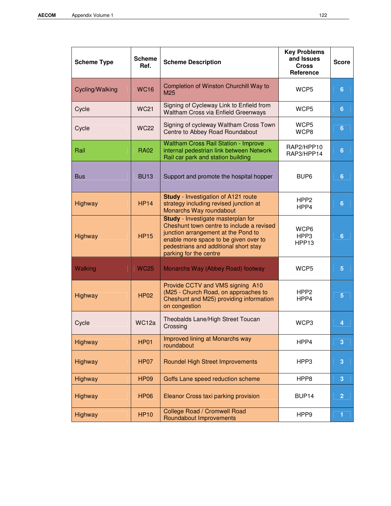| <b>Scheme Type</b> | <b>Scheme</b><br>Ref. | <b>Scheme Description</b>                                                                                                                                                                                                          | <b>Key Problems</b><br>and Issues<br><b>Cross</b><br>Reference | <b>Score</b>   |
|--------------------|-----------------------|------------------------------------------------------------------------------------------------------------------------------------------------------------------------------------------------------------------------------------|----------------------------------------------------------------|----------------|
| Cycling/Walking    | <b>WC16</b>           | Completion of Winston Churchill Way to<br>M25                                                                                                                                                                                      | WCP5                                                           | 6              |
| Cycle              | <b>WC21</b>           | Signing of Cycleway Link to Enfield from<br>Waltham Cross via Enfield Greenways                                                                                                                                                    | WCP <sub>5</sub>                                               | 6              |
| Cycle              | <b>WC22</b>           | Signing of cycleway Waltham Cross Town<br>Centre to Abbey Road Roundabout                                                                                                                                                          | WCP <sub>5</sub><br>WCP8                                       | $6\phantom{a}$ |
| Rail               | <b>RA02</b>           | <b>Waltham Cross Rail Station - Improve</b><br>internal pedestrian link between Network<br>Rail car park and station building                                                                                                      | RAP2/HPP10<br>RAP3/HPP14                                       | $6\phantom{1}$ |
| <b>Bus</b>         | <b>BU13</b>           | Support and promote the hospital hopper                                                                                                                                                                                            | BUP <sub>6</sub>                                               | 6              |
| Highway            | <b>HP14</b>           | <b>Study</b> - Investigation of A121 route<br>strategy including revised junction at<br>Monarchs Way roundabout                                                                                                                    | HPP <sub>2</sub><br>HPP4                                       | $6\phantom{a}$ |
| Highway            | <b>HP15</b>           | Study - Investigate masterplan for<br>Cheshunt town centre to include a revised<br>junction arrangement at the Pond to<br>enable more space to be given over to<br>pedestrians and additional short stay<br>parking for the centre | WCP6<br>HPP3<br>HPP <sub>13</sub>                              | $6\phantom{1}$ |
| Walking            | <b>WC25</b>           | Monarchs Way (Abbey Road) footway                                                                                                                                                                                                  | WCP <sub>5</sub>                                               | $5\phantom{.}$ |
| Highway            | <b>HP02</b>           | Provide CCTV and VMS signing A10<br>(M25 - Church Road, on approaches to<br>Cheshunt and M25) providing information<br>on congestion                                                                                               | HPP <sub>2</sub><br>HPP4                                       | $5\phantom{.}$ |
| Cycle              | WC <sub>12a</sub>     | Theobalds Lane/High Street Toucan<br>Crossing                                                                                                                                                                                      | WCP3                                                           | 4              |
| Highway            | <b>HP01</b>           | Improved lining at Monarchs way<br>roundabout                                                                                                                                                                                      | HPP4                                                           | 3              |
| Highway            | <b>HP07</b>           | <b>Roundel High Street Improvements</b>                                                                                                                                                                                            | HPP3                                                           | 3              |
| Highway            | <b>HP09</b>           | Goffs Lane speed reduction scheme                                                                                                                                                                                                  | HPP8                                                           | 3              |
| Highway            | <b>HP06</b>           | Eleanor Cross taxi parking provision                                                                                                                                                                                               | BUP <sub>14</sub>                                              | $\overline{2}$ |
| Highway            | <b>HP10</b>           | College Road / Cromwell Road<br>Roundabout Improvements                                                                                                                                                                            | HPP <sub>9</sub>                                               | $\mathbf{1}$   |